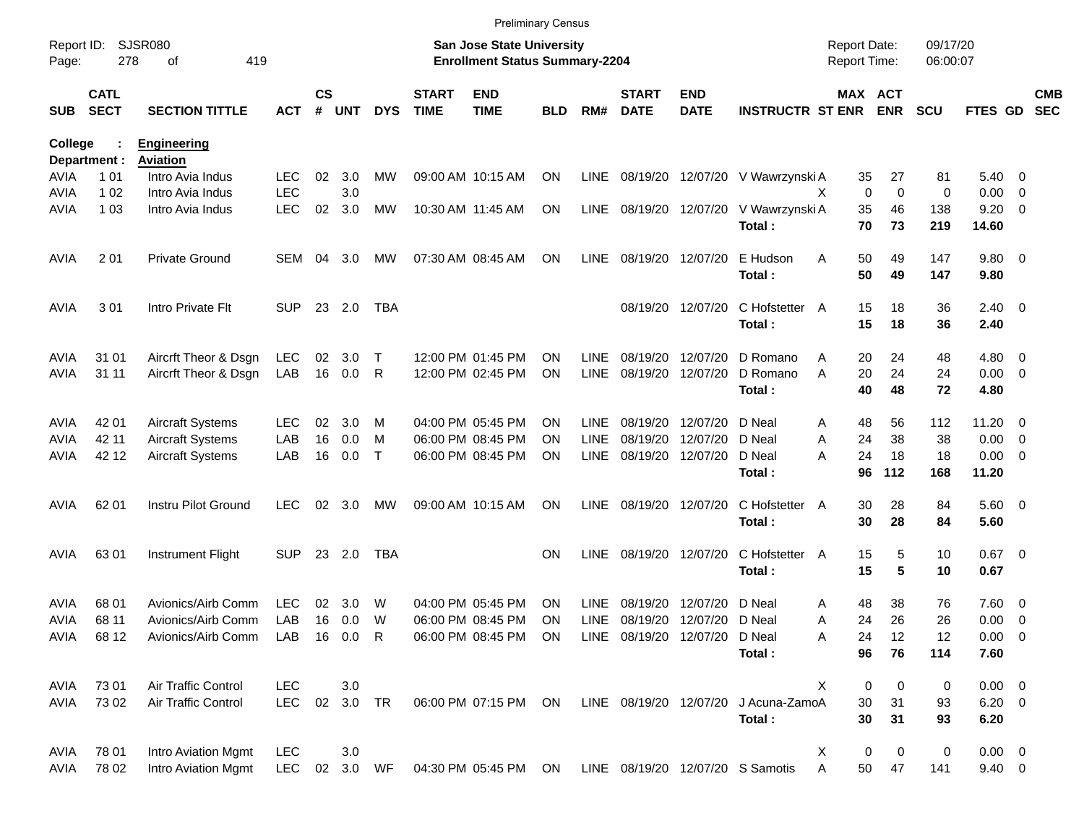|                     |                            |                                 |               |                    |            |             |                             |                                                                           | <b>Preliminary Census</b> |             |                             |                           |                                  |                                     |             |                      |                    |                          |                          |
|---------------------|----------------------------|---------------------------------|---------------|--------------------|------------|-------------|-----------------------------|---------------------------------------------------------------------------|---------------------------|-------------|-----------------------------|---------------------------|----------------------------------|-------------------------------------|-------------|----------------------|--------------------|--------------------------|--------------------------|
| Report ID:<br>Page: | 278                        | <b>SJSR080</b><br>οf<br>419     |               |                    |            |             |                             | <b>San Jose State University</b><br><b>Enrollment Status Summary-2204</b> |                           |             |                             |                           |                                  | <b>Report Date:</b><br>Report Time: |             | 09/17/20<br>06:00:07 |                    |                          |                          |
| <b>SUB</b>          | <b>CATL</b><br><b>SECT</b> | <b>SECTION TITTLE</b>           | <b>ACT</b>    | $\mathsf{cs}$<br># | <b>UNT</b> | <b>DYS</b>  | <b>START</b><br><b>TIME</b> | <b>END</b><br><b>TIME</b>                                                 | BLD                       | RM#         | <b>START</b><br><b>DATE</b> | <b>END</b><br><b>DATE</b> | <b>INSTRUCTR ST ENR</b>          | MAX ACT                             | <b>ENR</b>  | <b>SCU</b>           | FTES GD            |                          | <b>CMB</b><br><b>SEC</b> |
| College             |                            | <b>Engineering</b>              |               |                    |            |             |                             |                                                                           |                           |             |                             |                           |                                  |                                     |             |                      |                    |                          |                          |
|                     | Department :               | <b>Aviation</b>                 |               |                    |            |             |                             |                                                                           |                           |             |                             |                           |                                  |                                     |             |                      |                    |                          |                          |
| AVIA                | 1 0 1                      | Intro Avia Indus                | LEC           | 02                 | 3.0        | MW          |                             | 09:00 AM 10:15 AM                                                         | ON                        | <b>LINE</b> |                             |                           | 08/19/20 12/07/20 V Wawrzynski A | 35                                  | 27          | 81                   | 5.40               | - 0                      |                          |
| AVIA                | 1 0 2                      | Intro Avia Indus                | <b>LEC</b>    |                    | 3.0        |             |                             |                                                                           |                           |             |                             |                           |                                  | $\mathbf 0$<br>X                    | $\mathbf 0$ | 0                    | 0.00               | $\overline{\mathbf{0}}$  |                          |
| <b>AVIA</b>         | 1 0 3                      | Intro Avia Indus                | <b>LEC</b>    | 02                 | 3.0        | MW          |                             | 10:30 AM 11:45 AM                                                         | ON                        | LINE        |                             | 08/19/20 12/07/20         | V Wawrzynski A<br>Total:         | 35<br>70                            | 46<br>73    | 138<br>219           | 9.20<br>14.60      | $\overline{\phantom{0}}$ |                          |
| <b>AVIA</b>         | 201                        | <b>Private Ground</b>           | SEM           | 04                 | 3.0        | MW          |                             | 07:30 AM 08:45 AM                                                         | <b>ON</b>                 | <b>LINE</b> |                             | 08/19/20 12/07/20         | E Hudson<br>Total:               | A<br>50<br>50                       | 49<br>49    | 147<br>147           | 9.80 0<br>9.80     |                          |                          |
| <b>AVIA</b>         | 301                        | Intro Private Flt               | <b>SUP</b>    |                    | 23 2.0     | <b>TBA</b>  |                             |                                                                           |                           |             |                             | 08/19/20 12/07/20         | C Hofstetter A<br>Total:         | 15<br>15                            | 18<br>18    | 36<br>36             | $2.40 \ 0$<br>2.40 |                          |                          |
| <b>AVIA</b>         | 31 01                      | Aircrft Theor & Dsgn            | LEC           | 02                 | 3.0        | $\mathsf T$ |                             | 12:00 PM 01:45 PM                                                         | ON                        | <b>LINE</b> |                             | 08/19/20 12/07/20         | D Romano                         | 20<br>Α                             | 24          | 48                   | $4.80$ 0           |                          |                          |
| <b>AVIA</b>         | 31 11                      | Aircrft Theor & Dsgn            | LAB           | 16                 | 0.0        | R           |                             | 12:00 PM 02:45 PM                                                         | <b>ON</b>                 | <b>LINE</b> |                             | 08/19/20 12/07/20         | D Romano                         | 20<br>A                             | 24          | 24                   | $0.00 \t 0$        |                          |                          |
|                     |                            |                                 |               |                    |            |             |                             |                                                                           |                           |             |                             |                           | Total:                           | 40                                  | 48          | 72                   | 4.80               |                          |                          |
| <b>AVIA</b>         | 42 01                      | <b>Aircraft Systems</b>         | <b>LEC</b>    | 02                 | 3.0        | м           |                             | 04:00 PM 05:45 PM                                                         | ON                        | <b>LINE</b> |                             | 08/19/20 12/07/20         | D Neal                           | 48<br>A                             | 56          | 112                  | 11.20              | $\overline{\phantom{0}}$ |                          |
| <b>AVIA</b>         | 42 11                      | <b>Aircraft Systems</b>         | LAB           | 16                 | 0.0        | М           |                             | 06:00 PM 08:45 PM                                                         | ON                        | LINE        | 08/19/20                    | 12/07/20                  | D Neal                           | 24<br>A                             | 38          | 38                   | 0.00               | $\overline{\phantom{0}}$ |                          |
| AVIA                | 42 12                      | <b>Aircraft Systems</b>         | LAB           | 16                 | 0.0        | Τ           |                             | 06:00 PM 08:45 PM                                                         | ΟN                        | LINE        |                             | 08/19/20 12/07/20         | D Neal                           | 24<br>Α                             | 18          | 18                   | $0.00 \t 0$        |                          |                          |
|                     |                            |                                 |               |                    |            |             |                             |                                                                           |                           |             |                             |                           | Total:                           | 96                                  | 112         | 168                  | 11.20              |                          |                          |
| AVIA                | 62 01                      | <b>Instru Pilot Ground</b>      | <b>LEC</b>    | 02                 | 3.0        | MW          |                             | 09:00 AM 10:15 AM                                                         | <b>ON</b>                 | <b>LINE</b> |                             | 08/19/20 12/07/20         | C Hofstetter A                   | 30                                  | 28          | 84                   | 5.60 0             |                          |                          |
|                     |                            |                                 |               |                    |            |             |                             |                                                                           |                           |             |                             |                           | Total:                           | 30                                  | 28          | 84                   | 5.60               |                          |                          |
| AVIA                | 63 01                      | <b>Instrument Flight</b>        | <b>SUP</b>    |                    | 23 2.0     | TBA         |                             |                                                                           | ON                        | <b>LINE</b> |                             | 08/19/20 12/07/20         | C Hofstetter A                   | 15                                  | 5           | 10                   | $0.67$ 0           |                          |                          |
|                     |                            |                                 |               |                    |            |             |                             |                                                                           |                           |             |                             |                           | Total:                           | 15                                  | 5           | 10                   | 0.67               |                          |                          |
| AVIA                | 68 01                      | Avionics/Airb Comm              | LEC           | 02                 | 3.0        | W           |                             | 04:00 PM 05:45 PM                                                         | ON                        | LINE        | 08/19/20                    | 12/07/20                  | D Neal                           | 48<br>Α                             | 38          | 76                   | 7.60 0             |                          |                          |
| AVIA                | 68 11                      | Avionics/Airb Comm              | LAB           |                    | 16 0.0     | W           |                             | 06:00 PM 08:45 PM                                                         | ON                        | LINE        |                             | 08/19/20 12/07/20 D Neal  |                                  | 24<br>A                             | 26          | 26                   | $0.00 \t 0$        |                          |                          |
| AVIA                | 68 12                      | Avionics/Airb Comm LAB 16 0.0 R |               |                    |            |             |                             | 06:00 PM 08:45 PM ON                                                      |                           |             |                             | LINE 08/19/20 12/07/20    | D Neal                           | 24<br>Α                             | 12          | 12                   | $0.00 \t 0$        |                          |                          |
|                     |                            |                                 |               |                    |            |             |                             |                                                                           |                           |             |                             |                           | Total:                           | 96                                  | 76          | 114                  | 7.60               |                          |                          |
| AVIA                | 73 01                      | Air Traffic Control             | <b>LEC</b>    |                    | 3.0        |             |                             |                                                                           |                           |             |                             |                           |                                  | Χ<br>0                              | 0           | 0                    | $0.00 \t 0$        |                          |                          |
| AVIA                | 73 02                      | Air Traffic Control             | <b>LEC</b>    |                    | 02 3.0 TR  |             |                             | 06:00 PM 07:15 PM ON                                                      |                           |             | LINE 08/19/20 12/07/20      |                           | J Acuna-ZamoA                    | 30                                  | 31          | 93                   | $6.20 \t 0$        |                          |                          |
|                     |                            |                                 |               |                    |            |             |                             |                                                                           |                           |             |                             |                           | Total:                           | 30                                  | 31          | 93                   | 6.20               |                          |                          |
| AVIA                | 78 01                      | Intro Aviation Mgmt             | LEC           |                    | 3.0        |             |                             |                                                                           |                           |             |                             |                           |                                  | 0<br>X                              | 0           | 0                    | $0.00 \t 0$        |                          |                          |
| AVIA                | 78 02                      | Intro Aviation Mgmt             | LEC 02 3.0 WF |                    |            |             |                             | 04:30 PM 05:45 PM ON LINE 08/19/20 12/07/20 S Samotis                     |                           |             |                             |                           |                                  | 50<br>Α                             | 47          | 141                  | $9.40 \quad 0$     |                          |                          |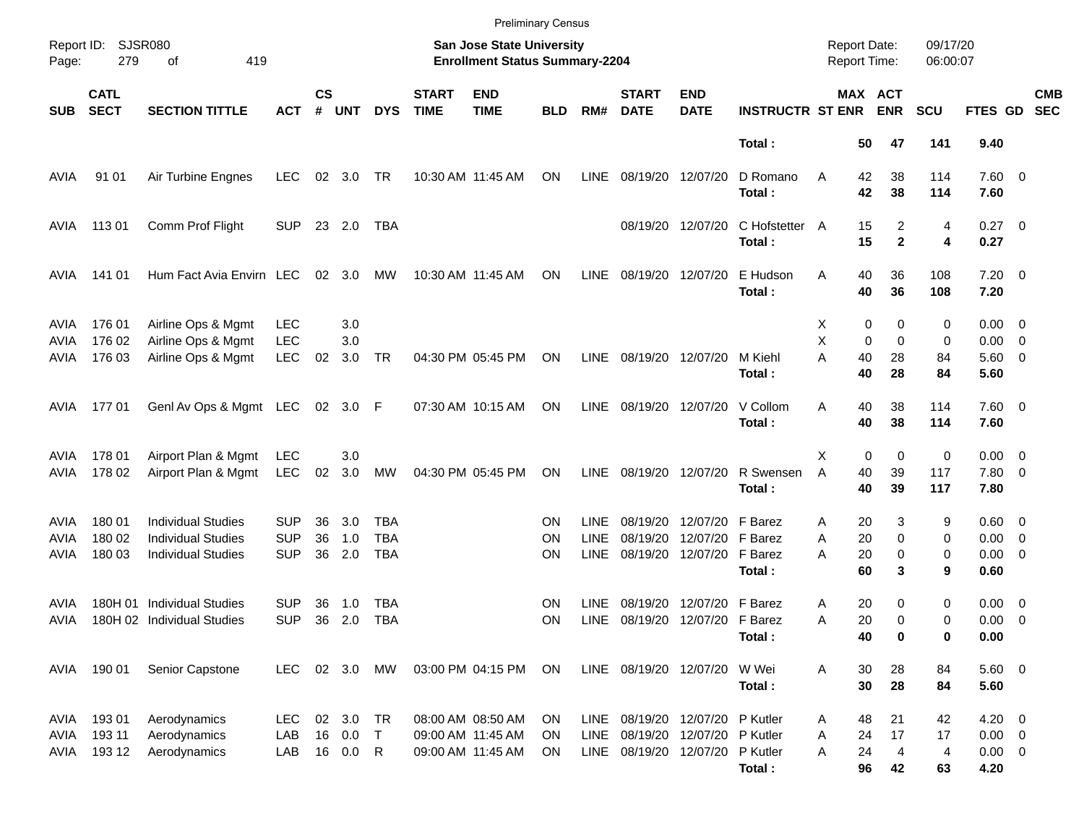|                     |                            |                                                        |                          |                    |                      |                   |                             |                                                                           | <b>Preliminary Census</b> |                     |                                 |                                                          |                          |                                     |                                      |                            |                                    |                          |                          |
|---------------------|----------------------------|--------------------------------------------------------|--------------------------|--------------------|----------------------|-------------------|-----------------------------|---------------------------------------------------------------------------|---------------------------|---------------------|---------------------------------|----------------------------------------------------------|--------------------------|-------------------------------------|--------------------------------------|----------------------------|------------------------------------|--------------------------|--------------------------|
| Report ID:<br>Page: | <b>SJSR080</b><br>279      | οf<br>419                                              |                          |                    |                      |                   |                             | <b>San Jose State University</b><br><b>Enrollment Status Summary-2204</b> |                           |                     |                                 |                                                          |                          | <b>Report Date:</b><br>Report Time: |                                      | 09/17/20<br>06:00:07       |                                    |                          |                          |
| <b>SUB</b>          | <b>CATL</b><br><b>SECT</b> | <b>SECTION TITTLE</b>                                  | <b>ACT</b>               | $\mathsf{cs}$<br># | <b>UNT</b>           | <b>DYS</b>        | <b>START</b><br><b>TIME</b> | <b>END</b><br><b>TIME</b>                                                 | <b>BLD</b>                | RM#                 | <b>START</b><br><b>DATE</b>     | <b>END</b><br><b>DATE</b>                                | <b>INSTRUCTR ST ENR</b>  |                                     | MAX ACT<br><b>ENR</b>                | <b>SCU</b>                 | FTES GD                            |                          | <b>CMB</b><br><b>SEC</b> |
|                     |                            |                                                        |                          |                    |                      |                   |                             |                                                                           |                           |                     |                                 |                                                          | Total:                   | 50                                  | 47                                   | 141                        | 9.40                               |                          |                          |
| AVIA                | 91 01                      | Air Turbine Engnes                                     | <b>LEC</b>               |                    | 02 3.0               | <b>TR</b>         |                             | 10:30 AM 11:45 AM                                                         | ON                        | LINE                | 08/19/20 12/07/20               |                                                          | D Romano<br>Total:       | 42<br>A<br>42                       | 38<br>38                             | 114<br>114                 | 7.60 0<br>7.60                     |                          |                          |
| AVIA                | 11301                      | Comm Prof Flight                                       | <b>SUP</b>               |                    | 23 2.0               | TBA               |                             |                                                                           |                           |                     |                                 | 08/19/20 12/07/20                                        | C Hofstetter A<br>Total: | 15<br>15                            | 2<br>$\mathbf{2}$                    | 4<br>4                     | 0.27 0<br>0.27                     |                          |                          |
| AVIA                | 141 01                     | Hum Fact Avia Envirn LEC                               |                          |                    | 02 3.0               | МW                |                             | 10:30 AM 11:45 AM                                                         | ON                        | LINE                | 08/19/20 12/07/20               |                                                          | E Hudson<br>Total:       | Α<br>40<br>40                       | 36<br>36                             | 108<br>108                 | $7.20 \t 0$<br>7.20                |                          |                          |
| <b>AVIA</b><br>AVIA | 176 01<br>176 02           | Airline Ops & Mgmt<br>Airline Ops & Mgmt               | LEC<br><b>LEC</b>        |                    | 3.0<br>3.0           |                   |                             |                                                                           |                           |                     |                                 |                                                          |                          | X<br>X                              | 0<br>0<br>$\mathbf 0$<br>$\mathbf 0$ | 0<br>0                     | $0.00 \t 0$<br>0.00                | $\overline{\phantom{0}}$ |                          |
| AVIA                | 176 03                     | Airline Ops & Mgmt                                     | <b>LEC</b>               | 02                 | 3.0                  | <b>TR</b>         |                             | 04:30 PM 05:45 PM                                                         | ON                        | LINE                | 08/19/20 12/07/20               |                                                          | M Kiehl<br>Total:        | A<br>40<br>40                       | 28<br>28                             | 84<br>84                   | 5.60 0<br>5.60                     |                          |                          |
| AVIA                | 17701                      | GenI Av Ops & Mgmt LEC 02 3.0 F                        |                          |                    |                      |                   |                             | 07:30 AM 10:15 AM                                                         | ON                        | LINE                | 08/19/20 12/07/20               |                                                          | V Collom<br>Total:       | Α<br>40<br>40                       | 38<br>38                             | 114<br>114                 | 7.60 0<br>7.60                     |                          |                          |
| AVIA                | 178 01                     | Airport Plan & Mgmt                                    | LEC                      |                    | 3.0                  |                   |                             |                                                                           |                           |                     |                                 |                                                          |                          | X                                   | $\mathbf 0$<br>0                     | 0                          | $0.00 \t 0$                        |                          |                          |
| AVIA                | 178 02                     | Airport Plan & Mgmt                                    | <b>LEC</b>               | 02                 | 3.0                  | MW                |                             | 04:30 PM 05:45 PM                                                         | ON                        |                     | LINE 08/19/20 12/07/20          |                                                          | R Swensen<br>Total:      | 40<br>A<br>40                       | 39<br>39                             | 117<br>117                 | 7.80 0<br>7.80                     |                          |                          |
| AVIA<br>AVIA        | 180 01<br>180 02           | <b>Individual Studies</b><br><b>Individual Studies</b> | <b>SUP</b><br><b>SUP</b> | 36<br>36           | 3.0<br>1.0           | TBA<br><b>TBA</b> |                             |                                                                           | <b>ON</b><br><b>ON</b>    | LINE<br>LINE        |                                 | 08/19/20 12/07/20<br>08/19/20 12/07/20 F Barez           | F Barez                  | 20<br>Α<br>20<br>A                  | 3<br>$\mathbf 0$                     | 9<br>0                     | $0.60 \quad 0$<br>$0.00 \t 0$      |                          |                          |
| AVIA                | 180 03                     | <b>Individual Studies</b>                              | <b>SUP</b>               | 36                 | 2.0                  | <b>TBA</b>        |                             |                                                                           | <b>ON</b>                 | <b>LINE</b>         |                                 | 08/19/20 12/07/20 F Barez                                | Total:                   | Α<br>20<br>60                       | 0<br>3                               | 0<br>9                     | $0.00 \t 0$<br>0.60                |                          |                          |
| AVIA                | 180H 01                    | Individual Studies                                     | <b>SUP</b>               | 36                 | 1.0                  | TBA               |                             |                                                                           | <b>ON</b>                 | LINE                |                                 | 08/19/20 12/07/20                                        | F Barez                  | 20<br>Α                             | 0                                    | 0                          | $0.00 \quad 0$                     |                          |                          |
| AVIA                |                            | 180H 02 Individual Studies                             | <b>SUP</b>               | 36                 | 2.0                  | <b>TBA</b>        |                             |                                                                           | <b>ON</b>                 | <b>LINE</b>         |                                 | 08/19/20 12/07/20 F Barez                                | Total:                   | 20<br>A<br>40                       | 0<br>0                               | 0<br>0                     | 0.00<br>0.00                       | $\overline{\phantom{0}}$ |                          |
| AVIA                | 190 01                     | Senior Capstone                                        | LEC.                     |                    | 02 3.0 MW            |                   |                             | 03:00 PM 04:15 PM                                                         | ON                        |                     | LINE 08/19/20 12/07/20          |                                                          | W Wei<br>Total:          | Α<br>30<br>30                       | 28<br>28                             | 84<br>84                   | 5.60 0<br>5.60                     |                          |                          |
| AVIA                | 19301                      | Aerodynamics                                           | <b>LEC</b>               |                    | 02 3.0               | TR                |                             | 08:00 AM 08:50 AM                                                         | <b>ON</b>                 |                     | LINE 08/19/20 12/07/20 P Kutler |                                                          |                          | 48<br>A                             | 21                                   | 42                         | $4.20 \ 0$                         |                          |                          |
| AVIA<br>AVIA        | 193 11<br>193 12           | Aerodynamics<br>Aerodynamics                           | LAB<br>LAB               |                    | 16 0.0<br>16  0.0  R | T                 |                             | 09:00 AM 11:45 AM<br>09:00 AM 11:45 AM                                    | ON<br><b>ON</b>           | <b>LINE</b><br>LINE |                                 | 08/19/20 12/07/20 P Kutler<br>08/19/20 12/07/20 P Kutler | Total:                   | Α<br>24<br>24<br>Α<br>96            | 17<br>4<br>42                        | 17<br>$\overline{4}$<br>63 | $0.00 \t 0$<br>$0.00 \t 0$<br>4.20 |                          |                          |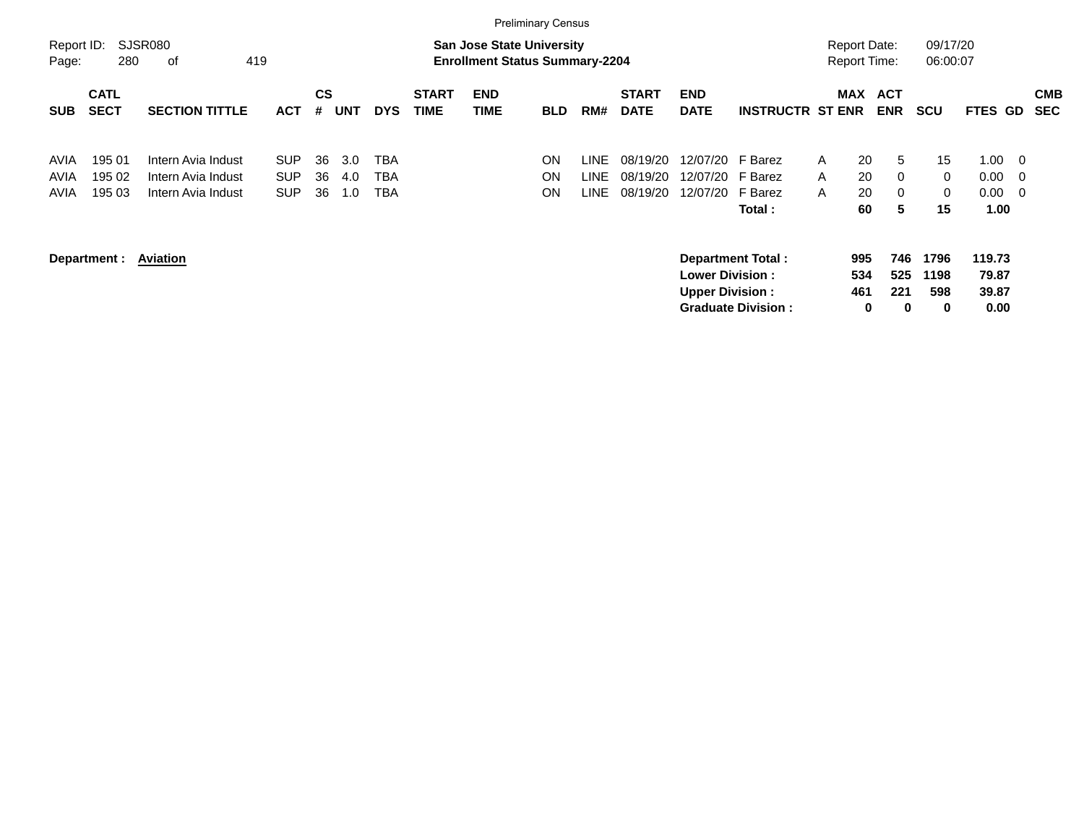|                      |                            |                                                                |                                        |                |                   |                   |                             |                                                                           | <b>Preliminary Census</b> |                               |                                  |                                                   |                                                       |                        |                                            |                          |                          |                                  |                   |                          |
|----------------------|----------------------------|----------------------------------------------------------------|----------------------------------------|----------------|-------------------|-------------------|-----------------------------|---------------------------------------------------------------------------|---------------------------|-------------------------------|----------------------------------|---------------------------------------------------|-------------------------------------------------------|------------------------|--------------------------------------------|--------------------------|--------------------------|----------------------------------|-------------------|--------------------------|
| Report ID:<br>Page:  | 280                        | SJSR080<br>419<br>οf                                           |                                        |                |                   |                   |                             | <b>San Jose State University</b><br><b>Enrollment Status Summary-2204</b> |                           |                               |                                  |                                                   |                                                       |                        | <b>Report Date:</b><br><b>Report Time:</b> |                          | 09/17/20<br>06:00:07     |                                  |                   |                          |
| <b>SUB</b>           | <b>CATL</b><br><b>SECT</b> | <b>SECTION TITTLE</b>                                          | <b>ACT</b>                             | <b>CS</b><br># | <b>UNT</b>        | <b>DYS</b>        | <b>START</b><br><b>TIME</b> | <b>END</b><br><b>TIME</b>                                                 | <b>BLD</b>                | RM#                           | <b>START</b><br><b>DATE</b>      | <b>END</b><br><b>DATE</b>                         | <b>INSTRUCTR ST ENR</b>                               |                        | MAX                                        | <b>ACT</b><br><b>ENR</b> | <b>SCU</b>               | <b>FTES</b>                      | <b>GD</b>         | <b>CMB</b><br><b>SEC</b> |
| AVIA<br>AVIA<br>AVIA | 195 01<br>195 02<br>195 03 | Intern Avia Indust<br>Intern Avia Indust<br>Intern Avia Indust | <b>SUP</b><br><b>SUP</b><br><b>SUP</b> | 36<br>36<br>36 | 3.0<br>4.0<br>1.0 | TBA<br>TBA<br>TBA |                             |                                                                           | ON<br>ON<br>ON            | <b>LINE</b><br>LINE.<br>LINE. | 08/19/20<br>08/19/20<br>08/19/20 | 12/07/20 F Barez<br>12/07/20<br>12/07/20          | F Barez<br>F Barez<br>Total :                         | $\mathsf{A}$<br>A<br>A | 20<br>20<br>20<br>60                       | 5<br>0<br>0<br>5         | 15<br>0<br>0<br>15       | 1.00<br>0.00<br>0.00<br>1.00     | - 0<br>- 0<br>- 0 |                          |
|                      | Department :               | <b>Aviation</b>                                                |                                        |                |                   |                   |                             |                                                                           |                           |                               |                                  | <b>Lower Division :</b><br><b>Upper Division:</b> | <b>Department Total:</b><br><b>Graduate Division:</b> |                        | 995<br>534<br>461<br>0                     | 746<br>525<br>221<br>0   | 1796<br>1198<br>598<br>0 | 119.73<br>79.87<br>39.87<br>0.00 |                   |                          |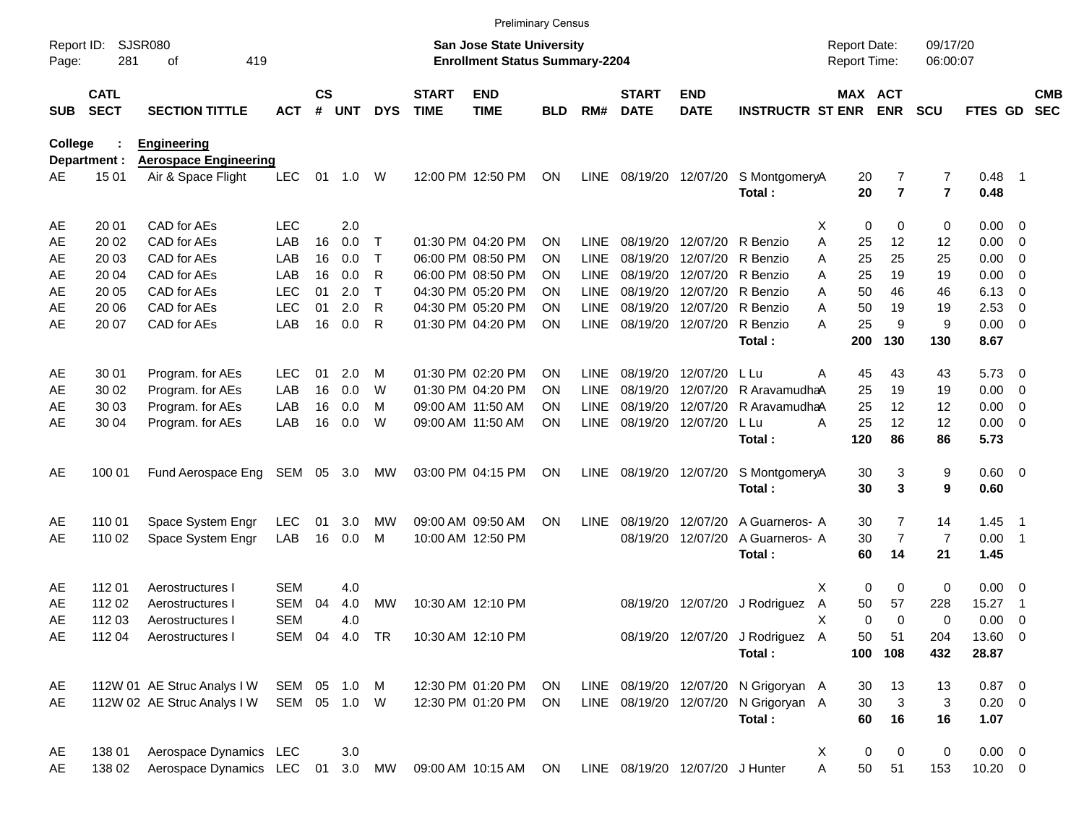|                     |                            |                               |              |                    |            |              |                             | <b>Preliminary Census</b>                                                 |            |             |                                 |                           |                                      |                                     |                              |                      |                  |                            |                          |
|---------------------|----------------------------|-------------------------------|--------------|--------------------|------------|--------------|-----------------------------|---------------------------------------------------------------------------|------------|-------------|---------------------------------|---------------------------|--------------------------------------|-------------------------------------|------------------------------|----------------------|------------------|----------------------------|--------------------------|
| Report ID:<br>Page: | 281                        | <b>SJSR080</b><br>419<br>οf   |              |                    |            |              |                             | <b>San Jose State University</b><br><b>Enrollment Status Summary-2204</b> |            |             |                                 |                           |                                      | <b>Report Date:</b><br>Report Time: |                              | 09/17/20<br>06:00:07 |                  |                            |                          |
| <b>SUB</b>          | <b>CATL</b><br><b>SECT</b> | <b>SECTION TITTLE</b>         | <b>ACT</b>   | $\mathsf{cs}$<br># | <b>UNT</b> | <b>DYS</b>   | <b>START</b><br><b>TIME</b> | <b>END</b><br><b>TIME</b>                                                 | <b>BLD</b> | RM#         | <b>START</b><br><b>DATE</b>     | <b>END</b><br><b>DATE</b> | <b>INSTRUCTR ST ENR</b>              | MAX ACT                             | <b>ENR</b>                   | <b>SCU</b>           | FTES GD          |                            | <b>CMB</b><br><b>SEC</b> |
| College             |                            | <b>Engineering</b>            |              |                    |            |              |                             |                                                                           |            |             |                                 |                           |                                      |                                     |                              |                      |                  |                            |                          |
|                     | Department :               | <b>Aerospace Engineering</b>  |              |                    |            |              |                             |                                                                           |            |             |                                 |                           |                                      |                                     |                              |                      |                  |                            |                          |
| AE                  | 15 01                      | Air & Space Flight            | <b>LEC</b>   | 01                 | 1.0        | W            |                             | 12:00 PM 12:50 PM                                                         | ON         | LINE        |                                 | 08/19/20 12/07/20         | S MontgomeryA<br>Total:              | 20<br>20                            | 7<br>$\overline{\mathbf{r}}$ | 7<br>$\overline{7}$  | $0.48$ 1<br>0.48 |                            |                          |
| AE                  | 20 01                      | CAD for AEs                   | <b>LEC</b>   |                    | 2.0        |              |                             |                                                                           |            |             |                                 |                           | Χ                                    | 0                                   | 0                            | 0                    | 0.00             | $\overline{\phantom{0}}$   |                          |
| AE                  | 20 02                      | CAD for AEs                   | LAB          | 16                 | 0.0        | $\mathsf{T}$ |                             | 01:30 PM 04:20 PM                                                         | <b>ON</b>  | <b>LINE</b> |                                 | 08/19/20 12/07/20         | A<br>R Benzio                        | 25                                  | 12                           | 12                   | 0.00             | $\overline{0}$             |                          |
| AE                  | 20 03                      | CAD for AEs                   | LAB          | 16                 | 0.0        | Τ            |                             | 06:00 PM 08:50 PM                                                         | <b>ON</b>  | <b>LINE</b> | 08/19/20                        | 12/07/20                  | R Benzio<br>A                        | 25                                  | 25                           | 25                   | 0.00             | $\overline{\mathbf{0}}$    |                          |
| AE                  | 20 04                      | CAD for AEs                   | LAB          | 16                 | 0.0        | R            |                             | 06:00 PM 08:50 PM                                                         | <b>ON</b>  | <b>LINE</b> | 08/19/20                        | 12/07/20                  | R Benzio<br>A                        | 25                                  | 19                           | 19                   | 0.00             | $\overline{0}$             |                          |
| AE                  | 20 05                      | CAD for AEs                   | <b>LEC</b>   | 01                 | 2.0        | T            |                             | 04:30 PM 05:20 PM                                                         | <b>ON</b>  | <b>LINE</b> | 08/19/20                        | 12/07/20                  | R Benzio<br>A                        | 50                                  | 46                           | 46                   | 6.13             | $\overline{0}$             |                          |
| AE                  | 20 06                      | CAD for AEs                   | <b>LEC</b>   | 01                 | 2.0        | R            |                             | 04:30 PM 05:20 PM                                                         | <b>ON</b>  | <b>LINE</b> | 08/19/20                        | 12/07/20                  | R Benzio<br>Α                        | 50                                  | 19                           | 19                   | 2.53             | $\mathbf 0$                |                          |
| AE                  | 20 07                      | CAD for AEs                   | LAB          | 16                 | 0.0        | R            |                             | 01:30 PM 04:20 PM                                                         | ON         | LINE        |                                 | 08/19/20 12/07/20         | R Benzio<br>A                        | 25                                  | 9                            | 9                    | 0.00             | $\overline{0}$             |                          |
|                     |                            |                               |              |                    |            |              |                             |                                                                           |            |             |                                 |                           | Total:                               | 200                                 | 130                          | 130                  | 8.67             |                            |                          |
| AE                  | 30 01                      | Program. for AEs              | <b>LEC</b>   | 01                 | 2.0        | M            |                             | 01:30 PM 02:20 PM                                                         | <b>ON</b>  | <b>LINE</b> | 08/19/20                        | 12/07/20                  | L Lu<br>A                            | 45                                  | 43                           | 43                   | 5.73             | $\overline{\phantom{0}}$   |                          |
| AE                  | 30 02                      | Program. for AEs              | LAB          | 16                 | 0.0        | W            |                             | 01:30 PM 04:20 PM                                                         | <b>ON</b>  | <b>LINE</b> | 08/19/20                        | 12/07/20                  | R AravamudhaA                        | 25                                  | 19                           | 19                   | 0.00             | $\overline{0}$             |                          |
| AE                  | 30 03                      | Program. for AEs              | LAB          | 16                 | 0.0        | м            |                             | 09:00 AM 11:50 AM                                                         | <b>ON</b>  | <b>LINE</b> | 08/19/20                        | 12/07/20                  | R AravamudhaA                        | 25                                  | 12                           | 12                   | 0.00             | $\mathbf 0$                |                          |
| AE                  | 30 04                      | Program. for AEs              | LAB          | 16                 | 0.0        | W            |                             | 09:00 AM 11:50 AM                                                         | <b>ON</b>  | <b>LINE</b> | 08/19/20                        | 12/07/20                  | L Lu<br>A                            | 25                                  | 12                           | 12                   | 0.00             | $\overline{\phantom{0}}$   |                          |
|                     |                            |                               |              |                    |            |              |                             |                                                                           |            |             |                                 |                           | Total:                               | 120                                 | 86                           | 86                   | 5.73             |                            |                          |
| AE                  | 100 01                     | Fund Aerospace Eng            | SEM 05       |                    | 3.0        | MW           |                             | 03:00 PM 04:15 PM                                                         | <b>ON</b>  | LINE        |                                 | 08/19/20 12/07/20         | S MontgomeryA                        | 30                                  | 3                            | 9                    | 0.60 0           |                            |                          |
|                     |                            |                               |              |                    |            |              |                             |                                                                           |            |             |                                 |                           | Total:                               | 30                                  | 3                            | 9                    | 0.60             |                            |                          |
| AE                  | 110 01                     | Space System Engr             | <b>LEC</b>   | 01                 | 3.0        | MW           |                             | 09:00 AM 09:50 AM                                                         | <b>ON</b>  | LINE        | 08/19/20                        | 12/07/20                  | A Guarneros-A                        | 30                                  | $\overline{7}$               | 14                   | 1.45             | $\overline{\phantom{1}}$   |                          |
| AE                  | 110 02                     | Space System Engr             | LAB          | 16                 | 0.0        | м            |                             | 10:00 AM 12:50 PM                                                         |            |             |                                 | 08/19/20 12/07/20         | A Guarneros-A                        | 30                                  | $\overline{7}$               | $\overline{7}$       | 0.00             | $\overline{\phantom{0}}$ 1 |                          |
|                     |                            |                               |              |                    |            |              |                             |                                                                           |            |             |                                 |                           | Total:                               | 60                                  | 14                           | 21                   | 1.45             |                            |                          |
| AE                  | 112 01                     | Aerostructures I              | <b>SEM</b>   |                    | 4.0        |              |                             |                                                                           |            |             |                                 |                           | X                                    | 0                                   | 0                            | 0                    | 0.00             | $\overline{\mathbf{0}}$    |                          |
| AE                  | 112 02                     | Aerostructures I              | <b>SEM</b>   | 04                 | 4.0        | <b>MW</b>    |                             | 10:30 AM 12:10 PM                                                         |            |             | 08/19/20                        | 12/07/20                  | J Rodriguez<br>Α                     | 50                                  | 57                           | 228                  | 15.27            | -1                         |                          |
| AE                  | 112 03                     | Aerostructures I              | <b>SEM</b>   |                    | 4.0        |              |                             |                                                                           |            |             |                                 |                           | X                                    | 0                                   | $\Omega$                     | 0                    | 0.00             | $\overline{0}$             |                          |
| <b>AE</b>           | 112 04                     | Aerostructures I              | SEM 04 4.0   |                    |            | <b>TR</b>    |                             | 10:30 AM 12:10 PM                                                         |            |             |                                 |                           | 08/19/20 12/07/20 J Rodriguez A      | 50                                  | 51                           | 204                  | 13.60 0          |                            |                          |
|                     |                            |                               |              |                    |            |              |                             |                                                                           |            |             |                                 |                           | Total:                               |                                     | 100 108                      | 432                  | 28.87            |                            |                          |
| AE                  |                            | 112W 01 AE Struc Analys I W   | SEM 05 1.0   |                    |            | M            |                             | 12:30 PM 01:20 PM                                                         | ON         |             |                                 |                           | LINE 08/19/20 12/07/20 N Grigoryan A | 30                                  | 13                           | 13                   | $0.87$ 0         |                            |                          |
| AE                  |                            | 112W 02 AE Struc Analys I W   | SEM 05 1.0 W |                    |            |              |                             | 12:30 PM 01:20 PM                                                         | <b>ON</b>  |             |                                 |                           | LINE 08/19/20 12/07/20 N Grigoryan A | 30                                  | 3                            | 3                    | $0.20 \ 0$       |                            |                          |
|                     |                            |                               |              |                    |            |              |                             |                                                                           |            |             |                                 |                           | Total:                               | 60                                  | 16                           | 16                   | 1.07             |                            |                          |
| AE                  | 138 01                     | Aerospace Dynamics LEC        |              |                    | 3.0        |              |                             |                                                                           |            |             |                                 |                           | X                                    | 0                                   | 0                            | $\mathbf 0$          | $0.00 \t 0$      |                            |                          |
| AE                  | 138 02                     | Aerospace Dynamics LEC 01 3.0 |              |                    |            | MW           |                             | 09:00 AM 10:15 AM ON                                                      |            |             | LINE 08/19/20 12/07/20 J Hunter |                           | A                                    | 50                                  | 51                           | 153                  | $10.20 \t 0$     |                            |                          |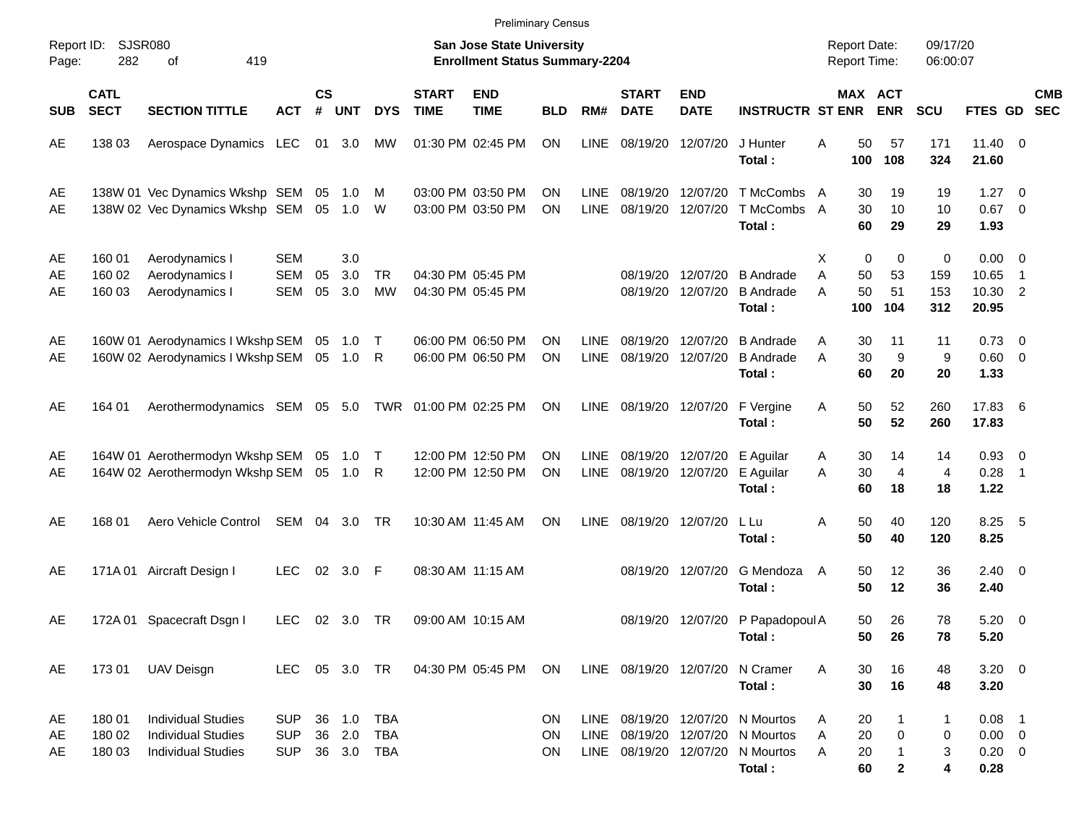|                     |                            |                                                                                     |                                        |                    |                         |                        |                             | <b>Preliminary Census</b>                                          |                |                     |                               |                                        |                                                |                                            |                            |                        |                                               |                          |            |
|---------------------|----------------------------|-------------------------------------------------------------------------------------|----------------------------------------|--------------------|-------------------------|------------------------|-----------------------------|--------------------------------------------------------------------|----------------|---------------------|-------------------------------|----------------------------------------|------------------------------------------------|--------------------------------------------|----------------------------|------------------------|-----------------------------------------------|--------------------------|------------|
| Report ID:<br>Page: | <b>SJSR080</b><br>282      | 419<br>οf                                                                           |                                        |                    |                         |                        |                             | San Jose State University<br><b>Enrollment Status Summary-2204</b> |                |                     |                               |                                        |                                                | <b>Report Date:</b><br><b>Report Time:</b> |                            | 09/17/20<br>06:00:07   |                                               |                          |            |
| <b>SUB</b>          | <b>CATL</b><br><b>SECT</b> | <b>SECTION TITTLE</b>                                                               | <b>ACT</b>                             | $\mathsf{cs}$<br># | <b>UNT</b>              | <b>DYS</b>             | <b>START</b><br><b>TIME</b> | <b>END</b><br><b>TIME</b>                                          | <b>BLD</b>     | RM#                 | <b>START</b><br><b>DATE</b>   | <b>END</b><br><b>DATE</b>              | <b>INSTRUCTR ST ENR</b>                        | MAX ACT                                    | <b>ENR</b>                 | <b>SCU</b>             | FTES GD SEC                                   |                          | <b>CMB</b> |
| AE                  | 138 03                     | Aerospace Dynamics LEC                                                              |                                        | 01                 | 3.0                     | MW                     |                             | 01:30 PM 02:45 PM                                                  | ON             | LINE                | 08/19/20                      | 12/07/20                               | J Hunter<br>Total:                             | 50<br>Α<br>100                             | 57<br>108                  | 171<br>324             | $11.40 \t 0$<br>21.60                         |                          |            |
| AE<br>AE            |                            | 138W 01 Vec Dynamics Wkshp SEM 05 1.0 M<br>138W 02 Vec Dynamics Wkshp SEM           |                                        |                    | 05 1.0 W                |                        |                             | 03:00 PM 03:50 PM<br>03:00 PM 03:50 PM                             | ΟN<br>ON       | <b>LINE</b><br>LINE | 08/19/20<br>08/19/20          | 12/07/20<br>12/07/20                   | T McCombs A<br>T McCombs A<br>Total:           | 30<br>30<br>60                             | 19<br>10<br>29             | 19<br>10<br>29         | $1.27 \t 0$<br>$0.67$ 0<br>1.93               |                          |            |
| AE<br>AE<br>AE      | 160 01<br>160 02<br>160 03 | Aerodynamics I<br>Aerodynamics I<br>Aerodynamics I                                  | <b>SEM</b><br><b>SEM</b><br><b>SEM</b> | 05<br>05           | 3.0<br>3.0<br>3.0       | <b>TR</b><br><b>MW</b> |                             | 04:30 PM 05:45 PM<br>04:30 PM 05:45 PM                             |                |                     | 08/19/20                      | 12/07/20<br>08/19/20 12/07/20          | <b>B</b> Andrade<br><b>B</b> Andrade<br>Total: | 0<br>Х<br>A<br>50<br>50<br>A<br>100        | 0<br>53<br>51<br>104       | 0<br>159<br>153<br>312 | $0.00 \t 0$<br>10.65<br>10.30 2<br>20.95      | $\overline{1}$           |            |
| AE<br>AE            |                            | 160W 01 Aerodynamics I Wkshp SEM 05 1.0 T<br>160W 02 Aerodynamics I Wkshp SEM       |                                        |                    | 05 1.0 R                |                        |                             | 06:00 PM 06:50 PM<br>06:00 PM 06:50 PM                             | ΟN<br>ON       | <b>LINE</b><br>LINE | 08/19/20<br>08/19/20 12/07/20 | 12/07/20                               | <b>B</b> Andrade<br><b>B</b> Andrade<br>Total: | 30<br>A<br>A<br>30<br>60                   | 11<br>9<br>20              | 11<br>9<br>20          | $0.73 \quad 0$<br>$0.60 \quad 0$<br>1.33      |                          |            |
| AE                  | 164 01                     | Aerothermodynamics SEM 05 5.0 TWR 01:00 PM 02:25 PM                                 |                                        |                    |                         |                        |                             |                                                                    | ON             | LINE                | 08/19/20 12/07/20             |                                        | F Vergine<br>Total:                            | Α<br>50<br>50                              | 52<br>52                   | 260<br>260             | 17.83 6<br>17.83                              |                          |            |
| AE<br>AE            |                            | 164W 01 Aerothermodyn Wkshp SEM 05 1.0 T<br>164W 02 Aerothermodyn Wkshp SEM         |                                        |                    | 05 1.0 R                |                        |                             | 12:00 PM 12:50 PM<br>12:00 PM 12:50 PM                             | OΝ<br>ON       | LINE<br>LINE        |                               | 08/19/20 12/07/20<br>08/19/20 12/07/20 | E Aguilar<br>E Aguilar<br>Total:               | 30<br>A<br>30<br>A<br>60                   | 14<br>$\overline{4}$<br>18 | 14<br>4<br>18          | $0.93$ 0<br>0.28<br>1.22                      | $\overline{\phantom{1}}$ |            |
| AE                  | 168 01                     | Aero Vehicle Control                                                                | SEM                                    | 04                 | 3.0                     | TR                     |                             | 10:30 AM 11:45 AM                                                  | ON             | <b>LINE</b>         |                               | 08/19/20 12/07/20                      | L Lu<br>Total:                                 | 50<br>Α<br>50                              | 40<br>40                   | 120<br>120             | $8.25$ 5<br>8.25                              |                          |            |
| AE                  |                            | 171A 01 Aircraft Design I                                                           | <b>LEC</b>                             | 02                 | 3.0                     | F                      |                             | 08:30 AM 11:15 AM                                                  |                |                     |                               | 08/19/20 12/07/20                      | G Mendoza<br>Total:                            | 50<br>A<br>50                              | 12<br>12                   | 36<br>36               | $2.40 \ 0$<br>2.40                            |                          |            |
| AE                  |                            | 172A 01 Spacecraft Dsgn I                                                           | LEC.                                   |                    | 02 3.0 TR               |                        |                             | 09:00 AM 10:15 AM                                                  |                |                     |                               |                                        | 08/19/20 12/07/20 P Papadopoul A<br>Total:     | 50<br>50                                   | 26<br>26                   | 78<br>78               | $5.20 \ 0$<br>5.20                            |                          |            |
| AE                  | 17301                      | UAV Deisgn                                                                          | LEC                                    |                    | 05 3.0 TR               |                        |                             | 04:30 PM 05:45 PM                                                  | ON             |                     | LINE 08/19/20 12/07/20        |                                        | N Cramer<br>Total:                             | 30<br>A<br>30                              | 16<br>16                   | 48<br>48               | $3.20 \ 0$<br>3.20                            |                          |            |
| AE<br>AE<br>AE      | 180 01<br>180 02<br>180 03 | <b>Individual Studies</b><br><b>Individual Studies</b><br><b>Individual Studies</b> | <b>SUP</b><br><b>SUP</b><br><b>SUP</b> | 36                 | 36 1.0<br>2.0<br>36 3.0 | TBA<br>TBA<br>TBA      |                             |                                                                    | ON<br>ON<br>ON | <b>LINE</b><br>LINE | LINE 08/19/20 12/07/20        | 08/19/20 12/07/20<br>08/19/20 12/07/20 | N Mourtos<br>N Mourtos<br>N Mourtos<br>Total:  | 20<br>A<br>20<br>Α<br>20<br>A<br>60        | 0<br>$\mathbf{2}$          | 1<br>0<br>3<br>4       | $0.08$ 1<br>$0.00 \t 0$<br>$0.20 \ 0$<br>0.28 |                          |            |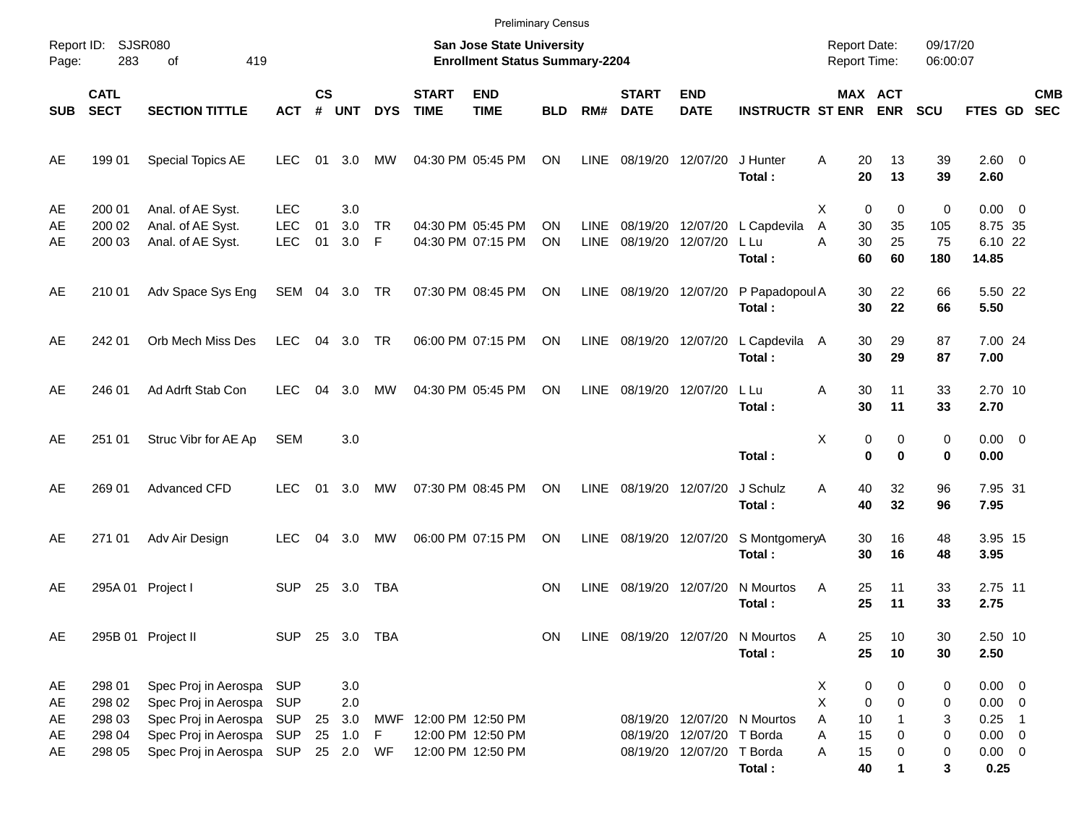|                            |                                                |                                                                                                                          |                                               |                    |                                    |                |                             | <b>Preliminary Census</b>                                          |                 |                     |                               |                                                        |                               |                                            |                                              |                       |                                                                  |                          |            |
|----------------------------|------------------------------------------------|--------------------------------------------------------------------------------------------------------------------------|-----------------------------------------------|--------------------|------------------------------------|----------------|-----------------------------|--------------------------------------------------------------------|-----------------|---------------------|-------------------------------|--------------------------------------------------------|-------------------------------|--------------------------------------------|----------------------------------------------|-----------------------|------------------------------------------------------------------|--------------------------|------------|
| Page:                      | Report ID: SJSR080<br>283                      | 419<br>of                                                                                                                |                                               |                    |                                    |                |                             | San Jose State University<br><b>Enrollment Status Summary-2204</b> |                 |                     |                               |                                                        |                               | <b>Report Date:</b><br><b>Report Time:</b> |                                              | 09/17/20<br>06:00:07  |                                                                  |                          |            |
| <b>SUB</b>                 | <b>CATL</b><br><b>SECT</b>                     | <b>SECTION TITTLE</b>                                                                                                    | <b>ACT</b>                                    | $\mathsf{cs}$<br># | <b>UNT</b>                         | <b>DYS</b>     | <b>START</b><br><b>TIME</b> | <b>END</b><br><b>TIME</b>                                          | <b>BLD</b>      | RM#                 | <b>START</b><br><b>DATE</b>   | <b>END</b><br><b>DATE</b>                              | <b>INSTRUCTR ST ENR</b>       |                                            | <b>MAX ACT</b><br><b>ENR</b>                 | <b>SCU</b>            | FTES GD SEC                                                      |                          | <b>CMB</b> |
| AE                         | 199 01                                         | <b>Special Topics AE</b>                                                                                                 | <b>LEC</b>                                    | 01                 | 3.0                                | МW             |                             | 04:30 PM 05:45 PM                                                  | ON              |                     | LINE 08/19/20 12/07/20        |                                                        | J Hunter<br>Total:            | 20<br>A<br>20                              | 13<br>13                                     | 39<br>39              | 2.60 0<br>2.60                                                   |                          |            |
| AE<br>AE<br>AE             | 200 01<br>200 02<br>200 03                     | Anal. of AE Syst.<br>Anal. of AE Syst.<br>Anal. of AE Syst.                                                              | <b>LEC</b><br><b>LEC</b><br><b>LEC</b>        | 01<br>01           | 3.0<br>3.0<br>3.0                  | <b>TR</b><br>F |                             | 04:30 PM 05:45 PM<br>04:30 PM 07:15 PM                             | OΝ<br><b>ON</b> | <b>LINE</b><br>LINE | 08/19/20<br>08/19/20 12/07/20 | 12/07/20                                               | L Capdevila<br>L Lu<br>Total: | X<br>Α<br>30<br>30<br>A<br>60              | $\mathbf 0$<br>$\mathbf 0$<br>35<br>25<br>60 | 0<br>105<br>75<br>180 | $0.00 \t 0$<br>8.75 35<br>6.10 22<br>14.85                       |                          |            |
| AE                         | 210 01                                         | Adv Space Sys Eng                                                                                                        | SEM 04 3.0 TR                                 |                    |                                    |                |                             | 07:30 PM 08:45 PM                                                  | ON              |                     | LINE 08/19/20 12/07/20        |                                                        | P Papadopoul A<br>Total:      | 30<br>30                                   | 22<br>22                                     | 66<br>66              | 5.50 22<br>5.50                                                  |                          |            |
| AE                         | 242 01                                         | Orb Mech Miss Des                                                                                                        | LEC                                           |                    | 04 3.0 TR                          |                |                             | 06:00 PM 07:15 PM                                                  | ON              |                     | LINE 08/19/20 12/07/20        |                                                        | L Capdevila A<br>Total:       | 30<br>30                                   | 29<br>29                                     | 87<br>87              | 7.00 24<br>7.00                                                  |                          |            |
| AE                         | 246 01                                         | Ad Adrft Stab Con                                                                                                        | <b>LEC</b>                                    | 04                 | 3.0                                | MW             |                             | 04:30 PM 05:45 PM                                                  | ON              | LINE                | 08/19/20 12/07/20             |                                                        | L Lu<br>Total:                | Α<br>30<br>30                              | 11<br>11                                     | 33<br>33              | 2.70 10<br>2.70                                                  |                          |            |
| AE                         | 251 01                                         | Struc Vibr for AE Ap                                                                                                     | <b>SEM</b>                                    |                    | 3.0                                |                |                             |                                                                    |                 |                     |                               |                                                        | Total:                        | X                                          | 0<br>0<br>$\bf{0}$<br>0                      | 0<br>0                | $0.00 \t 0$<br>0.00                                              |                          |            |
| AE                         | 269 01                                         | Advanced CFD                                                                                                             | <b>LEC</b>                                    | 01                 | 3.0                                | MW             |                             | 07:30 PM 08:45 PM                                                  | ON              | LINE                | 08/19/20 12/07/20             |                                                        | J Schulz<br>Total:            | 40<br>A<br>40                              | 32<br>32                                     | 96<br>96              | 7.95 31<br>7.95                                                  |                          |            |
| AE                         | 271 01                                         | Adv Air Design                                                                                                           | <b>LEC</b>                                    | 04                 | 3.0                                | МW             |                             | 06:00 PM 07:15 PM                                                  | ON              | LINE                | 08/19/20 12/07/20             |                                                        | S MontgomeryA<br>Total:       | 30<br>30                                   | 16<br>16                                     | 48<br>48              | 3.95 15<br>3.95                                                  |                          |            |
| AE                         |                                                | 295A 01 Project I                                                                                                        | <b>SUP</b>                                    |                    | 25 3.0                             | <b>TBA</b>     |                             |                                                                    | <b>ON</b>       | LINE                | 08/19/20 12/07/20             |                                                        | N Mourtos<br>Total:           | 25<br>A<br>25                              | 11<br>11                                     | 33<br>33              | 2.75 11<br>2.75                                                  |                          |            |
| AE                         |                                                | 295B 01 Project II                                                                                                       | SUP                                           |                    | 25 3.0 TBA                         |                |                             |                                                                    | <b>ON</b>       |                     | LINE 08/19/20 12/07/20        |                                                        | N Mourtos<br>Total:           | Α<br>25<br>25                              | 10<br>10                                     | 30<br>30              | 2.50 10<br>2.50                                                  |                          |            |
| AE<br>AE<br>AE<br>AE<br>AE | 298 01<br>298 02<br>298 03<br>298 04<br>298 05 | Spec Proj in Aerospa<br>Spec Proj in Aerospa<br>Spec Proj in Aerospa<br>Spec Proj in Aerospa<br>Spec Proj in Aerospa SUP | <b>SUP</b><br><b>SUP</b><br>SUP<br><b>SUP</b> | 25<br>25           | 3.0<br>2.0<br>3.0<br>1.0<br>25 2.0 | F<br>WF        | MWF 12:00 PM 12:50 PM       | 12:00 PM 12:50 PM<br>12:00 PM 12:50 PM                             |                 |                     |                               | 08/19/20 12/07/20 T Borda<br>08/19/20 12/07/20 T Borda | 08/19/20 12/07/20 N Mourtos   | Х<br>X<br>10<br>Α<br>15<br>Α<br>A<br>15    | 0<br>0<br>$\mathbf 0$<br>0<br>0<br>0         | 0<br>0<br>3<br>0<br>0 | $0.00 \t 0$<br>$0.00 \t 0$<br>0.25<br>$0.00 \t 0$<br>$0.00 \t 0$ | $\overline{\phantom{1}}$ |            |
|                            |                                                |                                                                                                                          |                                               |                    |                                    |                |                             |                                                                    |                 |                     |                               |                                                        | Total:                        | 40                                         |                                              | 3                     | 0.25                                                             |                          |            |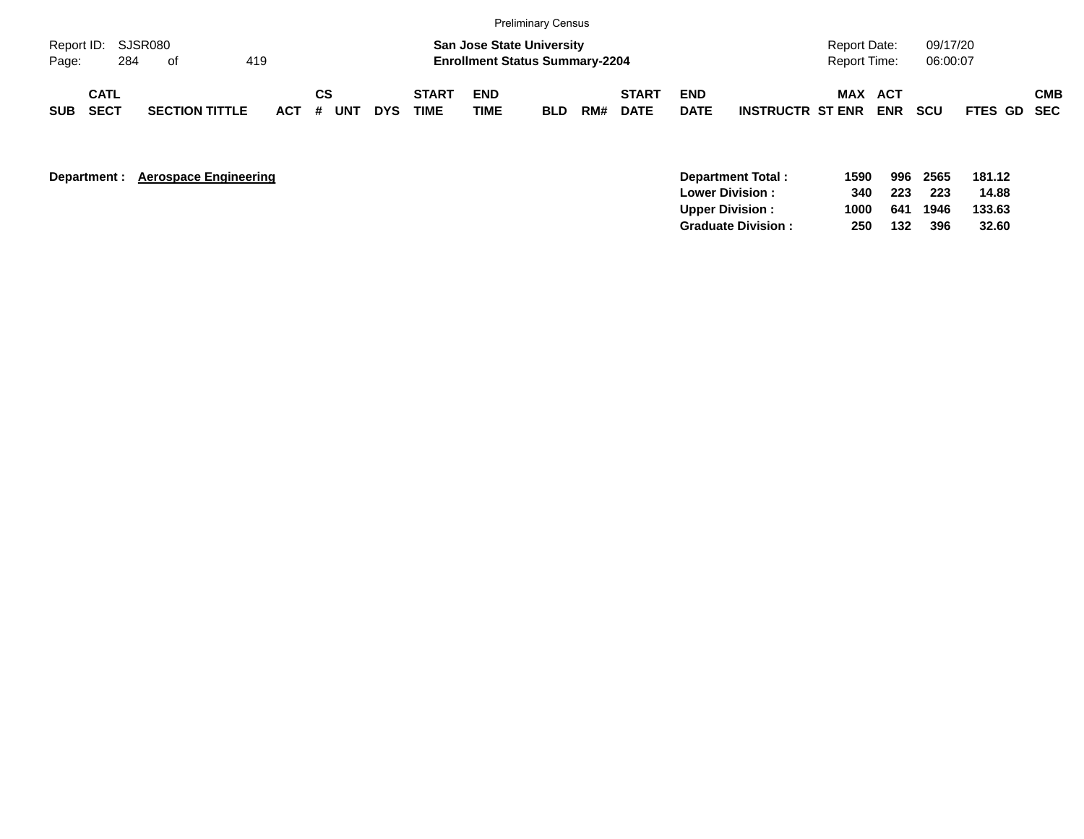|                             |                            |     |    |                       |     |         |    |     |            |                             |                           | Preliminary Census                                                        |     |                             |                           |                         |                              |            |                      |             |            |
|-----------------------------|----------------------------|-----|----|-----------------------|-----|---------|----|-----|------------|-----------------------------|---------------------------|---------------------------------------------------------------------------|-----|-----------------------------|---------------------------|-------------------------|------------------------------|------------|----------------------|-------------|------------|
| Report ID: SJSR080<br>Page: |                            | 284 | of |                       | 419 |         |    |     |            |                             |                           | <b>San Jose State University</b><br><b>Enrollment Status Summary-2204</b> |     |                             |                           |                         | Report Date:<br>Report Time: |            | 09/17/20<br>06:00:07 |             |            |
| <b>SUB</b>                  | <b>CATL</b><br><b>SECT</b> |     |    | <b>SECTION TITTLE</b> |     | $ACT$ # | СS | UNT | <b>DYS</b> | <b>START</b><br><b>TIME</b> | <b>END</b><br><b>TIME</b> | <b>BLD</b>                                                                | RM# | <b>START</b><br><b>DATE</b> | <b>END</b><br><b>DATE</b> | <b>INSTRUCTR ST ENR</b> | <b>MAX ACT</b>               | <b>ENR</b> | <b>SCU</b>           | FTES GD SEC | <b>CMB</b> |

| Department :<br><b>Aerospace Engineering</b> |  |
|----------------------------------------------|--|
|----------------------------------------------|--|

| <b>Department :</b> | <b>Aerospace Engineering</b> | Department Total:         | 1590 | 996 | 2565 | 181.12 |
|---------------------|------------------------------|---------------------------|------|-----|------|--------|
|                     |                              | <b>Lower Division:</b>    | 340  | 223 | 223  | 14.88  |
|                     |                              | <b>Upper Division:</b>    | 1000 | 641 | 1946 | 133.63 |
|                     |                              | <b>Graduate Division:</b> | 250  | 132 | 396  | 32.60  |
|                     |                              |                           |      |     |      |        |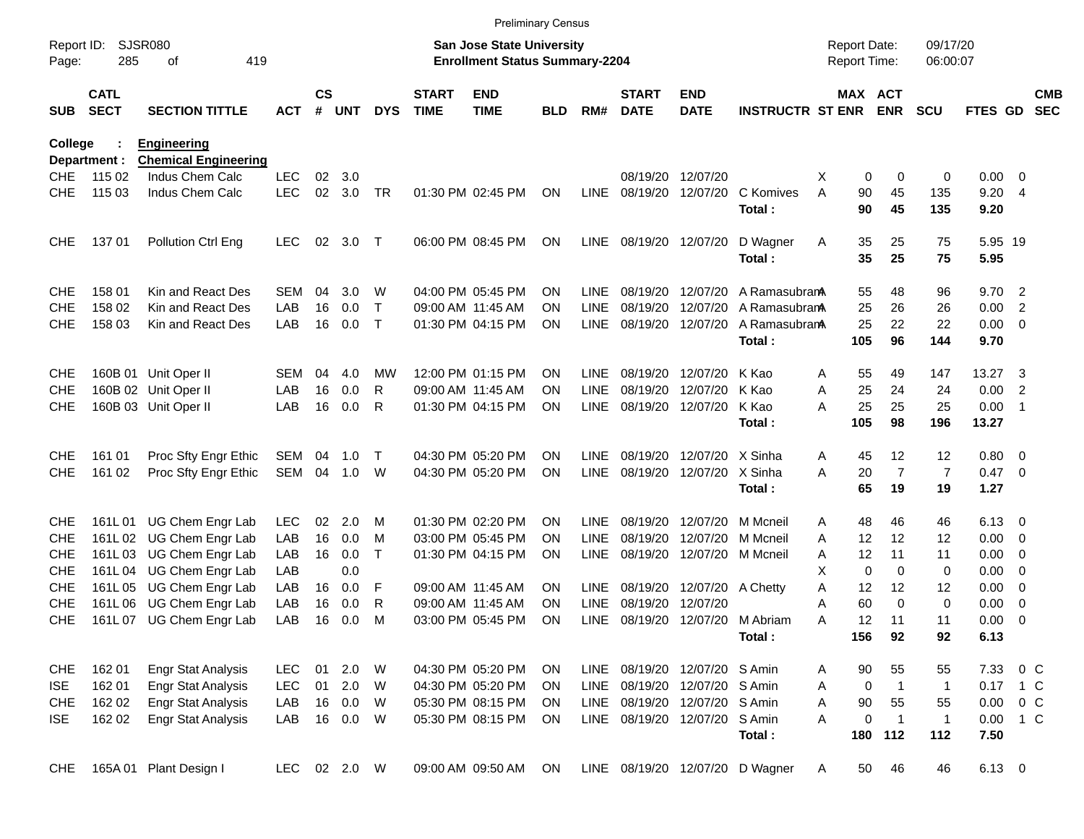|                          |                            |                                                |            |                    |            |              |                             | <b>Preliminary Census</b>                                          |            |                      |                             |                               |                                 |                                     |                             |                      |                |                                                     |                          |
|--------------------------|----------------------------|------------------------------------------------|------------|--------------------|------------|--------------|-----------------------------|--------------------------------------------------------------------|------------|----------------------|-----------------------------|-------------------------------|---------------------------------|-------------------------------------|-----------------------------|----------------------|----------------|-----------------------------------------------------|--------------------------|
| Report ID:<br>Page:      | 285                        | <b>SJSR080</b><br>419<br>οf                    |            |                    |            |              |                             | San Jose State University<br><b>Enrollment Status Summary-2204</b> |            |                      |                             |                               |                                 | <b>Report Date:</b><br>Report Time: |                             | 09/17/20<br>06:00:07 |                |                                                     |                          |
| <b>SUB</b>               | <b>CATL</b><br><b>SECT</b> | <b>SECTION TITTLE</b>                          | <b>ACT</b> | $\mathsf{cs}$<br># | <b>UNT</b> | <b>DYS</b>   | <b>START</b><br><b>TIME</b> | <b>END</b><br><b>TIME</b>                                          | <b>BLD</b> | RM#                  | <b>START</b><br><b>DATE</b> | <b>END</b><br><b>DATE</b>     | <b>INSTRUCTR ST ENR</b>         |                                     | MAX ACT<br><b>ENR</b>       | <b>SCU</b>           | <b>FTES GD</b> |                                                     | <b>CMB</b><br><b>SEC</b> |
| <b>College</b>           |                            | <b>Engineering</b>                             |            |                    |            |              |                             |                                                                    |            |                      |                             |                               |                                 |                                     |                             |                      |                |                                                     |                          |
| CHE.                     | Department :<br>115 02     | <b>Chemical Engineering</b><br>Indus Chem Calc | <b>LEC</b> | 02                 | 3.0        |              |                             |                                                                    |            |                      | 08/19/20                    | 12/07/20                      |                                 | X.                                  | 0<br>0                      | 0                    | $0.00 \t 0$    |                                                     |                          |
| <b>CHE</b>               | 115 03                     | Indus Chem Calc                                | <b>LEC</b> | 02                 | 3.0        | TR           |                             | 01:30 PM 02:45 PM                                                  | ON         | <b>LINE</b>          | 08/19/20                    | 12/07/20                      | C Komives                       | A                                   | 45<br>90                    | 135                  | 9.20           | $\overline{4}$                                      |                          |
|                          |                            |                                                |            |                    |            |              |                             |                                                                    |            |                      |                             |                               | Total:                          |                                     | 45<br>90                    | 135                  | 9.20           |                                                     |                          |
| <b>CHE</b>               | 137 01                     | Pollution Ctrl Eng                             | <b>LEC</b> | 02                 | 3.0        | $\top$       |                             | 06:00 PM 08:45 PM                                                  | ON         | LINE                 | 08/19/20 12/07/20           |                               | D Wagner                        | Α                                   | 35<br>25                    | 75                   | 5.95 19        |                                                     |                          |
|                          |                            |                                                |            |                    |            |              |                             |                                                                    |            |                      |                             |                               | Total:                          |                                     | 35<br>25                    | 75                   | 5.95           |                                                     |                          |
| <b>CHE</b>               | 158 01                     | Kin and React Des                              | SEM        | 04                 | 3.0        | W            |                             | 04:00 PM 05:45 PM                                                  | ΟN         | <b>LINE</b>          | 08/19/20                    | 12/07/20                      | A Ramasubran                    |                                     | 55<br>48                    | 96                   | $9.70$ 2       |                                                     |                          |
| <b>CHE</b>               | 158 02                     | Kin and React Des                              | LAB        | 16                 | 0.0        | $\top$       |                             | 09:00 AM 11:45 AM                                                  | ΟN         | <b>LINE</b>          | 08/19/20                    | 12/07/20                      | A Ramasubrana                   |                                     | 25<br>26                    | 26                   | 0.00           | $\overline{2}$                                      |                          |
| <b>CHE</b>               | 158 03                     | Kin and React Des                              | LAB        | 16                 | 0.0        | $\top$       |                             | 01:30 PM 04:15 PM                                                  | ΟN         | <b>LINE</b>          |                             | 08/19/20 12/07/20             | A Ramasubran                    |                                     | 25<br>22                    | 22                   | $0.00 \t 0$    |                                                     |                          |
|                          |                            |                                                |            |                    |            |              |                             |                                                                    |            |                      |                             |                               | Total:                          | 105                                 | 96                          | 144                  | 9.70           |                                                     |                          |
| <b>CHE</b>               |                            | 160B 01 Unit Oper II                           | SEM        | 04                 | 4.0        | МW           |                             | 12:00 PM 01:15 PM                                                  | ΟN         | <b>LINE</b>          | 08/19/20                    | 12/07/20                      | K Kao                           | Α                                   | 55<br>49                    | 147                  | 13.27          | $\overline{\mathbf{3}}$                             |                          |
| <b>CHE</b>               |                            | 160B 02 Unit Oper II                           | LAB        | 16                 | 0.0        | R            |                             | 09:00 AM 11:45 AM                                                  | ΟN         | <b>LINE</b>          | 08/19/20                    | 12/07/20                      | K Kao                           | Α                                   | 25<br>24                    | 24                   | 0.00           | $\overline{2}$                                      |                          |
| <b>CHE</b>               |                            | 160B 03 Unit Oper II                           | LAB        | 16                 | 0.0        | R            |                             | 01:30 PM 04:15 PM                                                  | ΟN         | <b>LINE</b>          |                             | 08/19/20 12/07/20             | K Kao                           | А                                   | 25<br>25                    | 25                   | 0.00           | $\overline{\phantom{1}}$                            |                          |
|                          |                            |                                                |            |                    |            |              |                             |                                                                    |            |                      |                             |                               | Total:                          | 105                                 | 98                          | 196                  | 13.27          |                                                     |                          |
| <b>CHE</b>               | 161 01                     | Proc Sfty Engr Ethic                           | SEM        | 04                 | 1.0        | $\top$       |                             | 04:30 PM 05:20 PM                                                  | ΟN         | <b>LINE</b>          | 08/19/20                    | 12/07/20 X Sinha              |                                 | Α                                   | 12<br>45                    | 12                   | $0.80 \ 0$     |                                                     |                          |
| <b>CHE</b>               | 161 02                     | Proc Sfty Engr Ethic                           | <b>SEM</b> | 04                 | 1.0        | W            |                             | 04:30 PM 05:20 PM                                                  | ΟN         | <b>LINE</b>          | 08/19/20                    | 12/07/20 X Sinha              |                                 | Α                                   | 20<br>7                     | $\overline{7}$       | $0.47 \quad 0$ |                                                     |                          |
|                          |                            |                                                |            |                    |            |              |                             |                                                                    |            |                      |                             |                               | Total:                          |                                     | 65<br>19                    | 19                   | 1.27           |                                                     |                          |
| <b>CHE</b>               | 161L01                     | UG Chem Engr Lab                               | <b>LEC</b> | 02                 | 2.0        | M            |                             | 01:30 PM 02:20 PM                                                  | ΟN         | <b>LINE</b>          | 08/19/20                    | 12/07/20                      | M Mcneil                        | Α                                   | 48<br>46                    | 46                   | $6.13 \quad 0$ |                                                     |                          |
| <b>CHE</b>               | 161L 02                    | UG Chem Engr Lab                               | LAB        | 16                 | 0.0        | M            |                             | 03:00 PM 05:45 PM                                                  | ΟN         | LINE                 | 08/19/20                    | 12/07/20                      | M Mcneil                        | Α                                   | 12<br>12                    | 12                   | 0.00           | $\overline{\phantom{0}}$                            |                          |
| <b>CHE</b>               | 161L03                     | UG Chem Engr Lab                               | LAB        | 16                 | 0.0        | $\mathsf{T}$ |                             | 01:30 PM 04:15 PM                                                  | ON         | <b>LINE</b>          |                             | 08/19/20 12/07/20 M Mcneil    |                                 | Α                                   | 12<br>11                    | 11                   | 0.00           | $\overline{\phantom{0}}$                            |                          |
| <b>CHE</b>               | 161L 04                    | UG Chem Engr Lab                               | LAB        |                    | 0.0        |              |                             |                                                                    |            |                      |                             |                               |                                 | х                                   | 0<br>0                      | 0                    | 0.00           | $\overline{\mathbf{0}}$                             |                          |
| <b>CHE</b><br><b>CHE</b> | 161L05<br>161L06           | UG Chem Engr Lab<br>UG Chem Engr Lab           | LAB<br>LAB | 16<br>16           | 0.0<br>0.0 | -F<br>R      |                             | 09:00 AM 11:45 AM<br>09:00 AM 11:45 AM                             | ΟN<br>ΟN   | LINE.<br><b>LINE</b> | 08/19/20<br>08/19/20        | 12/07/20 A Chetty<br>12/07/20 |                                 | Α<br>Α                              | 12<br>12<br>60<br>$\Omega$  | 12<br>0              | 0.00<br>0.00   | $\overline{\mathbf{0}}$<br>$\overline{\phantom{0}}$ |                          |
| <b>CHE</b>               |                            | 161L 07 UG Chem Engr Lab                       | LAB        | 16                 | 0.0        | M            |                             | 03:00 PM 05:45 PM                                                  | ON         | <b>LINE</b>          |                             |                               | 08/19/20 12/07/20 M Abriam      | Α                                   | 12<br>11                    | 11                   | 0.00           | $\overline{\phantom{0}}$                            |                          |
|                          |                            |                                                |            |                    |            |              |                             |                                                                    |            |                      |                             |                               | Total:                          | 156                                 | 92                          | 92                   | 6.13           |                                                     |                          |
| <b>CHE</b>               | 162 01                     | <b>Engr Stat Analysis</b>                      | <b>LEC</b> | 01                 | 2.0        | W            |                             | 04:30 PM 05:20 PM                                                  | ON         | LINE                 |                             | 08/19/20 12/07/20 S Amin      |                                 | Α                                   | 90<br>55                    | 55                   | 7.33 0 C       |                                                     |                          |
| <b>ISE</b>               | 162 01                     | <b>Engr Stat Analysis</b>                      | <b>LEC</b> | 01                 | 2.0        | W            |                             | 04:30 PM 05:20 PM                                                  | ON         | <b>LINE</b>          |                             | 08/19/20 12/07/20 S Amin      |                                 | Α                                   | $\mathbf 0$<br>$\mathbf{1}$ | $\mathbf{1}$         | 0.17 1 C       |                                                     |                          |
| <b>CHE</b>               | 162 02                     | <b>Engr Stat Analysis</b>                      | LAB        | 16                 | 0.0        | W            |                             | 05:30 PM 08:15 PM                                                  | <b>ON</b>  | <b>LINE</b>          |                             | 08/19/20 12/07/20 S Amin      |                                 | Α                                   | 90<br>55                    | 55                   | 0.00           | $0\,$ C                                             |                          |
| <b>ISE</b>               | 162 02                     | <b>Engr Stat Analysis</b>                      | LAB        |                    | 16  0.0  W |              |                             | 05:30 PM 08:15 PM                                                  | ON         | LINE                 |                             | 08/19/20 12/07/20             | S Amin                          | A                                   | $\pmb{0}$<br>$\mathbf{1}$   | $\mathbf{1}$         | $0.00$ 1 C     |                                                     |                          |
|                          |                            |                                                |            |                    |            |              |                             |                                                                    |            |                      |                             |                               | Total:                          | 180                                 | 112                         | 112                  | 7.50           |                                                     |                          |
| <b>CHE</b>               |                            | 165A 01 Plant Design I                         | LEC        |                    | 02  2.0  W |              |                             | 09:00 AM 09:50 AM                                                  | ON         |                      |                             |                               | LINE 08/19/20 12/07/20 D Wagner | Α                                   | 50<br>46                    | 46                   | $6.13 \quad 0$ |                                                     |                          |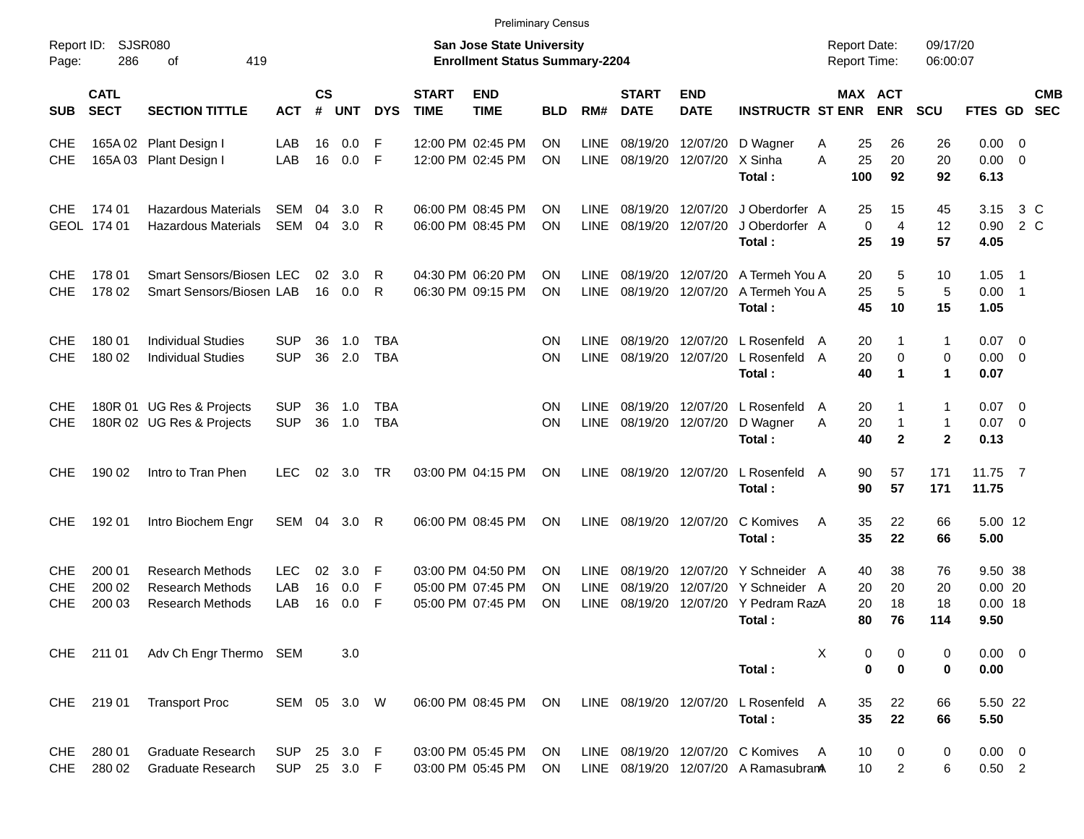| 286                        | οf<br>419                                                                           |                                                                                                                                                                                                       |                                                                                                                                 |                       |                                        |                                                                            |                           |                                                                                                                                                                                                                                                                                                    |                            |                                                                                                     |                                                   |                                                                   |                                                                                                                                                                                                                                         |                                                                                                                                                                                                                                                               |                                                                                                                                                                                                                                                                      |                    |                      |                                                                                                                                                                                                                                                     |
|----------------------------|-------------------------------------------------------------------------------------|-------------------------------------------------------------------------------------------------------------------------------------------------------------------------------------------------------|---------------------------------------------------------------------------------------------------------------------------------|-----------------------|----------------------------------------|----------------------------------------------------------------------------|---------------------------|----------------------------------------------------------------------------------------------------------------------------------------------------------------------------------------------------------------------------------------------------------------------------------------------------|----------------------------|-----------------------------------------------------------------------------------------------------|---------------------------------------------------|-------------------------------------------------------------------|-----------------------------------------------------------------------------------------------------------------------------------------------------------------------------------------------------------------------------------------|---------------------------------------------------------------------------------------------------------------------------------------------------------------------------------------------------------------------------------------------------------------|----------------------------------------------------------------------------------------------------------------------------------------------------------------------------------------------------------------------------------------------------------------------|--------------------|----------------------|-----------------------------------------------------------------------------------------------------------------------------------------------------------------------------------------------------------------------------------------------------|
| <b>CATL</b><br><b>SECT</b> | <b>SECTION TITTLE</b>                                                               | <b>ACT</b>                                                                                                                                                                                            | $\mathsf{cs}$<br>#                                                                                                              |                       | <b>DYS</b>                             | <b>START</b><br><b>TIME</b>                                                | <b>END</b><br><b>TIME</b> | <b>BLD</b>                                                                                                                                                                                                                                                                                         | RM#                        | <b>START</b><br><b>DATE</b>                                                                         | <b>END</b><br><b>DATE</b>                         |                                                                   |                                                                                                                                                                                                                                         | <b>ENR</b>                                                                                                                                                                                                                                                    | <b>SCU</b>                                                                                                                                                                                                                                                           |                    |                      | <b>CMB</b><br><b>SEC</b>                                                                                                                                                                                                                            |
|                            |                                                                                     | LAB                                                                                                                                                                                                   | 16                                                                                                                              | $0.0\,$               | F                                      |                                                                            |                           | <b>ON</b>                                                                                                                                                                                                                                                                                          | <b>LINE</b>                | 08/19/20                                                                                            |                                                   |                                                                   | Α                                                                                                                                                                                                                                       | 26                                                                                                                                                                                                                                                            | 26                                                                                                                                                                                                                                                                   |                    |                      |                                                                                                                                                                                                                                                     |
|                            |                                                                                     | LAB                                                                                                                                                                                                   | 16                                                                                                                              | 0.0                   | F                                      |                                                                            |                           | <b>ON</b>                                                                                                                                                                                                                                                                                          | <b>LINE</b>                | 08/19/20                                                                                            |                                                   | Total:                                                            | A                                                                                                                                                                                                                                       | 20<br>92                                                                                                                                                                                                                                                      | 20<br>92                                                                                                                                                                                                                                                             | 6.13               |                      |                                                                                                                                                                                                                                                     |
| 174 01                     | <b>Hazardous Materials</b>                                                          | SEM                                                                                                                                                                                                   | 04                                                                                                                              | 3.0                   | R                                      |                                                                            |                           | ON                                                                                                                                                                                                                                                                                                 | <b>LINE</b>                | 08/19/20                                                                                            |                                                   |                                                                   |                                                                                                                                                                                                                                         | 15                                                                                                                                                                                                                                                            | 45                                                                                                                                                                                                                                                                   | 3.15               | 3 C                  |                                                                                                                                                                                                                                                     |
|                            | <b>Hazardous Materials</b>                                                          | <b>SEM</b>                                                                                                                                                                                            | 04                                                                                                                              | 3.0                   | R                                      |                                                                            |                           | <b>ON</b>                                                                                                                                                                                                                                                                                          | <b>LINE</b>                | 08/19/20                                                                                            | 12/07/20                                          | Total:                                                            |                                                                                                                                                                                                                                         | 4<br>19                                                                                                                                                                                                                                                       | 12<br>57                                                                                                                                                                                                                                                             | 0.90<br>4.05       | 2 C                  |                                                                                                                                                                                                                                                     |
| 178 01                     |                                                                                     |                                                                                                                                                                                                       | 02                                                                                                                              | 3.0                   | R                                      |                                                                            |                           | ON                                                                                                                                                                                                                                                                                                 | <b>LINE</b>                | 08/19/20                                                                                            |                                                   |                                                                   |                                                                                                                                                                                                                                         | 5                                                                                                                                                                                                                                                             | 10                                                                                                                                                                                                                                                                   | 1.05               |                      |                                                                                                                                                                                                                                                     |
|                            |                                                                                     |                                                                                                                                                                                                       | 16                                                                                                                              |                       |                                        |                                                                            |                           |                                                                                                                                                                                                                                                                                                    |                            |                                                                                                     |                                                   | Total:                                                            |                                                                                                                                                                                                                                         | 10                                                                                                                                                                                                                                                            | 15                                                                                                                                                                                                                                                                   | 1.05               |                      |                                                                                                                                                                                                                                                     |
| 180 01                     | <b>Individual Studies</b>                                                           | SUP                                                                                                                                                                                                   | 36                                                                                                                              | 1.0                   | TBA                                    |                                                                            |                           | ΟN                                                                                                                                                                                                                                                                                                 | <b>LINE</b>                | 08/19/20                                                                                            |                                                   |                                                                   |                                                                                                                                                                                                                                         | -1                                                                                                                                                                                                                                                            | 1                                                                                                                                                                                                                                                                    |                    |                      |                                                                                                                                                                                                                                                     |
|                            | <b>Individual Studies</b>                                                           |                                                                                                                                                                                                       |                                                                                                                                 |                       |                                        |                                                                            |                           | <b>ON</b>                                                                                                                                                                                                                                                                                          |                            |                                                                                                     |                                                   | Total:                                                            |                                                                                                                                                                                                                                         | 0<br>$\mathbf 1$                                                                                                                                                                                                                                              | $\mathbf 0$<br>1                                                                                                                                                                                                                                                     | 0.07               |                      |                                                                                                                                                                                                                                                     |
|                            |                                                                                     | <b>SUP</b>                                                                                                                                                                                            | 36                                                                                                                              | 1.0                   | TBA                                    |                                                                            |                           | ON                                                                                                                                                                                                                                                                                                 | <b>LINE</b>                | 08/19/20                                                                                            |                                                   |                                                                   |                                                                                                                                                                                                                                         |                                                                                                                                                                                                                                                               | 1                                                                                                                                                                                                                                                                    |                    |                      |                                                                                                                                                                                                                                                     |
|                            |                                                                                     |                                                                                                                                                                                                       |                                                                                                                                 |                       |                                        |                                                                            |                           | <b>ON</b>                                                                                                                                                                                                                                                                                          |                            | 08/19/20                                                                                            |                                                   | Total:                                                            | A                                                                                                                                                                                                                                       | $\mathbf 1$<br>$\mathbf{2}$                                                                                                                                                                                                                                   | $\mathbf{1}$<br>$\mathbf 2$                                                                                                                                                                                                                                          | 0.13               |                      |                                                                                                                                                                                                                                                     |
| 190 02                     | Intro to Tran Phen                                                                  | LEC.                                                                                                                                                                                                  | 02                                                                                                                              |                       | . TR                                   |                                                                            |                           | <b>ON</b>                                                                                                                                                                                                                                                                                          | <b>LINE</b>                |                                                                                                     |                                                   | L Rosenfeld<br>Total:                                             |                                                                                                                                                                                                                                         | 57<br>57                                                                                                                                                                                                                                                      | 171<br>171                                                                                                                                                                                                                                                           | 11.75              |                      |                                                                                                                                                                                                                                                     |
| 192 01                     | Intro Biochem Engr                                                                  |                                                                                                                                                                                                       | 04                                                                                                                              | 3.0                   | R                                      |                                                                            |                           | <b>ON</b>                                                                                                                                                                                                                                                                                          | <b>LINE</b>                |                                                                                                     | 12/07/20                                          | C Komives<br>Total:                                               |                                                                                                                                                                                                                                         | 22<br>22                                                                                                                                                                                                                                                      | 66<br>66                                                                                                                                                                                                                                                             | 5.00               |                      |                                                                                                                                                                                                                                                     |
| 200 01                     | <b>Research Methods</b>                                                             | <b>LEC</b>                                                                                                                                                                                            | 02                                                                                                                              | 3.0                   | F                                      |                                                                            |                           | <b>ON</b>                                                                                                                                                                                                                                                                                          | <b>LINE</b>                | 08/19/20                                                                                            |                                                   |                                                                   |                                                                                                                                                                                                                                         | 38                                                                                                                                                                                                                                                            | 76                                                                                                                                                                                                                                                                   |                    |                      |                                                                                                                                                                                                                                                     |
| 200 03                     | <b>Research Methods</b>                                                             | LAB                                                                                                                                                                                                   | 16                                                                                                                              | 0.0                   | F                                      |                                                                            |                           | ON<br>ΟN                                                                                                                                                                                                                                                                                           | <b>LINE</b><br><b>LINE</b> | 08/19/20                                                                                            |                                                   |                                                                   |                                                                                                                                                                                                                                         | 18                                                                                                                                                                                                                                                            | 18                                                                                                                                                                                                                                                                   |                    |                      |                                                                                                                                                                                                                                                     |
|                            |                                                                                     |                                                                                                                                                                                                       |                                                                                                                                 |                       |                                        |                                                                            |                           |                                                                                                                                                                                                                                                                                                    |                            |                                                                                                     |                                                   | Total :                                                           |                                                                                                                                                                                                                                         | 76                                                                                                                                                                                                                                                            | 114                                                                                                                                                                                                                                                                  | 9.50               |                      |                                                                                                                                                                                                                                                     |
|                            |                                                                                     |                                                                                                                                                                                                       |                                                                                                                                 | 3.0                   |                                        |                                                                            |                           |                                                                                                                                                                                                                                                                                                    |                            |                                                                                                     |                                                   | Total:                                                            |                                                                                                                                                                                                                                         | 0<br>0                                                                                                                                                                                                                                                        | 0<br>0                                                                                                                                                                                                                                                               | 0.00               |                      |                                                                                                                                                                                                                                                     |
|                            |                                                                                     |                                                                                                                                                                                                       |                                                                                                                                 |                       |                                        |                                                                            |                           |                                                                                                                                                                                                                                                                                                    |                            |                                                                                                     |                                                   |                                                                   |                                                                                                                                                                                                                                         |                                                                                                                                                                                                                                                               |                                                                                                                                                                                                                                                                      |                    |                      |                                                                                                                                                                                                                                                     |
|                            |                                                                                     |                                                                                                                                                                                                       |                                                                                                                                 |                       |                                        |                                                                            |                           |                                                                                                                                                                                                                                                                                                    |                            |                                                                                                     |                                                   | Total:                                                            |                                                                                                                                                                                                                                         | 22                                                                                                                                                                                                                                                            | 66                                                                                                                                                                                                                                                                   | 5.50               |                      |                                                                                                                                                                                                                                                     |
| 280 01<br>280 02           | <b>Graduate Research</b>                                                            | <b>SUP</b>                                                                                                                                                                                            |                                                                                                                                 |                       |                                        |                                                                            |                           | ON<br>ON                                                                                                                                                                                                                                                                                           |                            |                                                                                                     |                                                   |                                                                   |                                                                                                                                                                                                                                         | 0                                                                                                                                                                                                                                                             | 0                                                                                                                                                                                                                                                                    |                    |                      |                                                                                                                                                                                                                                                     |
| Page:                      | Report ID:<br>GEOL 174 01<br>178 02<br>180 02<br>200 02<br>CHE 211 01<br>CHE 219 01 | SJSR080<br>165A 02 Plant Design I<br>165A 03 Plant Design I<br>180R 01 UG Res & Projects<br>180R 02 UG Res & Projects<br><b>Research Methods</b><br><b>Transport Proc</b><br><b>Graduate Research</b> | Smart Sensors/Biosen LEC<br>Smart Sensors/Biosen LAB<br><b>SUP</b><br><b>SUP</b><br>LAB<br>Adv Ch Engr Thermo SEM<br><b>SUP</b> | 36<br>36<br>SEM<br>16 | UNT<br>0.0<br>2.0<br>1.0<br>3.0<br>0.0 | R<br><b>TBA</b><br><b>TBA</b><br>F<br>SEM 05 3.0 W<br>25 3.0 F<br>25 3.0 F |                           | 12:00 PM 02:45 PM<br>12:00 PM 02:45 PM<br>06:00 PM 08:45 PM<br>06:00 PM 08:45 PM<br>04:30 PM 06:20 PM<br>06:30 PM 09:15 PM<br>03:00 PM 04:15 PM<br>06:00 PM 08:45 PM<br>03:00 PM 04:50 PM<br>05:00 PM 07:45 PM<br>05:00 PM 07:45 PM<br>06:00 PM 08:45 PM<br>03:00 PM 05:45 PM<br>03:00 PM 05:45 PM | ON<br>ON                   | <b>Preliminary Census</b><br><b>San Jose State University</b><br>LINE<br><b>LINE</b><br><b>LINE</b> | <b>Enrollment Status Summary-2204</b><br>08/19/20 | 08/19/20<br>12/07/20<br>08/19/20<br>08/19/20 12/07/20<br>08/19/20 | 12/07/20 D Wagner<br>12/07/20 X Sinha<br>12/07/20<br>12/07/20<br>12/07/20 L Rosenfeld<br>12/07/20 L Rosenfeld<br>12/07/20 L Rosenfeld<br>D Wagner<br>12/07/20<br>LINE 08/19/20 12/07/20 L Rosenfeld<br>LINE 08/19/20 12/07/20 C Komives | <b>INSTRUCTR ST ENR</b><br>J Oberdorfer A<br>J Oberdorfer A<br>A Termeh You A<br>A Termeh You A<br>A<br>A<br>A<br>A<br>Α<br>12/07/20 Y Schneider A<br>12/07/20 Y Schneider A<br>12/07/20 Y Pedram RazA<br>X<br>A<br>A<br>LINE 08/19/20 12/07/20 A RamasubranA | <b>Report Date:</b><br><b>Report Time:</b><br>MAX ACT<br>25<br>25<br>100<br>25<br>0<br>25<br>20<br>5<br>25<br>45<br>20<br>20<br>40<br>20<br>20<br>40<br>90<br>90<br>35<br>35<br>40<br>20<br>20<br>20<br>80<br>0<br>0<br>22<br>35<br>35<br>10<br>10<br>$\overline{2}$ | 5<br>20<br>66<br>6 | 09/17/20<br>06:00:07 | FTES GD<br>$0.00 \t 0$<br>$0.00 \t 0$<br>$\overline{\phantom{1}}$<br>$0.00$ 1<br>$0.07 \quad 0$<br>$0.00 \t 0$<br>$0.07$ 0<br>$0.07$ 0<br>11.75 7<br>5.00 12<br>9.50 38<br>0.0020<br>$0.00$ 18<br>$0.00 \t 0$<br>5.50 22<br>$0.00 \t 0$<br>$0.50$ 2 |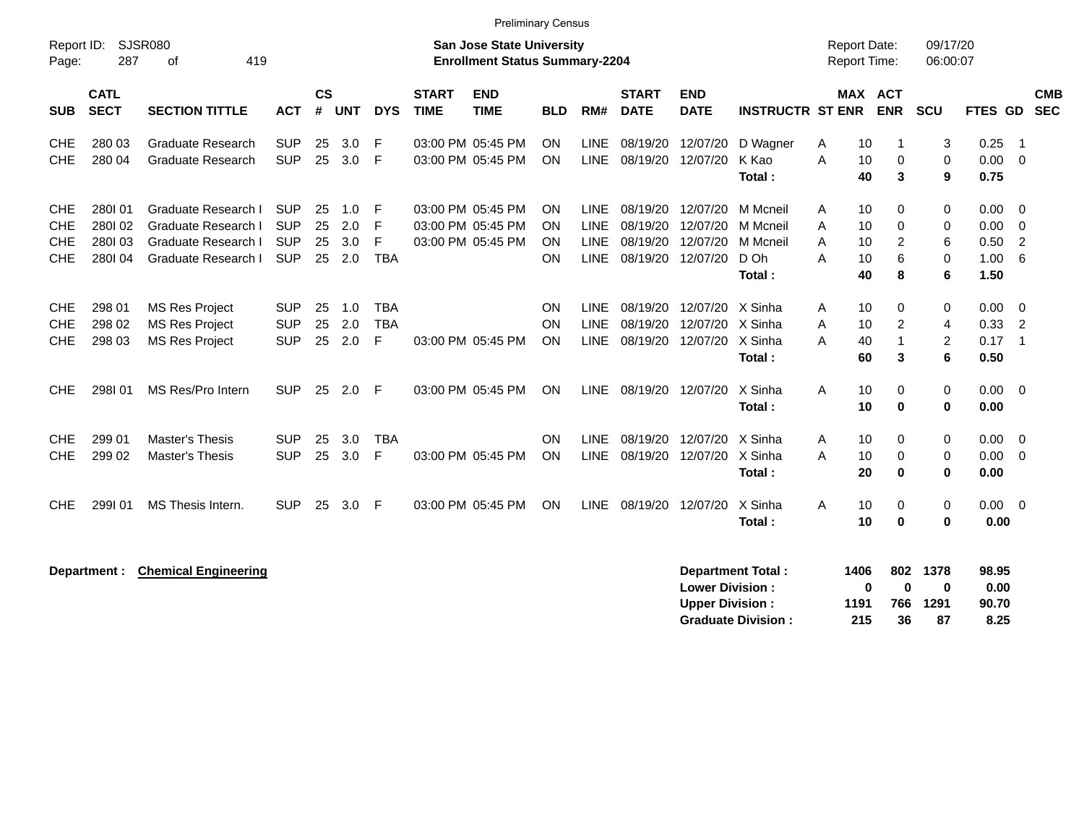|                                                      |                                             |                                                                                          |                                                      |                      |                          |                               |                             | <b>Preliminary Census</b>                                                 |                                                  |                                                          |                                                       |                                                  |                                                       |                     |                                                       |                                 |                                      |                                                              |                          |
|------------------------------------------------------|---------------------------------------------|------------------------------------------------------------------------------------------|------------------------------------------------------|----------------------|--------------------------|-------------------------------|-----------------------------|---------------------------------------------------------------------------|--------------------------------------------------|----------------------------------------------------------|-------------------------------------------------------|--------------------------------------------------|-------------------------------------------------------|---------------------|-------------------------------------------------------|---------------------------------|--------------------------------------|--------------------------------------------------------------|--------------------------|
| Report ID:<br>Page:                                  | 287                                         | <b>SJSR080</b><br>419<br>οf                                                              |                                                      |                      |                          |                               |                             | <b>San Jose State University</b><br><b>Enrollment Status Summary-2204</b> |                                                  |                                                          |                                                       |                                                  |                                                       |                     | <b>Report Date:</b><br>Report Time:                   | 09/17/20<br>06:00:07            |                                      |                                                              |                          |
| <b>SUB</b>                                           | <b>CATL</b><br><b>SECT</b>                  | <b>SECTION TITTLE</b>                                                                    | <b>ACT</b>                                           | $\mathsf{cs}$<br>#   | <b>UNT</b>               | <b>DYS</b>                    | <b>START</b><br><b>TIME</b> | <b>END</b><br><b>TIME</b>                                                 | <b>BLD</b>                                       | RM#                                                      | <b>START</b><br><b>DATE</b>                           | <b>END</b><br><b>DATE</b>                        | <b>INSTRUCTR ST ENR</b>                               |                     | <b>MAX ACT</b><br><b>ENR</b>                          | SCU                             | FTES GD                              |                                                              | <b>CMB</b><br><b>SEC</b> |
| <b>CHE</b><br><b>CHE</b>                             | 280 03<br>280 04                            | <b>Graduate Research</b><br><b>Graduate Research</b>                                     | <b>SUP</b><br><b>SUP</b>                             | 25<br>25             | 3.0<br>3.0               | F<br>F                        |                             | 03:00 PM 05:45 PM<br>03:00 PM 05:45 PM                                    | <b>ON</b><br><b>ON</b>                           |                                                          | LINE 08/19/20 12/07/20<br>LINE 08/19/20 12/07/20      |                                                  | D Wagner<br>K Kao<br>Total:                           | Α<br>A              | 10<br>-1<br>10<br>0<br>40<br>3                        | 3<br>0<br>9                     | 0.25<br>0.00<br>0.75                 | $\overline{\phantom{0}}$ 1<br>$\overline{0}$                 |                          |
| <b>CHE</b><br><b>CHE</b><br><b>CHE</b><br><b>CHE</b> | 280101<br>280102<br>280103<br><b>280104</b> | Graduate Research I<br>Graduate Research I<br>Graduate Research I<br>Graduate Research I | <b>SUP</b><br><b>SUP</b><br><b>SUP</b><br><b>SUP</b> | 25<br>25<br>25<br>25 | 1.0<br>2.0<br>3.0<br>2.0 | F<br>F<br>F<br><b>TBA</b>     |                             | 03:00 PM 05:45 PM<br>03:00 PM 05:45 PM<br>03:00 PM 05:45 PM               | <b>ON</b><br><b>ON</b><br><b>ON</b><br><b>ON</b> | <b>LINE</b><br><b>LINE</b><br><b>LINE</b><br><b>LINE</b> | 08/19/20<br>08/19/20<br>08/19/20<br>08/19/20 12/07/20 | 12/07/20<br>12/07/20<br>12/07/20                 | M Mcneil<br>M Mcneil<br>M Mcneil<br>D Oh<br>Total:    | A<br>A<br>A<br>A    | 10<br>0<br>10<br>0<br>10<br>2<br>6<br>10<br>40<br>8   | 0<br>0<br>6<br>$\mathbf 0$<br>6 | 0.00<br>0.00<br>0.50<br>1.00<br>1.50 | - 0<br>0<br>$\overline{2}$<br>6                              |                          |
| <b>CHE</b><br><b>CHE</b><br><b>CHE</b>               | 298 01<br>298 02<br>298 03                  | <b>MS Res Project</b><br><b>MS Res Project</b><br><b>MS Res Project</b>                  | <b>SUP</b><br><b>SUP</b><br><b>SUP</b>               | 25<br>25<br>25       | 1.0<br>2.0<br>2.0        | <b>TBA</b><br><b>TBA</b><br>F |                             | 03:00 PM 05:45 PM                                                         | <b>ON</b><br><b>ON</b><br><b>ON</b>              | LINE<br><b>LINE</b><br>LINE                              | 08/19/20<br>08/19/20<br>08/19/20                      | 12/07/20<br>12/07/20<br>12/07/20 X Sinha         | X Sinha<br>X Sinha<br>Total:                          | A<br>A<br>A         | 0<br>10<br>2<br>10<br>$\overline{1}$<br>40<br>60<br>3 | 0<br>4<br>$\overline{c}$<br>6   | 0.00<br>0.33<br>0.17<br>0.50         | $\overline{0}$<br>$\overline{2}$<br>$\overline{\phantom{0}}$ |                          |
| CHE                                                  | 298101                                      | MS Res/Pro Intern                                                                        | <b>SUP</b>                                           | 25                   | 2.0                      | -F                            |                             | 03:00 PM 05:45 PM                                                         | <b>ON</b>                                        | LINE                                                     | 08/19/20 12/07/20                                     |                                                  | X Sinha<br>Total:                                     | A                   | 10<br>0<br>10<br>$\bf{0}$                             | 0<br>$\mathbf 0$                | 0.00<br>0.00                         | $\overline{\mathbf{0}}$                                      |                          |
| <b>CHE</b><br><b>CHE</b>                             | 299 01<br>299 02                            | <b>Master's Thesis</b><br><b>Master's Thesis</b>                                         | <b>SUP</b><br><b>SUP</b>                             | 25<br>25             | 3.0<br>3.0               | <b>TBA</b><br>F               |                             | 03:00 PM 05:45 PM                                                         | <b>ON</b><br><b>ON</b>                           | <b>LINE</b><br><b>LINE</b>                               | 08/19/20                                              | 08/19/20 12/07/20<br>12/07/20 X Sinha            | X Sinha<br>Total:                                     | A<br>A              | 10<br>0<br>10<br>0<br>$\bf{0}$<br>20                  | 0<br>0<br>0                     | 0.00<br>0.00<br>0.00                 | $\overline{0}$<br>$\overline{0}$                             |                          |
| CHE                                                  | 299101                                      | MS Thesis Intern.                                                                        | <b>SUP</b>                                           | 25                   | 3.0                      | F                             |                             | 03:00 PM 05:45 PM                                                         | <b>ON</b>                                        | LINE                                                     | 08/19/20                                              | 12/07/20                                         | X Sinha<br>Total:                                     | A                   | 10<br>0<br>$\bf{0}$<br>10                             | 0<br>$\mathbf 0$                | 0.00<br>0.00                         | $\overline{\mathbf{0}}$                                      |                          |
|                                                      | Department :                                | <b>Chemical Engineering</b>                                                              |                                                      |                      |                          |                               |                             |                                                                           |                                                  |                                                          |                                                       | <b>Lower Division:</b><br><b>Upper Division:</b> | <b>Department Total:</b><br><b>Graduate Division:</b> | 1406<br>1191<br>215 | 802<br>0<br>0<br>766<br>36                            | 1378<br>0<br>1291<br>87         | 98.95<br>0.00<br>90.70<br>8.25       |                                                              |                          |

**Graduate Division : 215 36 87 8.25**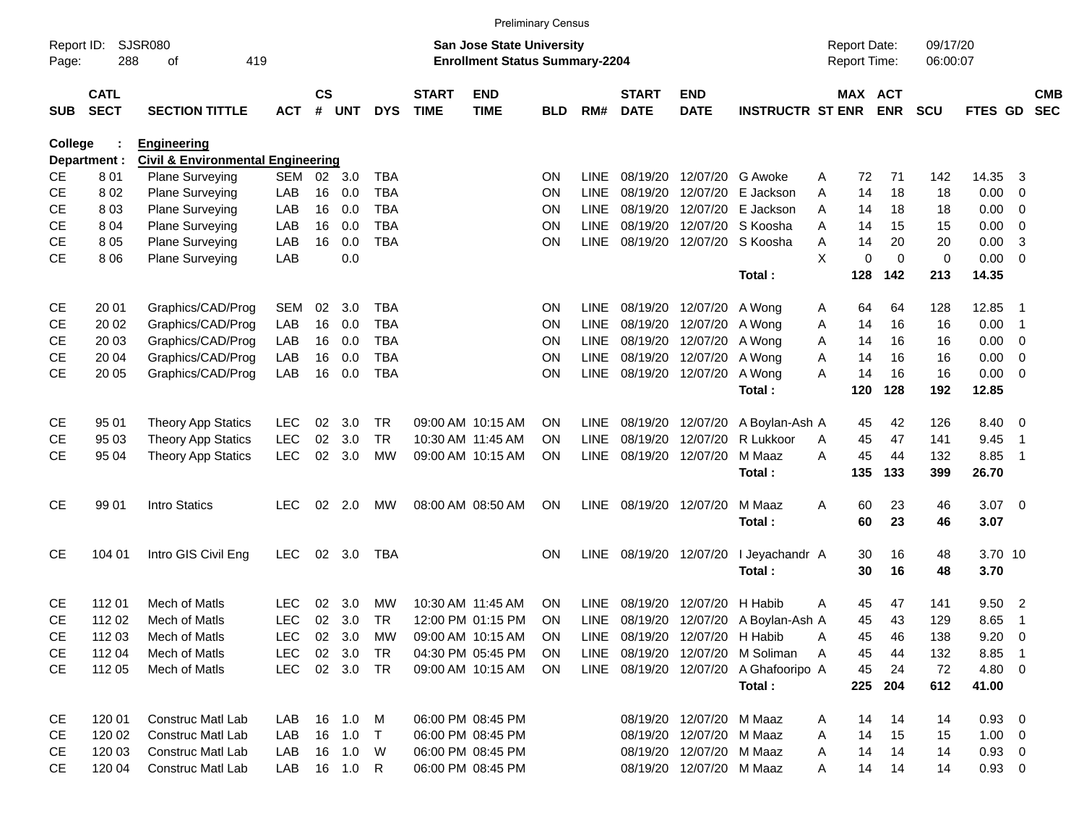|                     |                            |                                              |              |                   |            |            |                             |                                                                           | <b>Preliminary Census</b> |             |                             |                           |                                       |                                     |             |                       |                      |             |                         |                          |
|---------------------|----------------------------|----------------------------------------------|--------------|-------------------|------------|------------|-----------------------------|---------------------------------------------------------------------------|---------------------------|-------------|-----------------------------|---------------------------|---------------------------------------|-------------------------------------|-------------|-----------------------|----------------------|-------------|-------------------------|--------------------------|
| Report ID:<br>Page: | 288                        | <b>SJSR080</b><br>419<br>of                  |              |                   |            |            |                             | <b>San Jose State University</b><br><b>Enrollment Status Summary-2204</b> |                           |             |                             |                           |                                       | <b>Report Date:</b><br>Report Time: |             |                       | 09/17/20<br>06:00:07 |             |                         |                          |
| <b>SUB</b>          | <b>CATL</b><br><b>SECT</b> | <b>SECTION TITTLE</b>                        | <b>ACT</b>   | <b>CS</b><br>$\#$ | <b>UNT</b> | <b>DYS</b> | <b>START</b><br><b>TIME</b> | <b>END</b><br><b>TIME</b>                                                 | <b>BLD</b>                | RM#         | <b>START</b><br><b>DATE</b> | <b>END</b><br><b>DATE</b> | <b>INSTRUCTR ST ENR</b>               |                                     |             | MAX ACT<br><b>ENR</b> | <b>SCU</b>           | FTES GD     |                         | <b>CMB</b><br><b>SEC</b> |
| College             |                            | <b>Engineering</b>                           |              |                   |            |            |                             |                                                                           |                           |             |                             |                           |                                       |                                     |             |                       |                      |             |                         |                          |
|                     | Department :               | <b>Civil &amp; Environmental Engineering</b> |              |                   |            |            |                             |                                                                           |                           |             |                             |                           |                                       |                                     |             |                       |                      |             |                         |                          |
| <b>CE</b>           | 801                        | Plane Surveying                              | <b>SEM</b>   | 02                | 3.0        | TBA        |                             |                                                                           | ΟN                        | <b>LINE</b> | 08/19/20                    | 12/07/20                  | G Awoke                               | A                                   | 72          | 71                    | 142                  | 14.35       | -3                      |                          |
| <b>CE</b>           | 802                        | Plane Surveying                              | LAB          | 16                | 0.0        | <b>TBA</b> |                             |                                                                           | ON                        | <b>LINE</b> | 08/19/20                    | 12/07/20                  | E Jackson                             | A                                   | 14          | 18                    | 18                   | 0.00        | 0                       |                          |
| <b>CE</b>           | 803                        | Plane Surveying                              | LAB          | 16                | 0.0        | <b>TBA</b> |                             |                                                                           | ON                        | <b>LINE</b> | 08/19/20                    | 12/07/20                  | E Jackson                             | A                                   | 14          | 18                    | 18                   | 0.00        | $\mathbf 0$             |                          |
| <b>CE</b>           | 8 0 4                      | Plane Surveying                              | LAB          | 16                | 0.0        | <b>TBA</b> |                             |                                                                           | ON                        | <b>LINE</b> | 08/19/20                    | 12/07/20                  | S Koosha                              | А                                   | 14          | 15                    | 15                   | 0.00        | $\mathbf 0$             |                          |
| <b>CE</b>           | 805                        | Plane Surveying                              | LAB          | 16                | 0.0        | <b>TBA</b> |                             |                                                                           | ON                        | <b>LINE</b> |                             | 08/19/20 12/07/20         | S Koosha                              | A                                   | 14          | 20                    | 20                   | 0.00        | 3                       |                          |
| CE                  | 8 0 6                      | Plane Surveying                              | LAB          |                   | 0.0        |            |                             |                                                                           |                           |             |                             |                           |                                       | X                                   | $\mathbf 0$ | $\mathbf 0$           | $\pmb{0}$            | 0.00        | $\mathbf 0$             |                          |
|                     |                            |                                              |              |                   |            |            |                             |                                                                           |                           |             |                             |                           | Total:                                |                                     | 128         | 142                   | 213                  | 14.35       |                         |                          |
| <b>CE</b>           | 20 01                      | Graphics/CAD/Prog                            | <b>SEM</b>   | 02                | 3.0        | <b>TBA</b> |                             |                                                                           | ΟN                        | <b>LINE</b> |                             | 08/19/20 12/07/20         | A Wong                                | A                                   | 64          | 64                    | 128                  | 12.85       | -1                      |                          |
| <b>CE</b>           | 20 02                      | Graphics/CAD/Prog                            | LAB          | 16                | 0.0        | <b>TBA</b> |                             |                                                                           | ΟN                        | <b>LINE</b> | 08/19/20                    | 12/07/20                  | A Wong                                | Α                                   | 14          | 16                    | 16                   | 0.00        | $\overline{\mathbf{1}}$ |                          |
| <b>CE</b>           | 20 03                      | Graphics/CAD/Prog                            | LAB          | 16                | 0.0        | <b>TBA</b> |                             |                                                                           | ON                        | <b>LINE</b> | 08/19/20                    | 12/07/20                  | A Wong                                | Α                                   | 14          | 16                    | 16                   | 0.00        | $\overline{\mathbf{0}}$ |                          |
| <b>CE</b>           | 20 04                      | Graphics/CAD/Prog                            | LAB          | 16                | 0.0        | <b>TBA</b> |                             |                                                                           | ON                        | <b>LINE</b> |                             | 08/19/20 12/07/20         | A Wong                                | A                                   | 14          | 16                    | 16                   | 0.00        | $\mathbf 0$             |                          |
| <b>CE</b>           | 20 05                      | Graphics/CAD/Prog                            | LAB          | 16                | 0.0        | <b>TBA</b> |                             |                                                                           | ON                        | <b>LINE</b> |                             | 08/19/20 12/07/20         | A Wong                                | A                                   | 14          | 16                    | 16                   | 0.00        | $\overline{\mathbf{0}}$ |                          |
|                     |                            |                                              |              |                   |            |            |                             |                                                                           |                           |             |                             |                           | Total:                                |                                     | 120         | 128                   | 192                  | 12.85       |                         |                          |
| <b>CE</b>           | 95 01                      | <b>Theory App Statics</b>                    | <b>LEC</b>   | 02                | 3.0        | <b>TR</b>  |                             | 09:00 AM 10:15 AM                                                         | ΟN                        | <b>LINE</b> |                             | 08/19/20 12/07/20         | A Boylan-Ash A                        |                                     | 45          | 42                    | 126                  | 8.40        | $\overline{\mathbf{0}}$ |                          |
| <b>CE</b>           | 95 03                      | <b>Theory App Statics</b>                    | <b>LEC</b>   | 02                | 3.0        | <b>TR</b>  |                             | 10:30 AM 11:45 AM                                                         | ΟN                        | <b>LINE</b> | 08/19/20                    | 12/07/20                  | R Lukkoor                             | A                                   | 45          | 47                    | 141                  | 9.45        | $\overline{\mathbf{1}}$ |                          |
| <b>CE</b>           | 95 04                      | <b>Theory App Statics</b>                    | <b>LEC</b>   | 02                | 3.0        | <b>MW</b>  |                             | 09:00 AM 10:15 AM                                                         | ΟN                        | <b>LINE</b> | 08/19/20 12/07/20           |                           | M Maaz                                | A                                   | 45          | 44                    | 132                  | 8.85        | $\overline{\mathbf{1}}$ |                          |
|                     |                            |                                              |              |                   |            |            |                             |                                                                           |                           |             |                             |                           | Total:                                |                                     | 135         | 133                   | 399                  | 26.70       |                         |                          |
|                     |                            |                                              |              |                   |            |            |                             |                                                                           |                           |             |                             |                           |                                       |                                     |             |                       |                      |             |                         |                          |
| <b>CE</b>           | 99 01                      | Intro Statics                                | <b>LEC</b>   | 02                | 2.0        | MW         |                             | 08:00 AM 08:50 AM                                                         | ΟN                        | <b>LINE</b> | 08/19/20 12/07/20           |                           | M Maaz                                | A                                   | 60          | 23                    | 46                   | $3.07$ 0    |                         |                          |
|                     |                            |                                              |              |                   |            |            |                             |                                                                           |                           |             |                             |                           | Total:                                |                                     | 60          | 23                    | 46                   | 3.07        |                         |                          |
| <b>CE</b>           | 104 01                     | Intro GIS Civil Eng                          | <b>LEC</b>   | 02                | 3.0        | TBA        |                             |                                                                           | ΟN                        | <b>LINE</b> |                             | 08/19/20 12/07/20         | I Jeyachandr A                        |                                     | 30          | 16                    | 48                   | 3.70 10     |                         |                          |
|                     |                            |                                              |              |                   |            |            |                             |                                                                           |                           |             |                             |                           | Total:                                |                                     | 30          | 16                    | 48                   | 3.70        |                         |                          |
| CE.                 | 11201                      | Mech of Matls                                | <b>LEC</b>   | 02                | 3.0        | MW         |                             | 10:30 AM 11:45 AM                                                         | ΟN                        | <b>LINE</b> | 08/19/20                    | 12/07/20                  | H Habib                               | Α                                   | 45          | 47                    | 141                  | 9.50        | $\overline{c}$          |                          |
| CE                  | 112 02                     | Mech of Matls                                | <b>LEC</b>   | 02                | 3.0        | <b>TR</b>  |                             | 12:00 PM 01:15 PM                                                         | ΟN                        | <b>LINE</b> |                             | 08/19/20 12/07/20         | A Boylan-Ash A                        |                                     | 45          | 43                    | 129                  | 8.65        | $\overline{\mathbf{1}}$ |                          |
| CE                  | 112 03                     | Mech of Matls                                | <b>LEC</b>   | 02                | 3.0        | MW         |                             | 09:00 AM 10:15 AM                                                         | 0N                        |             | LINE 08/19/20 12/07/20      |                           | H Habib                               | Α                                   | 45          | 46                    | 138                  | $9.20 \ 0$  |                         |                          |
| CE                  | 112 04                     | Mech of Matls                                | <b>LEC</b>   | 02                | 3.0        | <b>TR</b>  |                             | 04:30 PM 05:45 PM                                                         | <b>ON</b>                 | LINE        |                             | 08/19/20 12/07/20         | M Soliman                             | Α                                   | 45          | 44                    | 132                  | 8.85 1      |                         |                          |
| <b>CE</b>           | 112 05                     | Mech of Matls                                | <b>LEC</b>   |                   | 02 3.0 TR  |            |                             | 09:00 AM 10:15 AM                                                         | <b>ON</b>                 |             |                             |                           | LINE 08/19/20 12/07/20 A Ghafooripo A |                                     | 45          | 24                    | 72                   | 4.80 0      |                         |                          |
|                     |                            |                                              |              |                   |            |            |                             |                                                                           |                           |             |                             |                           | Total:                                |                                     | 225         | 204                   | 612                  | 41.00       |                         |                          |
|                     |                            |                                              |              |                   |            |            |                             |                                                                           |                           |             |                             |                           |                                       |                                     |             |                       |                      |             |                         |                          |
| CE                  | 120 01                     | <b>Construc Matl Lab</b>                     | LAB          | 16                | 1.0        | M          |                             | 06:00 PM 08:45 PM                                                         |                           |             |                             | 08/19/20 12/07/20         | M Maaz                                | A                                   | 14          | 14                    | 14                   | $0.93$ 0    |                         |                          |
| CE                  | 120 02                     | <b>Construc Matl Lab</b>                     | LAB          |                   | 16 1.0     | $\top$     |                             | 06:00 PM 08:45 PM                                                         |                           |             |                             | 08/19/20 12/07/20         | M Maaz                                | Α                                   | 14          | 15                    | 15                   | $1.00 \t 0$ |                         |                          |
| CE                  | 120 03                     | Construc Matl Lab                            | LAB          | 16                | 1.0        | W          |                             | 06:00 PM 08:45 PM                                                         |                           |             |                             | 08/19/20 12/07/20         | M Maaz                                | A                                   | 14          | 14                    | 14                   | $0.93 \ 0$  |                         |                          |
| CE                  | 120 04                     | Construc Matl Lab                            | LAB 16 1.0 R |                   |            |            |                             | 06:00 PM 08:45 PM                                                         |                           |             |                             | 08/19/20 12/07/20 M Maaz  |                                       | A                                   | 14          | 14                    | 14                   | $0.93 \ 0$  |                         |                          |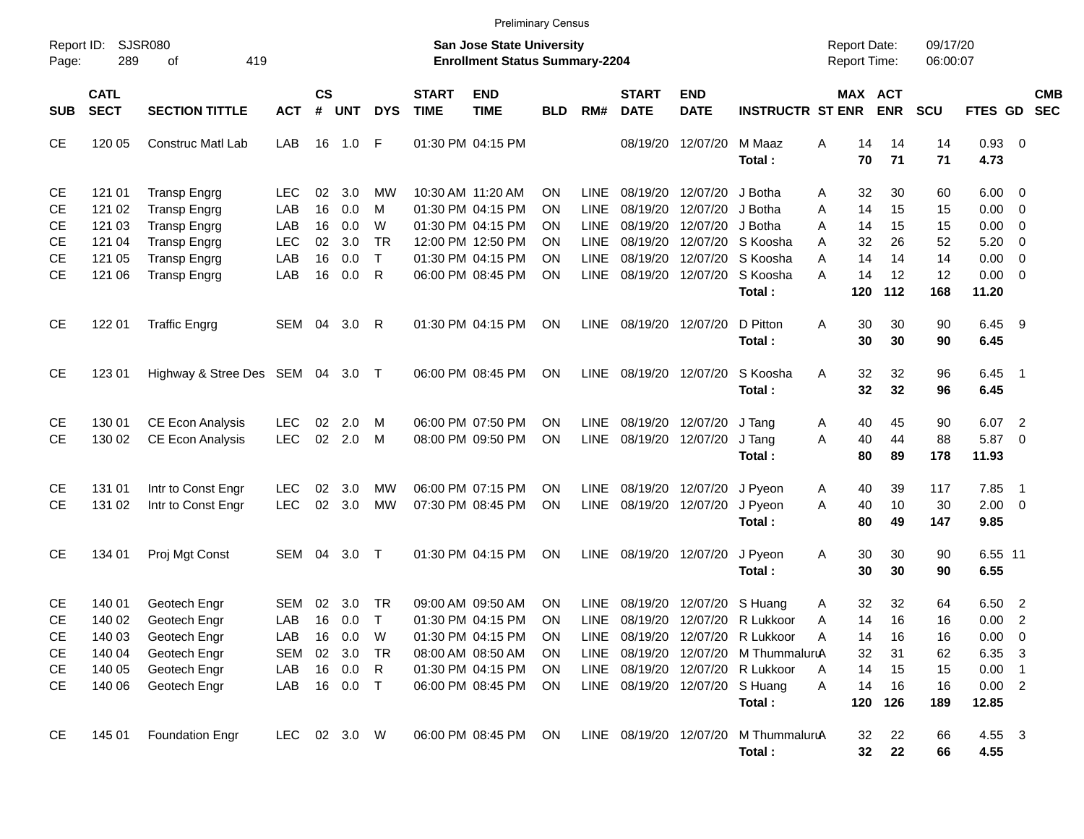|                                                                            | <b>Preliminary Census</b>                                |                                                                                                                                        |                                                      |                                  |                                                     |                                                           |                             |                                                                                                                            |                                                |                                                                                        |                                                                      |                                                                      |                                                                                                                                                         |                                                                       |                                         |                                         |                                                                        |                                                                      |                          |
|----------------------------------------------------------------------------|----------------------------------------------------------|----------------------------------------------------------------------------------------------------------------------------------------|------------------------------------------------------|----------------------------------|-----------------------------------------------------|-----------------------------------------------------------|-----------------------------|----------------------------------------------------------------------------------------------------------------------------|------------------------------------------------|----------------------------------------------------------------------------------------|----------------------------------------------------------------------|----------------------------------------------------------------------|---------------------------------------------------------------------------------------------------------------------------------------------------------|-----------------------------------------------------------------------|-----------------------------------------|-----------------------------------------|------------------------------------------------------------------------|----------------------------------------------------------------------|--------------------------|
| Report ID:<br>Page:                                                        | 289                                                      | SJSR080<br>419<br>οf                                                                                                                   |                                                      |                                  |                                                     |                                                           |                             | <b>San Jose State University</b><br><b>Enrollment Status Summary-2204</b>                                                  |                                                |                                                                                        |                                                                      |                                                                      |                                                                                                                                                         | <b>Report Date:</b><br><b>Report Time:</b>                            |                                         | 09/17/20<br>06:00:07                    |                                                                        |                                                                      |                          |
| <b>SUB</b>                                                                 | <b>CATL</b><br><b>SECT</b>                               | <b>SECTION TITTLE</b>                                                                                                                  | <b>ACT</b>                                           | <b>CS</b><br>#                   | <b>UNT</b>                                          | <b>DYS</b>                                                | <b>START</b><br><b>TIME</b> | <b>END</b><br><b>TIME</b>                                                                                                  | <b>BLD</b>                                     | RM#                                                                                    | <b>START</b><br><b>DATE</b>                                          | <b>END</b><br><b>DATE</b>                                            | <b>INSTRUCTR ST ENR</b>                                                                                                                                 |                                                                       | MAX ACT<br><b>ENR</b>                   | SCU                                     | FTES GD                                                                |                                                                      | <b>CMB</b><br><b>SEC</b> |
| <b>CE</b>                                                                  | 120 05                                                   | <b>Construc Matl Lab</b>                                                                                                               | LAB                                                  | 16                               | 1.0                                                 | F                                                         |                             | 01:30 PM 04:15 PM                                                                                                          |                                                |                                                                                        |                                                                      | 08/19/20 12/07/20                                                    | M Maaz<br>Total:                                                                                                                                        | A<br>14<br>70                                                         | 14<br>71                                | 14<br>71                                | 0.93 0<br>4.73                                                         |                                                                      |                          |
| <b>CE</b><br><b>CE</b><br><b>CE</b><br><b>CE</b><br><b>CE</b><br><b>CE</b> | 121 01<br>121 02<br>121 03<br>121 04<br>121 05<br>121 06 | <b>Transp Engrg</b><br><b>Transp Engrg</b><br><b>Transp Engrg</b><br><b>Transp Engrg</b><br><b>Transp Engrg</b><br><b>Transp Engrg</b> | <b>LEC</b><br>LAB<br>LAB<br><b>LEC</b><br>LAB<br>LAB | 02<br>16<br>16<br>02<br>16<br>16 | 3.0<br>0.0<br>0.0<br>3.0<br>0.0<br>0.0              | МW<br>M<br>W<br><b>TR</b><br>$\mathsf{T}$<br>$\mathsf{R}$ |                             | 10:30 AM 11:20 AM<br>01:30 PM 04:15 PM<br>01:30 PM 04:15 PM<br>12:00 PM 12:50 PM<br>01:30 PM 04:15 PM<br>06:00 PM 08:45 PM | ΟN<br>ΟN<br>ΟN<br>ΟN<br>ΟN<br>ON               | <b>LINE</b><br><b>LINE</b><br><b>LINE</b><br><b>LINE</b><br><b>LINE</b><br><b>LINE</b> | 08/19/20<br>08/19/20<br>08/19/20<br>08/19/20<br>08/19/20<br>08/19/20 | 12/07/20<br>12/07/20<br>12/07/20<br>12/07/20<br>12/07/20<br>12/07/20 | J Botha<br>J Botha<br>J Botha<br>S Koosha<br>S Koosha<br>S Koosha<br>Total:                                                                             | 32<br>A<br>14<br>Α<br>Α<br>14<br>32<br>Α<br>14<br>А<br>A<br>14<br>120 | 30<br>15<br>15<br>26<br>14<br>12<br>112 | 60<br>15<br>15<br>52<br>14<br>12<br>168 | $6.00 \quad 0$<br>0.00<br>0.00<br>5.20<br>0.00<br>$0.00 \t 0$<br>11.20 | $\overline{0}$<br>$\overline{0}$<br>$\overline{0}$<br>$\overline{0}$ |                          |
| <b>CE</b>                                                                  | 122 01                                                   | <b>Traffic Engrg</b>                                                                                                                   | SEM 04                                               |                                  | 3.0                                                 | R                                                         |                             | 01:30 PM 04:15 PM                                                                                                          | ΟN                                             | <b>LINE</b>                                                                            | 08/19/20 12/07/20                                                    |                                                                      | D Pitton<br>Total:                                                                                                                                      | A<br>30<br>30                                                         | 30<br>30                                | 90<br>90                                | 6.45<br>6.45                                                           | - 9                                                                  |                          |
| <b>CE</b>                                                                  | 123 01                                                   | Highway & Stree Des SEM 04                                                                                                             |                                                      |                                  | 3.0                                                 | $\top$                                                    |                             | 06:00 PM 08:45 PM                                                                                                          | ΟN                                             | <b>LINE</b>                                                                            | 08/19/20 12/07/20                                                    |                                                                      | S Koosha<br>Total:                                                                                                                                      | A<br>32<br>32                                                         | 32<br>32                                | 96<br>96                                | 6.45<br>6.45                                                           | $\overline{\phantom{0}}$                                             |                          |
| <b>CE</b><br><b>CE</b>                                                     | 130 01<br>130 02                                         | <b>CE Econ Analysis</b><br><b>CE Econ Analysis</b>                                                                                     | <b>LEC</b><br><b>LEC</b>                             | 02<br>02                         | 2.0<br>2.0                                          | M<br>M                                                    |                             | 06:00 PM 07:50 PM<br>08:00 PM 09:50 PM                                                                                     | ΟN<br>ON                                       | <b>LINE</b><br><b>LINE</b>                                                             | 08/19/20                                                             | 08/19/20 12/07/20<br>12/07/20                                        | J Tang<br>J Tang<br>Total:                                                                                                                              | Α<br>40<br>40<br>A<br>80                                              | 45<br>44<br>89                          | 90<br>88<br>178                         | 6.07<br>5.87<br>11.93                                                  | $\overline{\phantom{a}}$<br>$\overline{\phantom{0}}$                 |                          |
| <b>CE</b><br><b>CE</b>                                                     | 131 01<br>131 02                                         | Intr to Const Engr<br>Intr to Const Engr                                                                                               | <b>LEC</b><br><b>LEC</b>                             | 02<br>02                         | 3.0<br>3.0                                          | <b>MW</b><br><b>MW</b>                                    |                             | 06:00 PM 07:15 PM<br>07:30 PM 08:45 PM                                                                                     | ΟN<br>ON                                       | <b>LINE</b><br><b>LINE</b>                                                             | 08/19/20                                                             | 08/19/20 12/07/20<br>12/07/20                                        | J Pyeon<br>J Pyeon<br>Total:                                                                                                                            | 40<br>Α<br>40<br>A<br>80                                              | 39<br>10<br>49                          | 117<br>30<br>147                        | 7.85<br>$2.00 \t 0$<br>9.85                                            | $\overline{\phantom{0}}$                                             |                          |
| <b>CE</b>                                                                  | 134 01                                                   | Proj Mgt Const                                                                                                                         | SEM 04                                               |                                  | 3.0                                                 | $\top$                                                    |                             | 01:30 PM 04:15 PM                                                                                                          | <b>ON</b>                                      | <b>LINE</b>                                                                            |                                                                      | 08/19/20 12/07/20                                                    | J Pyeon<br>Total:                                                                                                                                       | 30<br>A<br>30                                                         | 30<br>30                                | 90<br>90                                | 6.55 11<br>6.55                                                        |                                                                      |                          |
| CE<br><b>CE</b><br>CЕ<br><b>CE</b><br>CE<br><b>CE</b>                      | 140 01<br>140 02<br>140 03<br>140 04<br>140 05<br>140 06 | Geotech Engr<br>Geotech Engr<br>Geotech Engr<br>Geotech Engr<br>Geotech Engr<br>Geotech Engr                                           | SEM<br>LAB<br>LAB<br>SEM<br>LAB<br>LAB               | 02<br>16<br>16                   | 3.0<br>0.0<br>0.0<br>02 3.0<br>16 0.0<br>16  0.0  T | <b>TR</b><br>$\mathsf{T}$<br>W<br>TR<br>$\mathsf{R}$      |                             | 09:00 AM 09:50 AM<br>01:30 PM 04:15 PM<br>01:30 PM 04:15 PM<br>08:00 AM 08:50 AM<br>01:30 PM 04:15 PM<br>06:00 PM 08:45 PM | ΟN<br>ON<br>ON<br>ON<br><b>ON</b><br><b>ON</b> | LINE<br><b>LINE</b><br>LINE<br>LINE                                                    | 08/19/20<br>LINE 08/19/20 12/07/20 S Huang                           | 12/07/20                                                             | S Huang<br>08/19/20 12/07/20 R Lukkoor<br>08/19/20 12/07/20 R Lukkoor<br>08/19/20 12/07/20 M ThummaluruA<br>LINE 08/19/20 12/07/20 R Lukkoor<br>Total : | 32<br>Α<br>A<br>14<br>14<br>Α<br>32<br>14<br>A<br>14<br>Α<br>120      | 32<br>16<br>16<br>31<br>15<br>16<br>126 | 64<br>16<br>16<br>62<br>15<br>16<br>189 | 6.50<br>0.00<br>$0.00 \t 0$<br>6.35 3<br>$0.00$ 1<br>0.00 2<br>12.85   | $\overline{2}$<br>$\overline{2}$                                     |                          |
| <b>CE</b>                                                                  | 145 01                                                   | <b>Foundation Engr</b>                                                                                                                 | LEC.                                                 |                                  | 02 3.0 W                                            |                                                           |                             | 06:00 PM 08:45 PM                                                                                                          | ON                                             |                                                                                        |                                                                      |                                                                      | LINE 08/19/20 12/07/20 M ThummaluruA<br>Total:                                                                                                          | 32<br>32                                                              | 22<br>22                                | 66<br>66                                | 4.55 3<br>4.55                                                         |                                                                      |                          |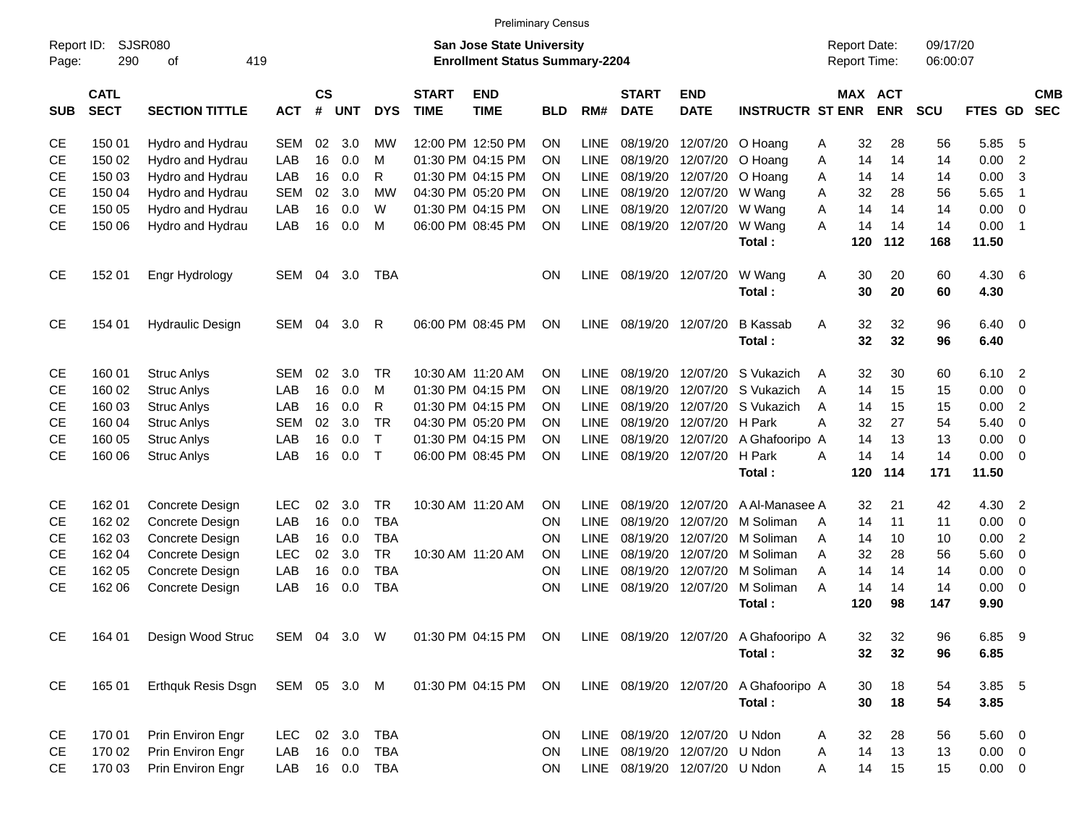|                     |                            |                             |              |                   |            |              |                             |                                                                           | <b>Preliminary Census</b> |             |                             |                               |                                       |   |                                            |            |                      |              |                          |                          |
|---------------------|----------------------------|-----------------------------|--------------|-------------------|------------|--------------|-----------------------------|---------------------------------------------------------------------------|---------------------------|-------------|-----------------------------|-------------------------------|---------------------------------------|---|--------------------------------------------|------------|----------------------|--------------|--------------------------|--------------------------|
| Report ID:<br>Page: | 290                        | <b>SJSR080</b><br>419<br>of |              |                   |            |              |                             | <b>San Jose State University</b><br><b>Enrollment Status Summary-2204</b> |                           |             |                             |                               |                                       |   | <b>Report Date:</b><br><b>Report Time:</b> |            | 09/17/20<br>06:00:07 |              |                          |                          |
| <b>SUB</b>          | <b>CATL</b><br><b>SECT</b> | <b>SECTION TITTLE</b>       | <b>ACT</b>   | <b>CS</b><br>$\#$ | <b>UNT</b> | <b>DYS</b>   | <b>START</b><br><b>TIME</b> | <b>END</b><br><b>TIME</b>                                                 | <b>BLD</b>                | RM#         | <b>START</b><br><b>DATE</b> | <b>END</b><br><b>DATE</b>     | <b>INSTRUCTR ST ENR</b>               |   | <b>MAX ACT</b>                             | <b>ENR</b> | SCU                  | <b>FTES</b>  | GD                       | <b>CMB</b><br><b>SEC</b> |
| <b>CE</b>           | 150 01                     | Hydro and Hydrau            | <b>SEM</b>   | 02                | 3.0        | MW           |                             | 12:00 PM 12:50 PM                                                         | <b>ON</b>                 | <b>LINE</b> | 08/19/20                    | 12/07/20                      | O Hoang                               | A | 32                                         | 28         | 56                   | 5.85         | 5                        |                          |
| <b>CE</b>           | 150 02                     | Hydro and Hydrau            | LAB          | 16                | 0.0        | M            |                             | 01:30 PM 04:15 PM                                                         | ON                        | <b>LINE</b> | 08/19/20                    | 12/07/20                      | O Hoang                               | A | 14                                         | 14         | 14                   | 0.00         | $\overline{2}$           |                          |
| <b>CE</b>           | 150 03                     | Hydro and Hydrau            | LAB          | 16                | 0.0        | R            |                             | 01:30 PM 04:15 PM                                                         | <b>ON</b>                 | <b>LINE</b> | 08/19/20                    | 12/07/20                      | O Hoang                               | A | 14                                         | 14         | 14                   | 0.00         | 3                        |                          |
| <b>CE</b>           | 150 04                     | Hydro and Hydrau            | <b>SEM</b>   | 02                | 3.0        | <b>MW</b>    |                             | 04:30 PM 05:20 PM                                                         | <b>ON</b>                 | <b>LINE</b> | 08/19/20                    | 12/07/20                      | W Wang                                | A | 32                                         | 28         | 56                   | 5.65         | $\overline{\phantom{1}}$ |                          |
| <b>CE</b>           | 150 05                     | Hydro and Hydrau            | LAB          | 16                | 0.0        | W            |                             | 01:30 PM 04:15 PM                                                         | <b>ON</b>                 | <b>LINE</b> | 08/19/20                    | 12/07/20                      | W Wang                                | A | 14                                         | 14         | 14                   | 0.00         | $\mathbf 0$              |                          |
| <b>CE</b>           | 150 06                     | Hydro and Hydrau            | LAB          | 16                | 0.0        | M            |                             | 06:00 PM 08:45 PM                                                         | ON                        | <b>LINE</b> | 08/19/20                    | 12/07/20                      | W Wang                                | A | 14                                         | 14         | 14                   | 0.00         | $\overline{\phantom{0}}$ |                          |
|                     |                            |                             |              |                   |            |              |                             |                                                                           |                           |             |                             |                               | Total:                                |   | 120                                        | 112        | 168                  | 11.50        |                          |                          |
| <b>CE</b>           | 152 01                     | Engr Hydrology              | <b>SEM</b>   | 04                | 3.0        | <b>TBA</b>   |                             |                                                                           | ON                        | LINE        | 08/19/20 12/07/20           |                               | W Wang<br>Total:                      | A | 30<br>30                                   | 20<br>20   | 60<br>60             | 4.30<br>4.30 | 6                        |                          |
| <b>CE</b>           | 154 01                     | <b>Hydraulic Design</b>     | <b>SEM</b>   | 04                | 3.0        | R            |                             | 06:00 PM 08:45 PM                                                         | ON                        | <b>LINE</b> | 08/19/20 12/07/20           |                               | <b>B</b> Kassab<br>Total:             | A | 32<br>32                                   | 32<br>32   | 96<br>96             | 6.40<br>6.40 | $\overline{0}$           |                          |
| <b>CE</b>           | 160 01                     | <b>Struc Anlys</b>          | <b>SEM</b>   | 02                | 3.0        | <b>TR</b>    |                             | 10:30 AM 11:20 AM                                                         | ON                        | <b>LINE</b> | 08/19/20                    | 12/07/20                      | S Vukazich                            | A | 32                                         | 30         | 60                   | 6.10         | $\overline{2}$           |                          |
| <b>CE</b>           | 160 02                     | <b>Struc Anlys</b>          | LAB          | 16                | 0.0        | M            |                             | 01:30 PM 04:15 PM                                                         | ON                        | <b>LINE</b> | 08/19/20                    | 12/07/20                      | S Vukazich                            | A | 14                                         | 15         | 15                   | 0.00         | $\mathbf 0$              |                          |
| <b>CE</b>           | 160 03                     | <b>Struc Anlys</b>          | LAB          | 16                | 0.0        | R            |                             | 01:30 PM 04:15 PM                                                         | <b>ON</b>                 | <b>LINE</b> | 08/19/20                    | 12/07/20                      | S Vukazich                            | A | 14                                         | 15         | 15                   | 0.00         | $\overline{2}$           |                          |
| <b>CE</b>           | 160 04                     | <b>Struc Anlys</b>          | <b>SEM</b>   | 02                | 3.0        | <b>TR</b>    |                             | 04:30 PM 05:20 PM                                                         | <b>ON</b>                 | <b>LINE</b> | 08/19/20                    | 12/07/20                      | H Park                                | A | 32                                         | 27         | 54                   | 5.40         | $\mathbf 0$              |                          |
| <b>CE</b>           | 160 05                     | <b>Struc Anlys</b>          | LAB          | 16                | 0.0        | $\mathsf{T}$ |                             | 01:30 PM 04:15 PM                                                         | <b>ON</b>                 | <b>LINE</b> | 08/19/20                    | 12/07/20                      | A Ghafooripo A                        |   | 14                                         | 13         | 13                   | 0.00         | $\mathbf 0$              |                          |
| <b>CE</b>           | 160 06                     | <b>Struc Anlys</b>          | LAB          | 16                | 0.0        | $\mathsf{T}$ |                             | 06:00 PM 08:45 PM                                                         | ON                        | <b>LINE</b> | 08/19/20                    | 12/07/20                      | H Park                                | A | 14                                         | 14         | 14                   | 0.00         | $\overline{0}$           |                          |
|                     |                            |                             |              |                   |            |              |                             |                                                                           |                           |             |                             |                               | Total:                                |   | 120                                        | 114        | 171                  | 11.50        |                          |                          |
| <b>CE</b>           | 162 01                     | Concrete Design             | <b>LEC</b>   | 02                | 3.0        | <b>TR</b>    |                             | 10:30 AM 11:20 AM                                                         | ON                        | <b>LINE</b> | 08/19/20                    | 12/07/20                      | A Al-Manasee A                        |   | 32                                         | 21         | 42                   | 4.30         | $\overline{2}$           |                          |
| <b>CE</b>           | 162 02                     | Concrete Design             | LAB          | 16                | 0.0        | <b>TBA</b>   |                             |                                                                           | ON                        | LINE        | 08/19/20                    | 12/07/20                      | M Soliman                             | A | 14                                         | 11         | 11                   | 0.00         | $\mathbf 0$              |                          |
| <b>CE</b>           | 162 03                     | Concrete Design             | LAB          | 16                | 0.0        | <b>TBA</b>   |                             |                                                                           | ON                        | <b>LINE</b> | 08/19/20                    | 12/07/20                      | M Soliman                             | A | 14                                         | 10         | 10                   | 0.00         | $\overline{2}$           |                          |
| <b>CE</b>           | 162 04                     | Concrete Design             | <b>LEC</b>   | 02                | 3.0        | <b>TR</b>    |                             | 10:30 AM 11:20 AM                                                         | ON                        | <b>LINE</b> | 08/19/20                    | 12/07/20                      | M Soliman                             | A | 32                                         | 28         | 56                   | 5.60         | $\mathbf 0$              |                          |
| <b>CE</b>           | 162 05                     | Concrete Design             | LAB          | 16                | 0.0        | <b>TBA</b>   |                             |                                                                           | ON                        | <b>LINE</b> | 08/19/20                    | 12/07/20                      | M Soliman                             | A | 14                                         | 14         | 14                   | 0.00         | $\mathbf 0$              |                          |
| <b>CE</b>           | 162 06                     | Concrete Design             | LAB          | 16                | 0.0        | <b>TBA</b>   |                             |                                                                           | ON                        | LINE        | 08/19/20                    | 12/07/20                      | M Soliman                             | A | 14                                         | 14         | 14                   | 0.00         | 0                        |                          |
|                     |                            |                             |              |                   |            |              |                             |                                                                           |                           |             |                             |                               | Total:                                |   | 120                                        | 98         | 147                  | 9.90         |                          |                          |
| CE                  | 164 01                     | Design Wood Struc           | SEM 04 3.0 W |                   |            |              |                             | 01:30 PM 04:15 PM ON                                                      |                           |             |                             |                               | LINE 08/19/20 12/07/20 A Ghafooripo A |   | 32                                         | 32         | 96                   | 6.85 9       |                          |                          |
|                     |                            |                             |              |                   |            |              |                             |                                                                           |                           |             |                             |                               | Total:                                |   | 32                                         | 32         | 96                   | 6.85         |                          |                          |
| <b>CE</b>           | 165 01                     | Erthquk Resis Dsgn          | SEM 05 3.0 M |                   |            |              |                             | 01:30 PM 04:15 PM                                                         | ON                        |             |                             |                               | LINE 08/19/20 12/07/20 A Ghafooripo A |   | 30                                         | 18         | 54                   | 3.85 5       |                          |                          |
|                     |                            |                             |              |                   |            |              |                             |                                                                           |                           |             |                             |                               | Total:                                |   | 30                                         | 18         | 54                   | 3.85         |                          |                          |
| CE                  | 170 01                     | Prin Environ Engr           | <b>LEC</b>   |                   | 02 3.0     | <b>TBA</b>   |                             |                                                                           | ON                        |             |                             | LINE 08/19/20 12/07/20        | U Ndon                                | A | 32                                         | 28         | 56                   | $5.60$ 0     |                          |                          |
| <b>CE</b>           | 170 02                     | Prin Environ Engr           | LAB          |                   | 16 0.0     | <b>TBA</b>   |                             |                                                                           | ON                        |             |                             | LINE 08/19/20 12/07/20        | U Ndon                                | A | 14                                         | 13         | 13                   | $0.00 \t 0$  |                          |                          |
| <b>CE</b>           | 170 03                     | Prin Environ Engr           | LAB          |                   |            | 16  0.0  TBA |                             |                                                                           | ON                        |             |                             | LINE 08/19/20 12/07/20 U Ndon |                                       | Α | 14                                         | 15         | 15                   | $0.00 \t 0$  |                          |                          |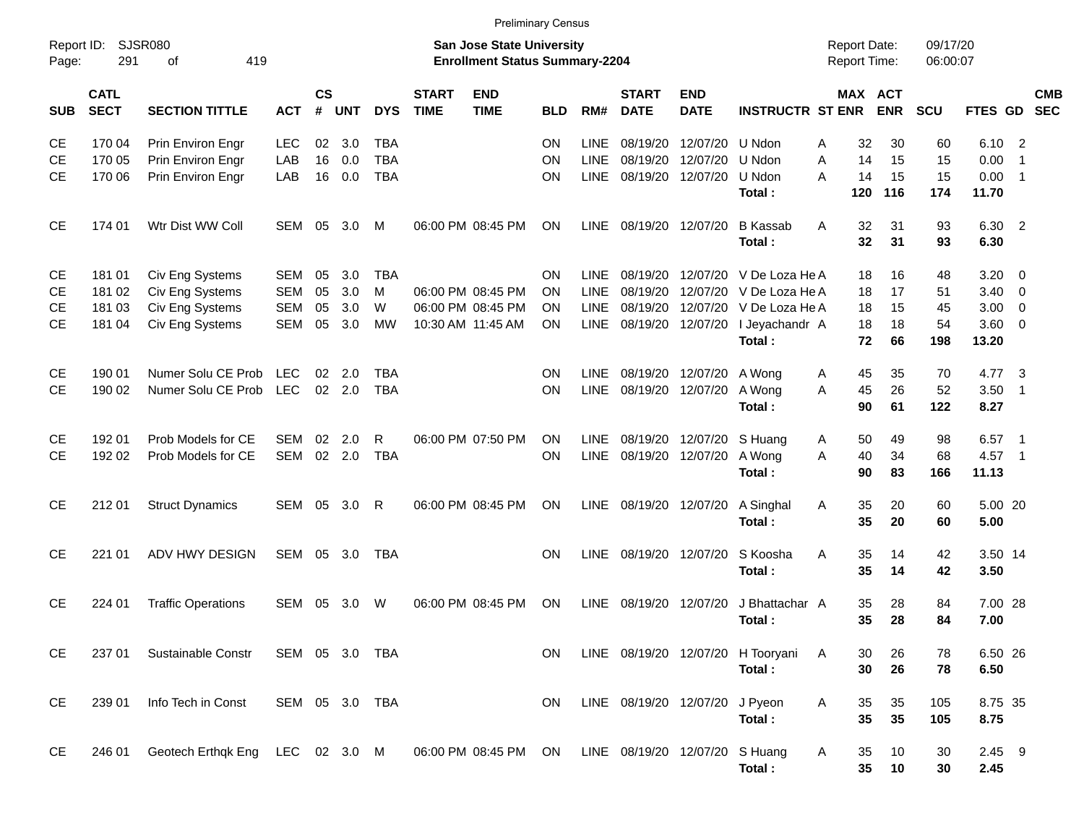|                     |                            |                                                                                            |                |                |                |                |                             |                                                                           | <b>Preliminary Census</b> |             |                                |                           |                                   |                                            |                              |                      |             |                          |            |
|---------------------|----------------------------|--------------------------------------------------------------------------------------------|----------------|----------------|----------------|----------------|-----------------------------|---------------------------------------------------------------------------|---------------------------|-------------|--------------------------------|---------------------------|-----------------------------------|--------------------------------------------|------------------------------|----------------------|-------------|--------------------------|------------|
| Report ID:<br>Page: | 291                        | <b>SJSR080</b><br>419<br>οf                                                                |                |                |                |                |                             | <b>San Jose State University</b><br><b>Enrollment Status Summary-2204</b> |                           |             |                                |                           |                                   | <b>Report Date:</b><br><b>Report Time:</b> |                              | 09/17/20<br>06:00:07 |             |                          |            |
| <b>SUB</b>          | <b>CATL</b><br><b>SECT</b> | <b>SECTION TITTLE</b>                                                                      | <b>ACT</b>     | <b>CS</b><br># | <b>UNT</b>     | <b>DYS</b>     | <b>START</b><br><b>TIME</b> | <b>END</b><br><b>TIME</b>                                                 | <b>BLD</b>                | RM#         | <b>START</b><br><b>DATE</b>    | <b>END</b><br><b>DATE</b> | <b>INSTRUCTR ST ENR</b>           |                                            | <b>MAX ACT</b><br><b>ENR</b> | <b>SCU</b>           | FTES GD SEC |                          | <b>CMB</b> |
| <b>CE</b>           | 170 04                     | Prin Environ Engr                                                                          | <b>LEC</b>     | 02             | 3.0            | TBA            |                             |                                                                           | ΟN                        | <b>LINE</b> | 08/19/20                       | 12/07/20                  | U Ndon                            | 32<br>Α                                    | 30                           | 60                   | $6.10$ 2    |                          |            |
| <b>CE</b>           | 170 05                     | Prin Environ Engr                                                                          | LAB            | 16             | 0.0            | <b>TBA</b>     |                             |                                                                           | ΟN                        | <b>LINE</b> | 08/19/20                       | 12/07/20                  | U Ndon                            | A<br>14                                    | 15                           | 15                   | 0.00        | $\overline{\phantom{0}}$ |            |
| <b>CE</b>           | 170 06                     | Prin Environ Engr                                                                          | LAB            | 16             | 0.0            | <b>TBA</b>     |                             |                                                                           | ΟN                        | <b>LINE</b> |                                | 08/19/20 12/07/20         | U Ndon                            | A<br>14                                    | 15                           | 15                   | $0.00$ 1    |                          |            |
|                     |                            |                                                                                            |                |                |                |                |                             |                                                                           |                           |             |                                |                           | Total:                            | 120                                        | 116                          | 174                  | 11.70       |                          |            |
| CE                  | 174 01                     | Wtr Dist WW Coll                                                                           | SEM 05         |                | -3.0           | м              |                             | 06:00 PM 08:45 PM                                                         | ΟN                        | <b>LINE</b> | 08/19/20 12/07/20              |                           | <b>B</b> Kassab                   | 32<br>A                                    | 31                           | 93                   | 6.30 2      |                          |            |
|                     |                            |                                                                                            |                |                |                |                |                             |                                                                           |                           |             |                                |                           | Total:                            | 32                                         | 31                           | 93                   | 6.30        |                          |            |
| СE                  | 181 01                     | Civ Eng Systems                                                                            | SEM            | 05             | 3.0            | <b>TBA</b>     |                             |                                                                           | ON                        | <b>LINE</b> |                                |                           | 08/19/20 12/07/20 V De Loza He A  | 18                                         | 16                           | 48                   | $3.20 \ 0$  |                          |            |
| <b>CE</b>           | 181 02                     | Civ Eng Systems                                                                            | SEM            | 05             | 3.0            | м              |                             | 06:00 PM 08:45 PM                                                         | ON                        | <b>LINE</b> | 08/19/20                       |                           | 12/07/20 V De Loza He A           | 18                                         | 17                           | 51                   | 3.40        | $\overline{\phantom{0}}$ |            |
| <b>CE</b>           | 181 03                     | Civ Eng Systems                                                                            | SEM            | 05             | 3.0            | W              |                             | 06:00 PM 08:45 PM                                                         | ΟN                        | <b>LINE</b> | 08/19/20                       |                           | 12/07/20 V De Loza He A           | 18                                         | 15                           | 45                   | 3.00        | $\overline{\phantom{0}}$ |            |
| <b>CE</b>           | 181 04                     | Civ Eng Systems                                                                            | SEM            | 05             | 3.0            | <b>MW</b>      |                             | 10:30 AM 11:45 AM                                                         | ON                        | <b>LINE</b> |                                | 08/19/20 12/07/20         | I Jeyachandr A                    | 18                                         | 18                           | 54                   | $3.60 \ 0$  |                          |            |
|                     |                            |                                                                                            |                |                |                |                |                             |                                                                           |                           |             |                                |                           | Total:                            | 72                                         | 66                           | 198                  | 13.20       |                          |            |
| <b>CE</b>           | 190 01                     | Numer Solu CE Prob                                                                         | <b>LEC</b>     | 02             | -2.0           | <b>TBA</b>     |                             |                                                                           | ΟN                        | LINE.       |                                | 08/19/20 12/07/20 A Wong  |                                   | 45<br>A                                    | 35                           | 70                   | 4.77        | $\overline{\mathbf{3}}$  |            |
| <b>CE</b>           | 190 02                     | Numer Solu CE Prob LEC                                                                     |                |                | $02 \quad 2.0$ | <b>TBA</b>     |                             |                                                                           | ON                        | <b>LINE</b> |                                | 08/19/20 12/07/20         | A Wong                            | 45<br>A                                    | 26                           | 52                   | 3.50        | $\overline{\phantom{1}}$ |            |
|                     |                            |                                                                                            |                |                |                |                |                             |                                                                           |                           |             |                                |                           | Total:                            | 90                                         | 61                           | 122                  | 8.27        |                          |            |
| <b>CE</b>           | 192 01                     | Prob Models for CE                                                                         | SEM            | 02             | 2.0            | R              |                             | 06:00 PM 07:50 PM                                                         | ΟN                        | <b>LINE</b> |                                | 08/19/20 12/07/20         | S Huang                           | 50<br>A                                    | 49                           | 98                   | $6.57$ 1    |                          |            |
| <b>CE</b>           | 192 02                     | Prob Models for CE                                                                         | SEM            |                | 02 2.0         | <b>TBA</b>     |                             |                                                                           | ON                        | <b>LINE</b> |                                | 08/19/20 12/07/20         | A Wong                            | 40<br>A                                    | 34                           | 68                   | $4.57$ 1    |                          |            |
|                     |                            |                                                                                            |                |                |                |                |                             |                                                                           |                           |             |                                |                           | Total:                            | 90                                         | 83                           | 166                  | 11.13       |                          |            |
| <b>CE</b>           | 212 01                     | <b>Struct Dynamics</b>                                                                     | SEM 05         |                | 3.0            | R              |                             | 06:00 PM 08:45 PM                                                         | ON                        | LINE        |                                | 08/19/20 12/07/20         | A Singhal                         | 35<br>Α                                    | 20                           | 60                   | 5.00 20     |                          |            |
|                     |                            |                                                                                            |                |                |                |                |                             |                                                                           |                           |             |                                |                           | Total:                            | 35                                         | 20                           | 60                   | 5.00        |                          |            |
| <b>CE</b>           | 221 01                     | ADV HWY DESIGN                                                                             | SEM 05 3.0     |                |                | TBA            |                             |                                                                           | ON                        | <b>LINE</b> |                                | 08/19/20 12/07/20         | S Koosha                          | 35<br>Α                                    | 14                           | 42                   | 3.50 14     |                          |            |
|                     |                            |                                                                                            |                |                |                |                |                             |                                                                           |                           |             |                                |                           | Total:                            | 35                                         | 14                           | 42                   | 3.50        |                          |            |
| <b>CE</b>           | 224 01                     | <b>Traffic Operations</b>                                                                  | SEM            | 05             | 3.0            | W              |                             | 06:00 PM 08:45 PM                                                         | ON                        | <b>LINE</b> |                                | 08/19/20 12/07/20         | J Bhattachar A                    | 35                                         | 28                           | 84                   | 7.00 28     |                          |            |
|                     |                            |                                                                                            |                |                |                |                |                             |                                                                           |                           |             |                                |                           | Total:                            | 35                                         | 28                           | 84                   | 7.00        |                          |            |
| CE                  |                            | 237 01 Sustainable Constr                                                                  | SEM 05 3.0 TBA |                |                |                |                             |                                                                           | ON.                       |             |                                |                           | LINE 08/19/20 12/07/20 H Tooryani | $\mathsf{A}$<br>30                         | 26                           | 78                   | 6.50 26     |                          |            |
|                     |                            |                                                                                            |                |                |                |                |                             |                                                                           |                           |             |                                |                           | Total:                            | 30                                         | 26                           | 78                   | 6.50        |                          |            |
| CE                  | 239 01                     | Info Tech in Const                                                                         |                |                |                | SEM 05 3.0 TBA |                             |                                                                           | ON                        |             | LINE 08/19/20 12/07/20 J Pyeon |                           |                                   | Α<br>35                                    | 35                           | 105                  | 8.75 35     |                          |            |
|                     |                            |                                                                                            |                |                |                |                |                             |                                                                           |                           |             |                                |                           | Total:                            | 35                                         | 35                           | 105                  | 8.75        |                          |            |
| CE                  |                            | 246 01 Geotech Erthqk Eng LEC 02 3.0 M 06:00 PM 08:45 PM ON LINE 08/19/20 12/07/20 S Huang |                |                |                |                |                             |                                                                           |                           |             |                                |                           |                                   | 35<br>A                                    | 10                           | 30                   | $2.45$ 9    |                          |            |
|                     |                            |                                                                                            |                |                |                |                |                             |                                                                           |                           |             |                                |                           | Total:                            | 35                                         | 10                           | 30                   | 2.45        |                          |            |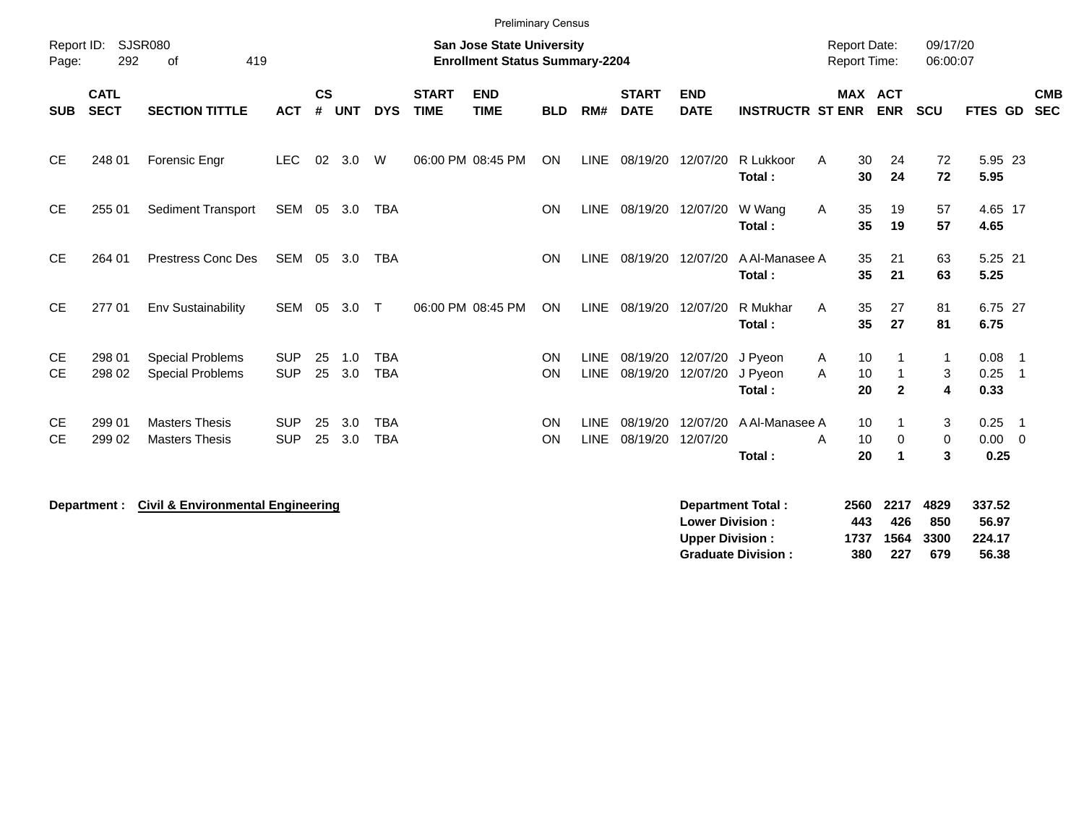|                        |                            |                                                    |                          |                    |            |                          |                             | <b>Preliminary Census</b>                                                 |            |                            |                             |                                                  |                                                       |                                            |                                |                            |                                    |                            |  |
|------------------------|----------------------------|----------------------------------------------------|--------------------------|--------------------|------------|--------------------------|-----------------------------|---------------------------------------------------------------------------|------------|----------------------------|-----------------------------|--------------------------------------------------|-------------------------------------------------------|--------------------------------------------|--------------------------------|----------------------------|------------------------------------|----------------------------|--|
| Report ID:<br>Page:    | 292                        | <b>SJSR080</b><br>419<br>οf                        |                          |                    |            |                          |                             | <b>San Jose State University</b><br><b>Enrollment Status Summary-2204</b> |            |                            |                             |                                                  |                                                       | <b>Report Date:</b><br><b>Report Time:</b> |                                | 09/17/20<br>06:00:07       |                                    |                            |  |
| <b>SUB</b>             | <b>CATL</b><br><b>SECT</b> | <b>SECTION TITTLE</b>                              | <b>ACT</b>               | $\mathsf{cs}$<br># | <b>UNT</b> | <b>DYS</b>               | <b>START</b><br><b>TIME</b> | <b>END</b><br><b>TIME</b>                                                 | <b>BLD</b> | RM#                        | <b>START</b><br><b>DATE</b> | <b>END</b><br><b>DATE</b>                        | <b>INSTRUCTR ST ENR</b>                               |                                            | MAX ACT<br><b>ENR</b>          | <b>SCU</b>                 | FTES GD                            | <b>CMB</b><br><b>SEC</b>   |  |
| <b>CE</b>              | 248 01                     | Forensic Engr                                      | <b>LEC</b>               | 02                 | 3.0        | W                        |                             | 06:00 PM 08:45 PM                                                         | ON         | <b>LINE</b>                | 08/19/20                    | 12/07/20                                         | R Lukkoor<br>Total:                                   | 30<br>A<br>30                              | 24<br>24                       | 72<br>72                   | 5.95 23<br>5.95                    |                            |  |
| <b>CE</b>              | 255 01                     | <b>Sediment Transport</b>                          | SEM                      | 05                 | 3.0        | TBA                      |                             |                                                                           | ON         | <b>LINE</b>                |                             | 08/19/20 12/07/20                                | W Wang<br>Total:                                      | 35<br>A<br>35                              | 19<br>19                       | 57<br>57                   | 4.65 17<br>4.65                    |                            |  |
| <b>CE</b>              | 264 01                     | Prestress Conc Des                                 | SEM 05 3.0               |                    |            | TBA                      |                             |                                                                           | <b>ON</b>  | <b>LINE</b>                |                             | 08/19/20 12/07/20                                | A Al-Manasee A<br>Total:                              | 35<br>35                                   | 21<br>21                       | 63<br>63                   | 5.25 21<br>5.25                    |                            |  |
| <b>CE</b>              | 27701                      | Env Sustainability                                 | SEM                      | 05                 | 3.0        | $\top$                   |                             | 06:00 PM 08:45 PM                                                         | <b>ON</b>  | <b>LINE</b>                | 08/19/20                    | 12/07/20                                         | R Mukhar<br>Total:                                    | 35<br>A<br>35                              | 27<br>27                       | 81<br>81                   | 6.75 27<br>6.75                    |                            |  |
| <b>CE</b><br><b>CE</b> | 298 01<br>298 02           | <b>Special Problems</b><br><b>Special Problems</b> | <b>SUP</b><br><b>SUP</b> | 25<br>25           | 1.0<br>3.0 | <b>TBA</b><br><b>TBA</b> |                             |                                                                           | ON<br>ON   | <b>LINE</b><br><b>LINE</b> | 08/19/20<br>08/19/20        | 12/07/20<br>12/07/20                             | J Pyeon<br>J Pyeon<br>Total:                          | 10<br>Α<br>10<br>A<br>20                   | $\mathbf{1}$<br>$\overline{2}$ | 1<br>3<br>4                | $0.08$ 1<br>$0.25$ 1<br>0.33       |                            |  |
| <b>CE</b><br><b>CE</b> | 299 01<br>299 02           | <b>Masters Thesis</b><br><b>Masters Thesis</b>     | <b>SUP</b><br><b>SUP</b> | 25<br>25           | 3.0<br>3.0 | <b>TBA</b><br><b>TBA</b> |                             |                                                                           | ON<br>ON   | <b>LINE</b><br><b>LINE</b> | 08/19/20<br>08/19/20        | 12/07/20<br>12/07/20                             | A Al-Manasee A<br>Total:                              | 10<br>10<br>A<br>20                        | 0<br>$\blacktriangleleft$      | 3<br>0<br>3                | 0.25<br>$0.00 \t 0$<br>0.25        | $\overline{\phantom{0}}$ 1 |  |
|                        | Department :               | <b>Civil &amp; Environmental Engineering</b>       |                          |                    |            |                          |                             |                                                                           |            |                            |                             | <b>Lower Division:</b><br><b>Upper Division:</b> | <b>Department Total:</b><br><b>Graduate Division:</b> | 2560<br>443<br>1737<br>380                 | 2217<br>426<br>1564<br>227     | 4829<br>850<br>3300<br>679 | 337.52<br>56.97<br>224.17<br>56.38 |                            |  |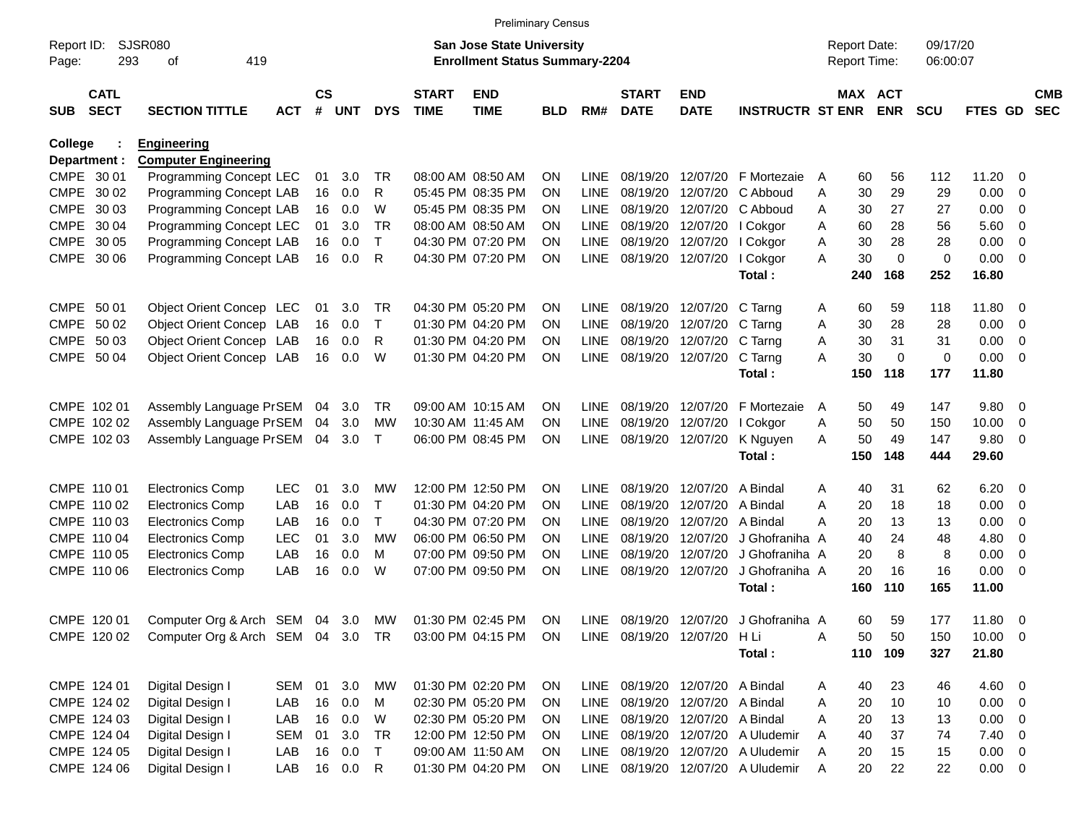|                     |                            |                                   |            |                |            |              |                             | <b>Preliminary Census</b>                                                 |            |             |                             |                                 |                                   |                                     |     |                       |                      |                |                         |                          |
|---------------------|----------------------------|-----------------------------------|------------|----------------|------------|--------------|-----------------------------|---------------------------------------------------------------------------|------------|-------------|-----------------------------|---------------------------------|-----------------------------------|-------------------------------------|-----|-----------------------|----------------------|----------------|-------------------------|--------------------------|
| Report ID:<br>Page: | 293                        | <b>SJSR080</b><br>419<br>оf       |            |                |            |              |                             | <b>San Jose State University</b><br><b>Enrollment Status Summary-2204</b> |            |             |                             |                                 |                                   | <b>Report Date:</b><br>Report Time: |     |                       | 09/17/20<br>06:00:07 |                |                         |                          |
| <b>SUB</b>          | <b>CATL</b><br><b>SECT</b> | <b>SECTION TITTLE</b>             | <b>ACT</b> | <b>CS</b><br># | <b>UNT</b> | <b>DYS</b>   | <b>START</b><br><b>TIME</b> | <b>END</b><br><b>TIME</b>                                                 | <b>BLD</b> | RM#         | <b>START</b><br><b>DATE</b> | <b>END</b><br><b>DATE</b>       | <b>INSTRUCTR ST ENR</b>           |                                     |     | MAX ACT<br><b>ENR</b> | <b>SCU</b>           | <b>FTES GD</b> |                         | <b>CMB</b><br><b>SEC</b> |
| <b>College</b>      |                            | <b>Engineering</b>                |            |                |            |              |                             |                                                                           |            |             |                             |                                 |                                   |                                     |     |                       |                      |                |                         |                          |
|                     | Department :               | <b>Computer Engineering</b>       |            |                |            |              |                             |                                                                           |            |             |                             |                                 |                                   |                                     |     |                       |                      |                |                         |                          |
|                     | CMPE 30 01                 | Programming Concept LEC           |            | 01             | 3.0        | TR           |                             | 08:00 AM 08:50 AM                                                         | <b>ON</b>  | <b>LINE</b> | 08/19/20                    | 12/07/20                        | F Mortezaie                       | A                                   | 60  | 56                    | 112                  | 11.20          | $\overline{\mathbf{0}}$ |                          |
|                     | CMPE 30 02                 | Programming Concept LAB           |            | 16             | 0.0        | R            |                             | 05:45 PM 08:35 PM                                                         | <b>ON</b>  | <b>LINE</b> | 08/19/20                    | 12/07/20                        | C Abboud                          | Α                                   | 30  | 29                    | 29                   | 0.00           | 0                       |                          |
| CMPE                | 30 03                      | Programming Concept LAB           |            | 16             | 0.0        | W            |                             | 05:45 PM 08:35 PM                                                         | <b>ON</b>  | <b>LINE</b> | 08/19/20                    | 12/07/20                        | C Abboud                          | Α                                   | 30  | 27                    | 27                   | 0.00           | 0                       |                          |
|                     | CMPE 30 04                 | Programming Concept LEC           |            | 01             | 3.0        | <b>TR</b>    |                             | 08:00 AM 08:50 AM                                                         | <b>ON</b>  | <b>LINE</b> | 08/19/20                    | 12/07/20                        | I Cokgor                          | Α                                   | 60  | 28                    | 56                   | 5.60           | 0                       |                          |
|                     | CMPE 30 05                 | Programming Concept LAB           |            | 16             | 0.0        | $\mathsf{T}$ |                             | 04:30 PM 07:20 PM                                                         | <b>ON</b>  | <b>LINE</b> | 08/19/20                    | 12/07/20                        | I Cokgor                          | A                                   | 30  | 28                    | 28                   | 0.00           | $\mathbf 0$             |                          |
|                     | CMPE 30 06                 | Programming Concept LAB           |            | 16             | 0.0        | R            |                             | 04:30 PM 07:20 PM                                                         | <b>ON</b>  | LINE        |                             | 08/19/20 12/07/20               | I Cokgor                          | A                                   | 30  | 0                     | 0                    | 0.00           | $\overline{0}$          |                          |
|                     |                            |                                   |            |                |            |              |                             |                                                                           |            |             |                             |                                 | Total:                            |                                     | 240 | 168                   | 252                  | 16.80          |                         |                          |
|                     | CMPE 50 01                 | Object Orient Concep LEC          |            | 01             | 3.0        | TR           |                             | 04:30 PM 05:20 PM                                                         | <b>ON</b>  | LINE        | 08/19/20                    | 12/07/20                        | C Tarng                           | A                                   | 60  | 59                    | 118                  | 11.80          | $\overline{\mathbf{0}}$ |                          |
|                     | CMPE 50 02                 | Object Orient Concep LAB          |            | 16             | 0.0        | Т            |                             | 01:30 PM 04:20 PM                                                         | <b>ON</b>  | <b>LINE</b> | 08/19/20                    | 12/07/20                        | C Tarng                           | Α                                   | 30  | 28                    | 28                   | 0.00           | 0                       |                          |
|                     | CMPE 50 03                 | Object Orient Concep LAB          |            | 16             | 0.0        | R            |                             | 01:30 PM 04:20 PM                                                         | <b>ON</b>  | <b>LINE</b> | 08/19/20                    | 12/07/20                        | C Tarng                           | A                                   | 30  | 31                    | 31                   | 0.00           | 0                       |                          |
|                     | CMPE 50 04                 | Object Orient Concep LAB          |            | 16             | 0.0        | W            |                             | 01:30 PM 04:20 PM                                                         | <b>ON</b>  | <b>LINE</b> |                             | 08/19/20 12/07/20               | C Tarng                           | Α                                   | 30  | 0                     | 0                    | 0.00           | $\overline{\mathbf{0}}$ |                          |
|                     |                            |                                   |            |                |            |              |                             |                                                                           |            |             |                             |                                 | Total:                            |                                     | 150 | 118                   | 177                  | 11.80          |                         |                          |
|                     |                            |                                   |            |                |            |              |                             |                                                                           |            |             |                             |                                 |                                   |                                     |     |                       |                      |                |                         |                          |
|                     | CMPE 102 01                | Assembly Language PrSEM           |            | 04             | 3.0        | <b>TR</b>    |                             | 09:00 AM 10:15 AM                                                         | <b>ON</b>  | <b>LINE</b> | 08/19/20                    | 12/07/20                        | F Mortezaie                       | A                                   | 50  | 49                    | 147                  | 9.80           | $\overline{\mathbf{0}}$ |                          |
|                     | CMPE 102 02                | Assembly Language PrSEM           |            | 04             | 3.0        | MW           |                             | 10:30 AM 11:45 AM                                                         | <b>ON</b>  | <b>LINE</b> | 08/19/20                    | 12/07/20                        | I Cokgor                          | Α                                   | 50  | 50                    | 150                  | 10.00          | 0                       |                          |
|                     | CMPE 102 03                | Assembly Language PrSEM           |            | 04             | 3.0        | Т            |                             | 06:00 PM 08:45 PM                                                         | <b>ON</b>  | <b>LINE</b> | 08/19/20                    | 12/07/20                        | K Nguyen                          | A                                   | 50  | 49                    | 147                  | 9.80           | $\overline{0}$          |                          |
|                     |                            |                                   |            |                |            |              |                             |                                                                           |            |             |                             |                                 | Total:                            |                                     | 150 | 148                   | 444                  | 29.60          |                         |                          |
|                     | CMPE 110 01                | <b>Electronics Comp</b>           | <b>LEC</b> | 01             | 3.0        | MW           |                             | 12:00 PM 12:50 PM                                                         | <b>ON</b>  | <b>LINE</b> | 08/19/20                    | 12/07/20                        | A Bindal                          | A                                   | 40  | 31                    | 62                   | 6.20           | $\overline{\mathbf{0}}$ |                          |
|                     | CMPE 110 02                | <b>Electronics Comp</b>           | LAB        | 16             | 0.0        | т            |                             | 01:30 PM 04:20 PM                                                         | <b>ON</b>  | <b>LINE</b> | 08/19/20                    | 12/07/20                        | A Bindal                          | Α                                   | 20  | 18                    | 18                   | 0.00           | 0                       |                          |
|                     | CMPE 110 03                | <b>Electronics Comp</b>           | LAB        | 16             | 0.0        | т            |                             | 04:30 PM 07:20 PM                                                         | <b>ON</b>  | <b>LINE</b> | 08/19/20                    | 12/07/20                        | A Bindal                          | А                                   | 20  | 13                    | 13                   | 0.00           | 0                       |                          |
|                     | CMPE 110 04                | <b>Electronics Comp</b>           | LEC        | 01             | 3.0        | MW           |                             | 06:00 PM 06:50 PM                                                         | <b>ON</b>  | <b>LINE</b> | 08/19/20                    | 12/07/20                        | J Ghofraniha A                    |                                     | 40  | 24                    | 48                   | 4.80           | $\mathbf 0$             |                          |
|                     | CMPE 110 05                | <b>Electronics Comp</b>           | LAB        | 16             | 0.0        | M            |                             | 07:00 PM 09:50 PM                                                         | <b>ON</b>  | <b>LINE</b> | 08/19/20                    | 12/07/20                        | J Ghofraniha A                    |                                     | 20  | 8                     | 8                    | 0.00           | $\mathbf 0$             |                          |
|                     | CMPE 110 06                | <b>Electronics Comp</b>           | LAB        | 16             | 0.0        | W            |                             | 07:00 PM 09:50 PM                                                         | ON         | <b>LINE</b> | 08/19/20                    | 12/07/20                        | J Ghofraniha A                    |                                     | 20  | 16                    | 16                   | 0.00           | $\overline{\mathbf{0}}$ |                          |
|                     |                            |                                   |            |                |            |              |                             |                                                                           |            |             |                             |                                 | Total:                            |                                     | 160 | 110                   | 165                  | 11.00          |                         |                          |
|                     | CMPE 120 01                | Computer Org & Arch SEM 04        |            |                | 3.0        | МW           |                             | 01:30 PM 02:45 PM                                                         | <b>ON</b>  | LINE        | 08/19/20 12/07/20           |                                 | J Ghofraniha A                    |                                     | 60  | 59                    | 177                  | 11.80          | $\overline{\mathbf{0}}$ |                          |
|                     | CMPE 120 02                | Computer Org & Arch SEM 04 3.0 TR |            |                |            |              |                             | 03:00 PM 04:15 PM ON                                                      |            |             | LINE 08/19/20 12/07/20      |                                 | H Li                              | Α                                   | 50  | 50                    | 150                  | $10.00 \t 0$   |                         |                          |
|                     |                            |                                   |            |                |            |              |                             |                                                                           |            |             |                             |                                 | Total:                            |                                     | 110 | 109                   | 327                  | 21.80          |                         |                          |
|                     |                            |                                   |            |                |            |              |                             |                                                                           |            |             |                             |                                 |                                   |                                     |     |                       |                      |                |                         |                          |
|                     | CMPE 124 01                | Digital Design I                  | SEM        | 01             | 3.0        | MW           |                             | 01:30 PM 02:20 PM                                                         | ON         |             |                             | LINE 08/19/20 12/07/20 A Bindal |                                   | A                                   | 40  | 23                    | 46                   | $4.60$ 0       |                         |                          |
|                     | CMPE 124 02                | Digital Design I                  | LAB        |                | 16 0.0     | M            |                             | 02:30 PM 05:20 PM                                                         | <b>ON</b>  |             |                             | LINE 08/19/20 12/07/20          | A Bindal                          | Α                                   | 20  | 10                    | 10                   | $0.00 \t 0$    |                         |                          |
|                     | CMPE 124 03                | Digital Design I                  | LAB        |                | 16 0.0     | W            |                             | 02:30 PM 05:20 PM                                                         | <b>ON</b>  |             |                             | LINE 08/19/20 12/07/20          | A Bindal                          | Α                                   | 20  | 13                    | 13                   | $0.00 \t 0$    |                         |                          |
|                     | CMPE 124 04                | Digital Design I                  | <b>SEM</b> | 01             | 3.0        | <b>TR</b>    |                             | 12:00 PM 12:50 PM                                                         | <b>ON</b>  |             |                             | LINE 08/19/20 12/07/20          | A Uludemir                        | A                                   | 40  | 37                    | 74                   | $7.40 \ 0$     |                         |                          |
|                     | CMPE 124 05                | Digital Design I                  | LAB        | 16             | 0.0        | $\top$       |                             | 09:00 AM 11:50 AM                                                         | ON         |             |                             | LINE 08/19/20 12/07/20          | A Uludemir                        | A                                   | 20  | 15                    | 15                   | $0.00 \t 0$    |                         |                          |
|                     | CMPE 124 06                | Digital Design I                  | LAB        |                | 16 0.0     | $\mathsf{R}$ |                             | 01:30 PM 04:20 PM                                                         | ON         |             |                             |                                 | LINE 08/19/20 12/07/20 A Uludemir | A                                   | 20  | 22                    | 22                   | $0.00 \t 0$    |                         |                          |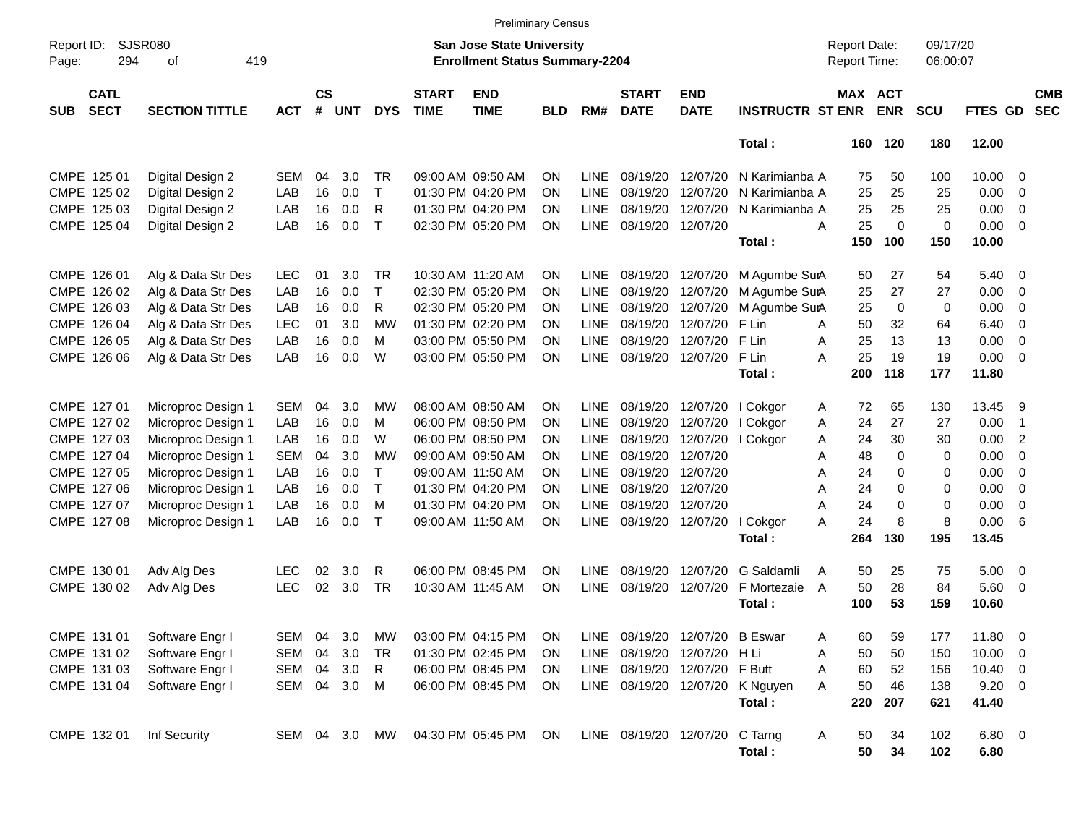|                                          |                             |               |                |              |              |                             | <b>Preliminary Census</b>                                                 |            |             |                                |                           |                                      |                                            |             |                      |              |                         |                          |
|------------------------------------------|-----------------------------|---------------|----------------|--------------|--------------|-----------------------------|---------------------------------------------------------------------------|------------|-------------|--------------------------------|---------------------------|--------------------------------------|--------------------------------------------|-------------|----------------------|--------------|-------------------------|--------------------------|
| Report ID:<br>294<br>Page:               | <b>SJSR080</b><br>419<br>of |               |                |              |              |                             | <b>San Jose State University</b><br><b>Enrollment Status Summary-2204</b> |            |             |                                |                           |                                      | <b>Report Date:</b><br><b>Report Time:</b> |             | 09/17/20<br>06:00:07 |              |                         |                          |
| <b>CATL</b><br><b>SECT</b><br><b>SUB</b> | <b>SECTION TITTLE</b>       | <b>ACT</b>    | <b>CS</b><br># | <b>UNT</b>   | <b>DYS</b>   | <b>START</b><br><b>TIME</b> | <b>END</b><br><b>TIME</b>                                                 | <b>BLD</b> | RM#         | <b>START</b><br><b>DATE</b>    | <b>END</b><br><b>DATE</b> | <b>INSTRUCTR ST ENR</b>              | MAX ACT                                    | <b>ENR</b>  | SCU                  | FTES GD      |                         | <b>CMB</b><br><b>SEC</b> |
|                                          |                             |               |                |              |              |                             |                                                                           |            |             |                                |                           | Total:                               | 160                                        | 120         | 180                  | 12.00        |                         |                          |
| CMPE 125 01                              | Digital Design 2            | SEM           | 04             | 3.0          | <b>TR</b>    |                             | 09:00 AM 09:50 AM                                                         | ΟN         | <b>LINE</b> | 08/19/20                       | 12/07/20                  | N Karimianba A                       | 75                                         | 50          | 100                  | $10.00 \t 0$ |                         |                          |
| CMPE 125 02                              | Digital Design 2            | LAB           | 16             | 0.0          | $\mathsf{T}$ |                             | 01:30 PM 04:20 PM                                                         | ON         | <b>LINE</b> | 08/19/20                       | 12/07/20                  | N Karimianba A                       | 25                                         | 25          | 25                   | 0.00         | $\overline{0}$          |                          |
| CMPE 125 03                              | Digital Design 2            | LAB           | 16             | 0.0          | $\mathsf{R}$ |                             | 01:30 PM 04:20 PM                                                         | ΟN         | <b>LINE</b> | 08/19/20                       | 12/07/20                  | N Karimianba A                       | 25                                         | 25          | 25                   | 0.00         | $\overline{0}$          |                          |
| CMPE 125 04                              | Digital Design 2            | LAB           | 16             | 0.0          | $\mathsf{T}$ |                             | 02:30 PM 05:20 PM                                                         | ON         | <b>LINE</b> | 08/19/20                       | 12/07/20                  | A                                    | 25                                         | $\mathbf 0$ | $\mathbf 0$          | 0.00         | $\overline{0}$          |                          |
|                                          |                             |               |                |              |              |                             |                                                                           |            |             |                                |                           | Total:                               | 150                                        | 100         | 150                  | 10.00        |                         |                          |
| CMPE 126 01                              | Alg & Data Str Des          | <b>LEC</b>    | 01             | 3.0          | <b>TR</b>    |                             | 10:30 AM 11:20 AM                                                         | ΟN         | <b>LINE</b> | 08/19/20                       | 12/07/20                  | M Agumbe SurA                        | 50                                         | 27          | 54                   | $5.40 \ 0$   |                         |                          |
| CMPE 126 02                              | Alg & Data Str Des          | LAB           | 16             | 0.0          | $\mathsf{T}$ |                             | 02:30 PM 05:20 PM                                                         | ON         | LINE        | 08/19/20                       | 12/07/20                  | M Agumbe SurA                        | 25                                         | 27          | 27                   | 0.00         | $\overline{0}$          |                          |
| CMPE 126 03                              | Alg & Data Str Des          | LAB           | 16             | 0.0          | R            |                             | 02:30 PM 05:20 PM                                                         | ON         | LINE        | 08/19/20                       | 12/07/20                  | M Agumbe SurA                        | 25                                         | 0           | $\mathbf 0$          | 0.00         | $\overline{0}$          |                          |
| CMPE 126 04                              | Alg & Data Str Des          | <b>LEC</b>    | 01             | 3.0          | <b>MW</b>    |                             | 01:30 PM 02:20 PM                                                         | ON         | <b>LINE</b> | 08/19/20                       | 12/07/20                  | F Lin<br>A                           | 50                                         | 32          | 64                   | 6.40         | $\overline{0}$          |                          |
| CMPE 126 05                              | Alg & Data Str Des          | LAB           | 16             | 0.0          | M            |                             | 03:00 PM 05:50 PM                                                         | ON         | <b>LINE</b> | 08/19/20                       | 12/07/20                  | F Lin<br>A                           | 25                                         | 13          | 13                   | 0.00         | $\overline{0}$          |                          |
| CMPE 126 06                              | Alg & Data Str Des          | LAB           | 16             | 0.0          | W            |                             | 03:00 PM 05:50 PM                                                         | ON         | <b>LINE</b> | 08/19/20                       | 12/07/20                  | A<br>F Lin                           | 25                                         | 19          | 19                   | 0.00         | $\overline{\mathbf{0}}$ |                          |
|                                          |                             |               |                |              |              |                             |                                                                           |            |             |                                |                           | Total:                               | 200                                        | 118         | 177                  | 11.80        |                         |                          |
| CMPE 127 01                              | Microproc Design 1          | SEM           | 04             | 3.0          | МW           |                             | 08:00 AM 08:50 AM                                                         | ΟN         | LINE        | 08/19/20                       | 12/07/20                  | I Cokgor<br>Α                        | 72                                         | 65          | 130                  | 13.45        | - 9                     |                          |
| CMPE 127 02                              | Microproc Design 1          | LAB           | 16             | 0.0          | M            |                             | 06:00 PM 08:50 PM                                                         | ON         | LINE        | 08/19/20                       | 12/07/20                  | A<br>I Cokgor                        | 24                                         | 27          | 27                   | 0.00         | $\overline{1}$          |                          |
| CMPE 127 03                              | Microproc Design 1          | LAB           | 16             | 0.0          | W            |                             | 06:00 PM 08:50 PM                                                         | ON         | LINE        | 08/19/20                       | 12/07/20                  | Α<br>I Cokgor                        | 24                                         | 30          | 30                   | 0.00         | $\overline{2}$          |                          |
| CMPE 127 04                              | Microproc Design 1          | <b>SEM</b>    | 04             | 3.0          | <b>MW</b>    |                             | 09:00 AM 09:50 AM                                                         | ON         | LINE        | 08/19/20                       | 12/07/20                  | Α                                    | 48                                         | 0           | 0                    | 0.00         | $\overline{0}$          |                          |
| CMPE 127 05                              | Microproc Design 1          | LAB           | 16             | 0.0          | $\top$       |                             | 09:00 AM 11:50 AM                                                         | ΟN         | LINE        | 08/19/20                       | 12/07/20                  | Α                                    | 24                                         | 0           | 0                    | 0.00         | $\overline{0}$          |                          |
| CMPE 127 06                              | Microproc Design 1          | LAB           | 16             | 0.0          | $\mathsf{T}$ |                             | 01:30 PM 04:20 PM                                                         | ON         | LINE        | 08/19/20                       | 12/07/20                  | Α                                    | 24                                         | $\Omega$    | 0                    | 0.00         | $\overline{0}$          |                          |
| CMPE 127 07                              | Microproc Design 1          | LAB           | 16             | 0.0          | M            |                             | 01:30 PM 04:20 PM                                                         | ON         | LINE        | 08/19/20                       | 12/07/20                  | Α                                    | 24                                         | 0           | $\mathbf 0$          | 0.00         | $\overline{0}$          |                          |
| CMPE 127 08                              | Microproc Design 1          | LAB           | 16             | 0.0          | $\top$       |                             | 09:00 AM 11:50 AM                                                         | ON         | <b>LINE</b> | 08/19/20                       | 12/07/20                  | A<br>I Cokgor                        | 24                                         | 8           | 8                    | 0.00         | - 6                     |                          |
|                                          |                             |               |                |              |              |                             |                                                                           |            |             |                                |                           | Total:                               | 264                                        | 130         | 195                  | 13.45        |                         |                          |
| CMPE 130 01                              | Adv Alg Des                 | <b>LEC</b>    | 02             | 3.0          | R            |                             | 06:00 PM 08:45 PM                                                         | ΟN         | <b>LINE</b> | 08/19/20                       | 12/07/20                  | G Saldamli<br>A                      | 50                                         | 25          | 75                   | 5.00         | $\overline{\mathbf{0}}$ |                          |
| CMPE 130 02                              | Adv Alg Des                 | <b>LEC</b>    | 02             | 3.0          | <b>TR</b>    |                             | 10:30 AM 11:45 AM                                                         | ON         | LINE        | 08/19/20                       | 12/07/20                  | F Mortezaie<br>A                     | 50                                         | 28          | 84                   | 5.60         | $\overline{\mathbf{0}}$ |                          |
|                                          |                             |               |                |              |              |                             |                                                                           |            |             |                                |                           | Total:                               | 100                                        | 53          | 159                  | 10.60        |                         |                          |
| CMPE 131 01                              | Software Engr I             | SEM 04        |                | 3.0          | МW           |                             | 03:00 PM 04:15 PM                                                         | ON         | LINE        | 08/19/20 12/07/20 B Eswar      |                           | Α                                    | 60                                         | 59          | 177                  | 11.80 0      |                         |                          |
| CMPE 131 02                              | Software Engr I             | SEM 04        |                | 3.0          | TR           |                             | 01:30 PM 02:45 PM                                                         | ON         | LINE        |                                | 08/19/20 12/07/20 HLi     | Α                                    | 50                                         | 50          | 150                  | $10.00 \t 0$ |                         |                          |
| CMPE 131 03                              | Software Engr I             | SEM 04 3.0    |                |              | R            |                             | 06:00 PM 08:45 PM                                                         | ON         |             | LINE 08/19/20 12/07/20 F Butt  |                           | Α                                    | 60                                         | 52          | 156                  | $10.40 \ 0$  |                         |                          |
| CMPE 131 04                              | Software Engr I             |               |                | SEM 04 3.0 M |              |                             | 06:00 PM 08:45 PM                                                         | ON.        |             |                                |                           | LINE 08/19/20 12/07/20 K Nguyen<br>A | 50                                         | 46          | 138                  | $9.20 \ 0$   |                         |                          |
|                                          |                             |               |                |              |              |                             |                                                                           |            |             |                                |                           | Total:                               | 220                                        | 207         | 621                  | 41.40        |                         |                          |
| CMPE 132 01                              | Inf Security                | SEM 04 3.0 MW |                |              |              |                             | 04:30 PM 05:45 PM                                                         | ON         |             | LINE 08/19/20 12/07/20 C Tarng |                           | A                                    | 50                                         | 34          | 102                  | $6.80$ 0     |                         |                          |
|                                          |                             |               |                |              |              |                             |                                                                           |            |             |                                |                           | Total:                               | 50                                         | 34          | 102                  | 6.80         |                         |                          |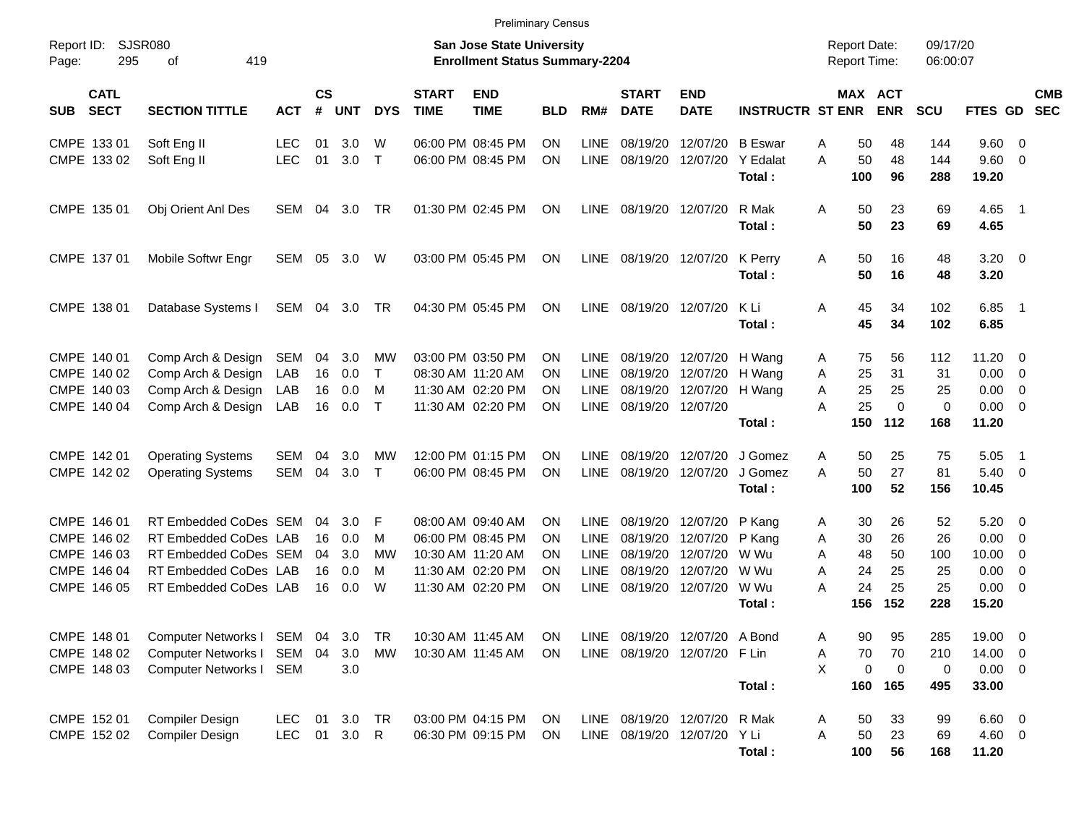|                                                                         |                                                                                                                           |                            |                      |                                    |                             |                             | <b>Preliminary Census</b>                                                                             |                                       |                                                                         |                                                               |                                                                                                         |                                                                  |                       |                                            |                                   |                                       |                                                             |                                                             |            |
|-------------------------------------------------------------------------|---------------------------------------------------------------------------------------------------------------------------|----------------------------|----------------------|------------------------------------|-----------------------------|-----------------------------|-------------------------------------------------------------------------------------------------------|---------------------------------------|-------------------------------------------------------------------------|---------------------------------------------------------------|---------------------------------------------------------------------------------------------------------|------------------------------------------------------------------|-----------------------|--------------------------------------------|-----------------------------------|---------------------------------------|-------------------------------------------------------------|-------------------------------------------------------------|------------|
| Report ID:<br>295<br>Page:                                              | <b>SJSR080</b><br>419<br>οf                                                                                               |                            |                      |                                    |                             |                             | <b>San Jose State University</b><br><b>Enrollment Status Summary-2204</b>                             |                                       |                                                                         |                                                               |                                                                                                         |                                                                  |                       | <b>Report Date:</b><br><b>Report Time:</b> |                                   | 09/17/20<br>06:00:07                  |                                                             |                                                             |            |
| <b>CATL</b><br><b>SECT</b><br><b>SUB</b>                                | <b>SECTION TITTLE</b>                                                                                                     | <b>ACT</b>                 | <b>CS</b><br>#       | <b>UNT</b>                         | <b>DYS</b>                  | <b>START</b><br><b>TIME</b> | <b>END</b><br><b>TIME</b>                                                                             | <b>BLD</b>                            | RM#                                                                     | <b>START</b><br><b>DATE</b>                                   | <b>END</b><br><b>DATE</b>                                                                               | <b>INSTRUCTR ST ENR</b>                                          |                       | MAX ACT                                    | <b>ENR</b>                        | <b>SCU</b>                            | FTES GD SEC                                                 |                                                             | <b>CMB</b> |
| CMPE 133 01<br>CMPE 133 02                                              | Soft Eng II<br>Soft Eng II                                                                                                | <b>LEC</b><br><b>LEC</b>   | 01<br>01             | 3.0<br>3.0                         | W<br>$\top$                 |                             | 06:00 PM 08:45 PM<br>06:00 PM 08:45 PM                                                                | <b>ON</b><br><b>ON</b>                | <b>LINE</b><br><b>LINE</b>                                              | 08/19/20                                                      | 12/07/20 B Eswar<br>08/19/20 12/07/20 Y Edalat                                                          | Total:                                                           | A<br>A                | 50<br>50<br>100                            | 48<br>48<br>96                    | 144<br>144<br>288                     | $9.60 \quad 0$<br>$9.60 \quad 0$<br>19.20                   |                                                             |            |
| CMPE 135 01                                                             | Obj Orient Anl Des                                                                                                        | SEM                        | 04                   | 3.0                                | TR                          |                             | 01:30 PM 02:45 PM                                                                                     | <b>ON</b>                             | LINE                                                                    | 08/19/20 12/07/20                                             |                                                                                                         | R Mak<br>Total:                                                  | A                     | 50<br>50                                   | 23<br>23                          | 69<br>69                              | $4.65$ 1<br>4.65                                            |                                                             |            |
| CMPE 137 01                                                             | Mobile Softwr Engr                                                                                                        | SEM                        | 05                   | 3.0                                | W                           |                             | 03:00 PM 05:45 PM                                                                                     | ON                                    | LINE                                                                    | 08/19/20 12/07/20 K Perry                                     |                                                                                                         | Total:                                                           | Α                     | 50<br>50                                   | 16<br>16                          | 48<br>48                              | $3.20 \ 0$<br>3.20                                          |                                                             |            |
| CMPE 138 01                                                             | Database Systems I                                                                                                        | SEM                        |                      | 04 3.0                             | TR                          |                             | 04:30 PM 05:45 PM                                                                                     | ON                                    | <b>LINE</b>                                                             | 08/19/20 12/07/20 KLi                                         |                                                                                                         | Total:                                                           | Α                     | 45<br>45                                   | 34<br>34                          | 102<br>102                            | $6.85$ 1<br>6.85                                            |                                                             |            |
| CMPE 140 01<br>CMPE 140 02<br>CMPE 140 03<br>CMPE 140 04                | Comp Arch & Design<br>Comp Arch & Design<br>Comp Arch & Design<br>Comp Arch & Design LAB                                  | SEM<br><b>LAB</b><br>LAB   | 04<br>16<br>16<br>16 | 3.0<br>0.0<br>0.0<br>0.0           | МW<br>$\top$<br>M<br>$\top$ |                             | 03:00 PM 03:50 PM<br>08:30 AM 11:20 AM<br>11:30 AM 02:20 PM<br>11:30 AM 02:20 PM                      | <b>ON</b><br>ON.<br>ON.<br>ON.        | <b>LINE</b><br><b>LINE</b><br><b>LINE</b><br><b>LINE</b>                | 08/19/20 12/07/20                                             | 08/19/20 12/07/20 H Wang<br>08/19/20 12/07/20 H Wang<br>08/19/20 12/07/20 H Wang                        | Total:                                                           | A<br>A<br>A<br>A      | 75<br>25<br>25<br>25<br>150                | 56<br>31<br>25<br>$\Omega$<br>112 | 112<br>31<br>25<br>$\mathbf 0$<br>168 | $11.20 \t 0$<br>$0.00 \t 0$<br>0.00<br>$0.00 \t 0$<br>11.20 | $\overline{\phantom{0}}$                                    |            |
| CMPE 142 01<br>CMPE 142 02                                              | <b>Operating Systems</b><br><b>Operating Systems</b>                                                                      | <b>SEM</b><br>SEM          | 04<br>04             | 3.0<br>3.0                         | МW<br>$\top$                |                             | 12:00 PM 01:15 PM<br>06:00 PM 08:45 PM                                                                | ON.<br><b>ON</b>                      | <b>LINE</b><br><b>LINE</b>                                              |                                                               |                                                                                                         | 08/19/20 12/07/20 J Gomez<br>08/19/20 12/07/20 J Gomez<br>Total: | A<br>A                | 50<br>50<br>100                            | 25<br>27<br>52                    | 75<br>81<br>156                       | 5.05<br>$5.40 \ 0$<br>10.45                                 | $\overline{\phantom{1}}$                                    |            |
| CMPE 146 01<br>CMPE 146 02<br>CMPE 146 03<br>CMPE 146 04<br>CMPE 146 05 | RT Embedded CoDes SEM<br>RT Embedded CoDes LAB<br>RT Embedded CoDes SEM<br>RT Embedded CoDes LAB<br>RT Embedded CoDes LAB |                            | 04<br>16<br>04<br>16 | 3.0<br>0.0<br>3.0<br>0.0<br>16 0.0 | F<br>м<br>МW<br>м<br>W      |                             | 08:00 AM 09:40 AM<br>06:00 PM 08:45 PM<br>10:30 AM 11:20 AM<br>11:30 AM 02:20 PM<br>11:30 AM 02:20 PM | <b>ON</b><br>ON.<br>ON.<br>ON.<br>ON. | <b>LINE</b><br><b>LINE</b><br><b>LINE</b><br><b>LINE</b><br><b>LINE</b> | 08/19/20<br>08/19/20<br>08/19/20                              | 08/19/20 12/07/20 P Kang<br>12/07/20 P Kang<br>12/07/20 W Wu<br>12/07/20 W Wu<br>08/19/20 12/07/20 W Wu | Total:                                                           | A<br>A<br>A<br>A<br>A | 30<br>30<br>48<br>24<br>24<br>156          | 26<br>26<br>50<br>25<br>25<br>152 | 52<br>26<br>100<br>25<br>25<br>228    | $5.20 \ 0$<br>0.00<br>10.00<br>0.00<br>$0.00 \t 0$<br>15.20 | $\overline{\phantom{0}}$<br>- 0<br>$\overline{\phantom{0}}$ |            |
| CMPE 148 01<br>CMPE 148 02<br>CMPE 148 03                               | Computer Networks I SEM<br>Computer Networks I<br><b>Computer Networks I</b>                                              | SEM 04<br>SEM              | 04                   | 3.0<br>3.0<br>3.0                  | <b>TR</b><br>МW             |                             | 10:30 AM 11:45 AM<br>10:30 AM 11:45 AM                                                                | <b>ON</b><br>ON.                      |                                                                         | LINE 08/19/20 12/07/20 A Bond<br>LINE 08/19/20 12/07/20 F Lin |                                                                                                         | Total:                                                           | Α<br>Α<br>X           | 90<br>70<br>0<br>160                       | 95<br>70<br>0<br>165              | 285<br>210<br>0<br>495                | 19.00 0<br>14.00 0<br>$0.00 \t 0$<br>33.00                  |                                                             |            |
| CMPE 152 01<br>CMPE 152 02                                              | <b>Compiler Design</b><br>Compiler Design                                                                                 | <b>LEC</b><br>LEC 01 3.0 R |                      | 01 3.0 TR                          |                             |                             | 03:00 PM 04:15 PM<br>06:30 PM 09:15 PM                                                                | ON.<br>ON                             |                                                                         | LINE 08/19/20 12/07/20 R Mak<br>LINE 08/19/20 12/07/20 Y Li   |                                                                                                         | Total:                                                           | A<br>A                | 50<br>50<br>100                            | 33<br>23<br>56                    | 99<br>69<br>168                       | $6.60$ 0<br>$4.60$ 0<br>11.20                               |                                                             |            |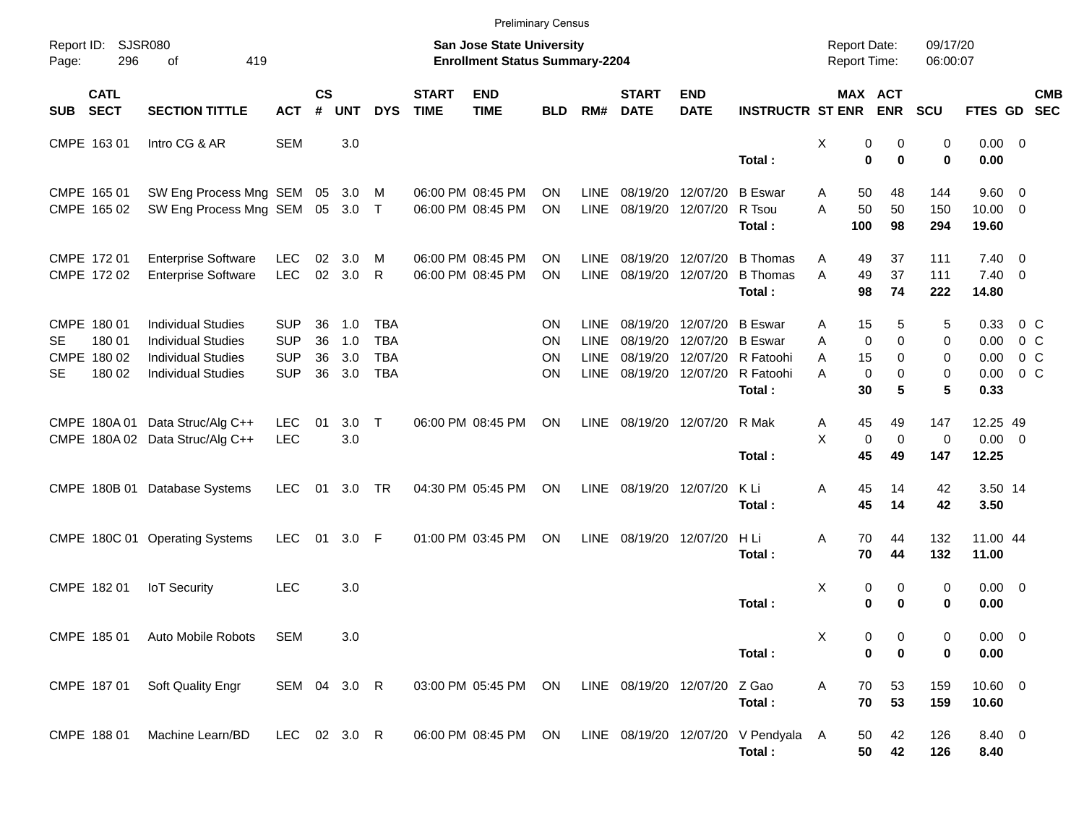|                                                |                            |                                                                                                                  |                                                      |                      |                          |                                                      |                             | <b>Preliminary Census</b>                                                 |                             |                                                          |                                                       |                                  |                                                                      |                  |                                              |                                            |                         |                                           |                                                        |            |
|------------------------------------------------|----------------------------|------------------------------------------------------------------------------------------------------------------|------------------------------------------------------|----------------------|--------------------------|------------------------------------------------------|-----------------------------|---------------------------------------------------------------------------|-----------------------------|----------------------------------------------------------|-------------------------------------------------------|----------------------------------|----------------------------------------------------------------------|------------------|----------------------------------------------|--------------------------------------------|-------------------------|-------------------------------------------|--------------------------------------------------------|------------|
| Page:                                          | Report ID: SJSR080<br>296  | 419<br>of                                                                                                        |                                                      |                      |                          |                                                      |                             | <b>San Jose State University</b><br><b>Enrollment Status Summary-2204</b> |                             |                                                          |                                                       |                                  |                                                                      |                  | <b>Report Date:</b><br><b>Report Time:</b>   |                                            | 09/17/20<br>06:00:07    |                                           |                                                        |            |
| SUB                                            | <b>CATL</b><br><b>SECT</b> | <b>SECTION TITTLE</b>                                                                                            | <b>ACT</b>                                           | $\mathsf{cs}$<br>#   | <b>UNT</b>               | <b>DYS</b>                                           | <b>START</b><br><b>TIME</b> | <b>END</b><br><b>TIME</b>                                                 | <b>BLD</b>                  | RM#                                                      | <b>START</b><br><b>DATE</b>                           | <b>END</b><br><b>DATE</b>        | <b>INSTRUCTR ST ENR</b>                                              |                  | MAX ACT                                      | <b>ENR</b>                                 | SCU                     | FTES GD SEC                               |                                                        | <b>CMB</b> |
| CMPE 163 01                                    |                            | Intro CG & AR                                                                                                    | <b>SEM</b>                                           |                      | 3.0                      |                                                      |                             |                                                                           |                             |                                                          |                                                       |                                  | Total:                                                               | X                | 0<br>$\bf{0}$                                | 0<br>$\bf{0}$                              | 0<br>0                  | $0.00 \t 0$<br>0.00                       |                                                        |            |
| CMPE 165 01<br>CMPE 165 02                     |                            | SW Eng Process Mng SEM 05<br>SW Eng Process Mng SEM 05 3.0 T                                                     |                                                      |                      | 3.0                      | M                                                    |                             | 06:00 PM 08:45 PM<br>06:00 PM 08:45 PM                                    | ΟN<br>ON                    | <b>LINE</b><br>LINE                                      | 08/19/20<br>08/19/20                                  | 12/07/20<br>12/07/20             | <b>B</b> Eswar<br>R Tsou<br>Total:                                   | Α<br>A           | 50<br>50<br>100                              | 48<br>50<br>98                             | 144<br>150<br>294       | $9.60 \quad 0$<br>$10.00 \t 0$<br>19.60   |                                                        |            |
| CMPE 172 01<br>CMPE 172 02                     |                            | <b>Enterprise Software</b><br><b>Enterprise Software</b>                                                         | <b>LEC</b><br><b>LEC</b>                             | 02<br>02             | 3.0<br>3.0               | M<br>R                                               |                             | 06:00 PM 08:45 PM<br>06:00 PM 08:45 PM                                    | ΟN<br>ON                    | <b>LINE</b><br><b>LINE</b>                               | 08/19/20<br>08/19/20                                  | 12/07/20<br>12/07/20             | <b>B</b> Thomas<br><b>B</b> Thomas<br>Total:                         | A<br>A           | 49<br>49<br>98                               | 37<br>37<br>74                             | 111<br>111<br>222       | $7.40 \quad 0$<br>$7.40 \quad 0$<br>14.80 |                                                        |            |
| CMPE 180 01<br>SE.<br>CMPE 180 02<br><b>SE</b> | 180 01<br>180 02           | <b>Individual Studies</b><br><b>Individual Studies</b><br><b>Individual Studies</b><br><b>Individual Studies</b> | <b>SUP</b><br><b>SUP</b><br><b>SUP</b><br><b>SUP</b> | 36<br>36<br>36<br>36 | 1.0<br>1.0<br>3.0<br>3.0 | <b>TBA</b><br><b>TBA</b><br><b>TBA</b><br><b>TBA</b> |                             |                                                                           | <b>ON</b><br>ON<br>OΝ<br>ON | <b>LINE</b><br><b>LINE</b><br><b>LINE</b><br><b>LINE</b> | 08/19/20<br>08/19/20<br>08/19/20<br>08/19/20 12/07/20 | 12/07/20<br>12/07/20<br>12/07/20 | <b>B</b> Eswar<br><b>B</b> Eswar<br>R Fatoohi<br>R Fatoohi<br>Total: | A<br>A<br>A<br>A | 15<br>$\mathbf 0$<br>15<br>$\mathbf 0$<br>30 | 5<br>$\Omega$<br>$\Omega$<br>$\Omega$<br>5 | 5<br>0<br>0<br>0<br>5   | 0.33<br>0.00<br>0.00<br>0.00<br>0.33      | $0\,$ C<br>$0\,$ C<br>0 <sup>o</sup><br>0 <sup>o</sup> |            |
|                                                | CMPE 180A 01               | Data Struc/Alg C++<br>CMPE 180A 02 Data Struc/Alg C++                                                            | <b>LEC</b><br><b>LEC</b>                             | 01                   | 3.0<br>3.0               | $\top$                                               |                             | 06:00 PM 08:45 PM                                                         | ON                          | LINE                                                     |                                                       | 08/19/20 12/07/20                | R Mak<br>Total:                                                      | Α<br>X           | 45<br>$\mathbf 0$<br>45                      | 49<br>$\mathbf 0$<br>49                    | 147<br>$\pmb{0}$<br>147 | 12.25 49<br>$0.00 \t 0$<br>12.25          |                                                        |            |
|                                                |                            | CMPE 180B 01 Database Systems                                                                                    | <b>LEC</b>                                           | 01                   | 3.0                      | <b>TR</b>                                            |                             | 04:30 PM 05:45 PM                                                         | ON                          | LINE                                                     | 08/19/20 12/07/20                                     |                                  | K Li<br>Total:                                                       | Α                | 45<br>45                                     | 14<br>14                                   | 42<br>42                | 3.50 14<br>3.50                           |                                                        |            |
|                                                |                            | CMPE 180C 01 Operating Systems                                                                                   | <b>LEC</b>                                           | 01                   | $3.0$ F                  |                                                      |                             | 01:00 PM 03:45 PM                                                         | ON                          | LINE                                                     | 08/19/20 12/07/20                                     |                                  | H Li<br>Total:                                                       | Α                | 70<br>70                                     | 44<br>44                                   | 132<br>132              | 11.00 44<br>11.00                         |                                                        |            |
| CMPE 182 01                                    |                            | <b>IoT Security</b>                                                                                              | <b>LEC</b>                                           |                      | 3.0                      |                                                      |                             |                                                                           |                             |                                                          |                                                       |                                  | Total:                                                               | X                | 0<br>0                                       | 0<br>$\bf{0}$                              | 0<br>0                  | $0.00 \t 0$<br>0.00                       |                                                        |            |
|                                                |                            | CMPE 185 01 Auto Mobile Robots                                                                                   | SEM                                                  |                      | 3.0                      |                                                      |                             |                                                                           |                             |                                                          |                                                       |                                  | Total:                                                               | х                | 0<br>0                                       | 0<br>0                                     | 0                       | $0.00 \t 0$<br>0.00                       |                                                        |            |
| CMPE 187 01                                    |                            | Soft Quality Engr                                                                                                | SEM 04 3.0 R                                         |                      |                          |                                                      |                             | 03:00 PM 05:45 PM ON                                                      |                             |                                                          | LINE 08/19/20 12/07/20                                |                                  | Z Gao<br>Total:                                                      | A                | 70<br>70                                     | 53<br>53                                   | 159<br>159              | 10.60 0<br>10.60                          |                                                        |            |
| CMPE 188 01                                    |                            | Machine Learn/BD                                                                                                 | LEC 02 3.0 R                                         |                      |                          |                                                      |                             | 06:00 PM 08:45 PM ON                                                      |                             |                                                          |                                                       |                                  | LINE 08/19/20 12/07/20 V Pendyala A<br>Total:                        |                  | 50<br>50                                     | 42<br>42                                   | 126<br>126              | 8.40 0<br>8.40                            |                                                        |            |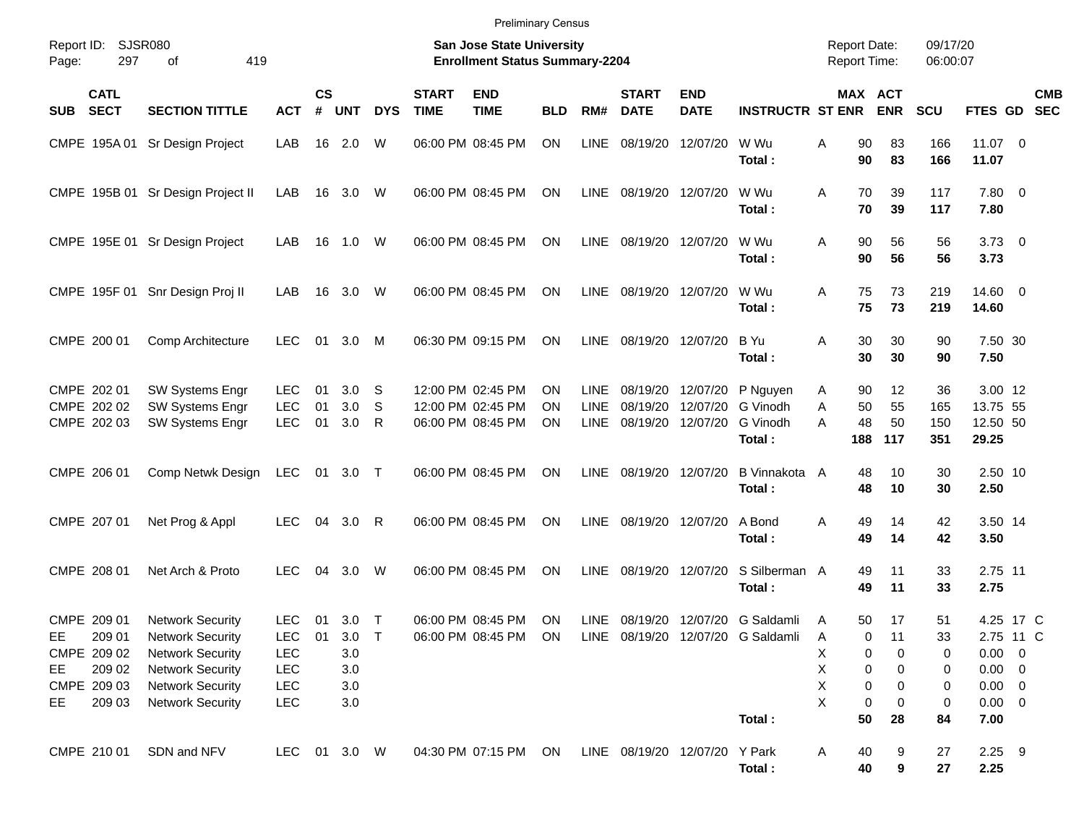|                                                                                           |                                                                                                                                                                |                                                                           |                |                                        |                          |                             | <b>Preliminary Census</b>                                                 |                |                             |                                  |                               |                                                                             |                                            |                                                             |                                    |                                                                                            |            |
|-------------------------------------------------------------------------------------------|----------------------------------------------------------------------------------------------------------------------------------------------------------------|---------------------------------------------------------------------------|----------------|----------------------------------------|--------------------------|-----------------------------|---------------------------------------------------------------------------|----------------|-----------------------------|----------------------------------|-------------------------------|-----------------------------------------------------------------------------|--------------------------------------------|-------------------------------------------------------------|------------------------------------|--------------------------------------------------------------------------------------------|------------|
| Report ID:<br>297<br>Page:                                                                | <b>SJSR080</b><br>419<br>0f                                                                                                                                    |                                                                           |                |                                        |                          |                             | <b>San Jose State University</b><br><b>Enrollment Status Summary-2204</b> |                |                             |                                  |                               |                                                                             | <b>Report Date:</b><br><b>Report Time:</b> |                                                             | 09/17/20<br>06:00:07               |                                                                                            |            |
| <b>CATL</b><br><b>SECT</b><br><b>SUB</b>                                                  | <b>SECTION TITTLE</b>                                                                                                                                          | <b>ACT</b>                                                                | <b>CS</b><br># | <b>UNT</b>                             | <b>DYS</b>               | <b>START</b><br><b>TIME</b> | <b>END</b><br><b>TIME</b>                                                 | <b>BLD</b>     | RM#                         | <b>START</b><br><b>DATE</b>      | <b>END</b><br><b>DATE</b>     | <b>INSTRUCTR ST ENR</b>                                                     |                                            | MAX ACT<br><b>ENR</b>                                       | <b>SCU</b>                         | FTES GD SEC                                                                                | <b>CMB</b> |
| CMPE 195A 01                                                                              | Sr Design Project                                                                                                                                              | LAB                                                                       | 16             | 2.0                                    | W                        |                             | 06:00 PM 08:45 PM                                                         | ON             | LINE                        | 08/19/20                         | 12/07/20                      | W Wu<br>Total:                                                              | Α<br>90<br>90                              | 83<br>83                                                    | 166<br>166                         | $11.07$ 0<br>11.07                                                                         |            |
|                                                                                           | CMPE 195B 01 Sr Design Project II                                                                                                                              | LAB                                                                       | 16             | 3.0                                    | W                        |                             | 06:00 PM 08:45 PM                                                         | ON             | LINE                        | 08/19/20 12/07/20                |                               | W Wu<br>Total:                                                              | Α<br>70<br>70                              | 39<br>39                                                    | 117<br>117                         | 7.80 0<br>7.80                                                                             |            |
|                                                                                           | CMPE 195E 01 Sr Design Project                                                                                                                                 | LAB                                                                       | 16             | 1.0                                    | W                        |                             | 06:00 PM 08:45 PM                                                         | ON             | LINE                        | 08/19/20 12/07/20                |                               | W Wu<br>Total:                                                              | Α<br>90<br>90                              | 56<br>56                                                    | 56<br>56                           | $3.73 \quad 0$<br>3.73                                                                     |            |
|                                                                                           | CMPE 195F 01 Snr Design Proj II                                                                                                                                | LAB                                                                       | 16             | 3.0                                    | W                        |                             | 06:00 PM 08:45 PM                                                         | ON             | LINE                        | 08/19/20 12/07/20                |                               | W Wu<br>Total:                                                              | A<br>75<br>75                              | 73<br>73                                                    | 219<br>219                         | 14.60 0<br>14.60                                                                           |            |
| CMPE 200 01                                                                               | <b>Comp Architecture</b>                                                                                                                                       | <b>LEC</b>                                                                | 01             | 3.0                                    | M                        |                             | 06:30 PM 09:15 PM                                                         | ON             | <b>LINE</b>                 | 08/19/20 12/07/20                |                               | B Yu<br>Total:                                                              | Α<br>30<br>30                              | 30<br>30                                                    | 90<br>90                           | 7.50 30<br>7.50                                                                            |            |
| CMPE 202 01<br>CMPE 202 02<br>CMPE 202 03                                                 | SW Systems Engr<br>SW Systems Engr<br>SW Systems Engr                                                                                                          | <b>LEC</b><br>LEC<br>LEC                                                  | 01<br>01<br>01 | 3.0<br>3.0<br>3.0                      | -S<br>-S<br>$\mathsf{R}$ |                             | 12:00 PM 02:45 PM<br>12:00 PM 02:45 PM<br>06:00 PM 08:45 PM               | ΟN<br>ON<br>ON | LINE<br><b>LINE</b><br>LINE | 08/19/20<br>08/19/20<br>08/19/20 | 12/07/20<br>12/07/20          | P Nguyen<br>12/07/20 G Vinodh<br>G Vinodh<br>Total:                         | 90<br>A<br>50<br>A<br>A<br>48<br>188       | 12<br>55<br>50<br>117                                       | 36<br>165<br>150<br>351            | 3.00 12<br>13.75 55<br>12.50 50<br>29.25                                                   |            |
| CMPE 206 01                                                                               | Comp Netwk Design LEC                                                                                                                                          |                                                                           | 01             | $3.0$ T                                |                          |                             | 06:00 PM 08:45 PM                                                         | <b>ON</b>      | LINE                        | 08/19/20 12/07/20                |                               | <b>B</b> Vinnakota<br>Total:                                                | 48<br>A<br>48                              | 10<br>10                                                    | 30<br>30                           | 2.50 10<br>2.50                                                                            |            |
| CMPE 207 01                                                                               | Net Prog & Appl                                                                                                                                                | <b>LEC</b>                                                                | 04             | 3.0                                    | R                        |                             | 06:00 PM 08:45 PM                                                         | ON             | LINE                        | 08/19/20 12/07/20                |                               | A Bond<br>Total:                                                            | 49<br>Α<br>49                              | 14<br>14                                                    | 42<br>42                           | 3.50 14<br>3.50                                                                            |            |
| CMPE 208 01                                                                               | Net Arch & Proto                                                                                                                                               | <b>LEC</b>                                                                | 04             | 3.0                                    | W                        |                             | 06:00 PM 08:45 PM                                                         | ON             | <b>LINE</b>                 | 08/19/20                         | 12/07/20                      | S Silberman A<br>Total:                                                     | 49<br>49                                   | 11<br>11                                                    | 33<br>33                           | 2.75 11<br>2.75                                                                            |            |
| CMPE 209 01<br>EE<br>209 01<br>CMPE 209 02<br>209 02<br>EE<br>CMPE 209 03<br>209 03<br>EE | <b>Network Security</b><br><b>Network Security</b><br><b>Network Security</b><br><b>Network Security</b><br><b>Network Security</b><br><b>Network Security</b> | <b>LEC</b><br><b>LEC</b><br><b>LEC</b><br><b>LEC</b><br>LEC<br><b>LEC</b> | 01<br>01       | 3.0<br>3.0<br>3.0<br>3.0<br>3.0<br>3.0 | $\top$<br>Т              |                             | 06:00 PM 08:45 PM<br>06:00 PM 08:45 PM ON                                 | ON             | LINE                        |                                  |                               | 08/19/20 12/07/20 G Saldamli<br>LINE 08/19/20 12/07/20 G Saldamli<br>Total: | 50<br>A<br>A<br>Χ<br>Χ<br>Χ<br>X<br>50     | 17<br>0<br>11<br>0<br>0<br>0<br>0<br>0<br>0<br>0<br>0<br>28 | 51<br>33<br>0<br>0<br>0<br>0<br>84 | 4.25 17 C<br>2.75 11 C<br>$0.00 \t 0$<br>$0.00 \t 0$<br>$0.00 \t 0$<br>$0.00 \t 0$<br>7.00 |            |
| CMPE 210 01                                                                               | SDN and NFV                                                                                                                                                    | LEC                                                                       |                | 01 3.0 W                               |                          |                             | 04:30 PM 07:15 PM                                                         | ON             |                             |                                  | LINE 08/19/20 12/07/20 Y Park | Total:                                                                      | 40<br>A<br>40                              | 9<br>9                                                      | 27<br>27                           | $2.25$ 9<br>2.25                                                                           |            |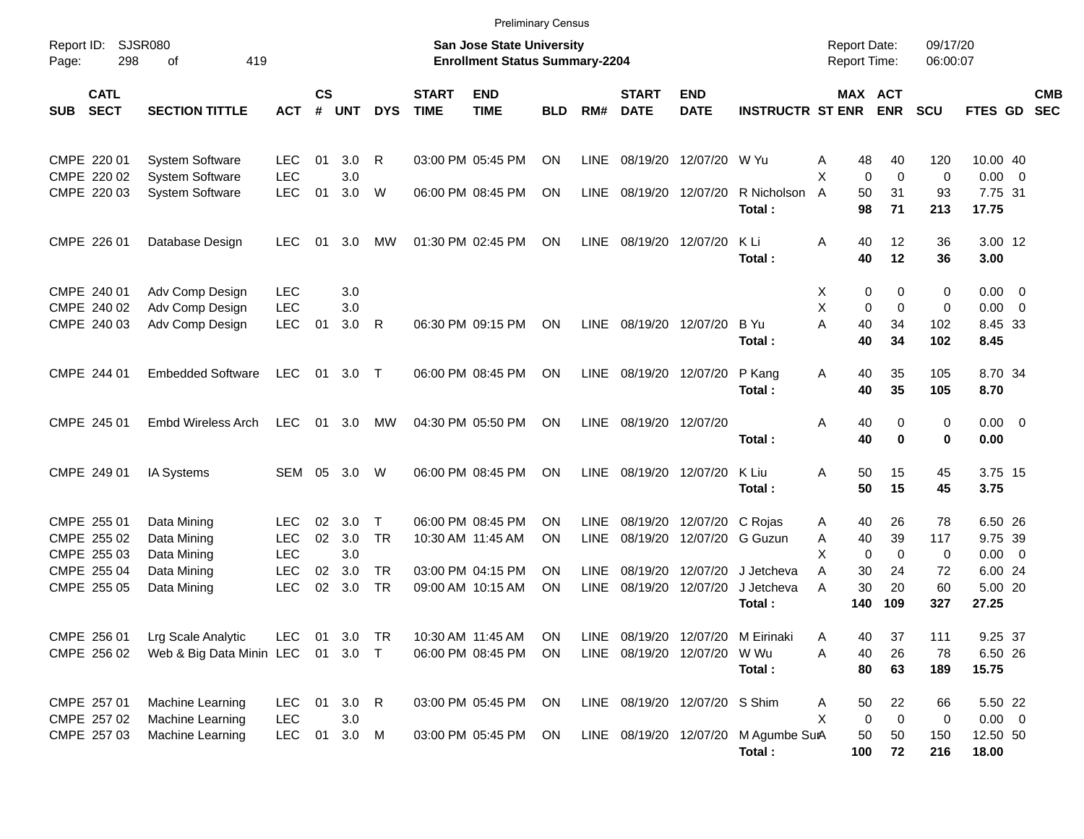|                     |                                           |                                                          |                                        |                    |                   |                        |                             | <b>Preliminary Census</b>                                                 |                        |                            |                                         |                           |                                                |                                     |                                        |                       |                                             |                                            |
|---------------------|-------------------------------------------|----------------------------------------------------------|----------------------------------------|--------------------|-------------------|------------------------|-----------------------------|---------------------------------------------------------------------------|------------------------|----------------------------|-----------------------------------------|---------------------------|------------------------------------------------|-------------------------------------|----------------------------------------|-----------------------|---------------------------------------------|--------------------------------------------|
| Report ID:<br>Page: | 298                                       | <b>SJSR080</b><br>419<br>οf                              |                                        |                    |                   |                        |                             | <b>San Jose State University</b><br><b>Enrollment Status Summary-2204</b> |                        |                            |                                         |                           |                                                | <b>Report Date:</b><br>Report Time: |                                        | 09/17/20<br>06:00:07  |                                             |                                            |
| SUB                 | <b>CATL</b><br><b>SECT</b>                | <b>SECTION TITTLE</b>                                    | <b>ACT</b>                             | $\mathsf{cs}$<br># | <b>UNT</b>        | <b>DYS</b>             | <b>START</b><br><b>TIME</b> | <b>END</b><br><b>TIME</b>                                                 | <b>BLD</b>             | RM#                        | <b>START</b><br><b>DATE</b>             | <b>END</b><br><b>DATE</b> | <b>INSTRUCTR ST ENR</b>                        |                                     | MAX ACT<br><b>ENR</b>                  | <b>SCU</b>            | FTES GD                                     | <b>CMB</b><br><b>SEC</b>                   |
|                     | CMPE 220 01<br>CMPE 220 02                | <b>System Software</b><br><b>System Software</b>         | <b>LEC</b><br><b>LEC</b>               | 01                 | 3.0<br>3.0        | R                      |                             | 03:00 PM 05:45 PM                                                         | ON                     | <b>LINE</b>                | 08/19/20                                | 12/07/20                  | W Yu                                           | Α<br>48<br>X                        | 40<br>0<br>$\mathbf 0$                 | 120<br>0              | 10.00 40<br>0.00                            | $\overline{\phantom{0}}$                   |
|                     | CMPE 220 03                               | <b>System Software</b>                                   | <b>LEC</b>                             | 01                 | 3.0               | W                      |                             | 06:00 PM 08:45 PM                                                         | ON                     | <b>LINE</b>                | 08/19/20                                | 12/07/20                  | R Nicholson<br>Total:                          | $\overline{A}$<br>50<br>98          | 31<br>71                               | 93<br>213             | 7.75 31<br>17.75                            |                                            |
|                     | CMPE 226 01                               | Database Design                                          | <b>LEC</b>                             | 01                 | 3.0               | MW                     |                             | 01:30 PM 02:45 PM                                                         | ΟN                     | <b>LINE</b>                | 08/19/20                                | 12/07/20                  | K Li<br>Total:                                 | Α<br>40<br>40                       | 12<br>12                               | 36<br>36              | 3.00 12<br>3.00                             |                                            |
|                     | CMPE 240 01<br>CMPE 240 02<br>CMPE 240 03 | Adv Comp Design<br>Adv Comp Design<br>Adv Comp Design    | <b>LEC</b><br><b>LEC</b><br><b>LEC</b> | 01                 | 3.0<br>3.0<br>3.0 | R                      |                             | 06:30 PM 09:15 PM                                                         | ON                     | LINE                       | 08/19/20 12/07/20                       |                           | B Yu<br>Total:                                 | X<br>X<br>A<br>40<br>40             | 0<br>0<br>0<br>$\mathbf 0$<br>34<br>34 | 0<br>0<br>102<br>102  | 0.00<br>0.00<br>8.45 33<br>8.45             | $\overline{\phantom{0}}$<br>$\overline{0}$ |
|                     | CMPE 244 01                               | <b>Embedded Software</b>                                 | LEC                                    | 01                 | 3.0               | $\top$                 |                             | 06:00 PM 08:45 PM                                                         | ON                     | LINE                       | 08/19/20                                | 12/07/20                  | P Kang<br>Total:                               | 40<br>Α<br>40                       | 35<br>35                               | 105<br>105            | 8.70 34<br>8.70                             |                                            |
|                     | CMPE 245 01                               | <b>Embd Wireless Arch</b>                                | LEC                                    | 01                 | 3.0               | <b>MW</b>              |                             | 04:30 PM 05:50 PM                                                         | ON                     | <b>LINE</b>                | 08/19/20 12/07/20                       |                           | Total:                                         | Α<br>40<br>40                       | 0<br>$\bf{0}$                          | 0<br>0                | $0.00 \t 0$<br>0.00                         |                                            |
|                     | CMPE 249 01                               | IA Systems                                               | SEM                                    | 05                 | 3.0               | W                      |                             | 06:00 PM 08:45 PM                                                         | ΟN                     | <b>LINE</b>                | 08/19/20                                | 12/07/20                  | K Liu<br>Total:                                | Α<br>50<br>50                       | 15<br>15                               | 45<br>45              | 3.75 15<br>3.75                             |                                            |
|                     | CMPE 255 01<br>CMPE 255 02<br>CMPE 255 03 | Data Mining<br>Data Mining<br>Data Mining                | <b>LEC</b><br><b>LEC</b><br><b>LEC</b> | 02<br>02           | 3.0<br>3.0<br>3.0 | $\top$<br><b>TR</b>    |                             | 06:00 PM 08:45 PM<br>10:30 AM 11:45 AM                                    | ΟN<br>ΟN               | <b>LINE</b><br><b>LINE</b> | 08/19/20<br>08/19/20                    | 12/07/20<br>12/07/20      | C Rojas<br>G Guzun                             | 40<br>A<br>40<br>A<br>X             | 26<br>39<br>0<br>$\mathbf 0$           | 78<br>117<br>0        | 6.50 26<br>9.75 39<br>0.00                  | $\overline{\phantom{0}}$                   |
|                     | CMPE 255 04<br>CMPE 255 05                | Data Mining<br>Data Mining                               | <b>LEC</b><br><b>LEC</b>               | 02<br>02           | 3.0<br>3.0        | <b>TR</b><br><b>TR</b> |                             | 03:00 PM 04:15 PM<br>09:00 AM 10:15 AM                                    | ON<br>ΟN               | <b>LINE</b><br><b>LINE</b> | 08/19/20<br>08/19/20                    | 12/07/20<br>12/07/20      | J Jetcheva<br>J Jetcheva<br>Total:             | A<br>30<br>30<br>A<br>140           | 24<br>20<br>109                        | 72<br>60<br>327       | 6.00 24<br>5.00 20<br>27.25                 |                                            |
|                     | CMPE 256 01<br>CMPE 256 02                | Lrg Scale Analytic<br>Web & Big Data Minin LEC           | <b>LEC</b>                             | 01<br>01           | 3.0<br>$3.0$ T    | TR                     |                             | 10:30 AM 11:45 AM<br>06:00 PM 08:45 PM                                    | <b>ON</b><br><b>ON</b> |                            | LINE 08/19/20 12/07/20<br>LINE 08/19/20 | 12/07/20                  | M Eirinaki<br>W Wu<br>Total:                   | Α<br>40<br>40<br>Α<br>80            | 37<br>26<br>63                         | 111<br>78<br>189      | 9.25 37<br>6.50 26<br>15.75                 |                                            |
|                     | CMPE 257 01<br>CMPE 257 02<br>CMPE 257 03 | Machine Learning<br>Machine Learning<br>Machine Learning | <b>LEC</b><br><b>LEC</b><br><b>LEC</b> | 01<br>01           | 3.0<br>3.0<br>3.0 | R<br>M                 |                             | 03:00 PM 05:45 PM<br>03:00 PM 05:45 PM                                    | ON<br>ON               |                            | LINE 08/19/20 12/07/20 S Shim           |                           | LINE 08/19/20 12/07/20 M Agumbe SurA<br>Total: | 50<br>A<br>X<br>50<br>100           | 22<br>0<br>0<br>50<br>72               | 66<br>0<br>150<br>216 | 5.50 22<br>$0.00 \t 0$<br>12.50 50<br>18.00 |                                            |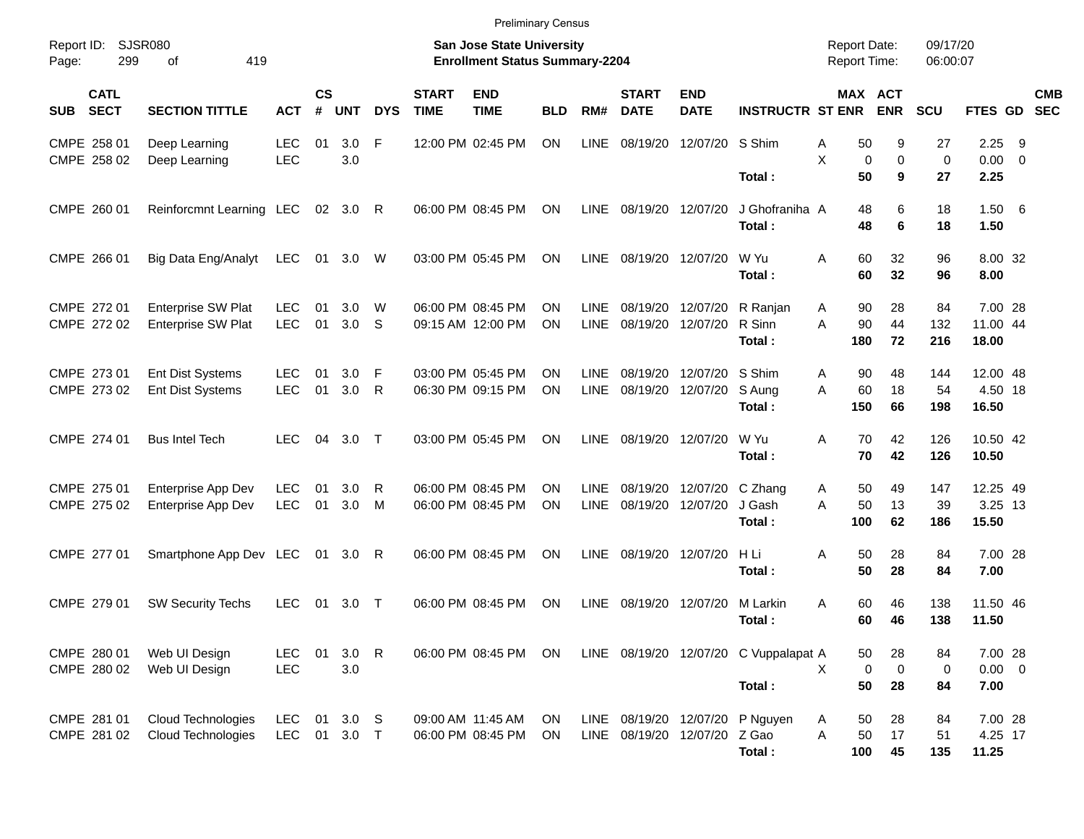|                                          |                                                        |                          |                |                      |            |                             | <b>Preliminary Census</b>                                                 |            |                            |                              |                              |                                                 |                                            |                       |                         |                                |    |                          |
|------------------------------------------|--------------------------------------------------------|--------------------------|----------------|----------------------|------------|-----------------------------|---------------------------------------------------------------------------|------------|----------------------------|------------------------------|------------------------------|-------------------------------------------------|--------------------------------------------|-----------------------|-------------------------|--------------------------------|----|--------------------------|
| Report ID:<br>299<br>Page:               | SJSR080<br>419<br>οf                                   |                          |                |                      |            |                             | <b>San Jose State University</b><br><b>Enrollment Status Summary-2204</b> |            |                            |                              |                              |                                                 | <b>Report Date:</b><br><b>Report Time:</b> |                       | 09/17/20<br>06:00:07    |                                |    |                          |
| <b>CATL</b><br><b>SECT</b><br><b>SUB</b> | <b>SECTION TITTLE</b>                                  | <b>ACT</b>               | <b>CS</b><br># | <b>UNT</b>           | <b>DYS</b> | <b>START</b><br><b>TIME</b> | <b>END</b><br><b>TIME</b>                                                 | <b>BLD</b> | RM#                        | <b>START</b><br><b>DATE</b>  | <b>END</b><br><b>DATE</b>    | <b>INSTRUCTR ST ENR</b>                         |                                            | MAX ACT<br><b>ENR</b> | SCU                     | <b>FTES GD</b>                 |    | <b>CMB</b><br><b>SEC</b> |
| CMPE 258 01<br>CMPE 258 02               | Deep Learning<br>Deep Learning                         | <b>LEC</b><br>LEC        | 01             | 3.0<br>3.0           | -F         |                             | 12:00 PM 02:45 PM                                                         | <b>ON</b>  | LINE                       | 08/19/20                     | 12/07/20 S Shim              | Total:                                          | 50<br>Α<br>X<br>$\mathbf 0$<br>50          | 9<br>$\mathbf 0$<br>9 | 27<br>$\mathbf 0$<br>27 | 2.25<br>$0.00 \t 0$<br>2.25    | -9 |                          |
| CMPE 260 01                              | Reinforcmnt Learning LEC                               |                          |                | 02 3.0 R             |            |                             | 06:00 PM 08:45 PM                                                         | ON         | <b>LINE</b>                | 08/19/20 12/07/20            |                              | J Ghofraniha A<br>Total:                        | 48<br>48                                   | 6<br>6                | 18<br>18                | 1.506<br>1.50                  |    |                          |
| CMPE 266 01                              | Big Data Eng/Analyt                                    | LEC                      |                | 01 3.0               | W          |                             | 03:00 PM 05:45 PM                                                         | ON         | <b>LINE</b>                | 08/19/20 12/07/20            |                              | W Yu<br>Total:                                  | 60<br>A<br>60                              | 32<br>32              | 96<br>96                | 8.00 32<br>8.00                |    |                          |
| CMPE 272 01<br>CMPE 272 02               | <b>Enterprise SW Plat</b><br><b>Enterprise SW Plat</b> | <b>LEC</b><br><b>LEC</b> | 01<br>01       | 3.0<br>3.0           | W<br>-S    |                             | 06:00 PM 08:45 PM<br>09:15 AM 12:00 PM                                    | ON<br>ON   | <b>LINE</b><br><b>LINE</b> | 08/19/20<br>08/19/20         | 12/07/20 R Sinn              | 12/07/20 R Ranjan<br>Total:                     | 90<br>A<br>A<br>90<br>180                  | 28<br>44<br>72        | 84<br>132<br>216        | 7.00 28<br>11.00 44<br>18.00   |    |                          |
| CMPE 273 01<br>CMPE 273 02               | Ent Dist Systems<br>Ent Dist Systems                   | <b>LEC</b><br><b>LEC</b> | 01<br>01       | 3.0<br>3.0           | -F<br>R    |                             | 03:00 PM 05:45 PM<br>06:30 PM 09:15 PM                                    | ON<br>ON   | <b>LINE</b><br><b>LINE</b> | 08/19/20<br>08/19/20         | 12/07/20 S Shim<br>12/07/20  | S Aung<br>Total:                                | 90<br>Α<br>A<br>60<br>150                  | 48<br>18<br>66        | 144<br>54<br>198        | 12.00 48<br>4.50 18<br>16.50   |    |                          |
| CMPE 274 01                              | <b>Bus Intel Tech</b>                                  | <b>LEC</b>               | 04             | $3.0$ T              |            |                             | 03:00 PM 05:45 PM                                                         | ON         | <b>LINE</b>                | 08/19/20 12/07/20            |                              | W Yu<br>Total:                                  | A<br>70<br>70                              | 42<br>42              | 126<br>126              | 10.50 42<br>10.50              |    |                          |
| CMPE 275 01<br>CMPE 275 02               | Enterprise App Dev<br>Enterprise App Dev               | <b>LEC</b><br><b>LEC</b> | 01<br>01       | 3.0<br>3.0           | R<br>M     |                             | 06:00 PM 08:45 PM<br>06:00 PM 08:45 PM                                    | ON<br>ON   | <b>LINE</b><br><b>LINE</b> | 08/19/20<br>08/19/20         | 12/07/20 C Zhang<br>12/07/20 | J Gash<br>Total:                                | 50<br>A<br>50<br>A<br>100                  | 49<br>13<br>62        | 147<br>39<br>186        | 12.25 49<br>3.25 13<br>15.50   |    |                          |
| CMPE 277 01                              | Smartphone App Dev LEC                                 |                          |                | 01 3.0 R             |            |                             | 06:00 PM 08:45 PM                                                         | ΟN         | <b>LINE</b>                |                              | 08/19/20 12/07/20 HLi        | Total:                                          | 50<br>A<br>50                              | 28<br>28              | 84<br>84                | 7.00 28<br>7.00                |    |                          |
| CMPE 279 01                              | <b>SW Security Techs</b>                               | <b>LEC</b>               | 01             | 3.0                  | $\top$     |                             | 06:00 PM 08:45 PM                                                         | ON         | <b>LINE</b>                | 08/19/20                     | 12/07/20                     | M Larkin<br>Total:                              | 60<br>Α<br>60                              | 46<br>46              | 138<br>138              | 11.50 46<br>11.50              |    |                          |
| CMPE 280 01<br>CMPE 280 02               | Web UI Design<br>Web UI Design                         | <b>LEC</b><br><b>LEC</b> | 01             | 3.0 R<br>3.0         |            |                             | 06:00 PM 08:45 PM ON                                                      |            |                            |                              |                              | LINE 08/19/20 12/07/20 C Vuppalapat A<br>Total: | 50<br>X<br>0<br>50                         | 28<br>0<br>28         | 84<br>0<br>84           | 7.00 28<br>$0.00 \t 0$<br>7.00 |    |                          |
| CMPE 281 01<br>CMPE 281 02               | <b>Cloud Technologies</b><br>Cloud Technologies        | LEC<br><b>LEC</b>        |                | 01 3.0 S<br>01 3.0 T |            |                             | 09:00 AM 11:45 AM<br>06:00 PM 08:45 PM                                    | ON<br>ON   |                            | LINE 08/19/20 12/07/20 Z Gao |                              | LINE 08/19/20 12/07/20 P Nguyen<br>Total:       | 50<br>A<br>A<br>50<br>100                  | 28<br>17<br>45        | 84<br>51<br>135         | 7.00 28<br>4.25 17<br>11.25    |    |                          |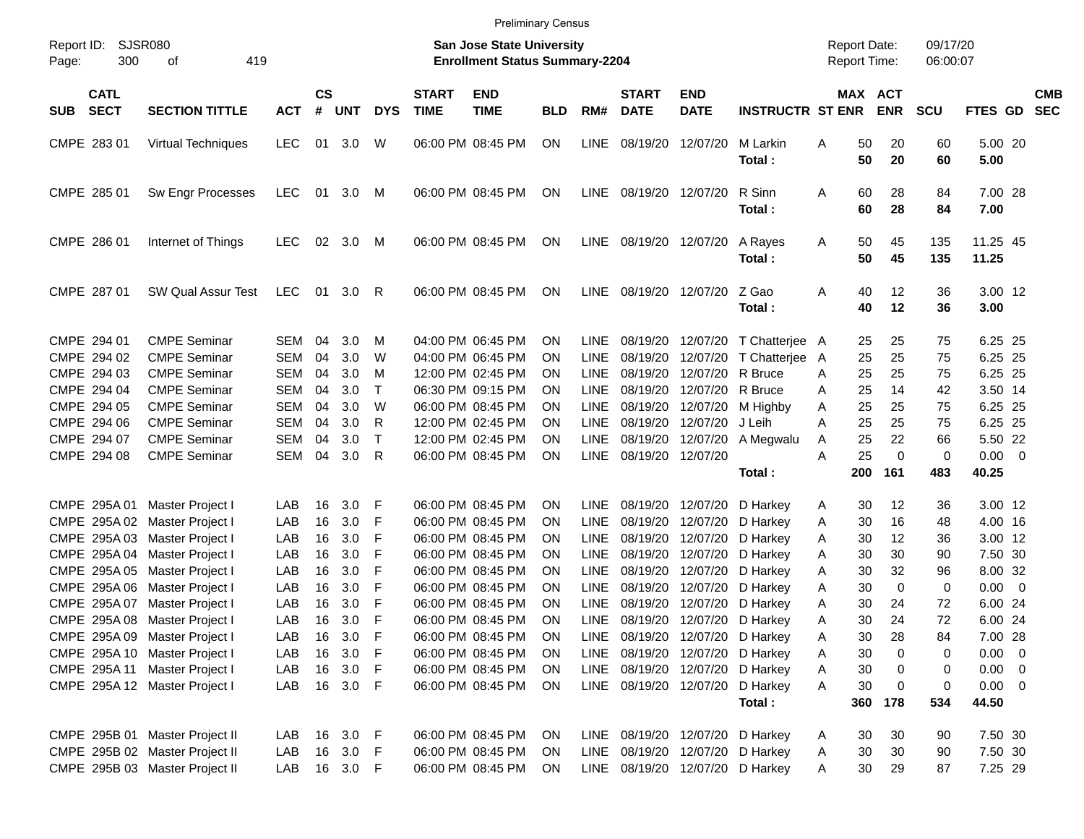| <b>Preliminary Census</b> |  |
|---------------------------|--|
|---------------------------|--|

| Report ID:<br>300<br>Page:               | SJSR080<br>419<br>οf                       |                   |                    |            |              |                             | San Jose State University<br><b>Enrollment Status Summary-2204</b> |            |                            |                                 |                           |                                                  | <b>Report Date:</b><br><b>Report Time:</b> |             | 09/17/20<br>06:00:07 |                    |                          |
|------------------------------------------|--------------------------------------------|-------------------|--------------------|------------|--------------|-----------------------------|--------------------------------------------------------------------|------------|----------------------------|---------------------------------|---------------------------|--------------------------------------------------|--------------------------------------------|-------------|----------------------|--------------------|--------------------------|
| <b>CATL</b><br><b>SECT</b><br><b>SUB</b> | <b>SECTION TITTLE</b>                      | <b>ACT</b>        | $\mathsf{cs}$<br># | <b>UNT</b> | <b>DYS</b>   | <b>START</b><br><b>TIME</b> | <b>END</b><br><b>TIME</b>                                          | <b>BLD</b> | RM#                        | <b>START</b><br><b>DATE</b>     | <b>END</b><br><b>DATE</b> | <b>INSTRUCTR ST ENR</b>                          | MAX ACT                                    | <b>ENR</b>  | SCU                  | <b>FTES GD</b>     | <b>CMB</b><br><b>SEC</b> |
| CMPE 283 01                              | <b>Virtual Techniques</b>                  | <b>LEC</b>        | 01                 | 3.0        | W            |                             | 06:00 PM 08:45 PM                                                  | ON         | <b>LINE</b>                | 08/19/20                        | 12/07/20                  | M Larkin<br>Total:                               | Α<br>50<br>50                              | 20<br>20    | 60<br>60             | 5.00 20<br>5.00    |                          |
| CMPE 285 01                              | Sw Engr Processes                          | <b>LEC</b>        | 01                 | 3.0        | M            |                             | 06:00 PM 08:45 PM                                                  | ON         | LINE                       | 08/19/20 12/07/20               |                           | R Sinn<br>Total:                                 | 60<br>A<br>60                              | 28<br>28    | 84<br>84             | 7.00 28<br>7.00    |                          |
| CMPE 286 01                              | Internet of Things                         | <b>LEC</b>        | 02                 | 3.0        | M            |                             | 06:00 PM 08:45 PM                                                  | ON         | LINE                       | 08/19/20 12/07/20               |                           | A Rayes<br>Total:                                | Α<br>50<br>50                              | 45<br>45    | 135<br>135           | 11.25 45<br>11.25  |                          |
| CMPE 287 01                              | <b>SW Qual Assur Test</b>                  | <b>LEC</b>        | 01                 | 3.0        | R            |                             | 06:00 PM 08:45 PM                                                  | ΟN         | <b>LINE</b>                | 08/19/20 12/07/20               |                           | Z Gao<br>Total:                                  | Α<br>40<br>40                              | 12<br>12    | 36<br>36             | 3.00 12<br>3.00    |                          |
| CMPE 294 01<br>CMPE 294 02               | <b>CMPE Seminar</b><br><b>CMPE Seminar</b> | SEM<br><b>SEM</b> | 04<br>04           | 3.0<br>3.0 | M<br>W       |                             | 04:00 PM 06:45 PM<br>04:00 PM 06:45 PM                             | ΟN<br>ΟN   | <b>LINE</b><br><b>LINE</b> | 08/19/20                        | 12/07/20                  | 08/19/20 12/07/20 T Chatterjee A<br>T Chatteriee | 25<br>25<br>A                              | 25<br>25    | 75<br>75             | 6.25 25<br>6.25 25 |                          |
| CMPE 294 03                              | <b>CMPE Seminar</b>                        | <b>SEM</b>        | 04                 | 3.0        | M            |                             | 12:00 PM 02:45 PM                                                  | ΟN         | LINE                       | 08/19/20                        | 12/07/20                  | R Bruce                                          | 25<br>A                                    | 25          | 75                   | 6.25 25            |                          |
| CMPE 294 04                              | <b>CMPE Seminar</b>                        | <b>SEM</b>        | 04                 | 3.0        | $\mathsf{T}$ |                             | 06:30 PM 09:15 PM                                                  | ΟN         | LINE                       | 08/19/20                        | 12/07/20                  | R Bruce                                          | 25<br>A                                    | 14          | 42                   | 3.50 14            |                          |
| CMPE 294 05                              | <b>CMPE Seminar</b>                        | <b>SEM</b>        | 04                 | 3.0        | W            |                             | 06:00 PM 08:45 PM                                                  | ΟN         | <b>LINE</b>                | 08/19/20                        | 12/07/20                  | M Highby                                         | 25<br>A                                    | 25          | 75                   | 6.25 25            |                          |
| CMPE 294 06                              | <b>CMPE Seminar</b>                        | <b>SEM</b>        | 04                 | 3.0        | R            |                             | 12:00 PM 02:45 PM                                                  | ΟN         | LINE                       | 08/19/20                        | 12/07/20                  | J Leih                                           | 25<br>Α                                    | 25          | 75                   | 6.25 25            |                          |
| CMPE 294 07                              | <b>CMPE Seminar</b>                        | <b>SEM</b>        | 04                 | 3.0        | $\mathsf{T}$ |                             | 12:00 PM 02:45 PM                                                  | ΟN         | <b>LINE</b>                | 08/19/20                        | 12/07/20                  | A Megwalu                                        | 25<br>Α                                    | 22          | 66                   | 5.50 22            |                          |
| CMPE 294 08                              | <b>CMPE Seminar</b>                        | <b>SEM</b>        | 04                 | 3.0        | R            |                             | 06:00 PM 08:45 PM                                                  | ΟN         | LINE                       | 08/19/20 12/07/20               |                           |                                                  | Α<br>25                                    | $\Omega$    | 0                    | $0.00 \t 0$        |                          |
|                                          |                                            |                   |                    |            |              |                             |                                                                    |            |                            |                                 |                           | Total:                                           | 200                                        | 161         | 483                  | 40.25              |                          |
|                                          | CMPE 295A 01 Master Project I              | LAB               | 16                 | 3.0        | -F           |                             | 06:00 PM 08:45 PM                                                  | ΟN         | <b>LINE</b>                | 08/19/20 12/07/20               |                           | D Harkey                                         | 30<br>Α                                    | 12          | 36                   | 3.00 12            |                          |
|                                          | CMPE 295A 02 Master Project I              | LAB               | 16                 | 3.0        | F            |                             | 06:00 PM 08:45 PM                                                  | ΟN         | <b>LINE</b>                | 08/19/20                        | 12/07/20                  | D Harkey                                         | 30<br>Α                                    | 16          | 48                   | 4.00 16            |                          |
|                                          | CMPE 295A 03 Master Project I              | LAB               | 16                 | 3.0        | F            |                             | 06:00 PM 08:45 PM                                                  | ΟN         | <b>LINE</b>                | 08/19/20                        | 12/07/20                  | D Harkey                                         | 30<br>A                                    | 12          | 36                   | 3.00 12            |                          |
|                                          | CMPE 295A 04 Master Project I              | LAB               | 16                 | 3.0        | F            |                             | 06:00 PM 08:45 PM                                                  | ΟN         | <b>LINE</b>                | 08/19/20 12/07/20               |                           | D Harkey                                         | 30<br>A                                    | 30          | 90                   | 7.50 30            |                          |
|                                          | CMPE 295A 05 Master Project I              | LAB               | 16                 | 3.0        | F            |                             | 06:00 PM 08:45 PM                                                  | ΟN         | <b>LINE</b>                | 08/19/20                        | 12/07/20                  | D Harkey                                         | 30<br>Α                                    | 32          | 96                   | 8.00 32            |                          |
|                                          | CMPE 295A 06 Master Project I              | LAB               | 16                 | 3.0        | F            |                             | 06:00 PM 08:45 PM                                                  | ΟN         | <b>LINE</b>                | 08/19/20                        | 12/07/20                  | D Harkey                                         | 30<br>Α                                    | $\mathbf 0$ | 0                    | $0.00 \ 0$         |                          |
|                                          | CMPE 295A 07 Master Project I              | LAB               | 16                 | 3.0        | F            |                             | 06:00 PM 08:45 PM                                                  | ΟN         | <b>LINE</b>                | 08/19/20                        | 12/07/20                  | D Harkey                                         | 30<br>Α                                    | 24          | 72                   | 6.00 24            |                          |
| CMPE 295A 08                             | Master Project I                           | LAB               | 16                 | 3.0        | F            |                             | 06:00 PM 08:45 PM                                                  | ΟN         | LINE                       | 08/19/20                        | 12/07/20                  | D Harkey                                         | 30<br>A                                    | 24          | 72                   | 6.00 24            |                          |
|                                          | CMPE 295A 09 Master Project I              | LAB               | 16                 | 3.0        | F            |                             | 06:00 PM 08:45 PM                                                  | ΟN         | <b>LINE</b>                | 08/19/20 12/07/20               |                           | D Harkey                                         | 30<br>Α                                    | 28          | 84                   | 7.00 28            |                          |
|                                          | CMPE 295A 10 Master Project I              | LAB               |                    | 16 3.0 F   |              |                             | 06:00 PM 08:45 PM                                                  | ON         |                            | LINE 08/19/20 12/07/20          |                           | D Harkey                                         | Α<br>30                                    | 0           | 0                    | $0.00 \t 0$        |                          |
|                                          | CMPE 295A 11 Master Project I              | LAB               | 16                 | 3.0 F      |              |                             | 06:00 PM 08:45 PM                                                  | <b>ON</b>  |                            | LINE 08/19/20 12/07/20          |                           | D Harkey                                         | 30<br>Α                                    | 0           | 0                    | $0.00 \t 0$        |                          |
|                                          | CMPE 295A 12 Master Project I              | LAB               |                    | 16 3.0 F   |              |                             | 06:00 PM 08:45 PM                                                  | ON         |                            | LINE 08/19/20 12/07/20          |                           | D Harkey                                         | 30<br>A                                    | 0           | 0                    | $0.00 \t 0$        |                          |
|                                          |                                            |                   |                    |            |              |                             |                                                                    |            |                            |                                 |                           | Total:                                           |                                            | 360 178     | 534                  | 44.50              |                          |
|                                          | CMPE 295B 01 Master Project II             | LAB               |                    | 16 3.0 F   |              |                             | 06:00 PM 08:45 PM                                                  | <b>ON</b>  |                            | LINE 08/19/20 12/07/20          |                           | D Harkey                                         | 30<br>A                                    | 30          | 90                   | 7.50 30            |                          |
|                                          | CMPE 295B 02 Master Project II             | LAB               |                    | 16 3.0 F   |              |                             | 06:00 PM 08:45 PM                                                  | <b>ON</b>  |                            | LINE 08/19/20 12/07/20 D Harkey |                           |                                                  | 30<br>Α                                    | 30          | 90                   | 7.50 30            |                          |
|                                          | CMPE 295B 03 Master Project II             | LAB               |                    | 16 3.0 F   |              |                             | 06:00 PM 08:45 PM                                                  | ON         |                            | LINE 08/19/20 12/07/20 D Harkey |                           |                                                  | 30<br>Α                                    | 29          | 87                   | 7.25 29            |                          |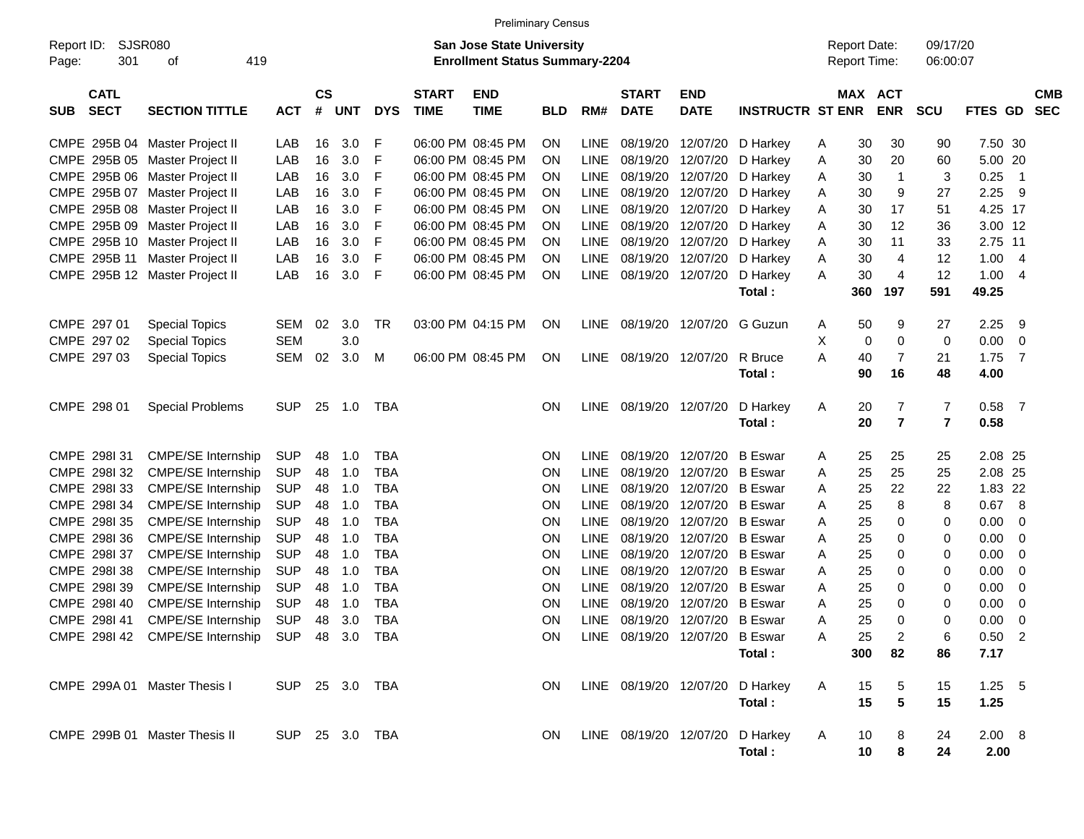|                                          |                                                |                |                    |            |            |                             | <b>Preliminary Census</b>                                                 |            |             |                             |                                |                                 |   |                                     |                |                      |            |                |                          |
|------------------------------------------|------------------------------------------------|----------------|--------------------|------------|------------|-----------------------------|---------------------------------------------------------------------------|------------|-------------|-----------------------------|--------------------------------|---------------------------------|---|-------------------------------------|----------------|----------------------|------------|----------------|--------------------------|
| Report ID:<br>301<br>Page:               | SJSR080<br>419<br>οf                           |                |                    |            |            |                             | <b>San Jose State University</b><br><b>Enrollment Status Summary-2204</b> |            |             |                             |                                |                                 |   | <b>Report Date:</b><br>Report Time: |                | 09/17/20<br>06:00:07 |            |                |                          |
| <b>CATL</b><br><b>SECT</b><br><b>SUB</b> | <b>SECTION TITTLE</b>                          | <b>ACT</b>     | $\mathsf{cs}$<br># | <b>UNT</b> | <b>DYS</b> | <b>START</b><br><b>TIME</b> | <b>END</b><br><b>TIME</b>                                                 | <b>BLD</b> | RM#         | <b>START</b><br><b>DATE</b> | <b>END</b><br><b>DATE</b>      | <b>INSTRUCTR ST ENR</b>         |   | MAX ACT                             | <b>ENR</b>     | <b>SCU</b>           | FTES GD    |                | <b>CMB</b><br><b>SEC</b> |
|                                          | CMPE 295B 04 Master Project II                 | LAB            | 16                 | 3.0        | F          |                             | 06:00 PM 08:45 PM                                                         | ON.        | <b>LINE</b> | 08/19/20                    | 12/07/20                       | D Harkey                        | A | 30                                  | 30             | 90                   | 7.50 30    |                |                          |
| CMPE 295B 05                             | Master Project II                              | LAB            | 16                 | 3.0        | F          |                             | 06:00 PM 08:45 PM                                                         | <b>ON</b>  | <b>LINE</b> | 08/19/20                    | 12/07/20                       | D Harkey                        | Α | 30                                  | 20             | 60                   | 5.00 20    |                |                          |
| CMPE 295B 06                             | Master Project II                              | LAB            | 16                 | 3.0        | F          |                             | 06:00 PM 08:45 PM                                                         | <b>ON</b>  | <b>LINE</b> | 08/19/20                    | 12/07/20                       | D Harkey                        | A | 30                                  | $\overline{1}$ | 3                    | 0.25       | - 1            |                          |
| CMPE 295B 07                             | Master Project II                              | LAB            | 16                 | 3.0        | F          |                             | 06:00 PM 08:45 PM                                                         | <b>ON</b>  | <b>LINE</b> | 08/19/20                    | 12/07/20                       | D Harkey                        | A | 30                                  | 9              | 27                   | 2.25       | - 9            |                          |
|                                          | CMPE 295B 08 Master Project II                 | LAB            | 16                 | 3.0        | F          |                             | 06:00 PM 08:45 PM                                                         | <b>ON</b>  | <b>LINE</b> | 08/19/20                    | 12/07/20                       | D Harkey                        | Α | 30                                  | 17             | 51                   | 4.25 17    |                |                          |
|                                          | CMPE 295B 09 Master Project II                 | LAB            | 16                 | 3.0        | F          |                             | 06:00 PM 08:45 PM                                                         | <b>ON</b>  | <b>LINE</b> | 08/19/20                    | 12/07/20                       | D Harkey                        | Α | 30                                  | 12             | 36                   | 3.00 12    |                |                          |
|                                          | CMPE 295B 10 Master Project II                 | LAB            | 16                 | 3.0        | F          |                             | 06:00 PM 08:45 PM                                                         | <b>ON</b>  | <b>LINE</b> | 08/19/20                    | 12/07/20                       | D Harkey                        | Α | 30                                  | 11             | 33                   | 2.75 11    |                |                          |
| CMPE 295B 11                             | Master Project II                              | LAB            | 16                 | 3.0        | F          |                             | 06:00 PM 08:45 PM                                                         | <b>ON</b>  | <b>LINE</b> | 08/19/20                    | 12/07/20                       | D Harkey                        | Α | 30                                  | 4              | 12                   | 1.00       | $\overline{4}$ |                          |
|                                          | CMPE 295B 12 Master Project II                 | LAB            | 16                 | 3.0        | F          |                             | 06:00 PM 08:45 PM                                                         | ON         | LINE        | 08/19/20                    | 12/07/20                       | D Harkey                        | A | 30                                  | 4              | 12                   | 1.00       | 4              |                          |
|                                          |                                                |                |                    |            |            |                             |                                                                           |            |             |                             |                                | Total:                          |   | 360                                 | 197            | 591                  | 49.25      |                |                          |
| CMPE 297 01                              | <b>Special Topics</b>                          | <b>SEM</b>     | 02                 | 3.0        | TR         |                             | 03:00 PM 04:15 PM                                                         | <b>ON</b>  | LINE        | 08/19/20                    | 12/07/20                       | G Guzun                         | A | 50                                  | 9              | 27                   | 2.25       | - 9            |                          |
| CMPE 297 02                              | <b>Special Topics</b>                          | <b>SEM</b>     |                    | 3.0        |            |                             |                                                                           |            |             |                             |                                |                                 | X | 0                                   | 0              | 0                    | 0.00       | 0              |                          |
| CMPE 297 03                              | <b>Special Topics</b>                          | <b>SEM</b>     | 02                 | 3.0        | м          |                             | 06:00 PM 08:45 PM                                                         | <b>ON</b>  | LINE        | 08/19/20 12/07/20           |                                | R Bruce                         | A | 40                                  | $\overline{7}$ | 21                   | 1.75       | - 7            |                          |
|                                          |                                                |                |                    |            |            |                             |                                                                           |            |             |                             |                                | Total:                          |   | 90                                  | 16             | 48                   | 4.00       |                |                          |
| CMPE 298 01                              | <b>Special Problems</b>                        | <b>SUP</b>     | 25                 | 1.0        | <b>TBA</b> |                             |                                                                           | <b>ON</b>  | LINE        | 08/19/20 12/07/20           |                                | D Harkey                        | Α | 20                                  | 7              | $\overline{7}$       | 0.58       | $\overline{7}$ |                          |
|                                          |                                                |                |                    |            |            |                             |                                                                           |            |             |                             |                                | Total:                          |   | 20                                  | $\overline{7}$ | $\overline{7}$       | 0.58       |                |                          |
| CMPE 298131                              | <b>CMPE/SE Internship</b>                      | <b>SUP</b>     | 48                 | 1.0        | <b>TBA</b> |                             |                                                                           | ON         | LINE        | 08/19/20                    | 12/07/20                       | <b>B</b> Eswar                  | A | 25                                  | 25             | 25                   | 2.08 25    |                |                          |
| CMPE 298132                              | <b>CMPE/SE Internship</b>                      | <b>SUP</b>     | 48                 | 1.0        | <b>TBA</b> |                             |                                                                           | ON         | <b>LINE</b> | 08/19/20                    | 12/07/20                       | <b>B</b> Eswar                  | A | 25                                  | 25             | 25                   | 2.08       | - 25           |                          |
| CMPE 2981 33                             | <b>CMPE/SE Internship</b>                      | <b>SUP</b>     | 48                 | 1.0        | <b>TBA</b> |                             |                                                                           | ON         | <b>LINE</b> | 08/19/20                    | 12/07/20                       | <b>B</b> Eswar                  | A | 25                                  | 22             | 22                   | 1.83 22    |                |                          |
| CMPE 298134                              | <b>CMPE/SE Internship</b>                      | <b>SUP</b>     | 48                 | 1.0        | <b>TBA</b> |                             |                                                                           | ON         | <b>LINE</b> | 08/19/20                    | 12/07/20                       | <b>B</b> Eswar                  | A | 25                                  | 8              | 8                    | 0.67       | -8             |                          |
| CMPE 2981 35                             | <b>CMPE/SE Internship</b>                      | <b>SUP</b>     | 48                 | 1.0        | <b>TBA</b> |                             |                                                                           | ON         | <b>LINE</b> | 08/19/20                    | 12/07/20                       | <b>B</b> Eswar                  | A | 25                                  | 0              | 0                    | 0.00       | 0              |                          |
| CMPE 298136                              | <b>CMPE/SE Internship</b>                      | <b>SUP</b>     | 48                 | 1.0        | <b>TBA</b> |                             |                                                                           | ON         | <b>LINE</b> | 08/19/20                    | 12/07/20                       | <b>B</b> Eswar                  | A | 25                                  | 0              | 0                    | 0.00       | 0              |                          |
| CMPE 298137                              | <b>CMPE/SE Internship</b>                      | <b>SUP</b>     | 48                 | 1.0        | <b>TBA</b> |                             |                                                                           | ON         | <b>LINE</b> | 08/19/20                    | 12/07/20                       | <b>B</b> Eswar                  | A | 25                                  | 0              | 0                    | 0.00       | 0              |                          |
| CMPE 298138                              | CMPE/SE Internship                             | <b>SUP</b>     | 48                 | 1.0        | <b>TBA</b> |                             |                                                                           | ON         | <b>LINE</b> | 08/19/20                    | 12/07/20                       | <b>B</b> Eswar                  | A | 25                                  | 0              | 0                    | 0.00       | 0              |                          |
| CMPE 298I 39                             | <b>CMPE/SE Internship</b>                      | <b>SUP</b>     | 48                 | 1.0        | <b>TBA</b> |                             |                                                                           | ON         | <b>LINE</b> | 08/19/20                    | 12/07/20                       | <b>B</b> Eswar                  | A | 25                                  | 0              | 0                    | 0.00       | 0              |                          |
| CMPE 2981 40                             | <b>CMPE/SE Internship</b>                      | <b>SUP</b>     | 48                 | 1.0        | <b>TBA</b> |                             |                                                                           | ON         | <b>LINE</b> | 08/19/20                    | 12/07/20                       | <b>B</b> Eswar                  | A | 25                                  | 0              | 0                    | 0.00       | 0              |                          |
| CMPE 298141                              | <b>CMPE/SE Internship</b>                      | <b>SUP</b>     | 48                 | 3.0        | <b>TBA</b> |                             |                                                                           | <b>ON</b>  | LINE        | 08/19/20                    | 12/07/20 B Eswar               |                                 | A | 25                                  | 0              | 0                    | 0.00       | 0              |                          |
|                                          | CMPE 298I 42 CMPE/SE Internship SUP 48 3.0 TBA |                |                    |            |            |                             |                                                                           | ON.        |             |                             | LINE 08/19/20 12/07/20 B Eswar |                                 | A | 25                                  | $\overline{c}$ | 6                    | $0.50$ 2   |                |                          |
|                                          |                                                |                |                    |            |            |                             |                                                                           |            |             |                             |                                | Total:                          |   | 300                                 | 82             | 86                   | 7.17       |                |                          |
| CMPE 299A 01 Master Thesis I             |                                                | SUP 25 3.0 TBA |                    |            |            |                             |                                                                           | <b>ON</b>  |             |                             |                                | LINE 08/19/20 12/07/20 D Harkey | A | 15                                  | 5              | 15                   | $1.25 - 5$ |                |                          |
|                                          |                                                |                |                    |            |            |                             |                                                                           |            |             |                             |                                | Total:                          |   | 15                                  | 5              | 15                   | 1.25       |                |                          |
|                                          | CMPE 299B 01 Master Thesis II                  | SUP 25 3.0 TBA |                    |            |            |                             |                                                                           | <b>ON</b>  |             |                             |                                | LINE 08/19/20 12/07/20 D Harkey | A | 10                                  | 8              | 24                   | 2.00 8     |                |                          |
|                                          |                                                |                |                    |            |            |                             |                                                                           |            |             |                             |                                | Total:                          |   | 10                                  | 8              | 24                   | 2.00       |                |                          |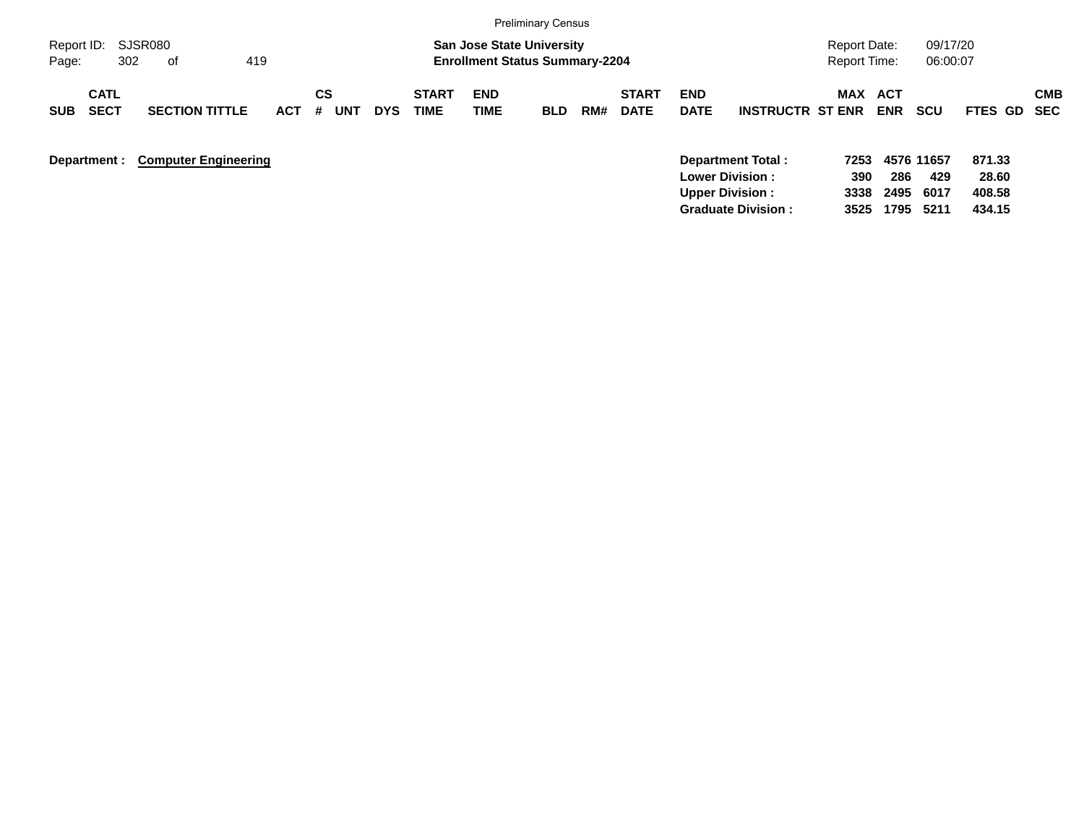|                                          |                             |            |                              |            |                             |                                                                           | <b>Preliminary Census</b> |     |                             |                           |                                                                                                    |                                            |                     |                                   |                                     |                   |
|------------------------------------------|-----------------------------|------------|------------------------------|------------|-----------------------------|---------------------------------------------------------------------------|---------------------------|-----|-----------------------------|---------------------------|----------------------------------------------------------------------------------------------------|--------------------------------------------|---------------------|-----------------------------------|-------------------------------------|-------------------|
| Report ID:<br>302<br>Page:               | SJSR080<br>419<br>of        |            |                              |            |                             | <b>San Jose State University</b><br><b>Enrollment Status Summary-2204</b> |                           |     |                             |                           |                                                                                                    | <b>Report Date:</b><br><b>Report Time:</b> |                     | 09/17/20<br>06:00:07              |                                     |                   |
| <b>CATL</b><br><b>SECT</b><br><b>SUB</b> | <b>SECTION TITTLE</b>       | <b>ACT</b> | <b>CS</b><br>#<br><b>UNT</b> | <b>DYS</b> | <b>START</b><br><b>TIME</b> | <b>END</b><br><b>TIME</b>                                                 | <b>BLD</b>                | RM# | <b>START</b><br><b>DATE</b> | <b>END</b><br><b>DATE</b> | <b>INSTRUCTR ST ENR</b>                                                                            | MAX                                        | ACT<br><b>ENR</b>   | <b>SCU</b>                        | FTES GD                             | <b>CMB</b><br>SEC |
| Department :                             | <b>Computer Engineering</b> |            |                              |            |                             |                                                                           |                           |     |                             |                           | Department Total:<br><b>Lower Division:</b><br><b>Upper Division:</b><br><b>Graduate Division:</b> | 7253<br>390<br>3338<br>3525                | 286<br>2495<br>1795 | 4576 11657<br>429<br>6017<br>5211 | 871.33<br>28.60<br>408.58<br>434.15 |                   |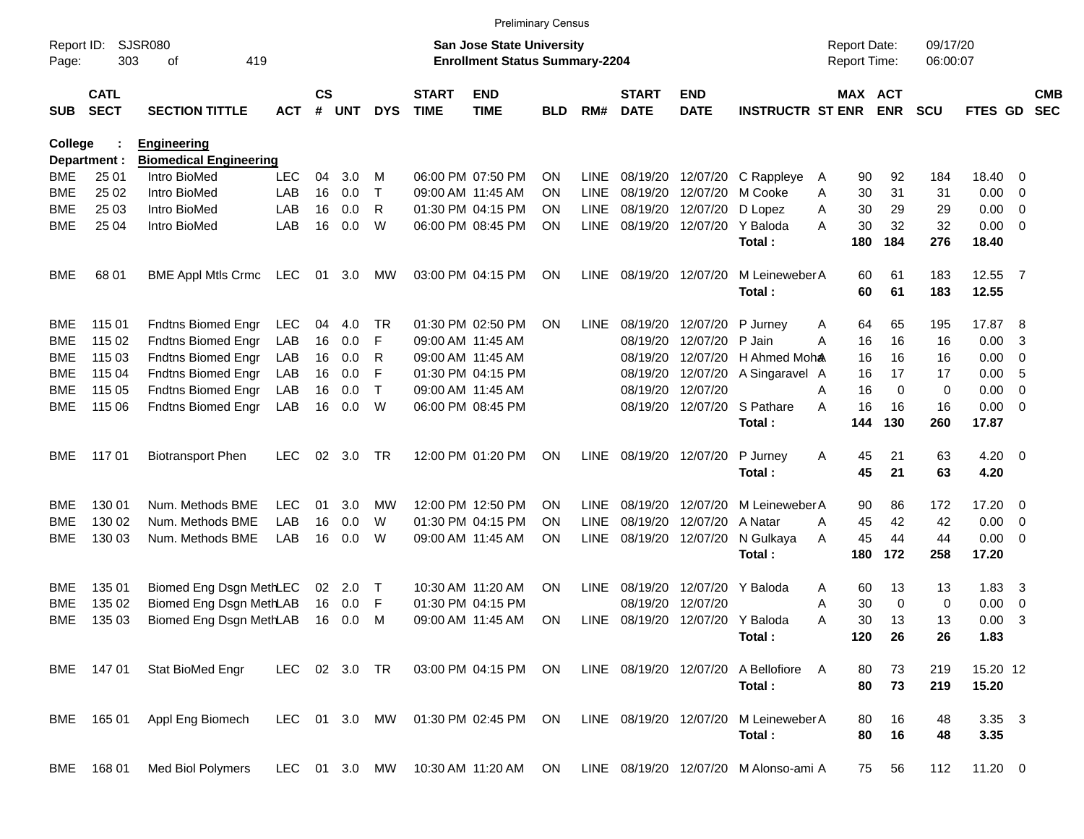|                     |                            |                               |               |                    |            |              |                             |                                                                           | <b>Preliminary Census</b> |             |                             |                           |                                       |                                     |             |                      |                  |                          |                          |
|---------------------|----------------------------|-------------------------------|---------------|--------------------|------------|--------------|-----------------------------|---------------------------------------------------------------------------|---------------------------|-------------|-----------------------------|---------------------------|---------------------------------------|-------------------------------------|-------------|----------------------|------------------|--------------------------|--------------------------|
| Report ID:<br>Page: | 303                        | SJSR080<br>419<br>οf          |               |                    |            |              |                             | <b>San Jose State University</b><br><b>Enrollment Status Summary-2204</b> |                           |             |                             |                           |                                       | <b>Report Date:</b><br>Report Time: |             | 09/17/20<br>06:00:07 |                  |                          |                          |
| <b>SUB</b>          | <b>CATL</b><br><b>SECT</b> | <b>SECTION TITTLE</b>         | <b>ACT</b>    | $\mathsf{cs}$<br># | <b>UNT</b> | <b>DYS</b>   | <b>START</b><br><b>TIME</b> | <b>END</b><br><b>TIME</b>                                                 | <b>BLD</b>                | RM#         | <b>START</b><br><b>DATE</b> | <b>END</b><br><b>DATE</b> | <b>INSTRUCTR ST ENR</b>               | MAX ACT                             | <b>ENR</b>  | <b>SCU</b>           | FTES GD          |                          | <b>CMB</b><br><b>SEC</b> |
| College             |                            | <b>Engineering</b>            |               |                    |            |              |                             |                                                                           |                           |             |                             |                           |                                       |                                     |             |                      |                  |                          |                          |
|                     | Department :               | <b>Biomedical Engineering</b> |               |                    |            |              |                             |                                                                           |                           |             |                             |                           |                                       |                                     |             |                      |                  |                          |                          |
| <b>BME</b>          | 25 01                      | Intro BioMed                  | <b>LEC</b>    | 04                 | 3.0        | M            |                             | 06:00 PM 07:50 PM                                                         | <b>ON</b>                 | LINE        |                             | 08/19/20 12/07/20         | C Rappleye                            | 90<br>A                             | 92          | 184                  | 18.40 0          |                          |                          |
| <b>BME</b>          | 25 02                      | Intro BioMed                  | LAB           | 16                 | 0.0        | Τ            |                             | 09:00 AM 11:45 AM                                                         | <b>ON</b>                 | LINE        | 08/19/20                    | 12/07/20                  | M Cooke                               | 30<br>A                             | 31          | 31                   | 0.00             | $\overline{\mathbf{0}}$  |                          |
| <b>BME</b>          | 25 03                      | Intro BioMed                  | LAB           | 16                 | 0.0        | R            |                             | 01:30 PM 04:15 PM                                                         | <b>ON</b>                 | <b>LINE</b> |                             | 08/19/20 12/07/20         | D Lopez                               | Α<br>30                             | 29          | 29                   | 0.00             | $\overline{\mathbf{0}}$  |                          |
| <b>BME</b>          | 25 04                      | Intro BioMed                  | LAB           | 16                 | 0.0        | W            |                             | 06:00 PM 08:45 PM                                                         | <b>ON</b>                 | LINE        |                             | 08/19/20 12/07/20         | Y Baloda<br>Total:                    | 30<br>Α<br>180                      | 32<br>184   | 32<br>276            | 0.00<br>18.40    | $\overline{\phantom{0}}$ |                          |
| <b>BME</b>          | 68 01                      | <b>BME Appl Mtls Crmc</b>     | LEC           | 01                 | 3.0        | <b>MW</b>    |                             | 03:00 PM 04:15 PM                                                         | <b>ON</b>                 | LINE        |                             | 08/19/20 12/07/20         | M Leineweber A<br>Total:              | 60<br>60                            | 61<br>61    | 183<br>183           | 12.55 7<br>12.55 |                          |                          |
|                     |                            |                               |               |                    |            |              |                             |                                                                           |                           |             |                             |                           |                                       |                                     |             |                      |                  |                          |                          |
| <b>BME</b>          | 115 01                     | <b>Fndtns Biomed Engr</b>     | LEC           | 04                 | 4.0        | TR           |                             | 01:30 PM 02:50 PM                                                         | <b>ON</b>                 | LINE        | 08/19/20                    | 12/07/20                  | P Jurney                              | 64<br>Α                             | 65          | 195                  | 17.87            | - 8                      |                          |
| <b>BME</b>          | 115 02                     | Fndtns Biomed Engr            | LAB           | 16                 | 0.0        | F            |                             | 09:00 AM 11:45 AM                                                         |                           |             | 08/19/20                    | 12/07/20                  | P Jain                                | 16<br>Α                             | 16          | 16                   | 0.00             | 3                        |                          |
| <b>BME</b>          | 115 03                     | Fndtns Biomed Engr            | LAB           | 16                 | 0.0        | R            |                             | 09:00 AM 11:45 AM                                                         |                           |             | 08/19/20                    | 12/07/20                  | H Ahmed Moh <b>a</b>                  | 16                                  | 16          | 16                   | 0.00             | - 0                      |                          |
| <b>BME</b>          | 115 04                     | Fndtns Biomed Engr            | LAB           | 16                 | 0.0        | F            |                             | 01:30 PM 04:15 PM                                                         |                           |             | 08/19/20                    | 12/07/20                  | A Singaravel A                        | 16                                  | 17          | 17                   | 0.00             | - 5                      |                          |
| <b>BME</b>          | 115 05                     | Fndtns Biomed Engr            | LAB           | 16                 | 0.0        | $\mathsf{T}$ |                             | 09:00 AM 11:45 AM                                                         |                           |             | 08/19/20                    | 12/07/20                  |                                       | 16<br>Α                             | 0           | 0                    | 0.00             | $\overline{0}$           |                          |
| <b>BME</b>          | 115 06                     | <b>Fndtns Biomed Engr</b>     | LAB           | 16                 | 0.0        | W            |                             | 06:00 PM 08:45 PM                                                         |                           |             |                             | 08/19/20 12/07/20         | S Pathare                             | 16<br>Α                             | 16          | 16                   | 0.00             | $\overline{\phantom{0}}$ |                          |
|                     |                            |                               |               |                    |            |              |                             |                                                                           |                           |             |                             |                           | Total:                                | 144                                 | 130         | 260                  | 17.87            |                          |                          |
| <b>BME</b>          | 117 01                     | <b>Biotransport Phen</b>      | <b>LEC</b>    | 02                 | 3.0        | <b>TR</b>    |                             | 12:00 PM 01:20 PM                                                         | <b>ON</b>                 | LINE        |                             | 08/19/20 12/07/20         | P Jurney                              | 45<br>A                             | 21          | 63                   | $4.20 \ 0$       |                          |                          |
|                     |                            |                               |               |                    |            |              |                             |                                                                           |                           |             |                             |                           | Total:                                | 45                                  | 21          | 63                   | 4.20             |                          |                          |
| <b>BME</b>          | 130 01                     | Num. Methods BME              | <b>LEC</b>    | 01                 | 3.0        | MW           |                             | 12:00 PM 12:50 PM                                                         | <b>ON</b>                 | LINE        | 08/19/20                    | 12/07/20                  | M Leineweber A                        | 90                                  | 86          | 172                  | 17.20            | $\overline{\phantom{0}}$ |                          |
| <b>BME</b>          | 130 02                     | Num. Methods BME              | LAB           | 16                 | 0.0        | W            |                             | 01:30 PM 04:15 PM                                                         | <b>ON</b>                 | <b>LINE</b> | 08/19/20                    | 12/07/20                  | A Natar                               | 45<br>A                             | 42          | 42                   | 0.00             | $\overline{\mathbf{0}}$  |                          |
| <b>BME</b>          | 130 03                     | Num. Methods BME              | LAB           | 16                 | 0.0        | W            |                             | 09:00 AM 11:45 AM                                                         | <b>ON</b>                 | LINE        |                             | 08/19/20 12/07/20         | N Gulkaya                             | 45<br>A                             | 44          | 44                   | $0.00 \t 0$      |                          |                          |
|                     |                            |                               |               |                    |            |              |                             |                                                                           |                           |             |                             |                           | Total:                                | 180                                 | 172         | 258                  | 17.20            |                          |                          |
| <b>BME</b>          | 135 01                     | Biomed Eng Dsgn MethLEC       |               | 02                 | 2.0        | $\top$       |                             | 10:30 AM 11:20 AM                                                         | <b>ON</b>                 | LINE        | 08/19/20                    | 12/07/20                  | Y Baloda                              | 60<br>Α                             | 13          | 13                   | 1.83             | -3                       |                          |
| <b>BME</b>          | 135 02                     | Biomed Eng Dsgn MethLAB       |               | 16                 | 0.0        | F            |                             | 01:30 PM 04:15 PM                                                         |                           |             | 08/19/20                    | 12/07/20                  |                                       | 30<br>A                             | $\mathbf 0$ | 0                    | 0.00             | $\mathbf 0$              |                          |
| <b>BME</b>          | 135 03                     | Biomed Eng Dsgn MethLAB       |               | 16                 | 0.0        | M            |                             | 09:00 AM 11:45 AM                                                         | <b>ON</b>                 | LINE        |                             | 08/19/20 12/07/20         | Y Baloda                              | 30<br>Α                             | 13          | 13                   | 0.00             | -3                       |                          |
|                     |                            |                               |               |                    |            |              |                             |                                                                           |                           |             |                             |                           | Total:                                | 120                                 | 26          | 26                   | 1.83             |                          |                          |
|                     | BME 147 01                 | Stat BioMed Engr              | LEC 02 3.0 TR |                    |            |              |                             | 03:00 PM 04:15 PM                                                         | ON                        |             | LINE 08/19/20 12/07/20      |                           | A Bellofiore A                        | 80                                  | 73          | 219                  | 15.20 12         |                          |                          |
|                     |                            |                               |               |                    |            |              |                             |                                                                           |                           |             |                             |                           | Total:                                | 80                                  | 73          | 219                  | 15.20            |                          |                          |
|                     | BME 165 01                 | Appl Eng Biomech              | LEC 01 3.0 MW |                    |            |              |                             | 01:30 PM 02:45 PM                                                         | ON                        |             | LINE 08/19/20 12/07/20      |                           | M Leineweber A                        | 80                                  | 16          | 48                   | 3.35 3           |                          |                          |
|                     |                            |                               |               |                    |            |              |                             |                                                                           |                           |             |                             |                           | Total:                                | 80                                  | 16          | 48                   | 3.35             |                          |                          |
|                     | BME 168 01                 | Med Biol Polymers             | LEC 01 3.0 MW |                    |            |              |                             | 10:30 AM 11:20 AM                                                         | ON                        |             |                             |                           | LINE 08/19/20 12/07/20 M Alonso-ami A | 75                                  | 56          | 112                  | 11.20 0          |                          |                          |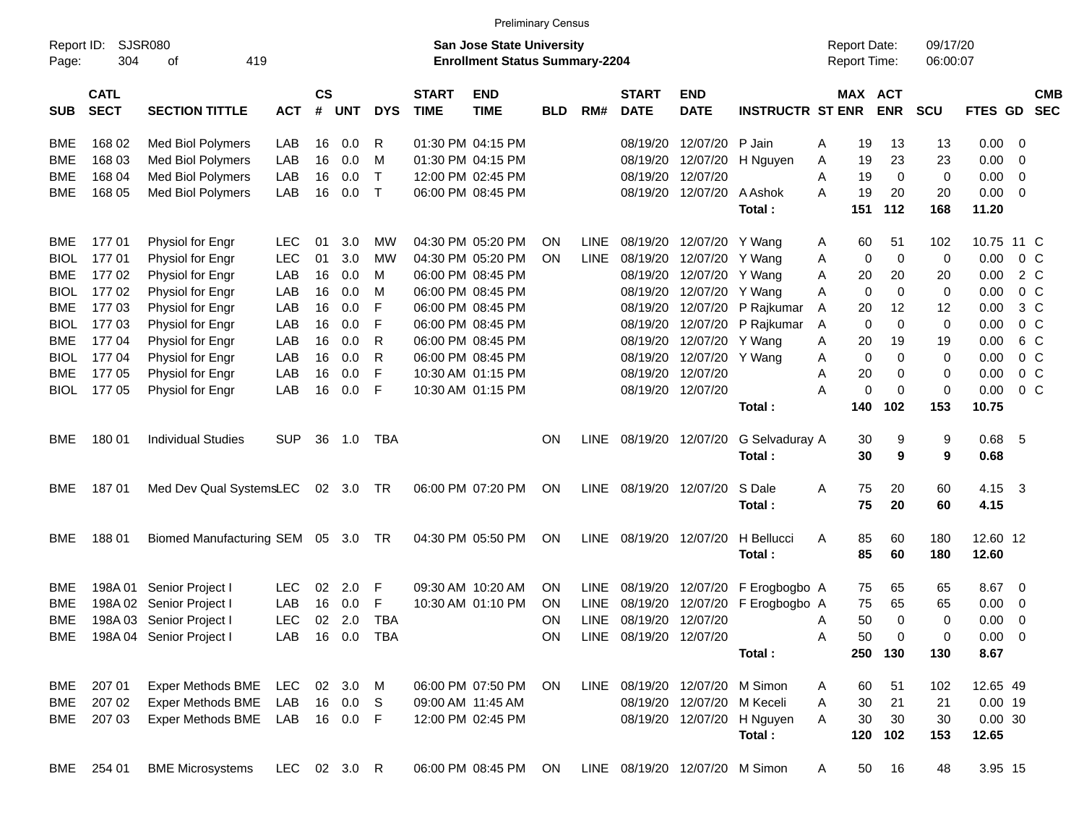|                     |                            |                                 |              |                    |              |              |                             | <b>Preliminary Census</b>                                                 |            |             |                             |                                |                            |   |                                     |             |                      |             |                         |                          |
|---------------------|----------------------------|---------------------------------|--------------|--------------------|--------------|--------------|-----------------------------|---------------------------------------------------------------------------|------------|-------------|-----------------------------|--------------------------------|----------------------------|---|-------------------------------------|-------------|----------------------|-------------|-------------------------|--------------------------|
| Report ID:<br>Page: | <b>SJSR080</b><br>304      | 419<br>оf                       |              |                    |              |              |                             | <b>San Jose State University</b><br><b>Enrollment Status Summary-2204</b> |            |             |                             |                                |                            |   | <b>Report Date:</b><br>Report Time: |             | 09/17/20<br>06:00:07 |             |                         |                          |
| <b>SUB</b>          | <b>CATL</b><br><b>SECT</b> | <b>SECTION TITTLE</b>           | <b>ACT</b>   | $\mathsf{cs}$<br># | <b>UNT</b>   | <b>DYS</b>   | <b>START</b><br><b>TIME</b> | <b>END</b><br><b>TIME</b>                                                 | <b>BLD</b> | RM#         | <b>START</b><br><b>DATE</b> | <b>END</b><br><b>DATE</b>      | <b>INSTRUCTR ST ENR</b>    |   | MAX ACT                             | <b>ENR</b>  | <b>SCU</b>           | FTES GD     |                         | <b>CMB</b><br><b>SEC</b> |
| <b>BME</b>          | 168 02                     | Med Biol Polymers               | LAB          | 16                 | 0.0          | R            |                             | 01:30 PM 04:15 PM                                                         |            |             | 08/19/20                    | 12/07/20                       | P Jain                     | Α | 19                                  | 13          | 13                   | 0.00        | - 0                     |                          |
| <b>BME</b>          | 168 03                     | Med Biol Polymers               | LAB          | 16                 | 0.0          | M            |                             | 01:30 PM 04:15 PM                                                         |            |             | 08/19/20                    | 12/07/20                       | H Nguyen                   | Α | 19                                  | 23          | 23                   | 0.00        | 0                       |                          |
| <b>BME</b>          | 168 04                     | Med Biol Polymers               | LAB          | 16                 | 0.0          | $\mathsf{T}$ |                             | 12:00 PM 02:45 PM                                                         |            |             | 08/19/20                    | 12/07/20                       |                            | A | 19                                  | $\mathbf 0$ | 0                    | 0.00        | 0                       |                          |
| <b>BME</b>          | 168 05                     | Med Biol Polymers               | LAB          | 16                 | 0.0          | $\mathsf{T}$ |                             | 06:00 PM 08:45 PM                                                         |            |             | 08/19/20                    | 12/07/20                       | A Ashok                    | A | 19                                  | 20          | 20                   | 0.00        | $\overline{\mathbf{0}}$ |                          |
|                     |                            |                                 |              |                    |              |              |                             |                                                                           |            |             |                             |                                | Total:                     |   | 151                                 | 112         | 168                  | 11.20       |                         |                          |
| <b>BME</b>          | 17701                      | Physiol for Engr                | <b>LEC</b>   | 01                 | 3.0          | MW           |                             | 04:30 PM 05:20 PM                                                         | <b>ON</b>  | <b>LINE</b> | 08/19/20                    | 12/07/20                       | Y Wang                     | A | 60                                  | 51          | 102                  | 10.75 11 C  |                         |                          |
| <b>BIOL</b>         | 17701                      | Physiol for Engr                | <b>LEC</b>   | 01                 | 3.0          | <b>MW</b>    |                             | 04:30 PM 05:20 PM                                                         | <b>ON</b>  | <b>LINE</b> | 08/19/20                    | 12/07/20                       | Y Wang                     | A | $\mathbf 0$                         | $\mathbf 0$ | 0                    | 0.00        |                         | 0 <sup>C</sup>           |
| <b>BME</b>          | 17702                      | Physiol for Engr                | LAB          | 16                 | 0.0          | M            |                             | 06:00 PM 08:45 PM                                                         |            |             | 08/19/20                    | 12/07/20                       | Y Wang                     | Α | 20                                  | 20          | 20                   | 0.00        |                         | 2 C                      |
| <b>BIOL</b>         | 17702                      | Physiol for Engr                | LAB          | 16                 | 0.0          | M            |                             | 06:00 PM 08:45 PM                                                         |            |             | 08/19/20                    | 12/07/20                       | Y Wang                     | A | $\mathbf 0$                         | $\mathbf 0$ | 0                    | 0.00        |                         | 0 <sup>C</sup>           |
| <b>BME</b>          | 177 03                     | Physiol for Engr                | LAB          | 16                 | 0.0          | F            |                             | 06:00 PM 08:45 PM                                                         |            |             | 08/19/20                    | 12/07/20                       | P Rajkumar                 | A | 20                                  | 12          | 12                   | 0.00        |                         | 3 C                      |
| <b>BIOL</b>         | 177 03                     | Physiol for Engr                | LAB          | 16                 | 0.0          | F            |                             | 06:00 PM 08:45 PM                                                         |            |             | 08/19/20                    | 12/07/20                       | P Rajkumar                 | A | $\mathbf 0$                         | $\mathbf 0$ | 0                    | 0.00        |                         | 0 <sup>C</sup>           |
| <b>BME</b>          | 17704                      | Physiol for Engr                | LAB          | 16                 | 0.0          | R            |                             | 06:00 PM 08:45 PM                                                         |            |             | 08/19/20                    | 12/07/20                       | Y Wang                     | A | 20                                  | 19          | 19                   | 0.00        |                         | 6 C                      |
| <b>BIOL</b>         | 17704                      | Physiol for Engr                | LAB          | 16                 | 0.0          | R            |                             | 06:00 PM 08:45 PM                                                         |            |             | 08/19/20                    | 12/07/20                       | Y Wang                     | Α | 0                                   | 0           | 0                    | 0.00        |                         | 0 <sup>C</sup>           |
| <b>BME</b>          | 17705                      | Physiol for Engr                | LAB          | 16                 | 0.0          | F            |                             | 10:30 AM 01:15 PM                                                         |            |             | 08/19/20                    | 12/07/20                       |                            | A | 20                                  | 0           | 0                    | 0.00        |                         | 0 <sup>C</sup>           |
| <b>BIOL</b>         | 17705                      | Physiol for Engr                | LAB          | 16                 | 0.0          | F            |                             | 10:30 AM 01:15 PM                                                         |            |             |                             | 08/19/20 12/07/20              |                            | Α | 0                                   | $\mathbf 0$ | $\mathbf 0$          | 0.00        |                         | 0 <sup>C</sup>           |
|                     |                            |                                 |              |                    |              |              |                             |                                                                           |            |             |                             |                                | Total:                     |   | 140                                 | 102         | 153                  | 10.75       |                         |                          |
| <b>BME</b>          | 180 01                     | <b>Individual Studies</b>       | <b>SUP</b>   | 36                 | 1.0          | TBA          |                             |                                                                           | <b>ON</b>  | LINE        |                             | 08/19/20 12/07/20              | G Selvaduray A             |   | 30                                  | 9           | 9                    | 0.68        | - 5                     |                          |
|                     |                            |                                 |              |                    |              |              |                             |                                                                           |            |             |                             |                                | Total:                     |   | 30                                  | 9           | 9                    | 0.68        |                         |                          |
| <b>BME</b>          | 18701                      | Med Dev Qual SystemsLEC         |              |                    | 02 3.0       | TR           |                             | 06:00 PM 07:20 PM                                                         | ON         | LINE        |                             | 08/19/20 12/07/20              | S Dale                     | Α | 75                                  | 20          | 60                   | 4.15        | -3                      |                          |
|                     |                            |                                 |              |                    |              |              |                             |                                                                           |            |             |                             |                                | Total:                     |   | 75                                  | 20          | 60                   | 4.15        |                         |                          |
| <b>BME</b>          | 18801                      | <b>Biomed Manufacturing SEM</b> |              |                    | 05 3.0       | TR           |                             | 04:30 PM 05:50 PM                                                         | <b>ON</b>  | LINE        |                             | 08/19/20 12/07/20              | H Bellucci                 | Α | 85                                  | 60          | 180                  | 12.60 12    |                         |                          |
|                     |                            |                                 |              |                    |              |              |                             |                                                                           |            |             |                             |                                | Total:                     |   | 85                                  | 60          | 180                  | 12.60       |                         |                          |
|                     |                            |                                 |              |                    |              |              |                             |                                                                           |            |             |                             |                                |                            |   |                                     |             |                      |             |                         |                          |
| <b>BME</b>          | 198A 01                    | Senior Project I                | <b>LEC</b>   | 02                 | 2.0          | F            |                             | 09:30 AM 10:20 AM                                                         | <b>ON</b>  | LINE        | 08/19/20                    | 12/07/20                       | F Erogbogbo A              |   | 75                                  | 65          | 65                   | 8.67        | $\overline{\mathbf{0}}$ |                          |
| <b>BME</b>          | 198A02                     | Senior Project I                | LAB          | 16                 | 0.0          | F            |                             | 10:30 AM 01:10 PM                                                         | ON         | LINE        | 08/19/20                    | 12/07/20                       | F Erogbogbo A              |   | 75                                  | 65          | 65                   | 0.00        | 0                       |                          |
| <b>BME</b>          |                            | 198A 03 Senior Project I        | <b>LEC</b>   | 02                 | 2.0          | <b>TBA</b>   |                             |                                                                           | ON         | LINE        | 08/19/20 12/07/20           |                                |                            | A | 50                                  | $\Omega$    | 0                    | 0.00        | 0                       |                          |
| BME                 |                            | 198A 04 Senior Project I        | LAB          |                    | 16  0.0  TBA |              |                             |                                                                           | <b>ON</b>  |             | LINE 08/19/20 12/07/20      |                                |                            | Α | 50                                  | $\mathbf 0$ | 0                    | $0.00 \t 0$ |                         |                          |
|                     |                            |                                 |              |                    |              |              |                             |                                                                           |            |             |                             |                                | Total:                     |   |                                     | 250 130     | 130                  | 8.67        |                         |                          |
| BME                 | 207 01                     | Exper Methods BME               | LEC          |                    | 02 3.0       | M            |                             | 06:00 PM 07:50 PM                                                         | ON         |             | LINE 08/19/20 12/07/20      |                                | M Simon                    | A | 60                                  | 51          | 102                  | 12.65 49    |                         |                          |
| BME                 | 207 02                     | <b>Exper Methods BME</b>        | LAB          |                    | 16  0.0      | -S           |                             | 09:00 AM 11:45 AM                                                         |            |             |                             | 08/19/20 12/07/20              | M Keceli                   | Α | 30                                  | 21          | 21                   | $0.00$ 19   |                         |                          |
| BME                 | 207 03                     | Exper Methods BME               | LAB 16 0.0 F |                    |              |              |                             | 12:00 PM 02:45 PM                                                         |            |             |                             |                                | 08/19/20 12/07/20 H Nguyen | A | 30                                  | 30          | 30                   | 0.0030      |                         |                          |
|                     |                            |                                 |              |                    |              |              |                             |                                                                           |            |             |                             |                                | Total:                     |   | 120                                 | 102         | 153                  | 12.65       |                         |                          |
| BME                 | 254 01                     | <b>BME Microsystems</b>         | LEC 02 3.0 R |                    |              |              |                             | 06:00 PM 08:45 PM ON                                                      |            |             |                             | LINE 08/19/20 12/07/20 M Simon |                            | A | 50                                  | 16          | 48                   | 3.95 15     |                         |                          |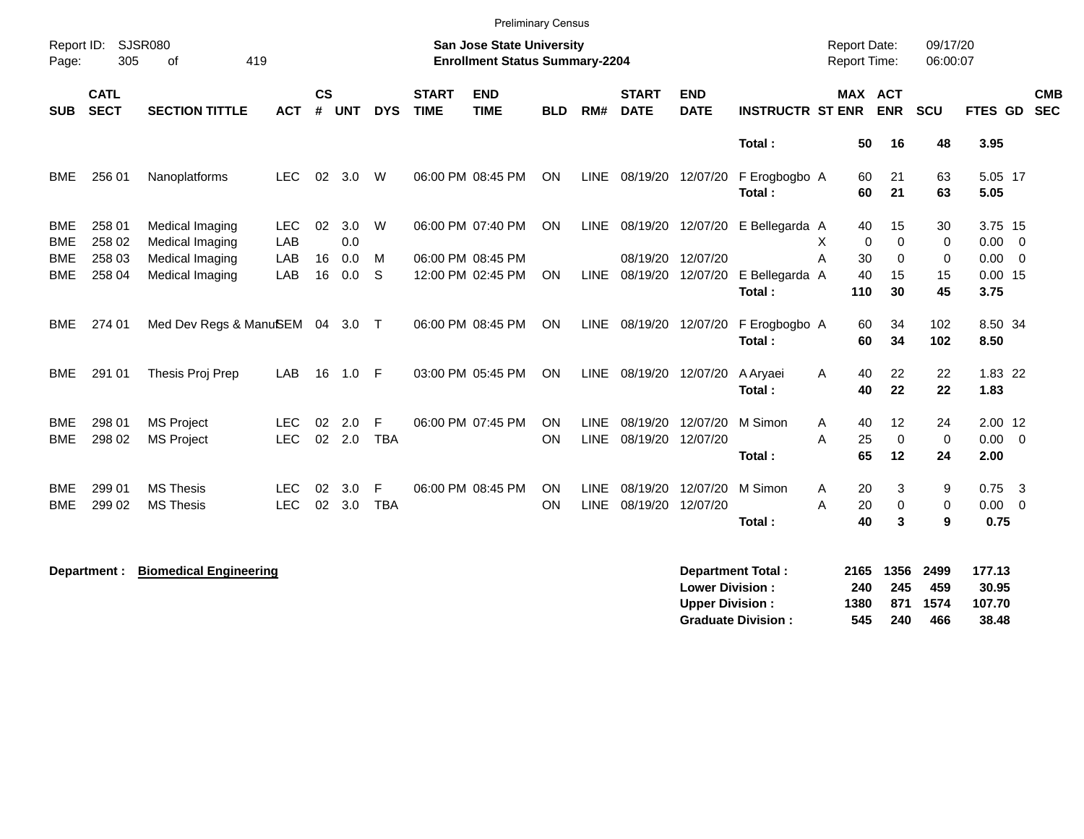|                                        |                                                                                                                               |                                                       |                          |                   |                   |                 |                             | <b>Preliminary Census</b>              |            |                            |                               |                                                  |                                                       |                                     |                            |                                  |                                    |                                        |                          |
|----------------------------------------|-------------------------------------------------------------------------------------------------------------------------------|-------------------------------------------------------|--------------------------|-------------------|-------------------|-----------------|-----------------------------|----------------------------------------|------------|----------------------------|-------------------------------|--------------------------------------------------|-------------------------------------------------------|-------------------------------------|----------------------------|----------------------------------|------------------------------------|----------------------------------------|--------------------------|
| Page:                                  | <b>SJSR080</b><br>Report ID:<br><b>San Jose State University</b><br>305<br>419<br><b>Enrollment Status Summary-2204</b><br>of |                                                       |                          |                   |                   |                 |                             |                                        |            |                            |                               |                                                  |                                                       | <b>Report Date:</b><br>Report Time: |                            | 09/17/20<br>06:00:07             |                                    |                                        |                          |
| <b>SUB</b>                             | <b>CATL</b><br><b>SECT</b>                                                                                                    | <b>SECTION TITTLE</b>                                 | <b>ACT</b>               | <b>CS</b><br>$\#$ | <b>UNT</b>        | <b>DYS</b>      | <b>START</b><br><b>TIME</b> | <b>END</b><br><b>TIME</b>              | <b>BLD</b> | RM#                        | <b>START</b><br><b>DATE</b>   | <b>END</b><br><b>DATE</b>                        | <b>INSTRUCTR ST ENR</b>                               | <b>MAX ACT</b>                      | <b>ENR</b>                 | SCU                              | FTES GD                            |                                        | <b>CMB</b><br><b>SEC</b> |
|                                        |                                                                                                                               |                                                       |                          |                   |                   |                 |                             |                                        |            |                            |                               |                                                  | Total:                                                | 50                                  | 16                         | 48                               | 3.95                               |                                        |                          |
| BME                                    | 256 01                                                                                                                        | Nanoplatforms                                         | <b>LEC</b>               | 02                | 3.0               | W               |                             | 06:00 PM 08:45 PM                      | ON         |                            | LINE 08/19/20 12/07/20        |                                                  | F Erogbogbo A<br>Total:                               | 60<br>60                            | 21<br>21                   | 63<br>63                         | 5.05 17<br>5.05                    |                                        |                          |
| <b>BME</b><br><b>BME</b><br><b>BME</b> | 258 01<br>258 02<br>258 03                                                                                                    | Medical Imaging<br>Medical Imaging<br>Medical Imaging | <b>LEC</b><br>LAB<br>LAB | 02<br>16          | 3.0<br>0.0<br>0.0 | W<br>M          |                             | 06:00 PM 07:40 PM<br>06:00 PM 08:45 PM | ON         | <b>LINE</b>                | 08/19/20 12/07/20<br>08/19/20 | 12/07/20                                         | E Bellegarda A                                        | 40<br>X<br>0<br>A<br>30             | 15<br>$\Omega$<br>$\Omega$ | 30<br>$\mathbf 0$<br>$\mathbf 0$ | 3.75 15<br>0.00<br>0.00            | $\overline{0}$<br>$\overline{0}$       |                          |
| <b>BME</b>                             | 258 04                                                                                                                        | Medical Imaging                                       | LAB                      | 16                | 0.0               | S               |                             | 12:00 PM 02:45 PM                      | ON         |                            | LINE 08/19/20 12/07/20        |                                                  | E Bellegarda A<br>Total:                              | 40<br>110                           | 15<br>30                   | 15<br>45                         | $0.00$ 15<br>3.75                  |                                        |                          |
| BME                                    | 274 01                                                                                                                        | Med Dev Regs & ManuSEM 04 3.0                         |                          |                   |                   | $\top$          |                             | 06:00 PM 08:45 PM                      | <b>ON</b>  | LINE                       | 08/19/20 12/07/20             |                                                  | F Erogbogbo A<br>Total:                               | 60<br>60                            | 34<br>34                   | 102<br>102                       | 8.50 34<br>8.50                    |                                        |                          |
| <b>BME</b>                             | 291 01                                                                                                                        | Thesis Proj Prep                                      | LAB                      | 16                | 1.0               | F               |                             | 03:00 PM 05:45 PM                      | ON         | LINE                       | 08/19/20 12/07/20             |                                                  | <b>A</b> Aryaei<br>Total:                             | 40<br>Α<br>40                       | 22<br>22                   | 22<br>22                         | 1.83 22<br>1.83                    |                                        |                          |
| BME<br><b>BME</b>                      | 298 01<br>298 02                                                                                                              | <b>MS Project</b><br><b>MS Project</b>                | <b>LEC</b><br><b>LEC</b> | 02<br>02          | 2.0<br>2.0        | F<br><b>TBA</b> |                             | 06:00 PM 07:45 PM                      | ON<br>ON   | <b>LINE</b><br><b>LINE</b> | 08/19/20<br>08/19/20          | 12/07/20<br>12/07/20                             | M Simon<br>Total:                                     | 40<br>A<br>A<br>25<br>65            | 12<br>$\mathbf 0$<br>12    | 24<br>0<br>24                    | 2.00 12<br>0.00<br>2.00            | $\overline{\phantom{0}}$               |                          |
| BME<br><b>BME</b>                      | 299 01<br>299 02                                                                                                              | <b>MS Thesis</b><br><b>MS Thesis</b>                  | <b>LEC</b><br><b>LEC</b> | 02<br>02          | 3.0<br>3.0        | F<br><b>TBA</b> |                             | 06:00 PM 08:45 PM                      | ON<br>ON   | <b>LINE</b><br>LINE        | 08/19/20<br>08/19/20          | 12/07/20<br>12/07/20                             | M Simon<br>Total:                                     | 20<br>A<br>A<br>20<br>40            | 3<br>$\mathbf 0$<br>3      | 9<br>$\mathbf 0$<br>9            | 0.75<br>0.00<br>0.75               | $\overline{\mathbf{3}}$<br>$\mathbf 0$ |                          |
|                                        | Department :                                                                                                                  | <b>Biomedical Engineering</b>                         |                          |                   |                   |                 |                             |                                        |            |                            |                               | <b>Lower Division:</b><br><b>Upper Division:</b> | <b>Department Total:</b><br><b>Graduate Division:</b> | 2165<br>240<br>1380<br>545          | 1356<br>245<br>871<br>240  | 2499<br>459<br>1574<br>466       | 177.13<br>30.95<br>107.70<br>38.48 |                                        |                          |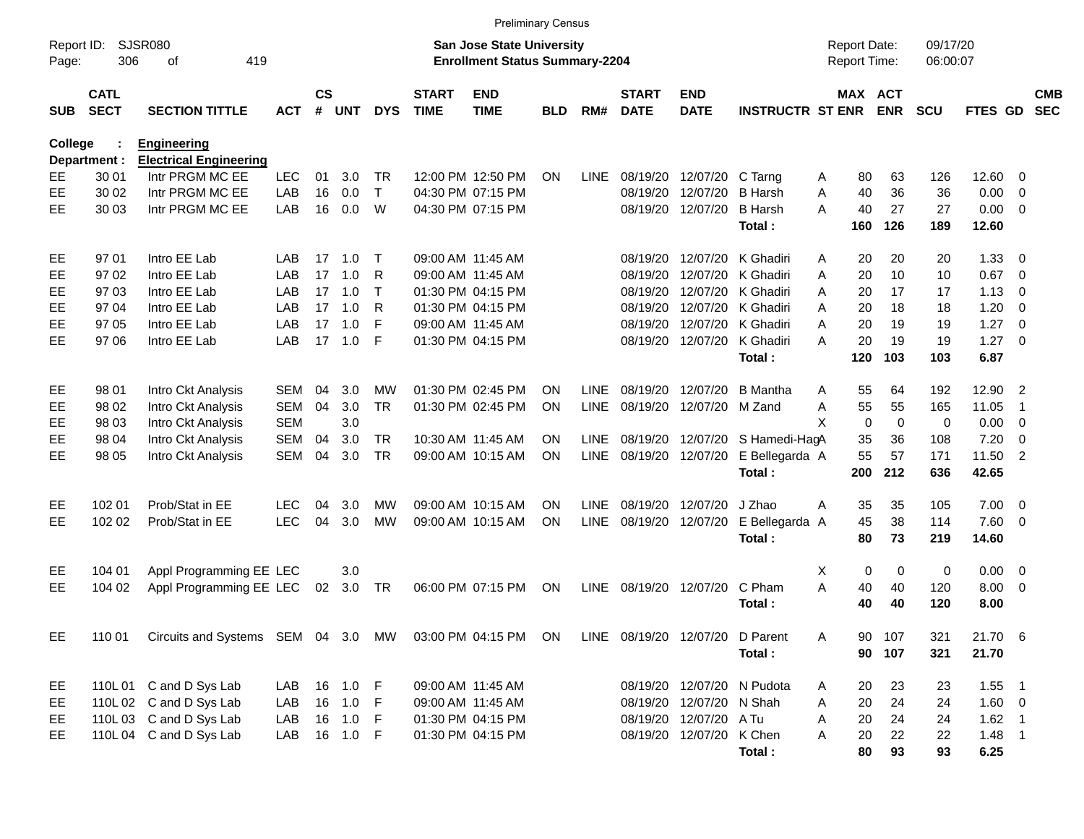|                     |                            |                                              |            |                    |            |              |                             | <b>Preliminary Census</b>                                                 |            |             |                             |                                 |                            |   |                                     |             |                      |                |                |                          |
|---------------------|----------------------------|----------------------------------------------|------------|--------------------|------------|--------------|-----------------------------|---------------------------------------------------------------------------|------------|-------------|-----------------------------|---------------------------------|----------------------------|---|-------------------------------------|-------------|----------------------|----------------|----------------|--------------------------|
| Report ID:<br>Page: | 306                        | SJSR080<br>419<br>οf                         |            |                    |            |              |                             | <b>San Jose State University</b><br><b>Enrollment Status Summary-2204</b> |            |             |                             |                                 |                            |   | <b>Report Date:</b><br>Report Time: |             | 09/17/20<br>06:00:07 |                |                |                          |
| <b>SUB</b>          | <b>CATL</b><br><b>SECT</b> | <b>SECTION TITTLE</b>                        | <b>ACT</b> | $\mathsf{cs}$<br># | <b>UNT</b> | <b>DYS</b>   | <b>START</b><br><b>TIME</b> | <b>END</b><br><b>TIME</b>                                                 | <b>BLD</b> | RM#         | <b>START</b><br><b>DATE</b> | <b>END</b><br><b>DATE</b>       | <b>INSTRUCTR ST ENR</b>    |   | <b>MAX ACT</b>                      | <b>ENR</b>  | SCU                  | <b>FTES GD</b> |                | <b>CMB</b><br><b>SEC</b> |
| College             | Department :               | Engineering<br><b>Electrical Engineering</b> |            |                    |            |              |                             |                                                                           |            |             |                             |                                 |                            |   |                                     |             |                      |                |                |                          |
| EE                  | 30 01                      | Intr PRGM MC EE                              | <b>LEC</b> | 01                 | 3.0        | <b>TR</b>    |                             | 12:00 PM 12:50 PM                                                         | <b>ON</b>  | LINE        | 08/19/20                    | 12/07/20                        | C Tarng                    | A | 80                                  | 63          | 126                  | 12.60          | - 0            |                          |
| EE                  | 30 02                      | Intr PRGM MC EE                              | LAB        | 16                 | 0.0        | $\mathsf{T}$ |                             | 04:30 PM 07:15 PM                                                         |            |             | 08/19/20                    | 12/07/20                        | <b>B</b> Harsh             | A | 40                                  | 36          | 36                   | 0.00           | $\overline{0}$ |                          |
| EE                  | 30 03                      | Intr PRGM MC EE                              | LAB        | 16                 | 0.0        | W            |                             | 04:30 PM 07:15 PM                                                         |            |             | 08/19/20                    | 12/07/20                        | <b>B</b> Harsh             | A | 40                                  | 27          | 27                   | 0.00           | $\overline{0}$ |                          |
|                     |                            |                                              |            |                    |            |              |                             |                                                                           |            |             |                             |                                 | Total:                     |   | 160                                 | 126         | 189                  | 12.60          |                |                          |
| EE                  | 97 01                      | Intro EE Lab                                 | LAB        | 17                 | 1.0        | $\top$       | 09:00 AM 11:45 AM           |                                                                           |            |             | 08/19/20                    | 12/07/20                        | K Ghadiri                  | A | 20                                  | 20          | 20                   | 1.33           | - 0            |                          |
| EE                  | 97 02                      | Intro EE Lab                                 | LAB        | 17                 | 1.0        | $\mathsf{R}$ | 09:00 AM 11:45 AM           |                                                                           |            |             | 08/19/20                    | 12/07/20                        | K Ghadiri                  | A | 20                                  | 10          | 10                   | 0.67           | $\overline{0}$ |                          |
| EE                  | 97 03                      | Intro EE Lab                                 | LAB        | 17                 | 1.0        | $\mathsf{T}$ |                             | 01:30 PM 04:15 PM                                                         |            |             | 08/19/20                    | 12/07/20                        | K Ghadiri                  | A | 20                                  | 17          | 17                   | 1.13           | $\overline{0}$ |                          |
| EE                  | 97 04                      | Intro EE Lab                                 | LAB        | 17                 | 1.0        | $\mathsf{R}$ |                             | 01:30 PM 04:15 PM                                                         |            |             | 08/19/20                    | 12/07/20                        | K Ghadiri                  | A | 20                                  | 18          | 18                   | 1.20           | $\overline{0}$ |                          |
| EE                  | 97 05                      | Intro EE Lab                                 | LAB        | 17                 | 1.0        | F            | 09:00 AM 11:45 AM           |                                                                           |            |             | 08/19/20                    | 12/07/20                        | K Ghadiri                  | A | 20                                  | 19          | 19                   | 1.27           | $\overline{0}$ |                          |
| EE                  | 97 06                      | Intro EE Lab                                 | LAB        | 17                 | 1.0        | F            |                             | 01:30 PM 04:15 PM                                                         |            |             | 08/19/20                    | 12/07/20                        | K Ghadiri                  | A | 20                                  | 19          | 19                   | 1.27           | $\overline{0}$ |                          |
|                     |                            |                                              |            |                    |            |              |                             |                                                                           |            |             |                             |                                 | Total:                     |   | 120                                 | 103         | 103                  | 6.87           |                |                          |
| EE                  | 98 01                      | Intro Ckt Analysis                           | <b>SEM</b> | 04                 | 3.0        | MW           |                             | 01:30 PM 02:45 PM                                                         | <b>ON</b>  | <b>LINE</b> | 08/19/20                    | 12/07/20                        | <b>B</b> Mantha            | A | 55                                  | 64          | 192                  | 12.90          | $\overline{2}$ |                          |
| EE                  | 98 02                      | Intro Ckt Analysis                           | <b>SEM</b> | 04                 | 3.0        | <b>TR</b>    |                             | 01:30 PM 02:45 PM                                                         | ON         | <b>LINE</b> | 08/19/20                    | 12/07/20                        | M Zand                     | A | 55                                  | 55          | 165                  | 11.05          | $\overline{1}$ |                          |
| EE                  | 98 03                      | Intro Ckt Analysis                           | <b>SEM</b> |                    | 3.0        |              |                             |                                                                           |            |             |                             |                                 |                            | X | 0                                   | $\mathbf 0$ | $\mathbf 0$          | 0.00           | $\overline{0}$ |                          |
| EE                  | 98 04                      | Intro Ckt Analysis                           | <b>SEM</b> | 04                 | 3.0        | <b>TR</b>    | 10:30 AM 11:45 AM           |                                                                           | <b>ON</b>  | <b>LINE</b> | 08/19/20                    | 12/07/20                        | S Hamedi-HagA              |   | 35                                  | 36          | 108                  | 7.20           | $\overline{0}$ |                          |
| EE                  | 98 05                      | Intro Ckt Analysis                           | <b>SEM</b> | 04                 | 3.0        | <b>TR</b>    |                             | 09:00 AM 10:15 AM                                                         | <b>ON</b>  | LINE        | 08/19/20                    | 12/07/20                        | E Bellegarda A             |   | 55                                  | 57          | 171                  | 11.50          | 2              |                          |
|                     |                            |                                              |            |                    |            |              |                             |                                                                           |            |             |                             |                                 | Total:                     |   | 200                                 | 212         | 636                  | 42.65          |                |                          |
| EE                  | 102 01                     | Prob/Stat in EE                              | <b>LEC</b> | 04                 | 3.0        | MW           | 09:00 AM 10:15 AM           |                                                                           | <b>ON</b>  | <b>LINE</b> | 08/19/20                    | 12/07/20                        | J Zhao                     | A | 35                                  | 35          | 105                  | 7.00           | $\overline{0}$ |                          |
| EE                  | 102 02                     | Prob/Stat in EE                              | <b>LEC</b> | 04                 | 3.0        | <b>MW</b>    |                             | 09:00 AM 10:15 AM                                                         | <b>ON</b>  | <b>LINE</b> | 08/19/20                    | 12/07/20                        | E Bellegarda A             |   | 45                                  | 38          | 114                  | 7.60           | $\overline{0}$ |                          |
|                     |                            |                                              |            |                    |            |              |                             |                                                                           |            |             |                             |                                 | Total:                     |   | 80                                  | 73          | 219                  | 14.60          |                |                          |
| EE                  | 104 01                     | Appl Programming EE LEC                      |            |                    | 3.0        |              |                             |                                                                           |            |             |                             |                                 |                            | X | 0                                   | 0           | 0                    | 0.00           | $\overline{0}$ |                          |
| EE                  | 104 02                     | Appl Programming EE LEC                      |            | 02                 | 3.0        | <b>TR</b>    |                             | 06:00 PM 07:15 PM                                                         | ON         | LINE        | 08/19/20                    | 12/07/20                        | C Pham                     | A | 40                                  | 40          | 120                  | 8.00           | $\overline{0}$ |                          |
|                     |                            |                                              |            |                    |            |              |                             |                                                                           |            |             |                             |                                 | Total:                     |   | 40                                  | 40          | 120                  | 8.00           |                |                          |
| EE                  | 110 01                     | Circuits and Systems SEM 04 3.0 MW           |            |                    |            |              |                             | 03:00 PM 04:15 PM ON                                                      |            |             |                             | LINE 08/19/20 12/07/20 D Parent |                            | Α | 90                                  | 107         | 321                  | 21.70 6        |                |                          |
|                     |                            |                                              |            |                    |            |              |                             |                                                                           |            |             |                             |                                 | Total:                     |   | 90                                  | 107         | 321                  | 21.70          |                |                          |
| EE                  |                            | 110L 01 C and D Sys Lab                      | LAB        |                    | 16  1.0  F |              | 09:00 AM 11:45 AM           |                                                                           |            |             |                             |                                 | 08/19/20 12/07/20 N Pudota | A | 20                                  | 23          | 23                   | $1.55$ 1       |                |                          |
| EE                  |                            | 110L 02 C and D Sys Lab                      | LAB        |                    | 16 1.0     | $-F$         | 09:00 AM 11:45 AM           |                                                                           |            |             |                             | 08/19/20 12/07/20 N Shah        |                            | Α | 20                                  | 24          | 24                   | 1.60 0         |                |                          |
| EE                  |                            | 110L 03 C and D Sys Lab                      | LAB        |                    | 16 1.0 F   |              |                             | 01:30 PM 04:15 PM                                                         |            |             |                             | 08/19/20 12/07/20 ATu           |                            | Α | 20                                  | 24          | 24                   | $1.62$ 1       |                |                          |
| EE                  |                            | 110L04 C and D Sys Lab                       | LAB        |                    | 16 1.0 F   |              |                             | 01:30 PM 04:15 PM                                                         |            |             |                             | 08/19/20 12/07/20 K Chen        |                            | Α | 20                                  | 22          | 22                   | $1.48$ 1       |                |                          |
|                     |                            |                                              |            |                    |            |              |                             |                                                                           |            |             |                             |                                 | Total:                     |   | 80                                  | 93          | 93                   | 6.25           |                |                          |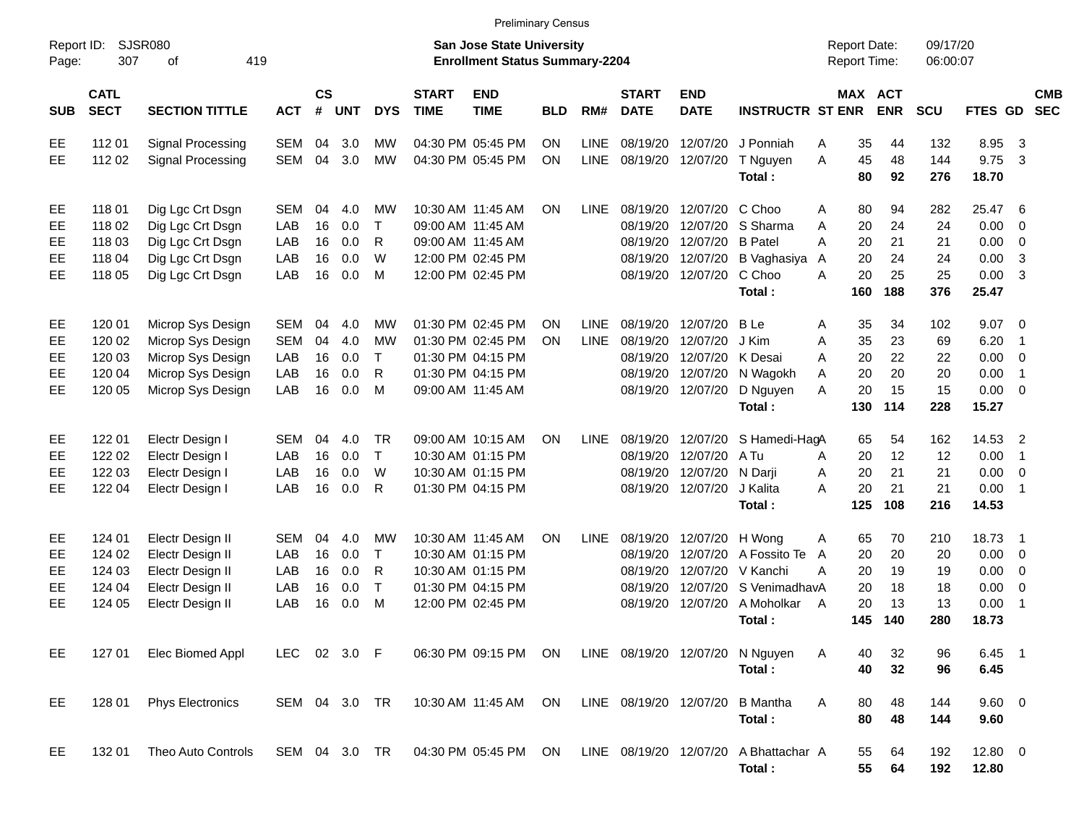|                     |                            |                             |               |                    |            |              |                             | <b>Preliminary Census</b>                                                 |            |             |                             |                           |                                 |                                            |                       |                      |                |                            |                          |
|---------------------|----------------------------|-----------------------------|---------------|--------------------|------------|--------------|-----------------------------|---------------------------------------------------------------------------|------------|-------------|-----------------------------|---------------------------|---------------------------------|--------------------------------------------|-----------------------|----------------------|----------------|----------------------------|--------------------------|
| Report ID:<br>Page: | 307                        | <b>SJSR080</b><br>419<br>οf |               |                    |            |              |                             | <b>San Jose State University</b><br><b>Enrollment Status Summary-2204</b> |            |             |                             |                           |                                 | <b>Report Date:</b><br><b>Report Time:</b> |                       | 09/17/20<br>06:00:07 |                |                            |                          |
| <b>SUB</b>          | <b>CATL</b><br><b>SECT</b> | <b>SECTION TITTLE</b>       | <b>ACT</b>    | $\mathsf{cs}$<br># | <b>UNT</b> | <b>DYS</b>   | <b>START</b><br><b>TIME</b> | <b>END</b><br><b>TIME</b>                                                 | <b>BLD</b> | RM#         | <b>START</b><br><b>DATE</b> | <b>END</b><br><b>DATE</b> | <b>INSTRUCTR ST ENR</b>         |                                            | MAX ACT<br><b>ENR</b> | <b>SCU</b>           | <b>FTES GD</b> |                            | <b>CMB</b><br><b>SEC</b> |
| EE                  | 112 01                     | Signal Processing           | <b>SEM</b>    | 04                 | 3.0        | МW           |                             | 04:30 PM 05:45 PM                                                         | <b>ON</b>  | <b>LINE</b> | 08/19/20                    |                           | 12/07/20 J Ponniah              | 35<br>Α                                    | 44                    | 132                  | 8.95           | -3                         |                          |
| EE                  | 112 02                     | Signal Processing           | SEM           | 04                 | 3.0        | <b>MW</b>    |                             | 04:30 PM 05:45 PM                                                         | <b>ON</b>  | <b>LINE</b> | 08/19/20                    | 12/07/20                  | T Nguyen                        | 45<br>A                                    | 48                    | 144                  | 9.75           | -3                         |                          |
|                     |                            |                             |               |                    |            |              |                             |                                                                           |            |             |                             |                           | Total:                          | 80                                         | 92                    | 276                  | 18.70          |                            |                          |
| EE                  | 118 01                     | Dig Lgc Crt Dsgn            | <b>SEM</b>    | 04                 | 4.0        | MW           |                             | 10:30 AM 11:45 AM                                                         | <b>ON</b>  | <b>LINE</b> | 08/19/20                    | 12/07/20 C Choo           |                                 | 80<br>A                                    | 94                    | 282                  | 25.47          | - 6                        |                          |
| EE                  | 118 02                     | Dig Lgc Crt Dsgn            | LAB           | 16                 | 0.0        | $\mathsf{T}$ |                             | 09:00 AM 11:45 AM                                                         |            |             | 08/19/20                    |                           | 12/07/20 S Sharma               | A<br>20                                    | 24                    | 24                   | 0.00           | - 0                        |                          |
| EE                  | 118 03                     | Dig Lgc Crt Dsgn            | LAB           | 16                 | 0.0        | R            |                             | 09:00 AM 11:45 AM                                                         |            |             | 08/19/20                    | 12/07/20 B Patel          |                                 | A<br>20                                    | 21                    | 21                   | 0.00           | $\overline{0}$             |                          |
| EE                  | 118 04                     | Dig Lgc Crt Dsgn            | LAB           | 16                 | 0.0        | W            |                             | 12:00 PM 02:45 PM                                                         |            |             | 08/19/20                    |                           | 12/07/20 B Vaghasiya            | 20<br>A                                    | 24                    | 24                   | 0.00           | 3                          |                          |
| EE                  | 118 05                     | Dig Lgc Crt Dsgn            | LAB           | 16                 | 0.0        | M            |                             | 12:00 PM 02:45 PM                                                         |            |             | 08/19/20                    | 12/07/20 C Choo           |                                 | 20<br>A                                    | 25                    | 25                   | 0.00           | -3                         |                          |
|                     |                            |                             |               |                    |            |              |                             |                                                                           |            |             |                             |                           | Total:                          | 160                                        | 188                   | 376                  | 25.47          |                            |                          |
| EE                  | 120 01                     | Microp Sys Design           | SEM           | 04                 | 4.0        | МW           |                             | 01:30 PM 02:45 PM                                                         | <b>ON</b>  | <b>LINE</b> | 08/19/20                    | 12/07/20                  | B Le                            | 35<br>Α                                    | 34                    | 102                  | $9.07$ 0       |                            |                          |
| EE                  | 120 02                     | Microp Sys Design           | <b>SEM</b>    | 04                 | 4.0        | МW           |                             | 01:30 PM 02:45 PM                                                         | OΝ         | <b>LINE</b> | 08/19/20                    | 12/07/20                  | J Kim                           | A<br>35                                    | 23                    | 69                   | 6.20           | $\overline{1}$             |                          |
| EE                  | 120 03                     | Microp Sys Design           | LAB           | 16                 | 0.0        | $\mathsf{T}$ |                             | 01:30 PM 04:15 PM                                                         |            |             | 08/19/20                    | 12/07/20 K Desai          |                                 | 20<br>A                                    | 22                    | 22                   | 0.00           | $\overline{\phantom{0}}$   |                          |
| EE                  | 120 04                     | Microp Sys Design           | LAB           | 16                 | 0.0        | R            |                             | 01:30 PM 04:15 PM                                                         |            |             | 08/19/20                    |                           | 12/07/20 N Wagokh               | 20<br>A                                    | 20                    | 20                   | 0.00           | $\overline{1}$             |                          |
| EE                  | 120 05                     | Microp Sys Design           | LAB           | 16                 | 0.0        | M            |                             | 09:00 AM 11:45 AM                                                         |            |             | 08/19/20                    |                           | 12/07/20 D Nguyen               | A<br>20                                    | 15                    | 15                   | $0.00 \t 0$    |                            |                          |
|                     |                            |                             |               |                    |            |              |                             |                                                                           |            |             |                             |                           | Total:                          | 130                                        | 114                   | 228                  | 15.27          |                            |                          |
| EE                  | 122 01                     | Electr Design I             | SEM           | 04                 | 4.0        | <b>TR</b>    |                             | 09:00 AM 10:15 AM                                                         | <b>ON</b>  | LINE        | 08/19/20                    | 12/07/20                  | S Hamedi-HagA                   | 65                                         | 54                    | 162                  | 14.53          | $\overline{\phantom{0}}^2$ |                          |
| EE                  | 122 02                     | Electr Design I             | LAB           | 16                 | 0.0        | $\mathsf{T}$ |                             | 10:30 AM 01:15 PM                                                         |            |             | 08/19/20                    | 12/07/20 A Tu             |                                 | 20<br>A                                    | 12                    | 12                   | 0.00           | $\overline{\phantom{1}}$   |                          |
| EE                  | 122 03                     | Electr Design I             | LAB           | 16                 | 0.0        | W            |                             | 10:30 AM 01:15 PM                                                         |            |             | 08/19/20                    | 12/07/20 N Darji          |                                 | 20<br>Α                                    | 21                    | 21                   | 0.00           | $\overline{\phantom{0}}$   |                          |
| EE                  | 122 04                     | Electr Design I             | LAB           | 16                 | 0.0        | $\mathsf{R}$ |                             | 01:30 PM 04:15 PM                                                         |            |             | 08/19/20                    | 12/07/20 J Kalita         |                                 | 20<br>A                                    | 21                    | 21                   | 0.00           | $\overline{\phantom{1}}$   |                          |
|                     |                            |                             |               |                    |            |              |                             |                                                                           |            |             |                             |                           | Total:                          | 125                                        | 108                   | 216                  | 14.53          |                            |                          |
| EE                  | 124 01                     | Electr Design II            | SEM           | 04                 | 4.0        | МW           |                             | 10:30 AM 11:45 AM                                                         | <b>ON</b>  | <b>LINE</b> | 08/19/20                    | 12/07/20 H Wong           |                                 | 65<br>Α                                    | 70                    | 210                  | 18.73          | $\overline{\phantom{1}}$   |                          |
| EE                  | 124 02                     | Electr Design II            | LAB           | 16                 | 0.0        | $\top$       |                             | 10:30 AM 01:15 PM                                                         |            |             | 08/19/20                    |                           | 12/07/20 A Fossito Te           | 20<br>A                                    | 20                    | 20                   | $0.00 \t 0$    |                            |                          |
| EE                  | 124 03                     | Electr Design II            | LAB           | 16                 | 0.0        | R            |                             | 10:30 AM 01:15 PM                                                         |            |             | 08/19/20                    |                           | 12/07/20 V Kanchi               | А<br>20                                    | 19                    | 19                   | 0.00           | $\overline{\phantom{0}}$   |                          |
| EE                  | 124 04                     | Electr Design II            | LAB           | 16                 | 0.0        | $\mathsf{T}$ |                             | 01:30 PM 04:15 PM                                                         |            |             | 08/19/20                    |                           | 12/07/20 S VenimadhavA          | 20                                         | 18                    | 18                   | 0.00           | $\overline{\phantom{0}}$   |                          |
| EE                  | 124 05                     | Electr Design II            | LAB           | 16                 | 0.0        | M            |                             | 12:00 PM 02:45 PM                                                         |            |             | 08/19/20                    | 12/07/20                  | A Moholkar                      | 20<br>A                                    | 13                    | 13                   | 0.00           | $\overline{\phantom{0}}$   |                          |
|                     |                            |                             |               |                    |            |              |                             |                                                                           |            |             |                             |                           | Total:                          | 145                                        | 140                   | 280                  | 18.73          |                            |                          |
| EE                  | 127 01                     | Elec Biomed Appl            | LEC 02 3.0 F  |                    |            |              |                             | 06:30 PM 09:15 PM ON                                                      |            |             |                             |                           | LINE 08/19/20 12/07/20 N Nguyen | 40<br>A                                    | 32                    | 96                   | 6.45 1         |                            |                          |
|                     |                            |                             |               |                    |            |              |                             |                                                                           |            |             |                             |                           | Total:                          | 40                                         | 32                    | 96                   | 6.45           |                            |                          |
| EE                  | 128 01                     | <b>Phys Electronics</b>     | SEM 04 3.0 TR |                    |            |              |                             | 10:30 AM 11:45 AM ON                                                      |            |             | LINE 08/19/20 12/07/20      |                           | <b>B</b> Mantha                 | A<br>80                                    | 48                    | 144                  | 9.60 0         |                            |                          |
|                     |                            |                             |               |                    |            |              |                             |                                                                           |            |             |                             |                           | Total:                          | 80                                         | 48                    | 144                  | 9.60           |                            |                          |
| EE                  | 132 01                     | Theo Auto Controls          | SEM 04 3.0 TR |                    |            |              |                             | 04:30 PM 05:45 PM ON                                                      |            |             | LINE 08/19/20 12/07/20      |                           | A Bhattachar A                  | 55                                         | 64                    | 192                  | 12.80 0        |                            |                          |
|                     |                            |                             |               |                    |            |              |                             |                                                                           |            |             |                             |                           | Total:                          | 55                                         | 64                    | 192                  | 12.80          |                            |                          |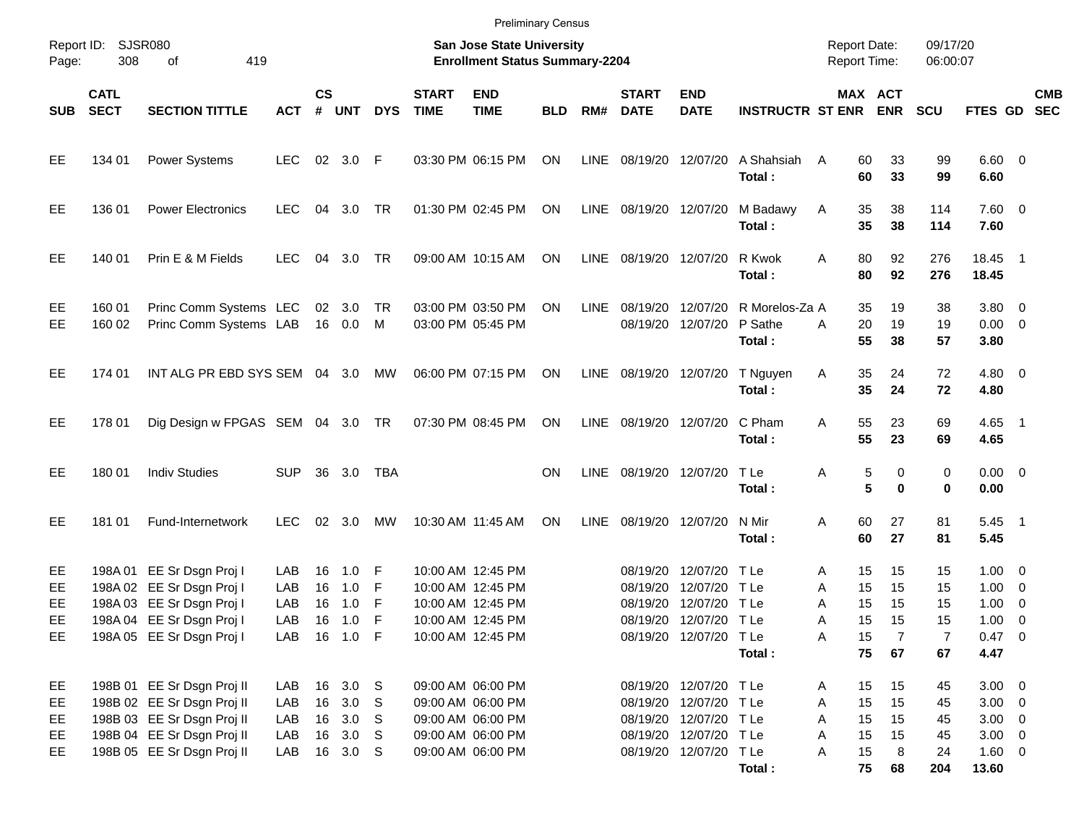|                            | <b>Preliminary Census</b><br>Report ID:<br>SJSR080<br><b>San Jose State University</b> |                                                                                                                                                    |                                 |                      |                                                          |                    |                             |                                                                                                       |            |             |                                  |                                                                                                                               |                                   |                                                           |                                 |                                   |                                                                              |                          |            |
|----------------------------|----------------------------------------------------------------------------------------|----------------------------------------------------------------------------------------------------------------------------------------------------|---------------------------------|----------------------|----------------------------------------------------------|--------------------|-----------------------------|-------------------------------------------------------------------------------------------------------|------------|-------------|----------------------------------|-------------------------------------------------------------------------------------------------------------------------------|-----------------------------------|-----------------------------------------------------------|---------------------------------|-----------------------------------|------------------------------------------------------------------------------|--------------------------|------------|
| Page:                      | 308                                                                                    | 419<br>οf                                                                                                                                          |                                 |                      |                                                          |                    |                             | <b>Enrollment Status Summary-2204</b>                                                                 |            |             |                                  |                                                                                                                               |                                   | <b>Report Date:</b><br>Report Time:                       |                                 | 09/17/20<br>06:00:07              |                                                                              |                          |            |
| <b>SUB</b>                 | <b>CATL</b><br><b>SECT</b>                                                             | <b>SECTION TITTLE</b>                                                                                                                              | <b>ACT</b>                      | <b>CS</b><br>#       | <b>UNT</b>                                               | <b>DYS</b>         | <b>START</b><br><b>TIME</b> | <b>END</b><br><b>TIME</b>                                                                             | <b>BLD</b> | RM#         | <b>START</b><br><b>DATE</b>      | <b>END</b><br><b>DATE</b>                                                                                                     | <b>INSTRUCTR ST ENR ENR</b>       | MAX ACT                                                   |                                 | <b>SCU</b>                        | FTES GD SEC                                                                  |                          | <b>CMB</b> |
| EE                         | 134 01                                                                                 | Power Systems                                                                                                                                      | <b>LEC</b>                      |                      | 02 3.0 F                                                 |                    |                             | 03:30 PM 06:15 PM                                                                                     | ON         | <b>LINE</b> |                                  | 08/19/20 12/07/20                                                                                                             | A Shahsiah<br>Total:              | 60<br>A<br>60                                             | 33<br>33                        | 99<br>99                          | $6.60$ 0<br>6.60                                                             |                          |            |
| EE                         | 136 01                                                                                 | <b>Power Electronics</b>                                                                                                                           | <b>LEC</b>                      | 04                   | 3.0                                                      | TR                 |                             | 01:30 PM 02:45 PM                                                                                     | ON         |             | LINE 08/19/20 12/07/20           |                                                                                                                               | M Badawy<br>Total:                | 35<br>A<br>35                                             | 38<br>38                        | 114<br>114                        | $7.60 \t 0$<br>7.60                                                          |                          |            |
| EE                         | 140 01                                                                                 | Prin E & M Fields                                                                                                                                  | <b>LEC</b>                      | 04                   | 3.0                                                      | TR                 |                             | 09:00 AM 10:15 AM                                                                                     | <b>ON</b>  |             |                                  | LINE 08/19/20 12/07/20 R Kwok                                                                                                 | Total:                            | 80<br>A<br>80                                             | 92<br>92                        | 276<br>276                        | 18.45 1<br>18.45                                                             |                          |            |
| EE<br>EE                   | 160 01<br>160 02                                                                       | Princ Comm Systems LEC<br>Princ Comm Systems LAB                                                                                                   |                                 |                      | 02 3.0<br>16  0.0  M                                     | TR                 |                             | 03:00 PM 03:50 PM<br>03:00 PM 05:45 PM                                                                | ON         | <b>LINE</b> | 08/19/20                         | 08/19/20 12/07/20 P Sathe                                                                                                     | 12/07/20 R Morelos-Za A<br>Total: | 35<br>20<br>Α<br>55                                       | 19<br>19<br>38                  | 38<br>19<br>57                    | 3.80 0<br>$0.00 \t 0$<br>3.80                                                |                          |            |
| EE                         | 174 01                                                                                 | INT ALG PR EBD SYS SEM 04 3.0                                                                                                                      |                                 |                      |                                                          | MW                 |                             | 06:00 PM 07:15 PM                                                                                     | ON         |             | LINE 08/19/20 12/07/20           |                                                                                                                               | T Nguyen<br>Total:                | 35<br>Α<br>35                                             | 24<br>24                        | 72<br>72                          | $4.80\ 0$<br>4.80                                                            |                          |            |
| EE                         | 178 01                                                                                 | Dig Design w FPGAS SEM 04 3.0 TR                                                                                                                   |                                 |                      |                                                          |                    |                             | 07:30 PM 08:45 PM                                                                                     | ON         | LINE        |                                  | 08/19/20 12/07/20 C Pham                                                                                                      | Total:                            | 55<br>Α<br>55                                             | 23<br>23                        | 69<br>69                          | $4.65$ 1<br>4.65                                                             |                          |            |
| EE                         | 180 01                                                                                 | <b>Indiv Studies</b>                                                                                                                               | <b>SUP</b>                      |                      | 36 3.0                                                   | <b>TBA</b>         |                             |                                                                                                       | <b>ON</b>  | LINE        |                                  | 08/19/20 12/07/20 TLe                                                                                                         | Total:                            | 5<br>Α<br>5                                               | 0<br>0                          | 0<br>0                            | $0.00 \t 0$<br>0.00                                                          |                          |            |
| EE                         | 181 01                                                                                 | Fund-Internetwork                                                                                                                                  | <b>LEC</b>                      | 02                   | - 3.0                                                    | МW                 |                             | 10:30 AM 11:45 AM                                                                                     | <b>ON</b>  | LINE        |                                  | 08/19/20 12/07/20                                                                                                             | N Mir<br>Total:                   | 60<br>Α<br>60                                             | 27<br>27                        | 81<br>81                          | $5.45$ 1<br>5.45                                                             |                          |            |
| EE<br>EE<br>EE<br>EE<br>EE |                                                                                        | 198A 01 EE Sr Dsgn Proj I<br>198A 02 EE Sr Dsgn Proj I<br>198A 03 EE Sr Dsgn Proj I<br>198A 04 EE Sr Dsgn Proj I<br>198A 05 EE Sr Dsgn Proj I      | LAB<br>LAB<br>LAB<br>LAB<br>LAB | 16<br>16<br>16<br>16 | 1.0<br>1.0<br>1.0<br>1.0<br>16  1.0  F                   | - F<br>F<br>F<br>F |                             | 10:00 AM 12:45 PM<br>10:00 AM 12:45 PM<br>10:00 AM 12:45 PM<br>10:00 AM 12:45 PM<br>10:00 AM 12:45 PM |            |             | 08/19/20<br>08/19/20<br>08/19/20 | 12/07/20 TLe<br>12/07/20 TLe<br>12/07/20 TLe<br>08/19/20 12/07/20 TLe<br>08/19/20 12/07/20 TLe                                | Total:                            | 15<br>Α<br>15<br>Α<br>15<br>Α<br>15<br>Α<br>Α<br>15<br>75 | 15<br>15<br>15<br>15<br>7<br>67 | 15<br>15<br>15<br>15<br>7<br>67   | $1.00 \t 0$<br>$1.00 \t 0$<br>1.00<br>$1.00 \t 0$<br>$0.47 \ 0$<br>4.47      | $\overline{\phantom{0}}$ |            |
| EE<br>EE<br>EE<br>EE<br>EE |                                                                                        | 198B 01 EE Sr Dsgn Proj II<br>198B 02 EE Sr Dsgn Proj II<br>198B 03 EE Sr Dsgn Proj II<br>198B 04 EE Sr Dsgn Proj II<br>198B 05 EE Sr Dsgn Proj II | LAB<br>LAB<br>LAB<br>LAB<br>LAB |                      | 16 3.0 S<br>16 3.0 S<br>16 3.0 S<br>16 3.0 S<br>16 3.0 S |                    |                             | 09:00 AM 06:00 PM<br>09:00 AM 06:00 PM<br>09:00 AM 06:00 PM<br>09:00 AM 06:00 PM<br>09:00 AM 06:00 PM |            |             |                                  | 08/19/20 12/07/20 T Le<br>08/19/20 12/07/20 T Le<br>08/19/20 12/07/20 T Le<br>08/19/20 12/07/20 T Le<br>08/19/20 12/07/20 TLe | Total:                            | 15<br>A<br>15<br>Α<br>Α<br>15<br>Α<br>15<br>15<br>A<br>75 | 15<br>15<br>15<br>15<br>8<br>68 | 45<br>45<br>45<br>45<br>24<br>204 | $3.00 \ 0$<br>$3.00 \ 0$<br>$3.00 \ 0$<br>$3.00 \ 0$<br>$1.60 \t 0$<br>13.60 |                          |            |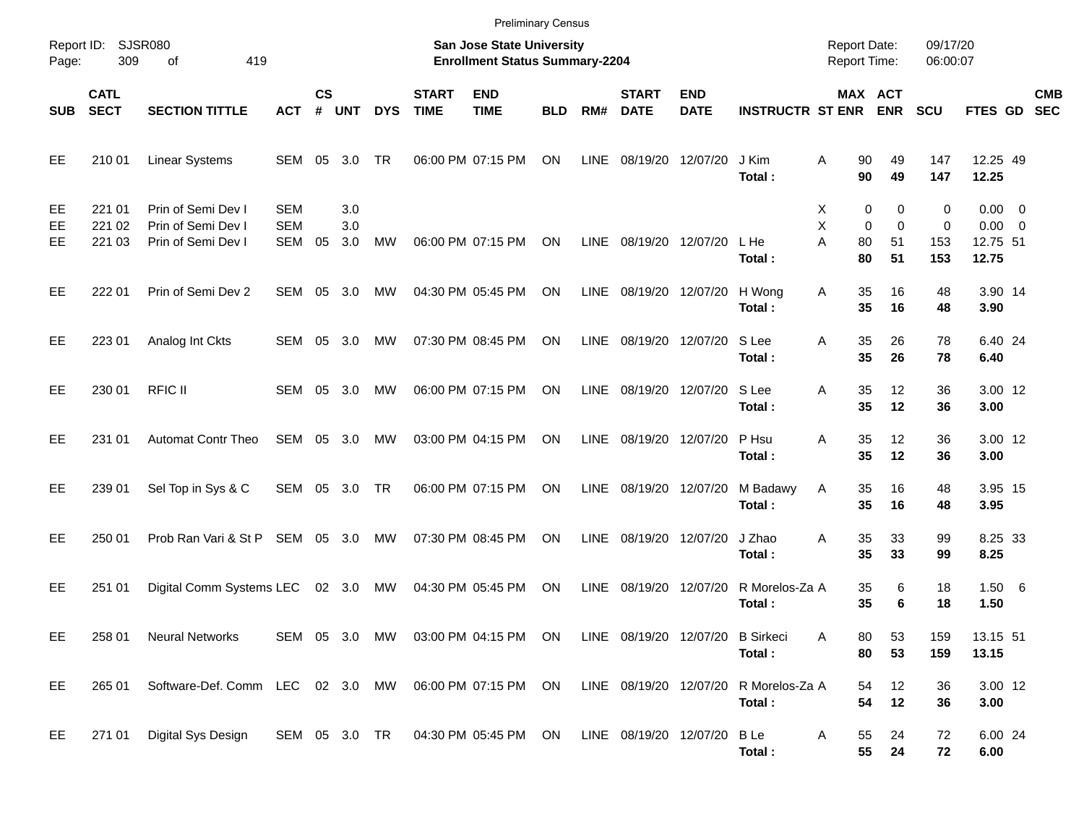|                     |                            |                                                                                             |                                 |                |                   |            |                             | <b>Preliminary Census</b>                                               |            |      |                             |                           |                             |                                            |                              |                                |                                                 |            |
|---------------------|----------------------------|---------------------------------------------------------------------------------------------|---------------------------------|----------------|-------------------|------------|-----------------------------|-------------------------------------------------------------------------|------------|------|-----------------------------|---------------------------|-----------------------------|--------------------------------------------|------------------------------|--------------------------------|-------------------------------------------------|------------|
| Report ID:<br>Page: | 309                        | SJSR080<br>419<br>οf                                                                        |                                 |                |                   |            |                             | San Jose State University<br><b>Enrollment Status Summary-2204</b>      |            |      |                             |                           |                             | <b>Report Date:</b><br><b>Report Time:</b> |                              | 09/17/20<br>06:00:07           |                                                 |            |
| <b>SUB</b>          | <b>CATL</b><br><b>SECT</b> | <b>SECTION TITTLE</b>                                                                       | АСТ                             | <b>CS</b><br># | <b>UNT</b>        | <b>DYS</b> | <b>START</b><br><b>TIME</b> | <b>END</b><br><b>TIME</b>                                               | <b>BLD</b> | RM#  | <b>START</b><br><b>DATE</b> | <b>END</b><br><b>DATE</b> | <b>INSTRUCTR ST ENR ENR</b> | MAX ACT                                    |                              | <b>SCU</b>                     | FTES GD SEC                                     | <b>CMB</b> |
| EE                  | 210 01                     | <b>Linear Systems</b>                                                                       | SEM 05 3.0                      |                |                   | <b>TR</b>  |                             | 06:00 PM 07:15 PM                                                       | ON         | LINE | 08/19/20 12/07/20           |                           | J Kim<br>Total:             | 90<br>Α<br>90                              | 49<br>49                     | 147<br>147                     | 12.25 49<br>12.25                               |            |
| EE<br>EE<br>EE      | 221 01<br>221 02<br>221 03 | Prin of Semi Dev I<br>Prin of Semi Dev I<br>Prin of Semi Dev I                              | <b>SEM</b><br><b>SEM</b><br>SEM | 05             | 3.0<br>3.0<br>3.0 | MW         |                             | 06:00 PM 07:15 PM                                                       | ON         | LINE | 08/19/20 12/07/20 LHe       |                           | Total:                      | 0<br>Х<br>X<br>0<br>A<br>80<br>80          | 0<br>$\mathbf 0$<br>51<br>51 | 0<br>$\mathbf 0$<br>153<br>153 | $0.00 \t 0$<br>$0.00 \t 0$<br>12.75 51<br>12.75 |            |
| EE                  | 222 01                     | Prin of Semi Dev 2                                                                          | SEM                             |                | 05 3.0            | МW         |                             | 04:30 PM 05:45 PM                                                       | ON         |      | LINE 08/19/20 12/07/20      |                           | H Wong<br>Total:            | 35<br>A<br>35                              | 16<br>16                     | 48<br>48                       | 3.90 14<br>3.90                                 |            |
| EE                  | 223 01                     | Analog Int Ckts                                                                             | SEM 05 3.0                      |                |                   | МW         |                             | 07:30 PM 08:45 PM                                                       | ON         | LINE | 08/19/20 12/07/20           |                           | S Lee<br>Total:             | 35<br>A<br>35                              | 26<br>26                     | 78<br>78                       | 6.40 24<br>6.40                                 |            |
| EE                  | 230 01                     | <b>RFIC II</b>                                                                              | SEM 05 3.0                      |                |                   | МW         |                             | 06:00 PM 07:15 PM                                                       | ON         | LINE | 08/19/20 12/07/20           |                           | S Lee<br>Total:             | 35<br>A<br>35                              | 12<br>12                     | 36<br>36                       | 3.00 12<br>3.00                                 |            |
| EE                  | 231 01                     | <b>Automat Contr Theo</b>                                                                   | SEM 05 3.0                      |                |                   | <b>MW</b>  |                             | 03:00 PM 04:15 PM                                                       | ON         |      | LINE 08/19/20 12/07/20      |                           | P Hsu<br>Total:             | A<br>35<br>35                              | 12<br>12                     | 36<br>36                       | 3.00 12<br>3.00                                 |            |
| EE                  | 239 01                     | Sel Top in Sys & C                                                                          | SEM 05 3.0 TR                   |                |                   |            |                             | 06:00 PM 07:15 PM                                                       | ON         |      | LINE 08/19/20 12/07/20      |                           | M Badawy<br>Total:          | 35<br>Α<br>35                              | 16<br>16                     | 48<br>48                       | 3.95 15<br>3.95                                 |            |
| EE                  | 250 01                     | Prob Ran Vari & St P                                                                        | SEM 05 3.0                      |                |                   | MW         |                             | 07:30 PM 08:45 PM                                                       | ON         | LINE | 08/19/20 12/07/20           |                           | J Zhao<br>Total:            | 35<br>Α<br>35                              | 33<br>33                     | 99<br>99                       | 8.25 33<br>8.25                                 |            |
| EE                  | 251 01                     | Digital Comm Systems LEC 02 3.0 MW                                                          |                                 |                |                   |            |                             | 04:30 PM 05:45 PM                                                       | ON         | LINE | 08/19/20 12/07/20           |                           | R Morelos-Za A<br>Total:    | 35<br>35                                   | 6<br>6                       | 18<br>18                       | 1.506<br>1.50                                   |            |
| EE                  |                            | 258 01 Neural Networks                                                                      |                                 |                |                   |            |                             | SEM 05 3.0 MW 03:00 PM 04:15 PM ON LINE 08/19/20 12/07/20 B Sirkeci     |            |      |                             |                           | Total:                      | Α<br>80<br>80                              | 53<br>53                     | 159<br>159                     | 13.15 51<br>13.15                               |            |
| EE                  | 265 01                     | Software-Def. Comm LEC 02 3.0 MW 06:00 PM 07:15 PM ON LINE 08/19/20 12/07/20 R Morelos-Za A |                                 |                |                   |            |                             |                                                                         |            |      |                             |                           | Total:                      | 54<br>54                                   | 12<br>12                     | 36<br>36                       | 3.00 12<br>3.00                                 |            |
| EE                  |                            | 271 01 Digital Sys Design                                                                   |                                 |                |                   |            |                             | SEM 05 3.0 TR  04:30 PM 05:45 PM  ON  LINE  08/19/20  12/07/20  B    Le |            |      |                             |                           | Total:                      | 55<br>A<br>55                              | 24<br>24                     | 72<br>72                       | 6.00 24<br>6.00                                 |            |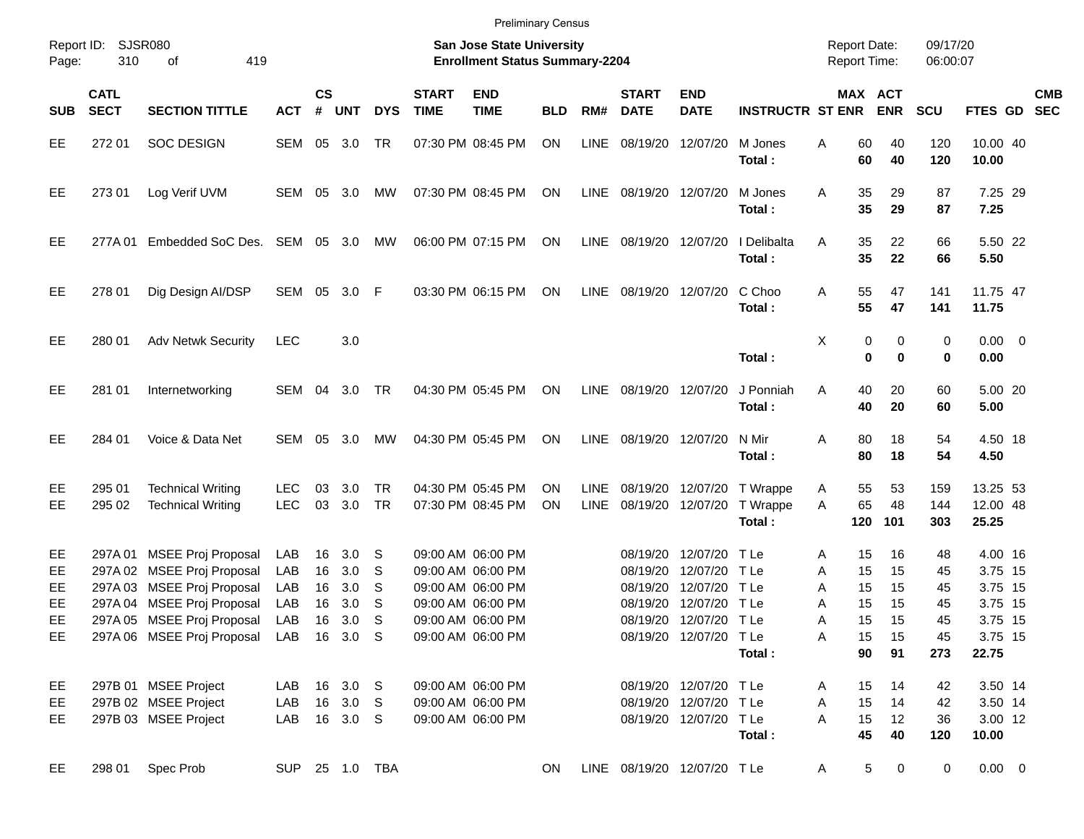| Report ID:<br>Page:              | 310                        | <b>SJSR080</b><br>419<br>of                                                                                                                                                      |                                        |                            |                                           |                             |                             | <b>San Jose State University</b><br><b>Enrollment Status Summary-2204</b>                                                  |            |             |                             |                                                                                                                                        |                                | <b>Report Date:</b><br><b>Report Time:</b> |                                  |                                  | 09/17/20<br>06:00:07             |                                                                |            |
|----------------------------------|----------------------------|----------------------------------------------------------------------------------------------------------------------------------------------------------------------------------|----------------------------------------|----------------------------|-------------------------------------------|-----------------------------|-----------------------------|----------------------------------------------------------------------------------------------------------------------------|------------|-------------|-----------------------------|----------------------------------------------------------------------------------------------------------------------------------------|--------------------------------|--------------------------------------------|----------------------------------|----------------------------------|----------------------------------|----------------------------------------------------------------|------------|
| <b>SUB</b>                       | <b>CATL</b><br><b>SECT</b> | <b>SECTION TITTLE</b>                                                                                                                                                            | <b>ACT</b>                             | $\mathsf{cs}$              | # UNT                                     | <b>DYS</b>                  | <b>START</b><br><b>TIME</b> | <b>END</b><br><b>TIME</b>                                                                                                  | <b>BLD</b> | RM#         | <b>START</b><br><b>DATE</b> | <b>END</b><br><b>DATE</b>                                                                                                              | <b>INSTRUCTR ST ENR ENR</b>    |                                            | MAX ACT                          |                                  | <b>SCU</b>                       | FTES GD SEC                                                    | <b>CMB</b> |
| EE                               | 272 01                     | <b>SOC DESIGN</b>                                                                                                                                                                | SEM 05                                 |                            | 3.0                                       | TR                          |                             | 07:30 PM 08:45 PM                                                                                                          | ON         | LINE        | 08/19/20 12/07/20           |                                                                                                                                        | M Jones<br>Total:              | Α                                          | 60<br>60                         | 40<br>40                         | 120<br>120                       | 10.00 40<br>10.00                                              |            |
| EE                               | 27301                      | Log Verif UVM                                                                                                                                                                    | SEM 05                                 |                            | 3.0                                       | MW                          |                             | 07:30 PM 08:45 PM                                                                                                          | ON         |             | LINE 08/19/20 12/07/20      |                                                                                                                                        | M Jones<br>Total:              | A                                          | 35<br>35                         | 29<br>29                         | 87<br>87                         | 7.25 29<br>7.25                                                |            |
| EE                               | 277A 01                    | Embedded SoC Des. SEM 05 3.0                                                                                                                                                     |                                        |                            |                                           | MW                          |                             | 06:00 PM 07:15 PM                                                                                                          | ON         |             | LINE 08/19/20 12/07/20      |                                                                                                                                        | I Delibalta<br>Total:          | A                                          | 35<br>35                         | 22<br>22                         | 66<br>66                         | 5.50 22<br>5.50                                                |            |
| EE                               | 278 01                     | Dig Design AI/DSP                                                                                                                                                                | SEM 05                                 |                            | 3.0 F                                     |                             |                             | 03:30 PM 06:15 PM                                                                                                          | ON         |             | LINE 08/19/20 12/07/20      |                                                                                                                                        | C Choo<br>Total:               | Α                                          | 55<br>55                         | 47<br>47                         | 141<br>141                       | 11.75 47<br>11.75                                              |            |
| EE                               | 280 01                     | <b>Adv Netwk Security</b>                                                                                                                                                        | <b>LEC</b>                             |                            | 3.0                                       |                             |                             |                                                                                                                            |            |             |                             |                                                                                                                                        | Total:                         | X                                          | 0<br>$\bf{0}$                    | 0<br>$\mathbf 0$                 | 0<br>0                           | $0.00 \t 0$<br>0.00                                            |            |
| EE                               | 281 01                     | Internetworking                                                                                                                                                                  | SEM 04                                 |                            | 3.0                                       | TR                          |                             | 04:30 PM 05:45 PM                                                                                                          | ON         |             | LINE 08/19/20 12/07/20      |                                                                                                                                        | J Ponniah<br>Total:            | A                                          | 40<br>40                         | 20<br>20                         | 60<br>60                         | 5.00 20<br>5.00                                                |            |
| EE                               | 284 01                     | Voice & Data Net                                                                                                                                                                 | SEM                                    | 05                         | 3.0                                       | MW                          |                             | 04:30 PM 05:45 PM                                                                                                          | ON.        |             | LINE 08/19/20 12/07/20      |                                                                                                                                        | N Mir<br>Total:                | Α                                          | 80<br>80                         | 18<br>18                         | 54<br>54                         | 4.50 18<br>4.50                                                |            |
| EE<br>EE                         | 295 01<br>295 02           | <b>Technical Writing</b><br><b>Technical Writing</b>                                                                                                                             | <b>LEC</b><br><b>LEC</b>               | 03<br>03                   | 3.0<br>3.0                                | TR<br>TR                    |                             | 04:30 PM 05:45 PM<br>07:30 PM 08:45 PM                                                                                     | ON.<br>ON. | <b>LINE</b> | LINE 08/19/20 12/07/20      | 08/19/20 12/07/20                                                                                                                      | T Wrappe<br>T Wrappe<br>Total: | A<br>A<br>120                              | 55<br>65<br>101                  | 53<br>48                         | 159<br>144<br>303                | 13.25 53<br>12.00 48<br>25.25                                  |            |
| EE<br>EE<br>EE<br>EE<br>EE<br>EE |                            | 297A 01 MSEE Proj Proposal<br>297A 02 MSEE Proj Proposal<br>297A 03 MSEE Proj Proposal<br>297A 04 MSEE Proj Proposal<br>297A 05 MSEE Proj Proposal<br>297A 06 MSEE Proj Proposal | LAB<br>LAB<br>LAB<br>LAB<br>LAB<br>LAB | 16<br>16<br>16<br>16<br>16 | 3.0<br>3.0<br>3.0<br>3.0<br>3.0<br>16 3.0 | -S<br>S<br>S<br>S<br>S<br>S |                             | 09:00 AM 06:00 PM<br>09:00 AM 06:00 PM<br>09:00 AM 06:00 PM<br>09:00 AM 06:00 PM<br>09:00 AM 06:00 PM<br>09:00 AM 06:00 PM |            |             |                             | 08/19/20 12/07/20<br>08/19/20 12/07/20<br>08/19/20 12/07/20 TLe<br>08/19/20 12/07/20 TLe<br>08/19/20 12/07/20<br>08/19/20 12/07/20 TLe | T Le<br>TLe<br>T Le            | Α<br>Α<br>Α<br>Α<br>Α<br>Α                 | 15<br>15<br>15<br>15<br>15<br>15 | 16<br>15<br>15<br>15<br>15<br>15 | 48<br>45<br>45<br>45<br>45<br>45 | 4.00 16<br>3.75 15<br>3.75 15<br>3.75 15<br>3.75 15<br>3.75 15 |            |
|                                  |                            |                                                                                                                                                                                  |                                        |                            |                                           |                             |                             |                                                                                                                            |            |             |                             |                                                                                                                                        | Total:                         |                                            | 90                               | 91                               | 273                              | 22.75                                                          |            |
| EE<br>EE<br>EE                   |                            | 297B 01 MSEE Project<br>297B 02 MSEE Project<br>297B 03 MSEE Project                                                                                                             | LAB<br>LAB<br><b>LAB</b>               |                            | 16 3.0 S<br>16 3.0 S<br>16 3.0 S          |                             |                             | 09:00 AM 06:00 PM<br>09:00 AM 06:00 PM<br>09:00 AM 06:00 PM                                                                |            |             |                             | 08/19/20 12/07/20 TLe<br>08/19/20 12/07/20 TLe<br>08/19/20 12/07/20 T Le                                                               | Total:                         | A<br>Α<br>A                                | 15<br>15<br>15<br>45             | 14<br>14<br>12<br>40             | 42<br>42<br>36<br>120            | 3.50 14<br>3.50 14<br>3.00 12<br>10.00                         |            |
| EE                               | 298 01                     | Spec Prob                                                                                                                                                                        |                                        |                            | SUP 25 1.0 TBA                            |                             |                             |                                                                                                                            | <b>ON</b>  |             | LINE 08/19/20 12/07/20 TLe  |                                                                                                                                        |                                | A                                          | 5                                | 0                                | 0                                | $0.00 \t 0$                                                    |            |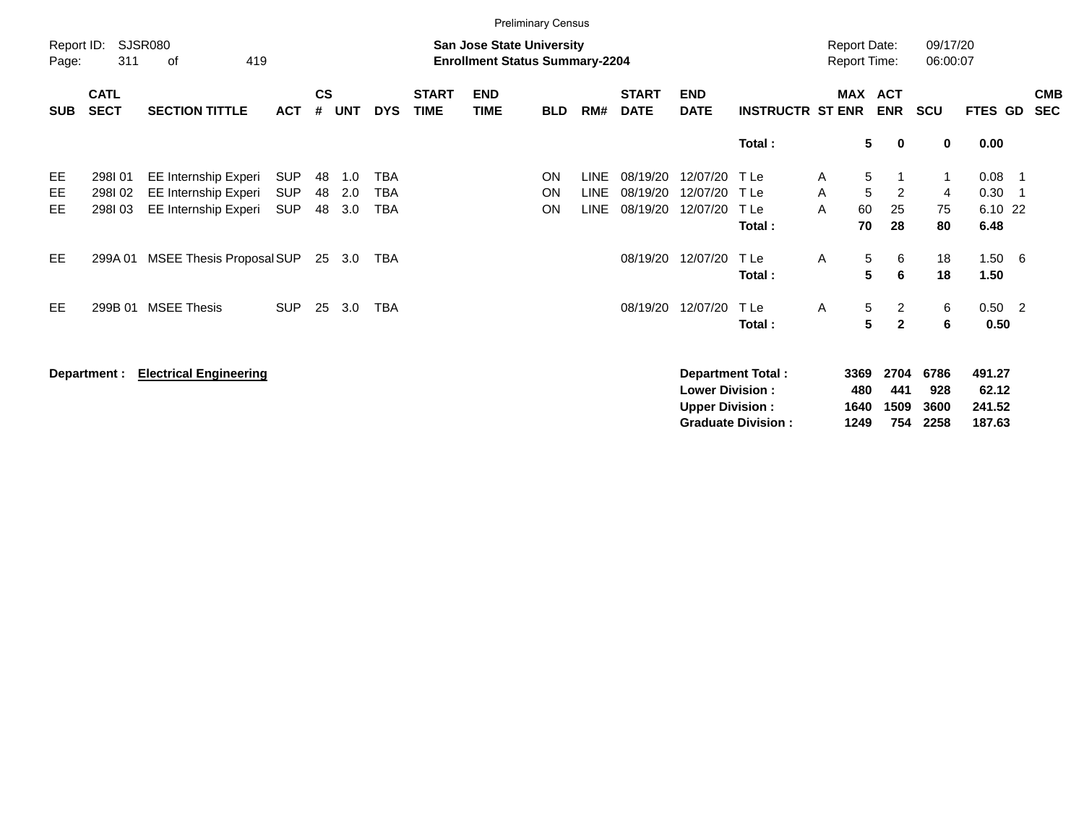|                     |                            |                                              |                          |                    |            |                   |                             |                                                                           | <b>Preliminary Census</b> |                            |                             |                                                  |                          |        |                                            |                                |                      |                           |            |                          |
|---------------------|----------------------------|----------------------------------------------|--------------------------|--------------------|------------|-------------------|-----------------------------|---------------------------------------------------------------------------|---------------------------|----------------------------|-----------------------------|--------------------------------------------------|--------------------------|--------|--------------------------------------------|--------------------------------|----------------------|---------------------------|------------|--------------------------|
| Report ID:<br>Page: | 311                        | <b>SJSR080</b><br>419<br>of                  |                          |                    |            |                   |                             | <b>San Jose State University</b><br><b>Enrollment Status Summary-2204</b> |                           |                            |                             |                                                  |                          |        | <b>Report Date:</b><br><b>Report Time:</b> |                                | 09/17/20<br>06:00:07 |                           |            |                          |
| <b>SUB</b>          | <b>CATL</b><br><b>SECT</b> | <b>SECTION TITTLE</b>                        | <b>ACT</b>               | $\mathsf{cs}$<br># | <b>UNT</b> | <b>DYS</b>        | <b>START</b><br><b>TIME</b> | <b>END</b><br><b>TIME</b>                                                 | <b>BLD</b>                | RM#                        | <b>START</b><br><b>DATE</b> | <b>END</b><br><b>DATE</b>                        | <b>INSTRUCTR ST ENR</b>  |        | <b>MAX</b>                                 | <b>ACT</b><br><b>ENR</b>       | <b>SCU</b>           | <b>FTES GD</b>            |            | <b>CMB</b><br><b>SEC</b> |
|                     |                            |                                              |                          |                    |            |                   |                             |                                                                           |                           |                            |                             |                                                  | Total:                   |        | 5                                          | $\mathbf 0$                    | 0                    | 0.00                      |            |                          |
| EE<br>EE            | 298I01<br>298I02           | EE Internship Experi<br>EE Internship Experi | <b>SUP</b><br><b>SUP</b> | 48<br>48           | 1.0<br>2.0 | <b>TBA</b><br>TBA |                             |                                                                           | ON<br><b>ON</b>           | <b>LINE</b><br><b>LINE</b> | 08/19/20<br>08/19/20        | 12/07/20<br>12/07/20                             | T Le<br>T Le             | A<br>A | 5<br>5                                     | $\overline{2}$                 | 1<br>4               | 0.08<br>0.30              | - 1<br>- 1 |                          |
| EE                  | 298103                     | EE Internship Experi                         | <b>SUP</b>               | 48                 | 3.0        | <b>TBA</b>        |                             |                                                                           | ON                        | <b>LINE</b>                | 08/19/20                    | 12/07/20                                         | T Le<br>Total:           | A      | 60<br>70                                   | 25<br>28                       | 75<br>80             | 6.10 22<br>6.48           |            |                          |
| EE.                 | 299A 01                    | <b>MSEE Thesis Proposal SUP</b>              |                          | 25                 | 3.0        | TBA               |                             |                                                                           |                           |                            | 08/19/20                    | 12/07/20                                         | T Le<br>Total:           | A      | 5<br>5                                     | 6<br>6                         | 18<br>18             | $1.50\ 6$<br>1.50         |            |                          |
| EE.                 | 299B 01                    | <b>MSEE Thesis</b>                           | <b>SUP</b>               | 25                 | 3.0        | TBA               |                             |                                                                           |                           |                            | 08/19/20                    | 12/07/20                                         | T Le<br>Total:           | A      | 5<br>5                                     | $\overline{2}$<br>$\mathbf{2}$ | 6<br>6               | $0.50$ 2<br>0.50          |            |                          |
|                     | Department :               | <b>Electrical Engineering</b>                |                          |                    |            |                   |                             |                                                                           |                           |                            |                             | <b>Lower Division:</b><br><b>Upper Division:</b> | <b>Department Total:</b> |        | 3369<br>480<br>1640                        | 2704<br>441<br>1509            | 6786<br>928<br>3600  | 491.27<br>62.12<br>241.52 |            |                          |

**Graduate Division : 1249 754 2258 187.63**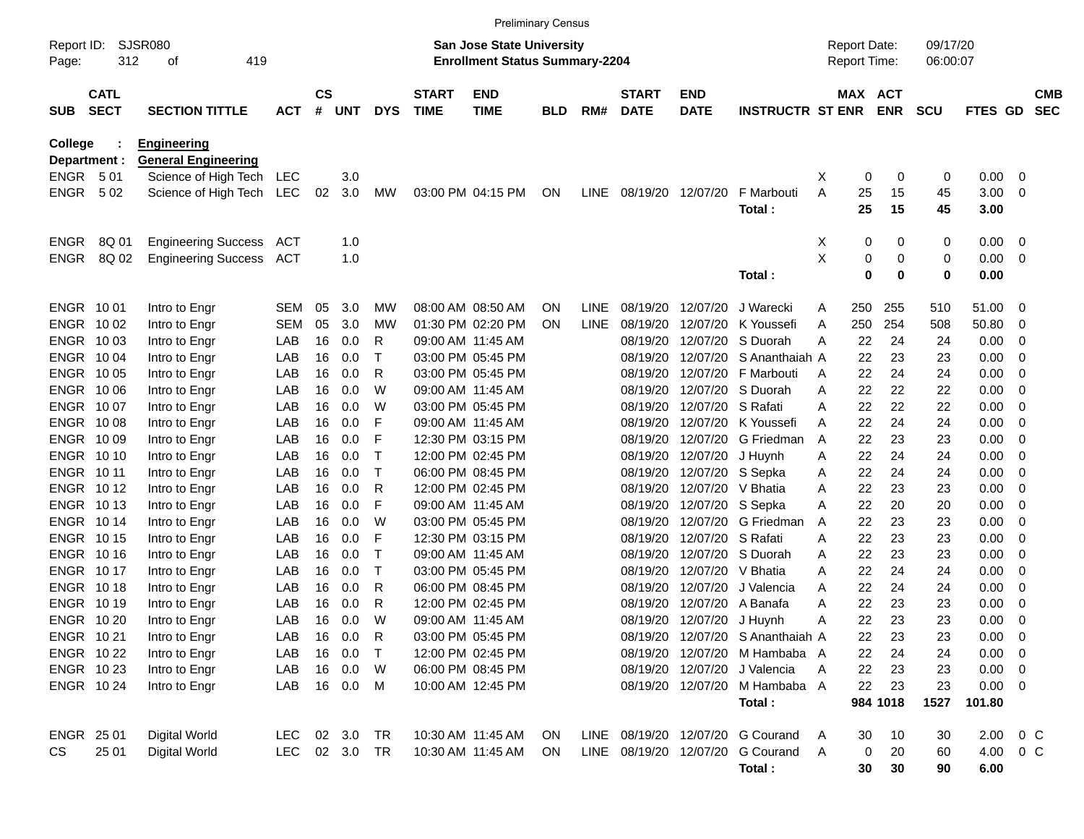|                     |                            |                            |            |                    |           |            |                             | <b>Preliminary Census</b>                                                 |            |             |                             |                           |                                  |                                            |          |                |                      |                |                          |                          |
|---------------------|----------------------------|----------------------------|------------|--------------------|-----------|------------|-----------------------------|---------------------------------------------------------------------------|------------|-------------|-----------------------------|---------------------------|----------------------------------|--------------------------------------------|----------|----------------|----------------------|----------------|--------------------------|--------------------------|
| Report ID:<br>Page: | 312                        | SJSR080<br>419<br>οf       |            |                    |           |            |                             | <b>San Jose State University</b><br><b>Enrollment Status Summary-2204</b> |            |             |                             |                           |                                  | <b>Report Date:</b><br><b>Report Time:</b> |          |                | 09/17/20<br>06:00:07 |                |                          |                          |
| <b>SUB</b>          | <b>CATL</b><br><b>SECT</b> | <b>SECTION TITTLE</b>      | <b>ACT</b> | $\mathsf{cs}$<br># | UNT       | <b>DYS</b> | <b>START</b><br><b>TIME</b> | <b>END</b><br><b>TIME</b>                                                 | <b>BLD</b> | RM#         | <b>START</b><br><b>DATE</b> | <b>END</b><br><b>DATE</b> | <b>INSTRUCTR ST ENR ENR</b>      |                                            |          | <b>MAX ACT</b> | <b>SCU</b>           | <b>FTES GD</b> |                          | <b>CMB</b><br><b>SEC</b> |
| College             |                            | <b>Engineering</b>         |            |                    |           |            |                             |                                                                           |            |             |                             |                           |                                  |                                            |          |                |                      |                |                          |                          |
| Department :        |                            | <b>General Engineering</b> |            |                    |           |            |                             |                                                                           |            |             |                             |                           |                                  |                                            |          |                |                      |                |                          |                          |
| ENGR 501            |                            | Science of High Tech       | LEC        |                    | 3.0       |            |                             |                                                                           |            |             |                             |                           |                                  | х                                          | 0        | 0              | 0                    | 0.00           | $\overline{\phantom{0}}$ |                          |
| ENGR                | 502                        | Science of High Tech       | LEC        | 02                 | 3.0       | <b>MW</b>  |                             | 03:00 PM 04:15 PM                                                         | ON         | LINE        |                             | 08/19/20 12/07/20         | F Marbouti<br>Total:             | Α                                          | 25<br>25 | 15<br>15       | 45<br>45             | 3.00<br>3.00   | $\overline{\phantom{0}}$ |                          |
| <b>ENGR</b>         | 8Q 01                      | <b>Engineering Success</b> | ACT        |                    | 1.0       |            |                             |                                                                           |            |             |                             |                           |                                  | X                                          | 0        | 0              | 0                    | $0.00 \t 0$    |                          |                          |
| <b>ENGR</b>         | 8Q 02                      | <b>Engineering Success</b> | ACT        |                    | 1.0       |            |                             |                                                                           |            |             |                             |                           |                                  | X                                          | 0        | 0              | 0                    | 0.00           | $\overline{\phantom{0}}$ |                          |
|                     |                            |                            |            |                    |           |            |                             |                                                                           |            |             |                             |                           | Total:                           |                                            | 0        | 0              | 0                    | 0.00           |                          |                          |
| ENGR 1001           |                            | Intro to Engr              | <b>SEM</b> | 05                 | 3.0       | MW         |                             | 08:00 AM 08:50 AM                                                         | <b>ON</b>  | LINE        | 08/19/20                    | 12/07/20                  | J Warecki                        | A                                          | 250      | 255            | 510                  | 51.00          | $\overline{\phantom{0}}$ |                          |
| ENGR 1002           |                            | Intro to Engr              | <b>SEM</b> | 05                 | 3.0       | МW         |                             | 01:30 PM 02:20 PM                                                         | <b>ON</b>  | <b>LINE</b> | 08/19/20                    | 12/07/20                  | K Youssefi                       | Α                                          | 250      | 254            | 508                  | 50.80          | - 0                      |                          |
| ENGR 1003           |                            | Intro to Engr              | LAB        | 16                 | 0.0       | R          |                             | 09:00 AM 11:45 AM                                                         |            |             | 08/19/20                    | 12/07/20                  | S Duorah                         | A                                          | 22       | 24             | 24                   | 0.00           | - 0                      |                          |
| ENGR 1004           |                            | Intro to Engr              | LAB        | 16                 | 0.0       |            |                             | 03:00 PM 05:45 PM                                                         |            |             | 08/19/20                    | 12/07/20                  | S Ananthaiah A                   |                                            | 22       | 23             | 23                   | 0.00           | - 0                      |                          |
| ENGR 1005           |                            | Intro to Engr              | LAB        | 16                 | 0.0       | R          |                             | 03:00 PM 05:45 PM                                                         |            |             | 08/19/20                    | 12/07/20                  | F Marbouti                       | A                                          | 22       | 24             | 24                   | 0.00           | - 0                      |                          |
| <b>ENGR 1006</b>    |                            | Intro to Engr              | LAB        | 16                 | 0.0       | W          |                             | 09:00 AM 11:45 AM                                                         |            |             | 08/19/20                    | 12/07/20                  | S Duorah                         | A                                          | 22       | 22             | 22                   | 0.00           | - 0                      |                          |
| ENGR 1007           |                            | Intro to Engr              | LAB        | 16                 | 0.0       | W          |                             | 03:00 PM 05:45 PM                                                         |            |             | 08/19/20                    | 12/07/20 S Rafati         |                                  | A                                          | 22       | 22             | 22                   | 0.00           | - 0                      |                          |
| <b>ENGR 1008</b>    |                            | Intro to Engr              | LAB        | 16                 | 0.0       | F          |                             | 09:00 AM 11:45 AM                                                         |            |             | 08/19/20                    | 12/07/20                  | K Youssefi                       | A                                          | 22       | 24             | 24                   | 0.00           | - 0                      |                          |
| ENGR 1009           |                            | Intro to Engr              | LAB        | 16                 | 0.0       | F          |                             | 12:30 PM 03:15 PM                                                         |            |             | 08/19/20                    | 12/07/20                  | G Friedman                       | A                                          | 22       | 23             | 23                   | 0.00           | - 0                      |                          |
| ENGR 1010           |                            | Intro to Engr              | LAB        | 16                 | 0.0       |            |                             | 12:00 PM 02:45 PM                                                         |            |             | 08/19/20                    | 12/07/20                  | J Huynh                          | Α                                          | 22       | 24             | 24                   | 0.00           | - 0                      |                          |
| ENGR 1011           |                            | Intro to Engr              | LAB        | 16                 | 0.0       | Т          |                             | 06:00 PM 08:45 PM                                                         |            |             | 08/19/20                    | 12/07/20 S Sepka          |                                  | Α                                          | 22       | 24             | 24                   | 0.00           | - 0                      |                          |
| <b>ENGR 1012</b>    |                            | Intro to Engr              | LAB        | 16                 | 0.0       | R          |                             | 12:00 PM 02:45 PM                                                         |            |             | 08/19/20                    | 12/07/20 V Bhatia         |                                  | A                                          | 22       | 23             | 23                   | 0.00           | - 0                      |                          |
| <b>ENGR 1013</b>    |                            | Intro to Engr              | LAB        | 16                 | 0.0       | F          |                             | 09:00 AM 11:45 AM                                                         |            |             | 08/19/20                    |                           | 12/07/20 S Sepka                 | Α                                          | 22       | 20             | 20                   | 0.00           | - 0                      |                          |
| ENGR 1014           |                            | Intro to Engr              | LAB        | 16                 | 0.0       | W          |                             | 03:00 PM 05:45 PM                                                         |            |             | 08/19/20                    | 12/07/20                  | G Friedman                       | A                                          | 22       | 23             | 23                   | 0.00           | - 0                      |                          |
| <b>ENGR 1015</b>    |                            | Intro to Engr              | LAB        | 16                 | 0.0       | F          |                             | 12:30 PM 03:15 PM                                                         |            |             | 08/19/20                    | 12/07/20 S Rafati         |                                  | A                                          | 22       | 23             | 23                   | 0.00           | - 0                      |                          |
| <b>ENGR 1016</b>    |                            | Intro to Engr              | LAB        | 16                 | 0.0       | Т          |                             | 09:00 AM 11:45 AM                                                         |            |             | 08/19/20                    |                           | 12/07/20 S Duorah                | Α                                          | 22       | 23             | 23                   | 0.00           | - 0                      |                          |
| ENGR 1017           |                            | Intro to Engr              | LAB        | 16                 | 0.0       | т          |                             | 03:00 PM 05:45 PM                                                         |            |             | 08/19/20                    | 12/07/20 V Bhatia         |                                  | A                                          | 22       | 24             | 24                   | 0.00           | - 0                      |                          |
| ENGR 1018           |                            | Intro to Engr              | LAB        | 16                 | 0.0       | R          |                             | 06:00 PM 08:45 PM                                                         |            |             | 08/19/20                    | 12/07/20                  | J Valencia                       | Α                                          | 22       | 24             | 24                   | 0.00           | - 0                      |                          |
| <b>ENGR 1019</b>    |                            | Intro to Engr              | LAB        | 16                 | 0.0       | R          |                             | 12:00 PM 02:45 PM                                                         |            |             | 08/19/20                    | 12/07/20                  | A Banafa                         | A                                          | 22       | 23             | 23                   | 0.00           | - 0                      |                          |
|                     | ENGR 1020                  | Intro to Engr              | LAB        | 16                 | 0.0       | W          |                             | 09:00 AM_11:45 AM                                                         |            |             |                             | 08/19/20 12/07/20 J Huynh |                                  | A                                          | 22       | 23             | 23                   | 0.00           | - 0                      |                          |
| ENGR 1021           |                            | Intro to Engr              | LAB        |                    | 16  0.0   | R          |                             | 03:00 PM 05:45 PM                                                         |            |             |                             |                           | 08/19/20 12/07/20 S Ananthaiah A |                                            | 22       | 23             | 23                   | $0.00 \t 0$    |                          |                          |
| ENGR 10 22          |                            | Intro to Engr              | LAB        |                    | 16 0.0    | $\top$     |                             | 12:00 PM 02:45 PM                                                         |            |             |                             |                           | 08/19/20 12/07/20 M Hambaba A    |                                            | 22       | 24             | 24                   | $0.00 \t 0$    |                          |                          |
| ENGR 10 23          |                            | Intro to Engr              | LAB        |                    | 16 0.0    | W          |                             | 06:00 PM 08:45 PM                                                         |            |             |                             |                           | 08/19/20 12/07/20 J Valencia     | A                                          | 22       | 23             | 23                   | $0.00 \t 0$    |                          |                          |
| ENGR 10 24          |                            | Intro to Engr              | LAB        |                    | 16  0.0   | M          |                             | 10:00 AM 12:45 PM                                                         |            |             |                             | 08/19/20 12/07/20         | M Hambaba A                      |                                            | 22       | 23             | 23                   | $0.00 \t 0$    |                          |                          |
|                     |                            |                            |            |                    |           |            |                             |                                                                           |            |             |                             |                           | Total:                           |                                            |          | 984 1018       | 1527                 | 101.80         |                          |                          |
| ENGR 25 01          |                            | <b>Digital World</b>       | LEC.       |                    | 02 3.0    | TR         |                             | 10:30 AM 11:45 AM                                                         | ON.        |             |                             |                           | LINE 08/19/20 12/07/20 G Courand | $\mathsf{A}$                               | 30       | 10             | 30                   | 2.00 0 C       |                          |                          |
| CS                  | 25 01                      | <b>Digital World</b>       | LEC.       |                    | 02 3.0 TR |            |                             | 10:30 AM 11:45 AM                                                         | ON         |             |                             |                           | LINE 08/19/20 12/07/20 G Courand | A                                          | 0        | 20             | 60                   | 4.00 0 C       |                          |                          |
|                     |                            |                            |            |                    |           |            |                             |                                                                           |            |             |                             |                           | Total:                           |                                            | 30       | 30             | 90                   | 6.00           |                          |                          |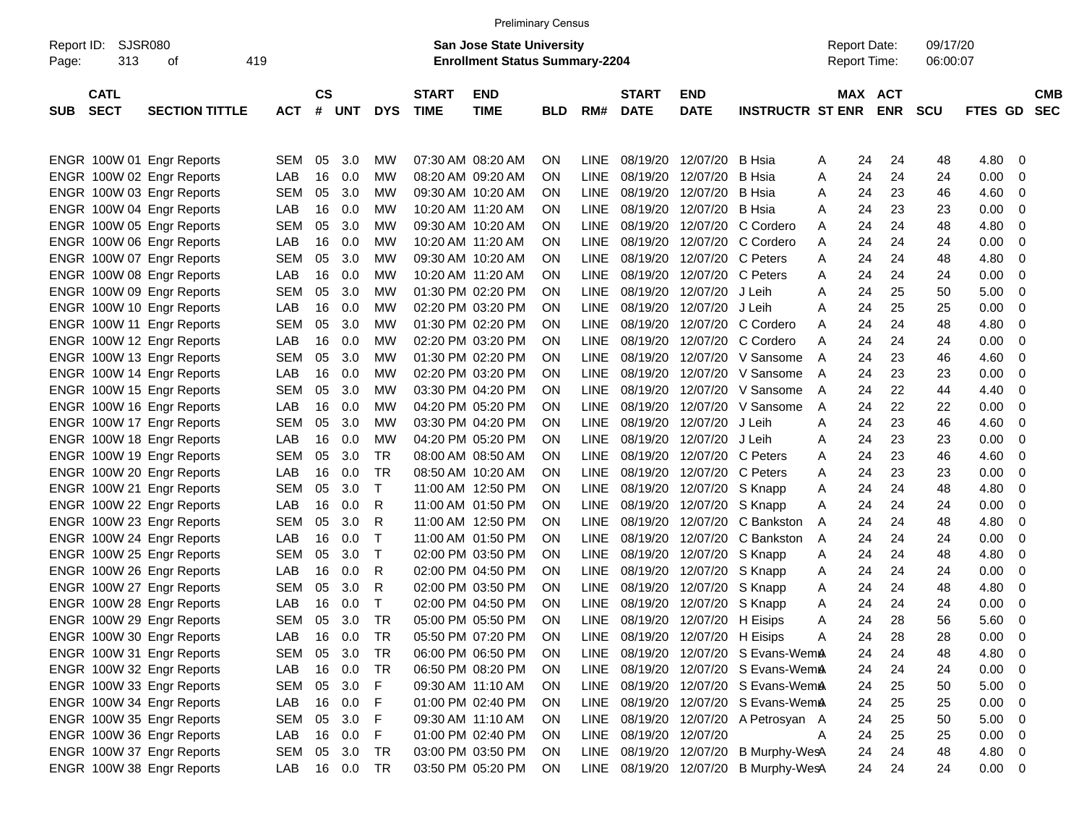|                     |                            |                           |            |                        |         |            |                             | <b>Preliminary Census</b>                                                 |            |             |                             |                                 |                                 |                                     |                       |                      |             |                          |
|---------------------|----------------------------|---------------------------|------------|------------------------|---------|------------|-----------------------------|---------------------------------------------------------------------------|------------|-------------|-----------------------------|---------------------------------|---------------------------------|-------------------------------------|-----------------------|----------------------|-------------|--------------------------|
| Report ID:<br>Page: | SJSR080<br>313             | οf                        | 419        |                        |         |            |                             | <b>San Jose State University</b><br><b>Enrollment Status Summary-2204</b> |            |             |                             |                                 |                                 | <b>Report Date:</b><br>Report Time: |                       | 09/17/20<br>06:00:07 |             |                          |
| <b>SUB</b>          | <b>CATL</b><br><b>SECT</b> | <b>SECTION TITTLE</b>     | <b>ACT</b> | $\mathbf{c}\mathbf{s}$ | # UNT   | <b>DYS</b> | <b>START</b><br><b>TIME</b> | <b>END</b><br><b>TIME</b>                                                 | <b>BLD</b> | RM#         | <b>START</b><br><b>DATE</b> | <b>END</b><br><b>DATE</b>       | <b>INSTRUCTR ST ENR</b>         |                                     | MAX ACT<br><b>ENR</b> | <b>SCU</b>           | FTES GD     | <b>CMB</b><br><b>SEC</b> |
|                     |                            | ENGR 100W 01 Engr Reports | SEM        | 05                     | 3.0     | МW         | 07:30 AM 08:20 AM           |                                                                           | ΟN         | LINE        | 08/19/20                    | 12/07/20                        | <b>B</b> Hsia                   | 24<br>A                             | 24                    | 48                   | 4.80        | 0                        |
|                     |                            | ENGR 100W 02 Engr Reports | LAB        | 16                     | 0.0     | МW         |                             | 08:20 AM 09:20 AM                                                         | ON         | LINE.       | 08/19/20                    | 12/07/20                        | <b>B</b> Hsia                   | 24<br>A                             | 24                    | 24                   | 0.00        | 0                        |
|                     |                            | ENGR 100W 03 Engr Reports | SEM        | 05                     | 3.0     | МW         |                             | 09:30 AM 10:20 AM                                                         | ΟN         | <b>LINE</b> | 08/19/20                    | 12/07/20                        | <b>B</b> Hsia                   | 24<br>A                             | 23                    | 46                   | 4.60        | 0                        |
|                     |                            | ENGR 100W 04 Engr Reports | LAB        | 16                     | 0.0     | МW         |                             | 10:20 AM 11:20 AM                                                         | ΟN         | <b>LINE</b> | 08/19/20                    | 12/07/20                        | <b>B</b> Hsia                   | 24<br>Α                             | 23                    | 23                   | 0.00        | 0                        |
|                     |                            | ENGR 100W 05 Engr Reports | SEM        | 05                     | 3.0     | МW         |                             | 09:30 AM 10:20 AM                                                         | ΟN         | <b>LINE</b> | 08/19/20                    | 12/07/20                        | C Cordero                       | 24<br>Α                             | 24                    | 48                   | 4.80        | 0                        |
|                     |                            | ENGR 100W 06 Engr Reports | LAB        | 16                     | 0.0     | МW         |                             | 10:20 AM 11:20 AM                                                         | ΟN         | <b>LINE</b> | 08/19/20                    | 12/07/20                        | C Cordero                       | 24<br>Α                             | 24                    | 24                   | 0.00        | 0                        |
|                     |                            | ENGR 100W 07 Engr Reports | SEM        | 05                     | 3.0     | МW         |                             | 09:30 AM 10:20 AM                                                         | ΟN         | <b>LINE</b> | 08/19/20                    | 12/07/20                        | C Peters                        | 24<br>Α                             | 24                    | 48                   | 4.80        | 0                        |
|                     |                            | ENGR 100W 08 Engr Reports | LAB        | 16                     | 0.0     | МW         |                             | 10:20 AM 11:20 AM                                                         | ΟN         | <b>LINE</b> | 08/19/20                    | 12/07/20                        | C Peters                        | 24<br>Α                             | 24                    | 24                   | 0.00        | 0                        |
|                     |                            | ENGR 100W 09 Engr Reports | SEM        | 05                     | 3.0     | МW         |                             | 01:30 PM 02:20 PM                                                         | ON         | <b>LINE</b> | 08/19/20                    | 12/07/20                        | J Leih                          | 24<br>Α                             | 25                    | 50                   | 5.00        | 0                        |
|                     |                            | ENGR 100W 10 Engr Reports | LAB        | 16                     | 0.0     | МW         |                             | 02:20 PM 03:20 PM                                                         | ΟN         | <b>LINE</b> | 08/19/20                    | 12/07/20                        | J Leih                          | 24<br>Α                             | 25                    | 25                   | 0.00        | 0                        |
|                     |                            | ENGR 100W 11 Engr Reports | SEM        | 05                     | 3.0     | МW         |                             | 01:30 PM 02:20 PM                                                         | ΟN         | <b>LINE</b> | 08/19/20                    | 12/07/20                        | C Cordero                       | 24<br>Α                             | 24                    | 48                   | 4.80        | 0                        |
|                     |                            | ENGR 100W 12 Engr Reports | LAB        | 16                     | 0.0     | МW         |                             | 02:20 PM 03:20 PM                                                         | ΟN         | <b>LINE</b> | 08/19/20                    | 12/07/20                        | C Cordero                       | 24<br>Α                             | 24                    | 24                   | 0.00        | 0                        |
|                     |                            | ENGR 100W 13 Engr Reports | SEM        | 05                     | 3.0     | МW         |                             | 01:30 PM 02:20 PM                                                         | ΟN         | <b>LINE</b> | 08/19/20                    |                                 | 12/07/20 V Sansome              | 24<br>A                             | 23                    | 46                   | 4.60        | 0                        |
|                     |                            | ENGR 100W 14 Engr Reports | LAB        | 16                     | 0.0     | МW         |                             | 02:20 PM 03:20 PM                                                         | ΟN         | <b>LINE</b> | 08/19/20                    |                                 | 12/07/20 V Sansome              | 24<br>A                             | 23                    | 23                   | 0.00        | 0                        |
|                     |                            | ENGR 100W 15 Engr Reports | SEM        | 05                     | 3.0     | МW         |                             | 03:30 PM 04:20 PM                                                         | ΟN         | <b>LINE</b> | 08/19/20                    |                                 | 12/07/20 V Sansome              | 24<br>A                             | 22                    | 44                   | 4.40        | 0                        |
|                     |                            | ENGR 100W 16 Engr Reports | LAB        | 16                     | 0.0     | МW         |                             | 04:20 PM 05:20 PM                                                         | ΟN         | <b>LINE</b> | 08/19/20                    |                                 | 12/07/20 V Sansome              | 24<br>A                             | 22                    | 22                   | 0.00        | 0                        |
|                     |                            | ENGR 100W 17 Engr Reports | SEM        | 05                     | 3.0     | МW         |                             | 03:30 PM 04:20 PM                                                         | ΟN         | <b>LINE</b> | 08/19/20                    | 12/07/20                        | J Leih                          | 24<br>A                             | 23                    | 46                   | 4.60        | 0                        |
|                     |                            | ENGR 100W 18 Engr Reports | LAB        | 16                     | 0.0     | МW         |                             | 04:20 PM 05:20 PM                                                         | ΟN         | <b>LINE</b> | 08/19/20                    | 12/07/20                        | J Leih                          | 24<br>Α                             | 23                    | 23                   | 0.00        | 0                        |
|                     |                            | ENGR 100W 19 Engr Reports | SEM        | 05                     | 3.0     | TR         |                             | 08:00 AM 08:50 AM                                                         | ΟN         | <b>LINE</b> | 08/19/20                    | 12/07/20                        | C Peters                        | 24<br>Α                             | 23                    | 46                   | 4.60        | 0                        |
|                     |                            | ENGR 100W 20 Engr Reports | LAB        | 16                     | 0.0     | TR         |                             | 08:50 AM 10:20 AM                                                         | ON         | <b>LINE</b> | 08/19/20                    | 12/07/20                        | C Peters                        | 24<br>Α                             | 23                    | 23                   | 0.00        | 0                        |
|                     |                            | ENGR 100W 21 Engr Reports | SEM        | 05                     | 3.0     | Т          |                             | 11:00 AM 12:50 PM                                                         | ΟN         | <b>LINE</b> | 08/19/20                    | 12/07/20                        | S Knapp                         | 24<br>Α                             | 24                    | 48                   | 4.80        | 0                        |
|                     |                            | ENGR 100W 22 Engr Reports | LAB        | 16                     | 0.0     | R          |                             | 11:00 AM 01:50 PM                                                         | ΟN         | <b>LINE</b> | 08/19/20                    | 12/07/20                        | S Knapp                         | 24<br>Α                             | 24                    | 24                   | 0.00        | 0                        |
|                     |                            | ENGR 100W 23 Engr Reports | SEM        | 05                     | 3.0     | R          |                             | 11:00 AM 12:50 PM                                                         | ON         | <b>LINE</b> | 08/19/20                    | 12/07/20                        | C Bankston                      | 24<br>A                             | 24                    | 48                   | 4.80        | 0                        |
|                     |                            | ENGR 100W 24 Engr Reports | LAB        | 16                     | 0.0     | $\top$     |                             | 11:00 AM 01:50 PM                                                         | ON         | <b>LINE</b> | 08/19/20                    | 12/07/20                        | C Bankston                      | 24<br>A                             | 24                    | 24                   | 0.00        | 0                        |
|                     |                            | ENGR 100W 25 Engr Reports | SEM        | 05                     | 3.0     | Т          |                             | 02:00 PM 03:50 PM                                                         | ΟN         | <b>LINE</b> | 08/19/20                    | 12/07/20                        | S Knapp                         | 24<br>A                             | 24                    | 48                   | 4.80        | 0                        |
|                     |                            | ENGR 100W 26 Engr Reports | LAB        | 16                     | 0.0     | R          |                             | 02:00 PM 04:50 PM                                                         | ΟN         | <b>LINE</b> | 08/19/20                    | 12/07/20                        | S Knapp                         | 24<br>A                             | 24                    | 24                   | 0.00        | 0                        |
|                     |                            | ENGR 100W 27 Engr Reports | SEM        | 05                     | 3.0     | R          |                             | 02:00 PM 03:50 PM                                                         | ΟN         | LINE        | 08/19/20                    | 12/07/20                        | S Knapp                         | 24<br>A                             | 24                    | 48                   | 4.80        | 0                        |
|                     |                            | ENGR 100W 28 Engr Reports | LAB        | 16                     | 0.0     | $\top$     |                             | 02:00 PM 04:50 PM                                                         | ΟN         | <b>LINE</b> | 08/19/20                    | 12/07/20                        | S Knapp                         | 24<br>A                             | 24                    | 24                   | 0.00        | 0                        |
|                     |                            | ENGR 100W 29 Engr Reports | SEM        | 05                     | 3.0     | TR         |                             | 05:00 PM 05:50 PM                                                         | ON         | LINE        |                             | 08/19/20 12/07/20 H Eisips      |                                 | 24<br>Α                             | 28                    | 56                   | 5.60        | 0                        |
|                     |                            | ENGR 100W 30 Engr Reports | LAB        | 16                     | 0.0     | TR         |                             | 05:50 PM 07:20 PM                                                         | <b>ON</b>  |             |                             | LINE 08/19/20 12/07/20 H Eisips |                                 | 24<br>A                             | 28                    | 28                   | 0.00        | 0                        |
|                     |                            | ENGR 100W 31 Engr Reports | SEM        | 05                     | 3.0     | TR         |                             | 06:00 PM 06:50 PM                                                         | <b>ON</b>  | LINE.       |                             |                                 | 08/19/20 12/07/20 S Evans-WemA  | 24                                  | 24                    | 48                   | 4.80        | 0                        |
|                     |                            | ENGR 100W 32 Engr Reports | LAB        |                        | 16 0.0  | TR         |                             | 06:50 PM 08:20 PM                                                         | ON.        | LINE        |                             |                                 | 08/19/20 12/07/20 S Evans-WemA  | 24                                  | 24                    | 24                   | 0.00        | 0                        |
|                     |                            | ENGR 100W 33 Engr Reports | SEM        | 05                     | 3.0     | F          | 09:30 AM 11:10 AM           |                                                                           | ON.        | LINE        |                             |                                 | 08/19/20 12/07/20 S Evans-WemA  | 24                                  | 25                    | 50                   | 5.00        | 0                        |
|                     |                            | ENGR 100W 34 Engr Reports | LAB        |                        | 16 0.0  | F          |                             | 01:00 PM 02:40 PM                                                         | ON.        | LINE        |                             |                                 | 08/19/20 12/07/20 S Evans-WemA  | 24                                  | 25                    | 25                   | 0.00        | 0                        |
|                     |                            | ENGR 100W 35 Engr Reports | SEM        | 05                     | 3.0     | F          |                             | 09:30 AM 11:10 AM                                                         | ON.        | LINE        |                             |                                 | 08/19/20 12/07/20 A Petrosyan A | 24                                  | 25                    | 50                   | 5.00        | 0                        |
|                     |                            | ENGR 100W 36 Engr Reports | LAB        |                        | 16 0.0  | F          |                             | 01:00 PM 02:40 PM                                                         | ON.        |             | LINE 08/19/20 12/07/20      |                                 |                                 | 24<br>A                             | 25                    | 25                   | 0.00        | 0                        |
|                     |                            | ENGR 100W 37 Engr Reports | SEM        |                        | 05 3.0  | TR         |                             | 03:00 PM 03:50 PM                                                         | ON.        | LINE        |                             | 08/19/20 12/07/20               | B Murphy-WesA                   | 24                                  | 24                    | 48                   | 4.80        | 0                        |
|                     |                            | ENGR 100W 38 Engr Reports | LAB        |                        | 16  0.0 | TR         |                             | 03:50 PM 05:20 PM                                                         | ON         |             |                             | LINE 08/19/20 12/07/20          | <b>B Murphy-WesA</b>            | 24                                  | 24                    | 24                   | $0.00 \t 0$ |                          |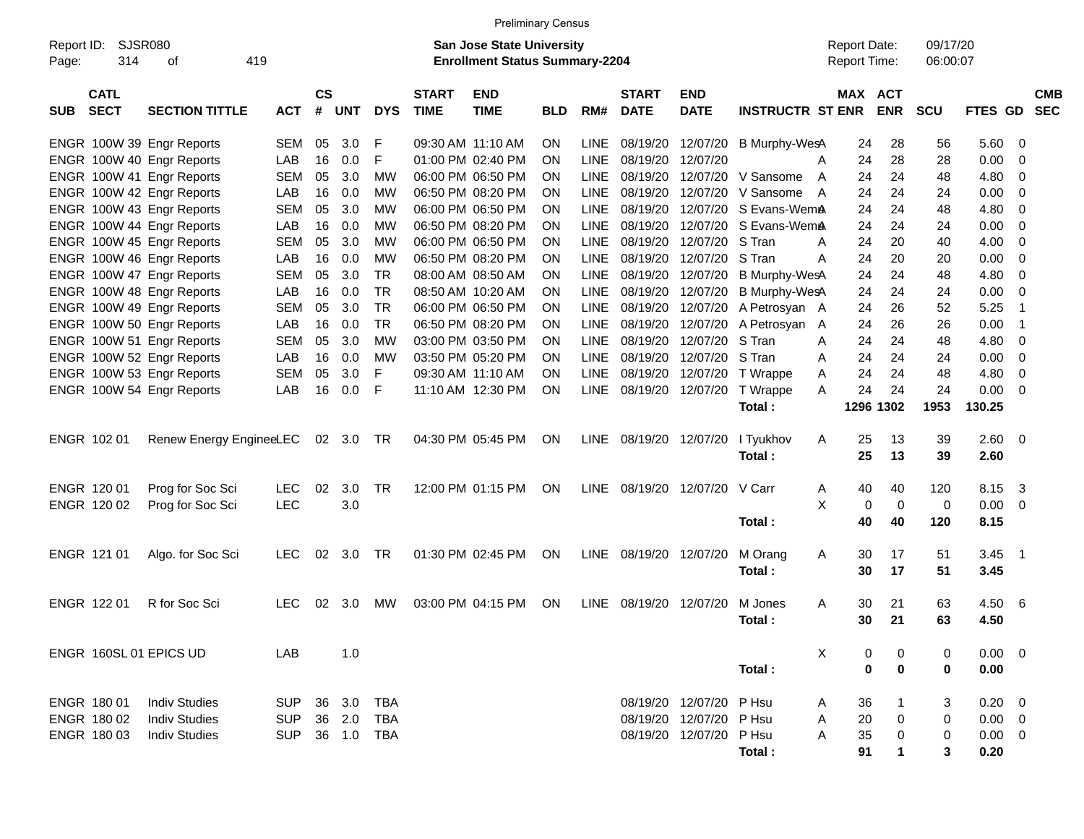|                     |                            |                           |            |                    |            |            |                             | <b>Preliminary Census</b>                                                 |            |             |                             |                           |                         |                                     |             |                      |              |                          |
|---------------------|----------------------------|---------------------------|------------|--------------------|------------|------------|-----------------------------|---------------------------------------------------------------------------|------------|-------------|-----------------------------|---------------------------|-------------------------|-------------------------------------|-------------|----------------------|--------------|--------------------------|
| Report ID:<br>Page: | SJSR080<br>314             | οf                        | 419        |                    |            |            |                             | <b>San Jose State University</b><br><b>Enrollment Status Summary-2204</b> |            |             |                             |                           |                         | <b>Report Date:</b><br>Report Time: |             | 09/17/20<br>06:00:07 |              |                          |
| <b>SUB</b>          | <b>CATL</b><br><b>SECT</b> | <b>SECTION TITTLE</b>     | <b>ACT</b> | $\mathsf{cs}$<br># | <b>UNT</b> | <b>DYS</b> | <b>START</b><br><b>TIME</b> | <b>END</b><br><b>TIME</b>                                                 | <b>BLD</b> | RM#         | <b>START</b><br><b>DATE</b> | <b>END</b><br><b>DATE</b> | <b>INSTRUCTR ST ENR</b> | MAX ACT                             | <b>ENR</b>  | <b>SCU</b>           | FTES GD      | <b>CMB</b><br><b>SEC</b> |
|                     |                            | ENGR 100W 39 Engr Reports | <b>SEM</b> | 05                 | 3.0        | F          |                             | 09:30 AM 11:10 AM                                                         | <b>ON</b>  | <b>LINE</b> | 08/19/20                    | 12/07/20                  | B Murphy-WesA           | 24                                  | 28          | 56                   | 5.60         | 0                        |
|                     |                            | ENGR 100W 40 Engr Reports | LAB        | 16                 | 0.0        | F          |                             | 01:00 PM 02:40 PM                                                         | <b>ON</b>  | <b>LINE</b> | 08/19/20                    | 12/07/20                  |                         | 24<br>A                             | 28          | 28                   | 0.00         | 0                        |
|                     |                            | ENGR 100W 41 Engr Reports | <b>SEM</b> | 05                 | 3.0        | МW         |                             | 06:00 PM 06:50 PM                                                         | <b>ON</b>  | <b>LINE</b> | 08/19/20                    | 12/07/20                  | V Sansome<br>A          | 24                                  | 24          | 48                   | 4.80         | 0                        |
|                     |                            | ENGR 100W 42 Engr Reports | LAB        | 16                 | 0.0        | МW         |                             | 06:50 PM 08:20 PM                                                         | <b>ON</b>  | LINE.       | 08/19/20                    | 12/07/20                  | V Sansome<br>A          | 24                                  | 24          | 24                   | 0.00         | 0                        |
|                     |                            | ENGR 100W 43 Engr Reports | <b>SEM</b> | 05                 | 3.0        | МW         |                             | 06:00 PM 06:50 PM                                                         | <b>ON</b>  | LINE.       | 08/19/20                    | 12/07/20                  | S Evans-WemA            | 24                                  | 24          | 48                   | 4.80         | 0                        |
|                     |                            | ENGR 100W 44 Engr Reports | LAB        | 16                 | 0.0        | МW         |                             | 06:50 PM 08:20 PM                                                         | <b>ON</b>  | <b>LINE</b> | 08/19/20                    | 12/07/20                  | S Evans-WemA            | 24                                  | 24          | 24                   | 0.00         | 0                        |
|                     |                            | ENGR 100W 45 Engr Reports | <b>SEM</b> | 05                 | 3.0        | МW         |                             | 06:00 PM 06:50 PM                                                         | <b>ON</b>  | <b>LINE</b> | 08/19/20                    | 12/07/20                  | S Tran                  | 24<br>A                             | 20          | 40                   | 4.00         | 0                        |
|                     |                            | ENGR 100W 46 Engr Reports | LAB        | 16                 | 0.0        | МW         |                             | 06:50 PM 08:20 PM                                                         | <b>ON</b>  | LINE.       | 08/19/20                    | 12/07/20                  | S Tran                  | 24<br>A                             | 20          | 20                   | 0.00         | 0                        |
|                     |                            | ENGR 100W 47 Engr Reports | <b>SEM</b> | 05                 | 3.0        | TR         |                             | 08:00 AM 08:50 AM                                                         | <b>ON</b>  | <b>LINE</b> | 08/19/20                    | 12/07/20                  | <b>B Murphy-WesA</b>    | 24                                  | 24          | 48                   | 4.80         | 0                        |
|                     |                            | ENGR 100W 48 Engr Reports | LAB        | 16                 | 0.0        | TR         |                             | 08:50 AM 10:20 AM                                                         | <b>ON</b>  | <b>LINE</b> | 08/19/20                    | 12/07/20                  | <b>B Murphy-WesA</b>    | 24                                  | 24          | 24                   | 0.00         | 0                        |
|                     |                            | ENGR 100W 49 Engr Reports | <b>SEM</b> | 05                 | 3.0        | TR         |                             | 06:00 PM 06:50 PM                                                         | <b>ON</b>  | <b>LINE</b> | 08/19/20                    | 12/07/20                  | A Petrosyan A           | 24                                  | 26          | 52                   | 5.25         | -1                       |
|                     |                            | ENGR 100W 50 Engr Reports | LAB        | 16                 | 0.0        | TR         |                             | 06:50 PM 08:20 PM                                                         | <b>ON</b>  | <b>LINE</b> | 08/19/20                    | 12/07/20                  | A Petrosyan A           | 24                                  | 26          | 26                   | 0.00         | -1                       |
|                     |                            | ENGR 100W 51 Engr Reports | <b>SEM</b> | 05                 | 3.0        | МW         |                             | 03:00 PM 03:50 PM                                                         | <b>ON</b>  | <b>LINE</b> | 08/19/20                    | 12/07/20                  | S Tran                  | A<br>24                             | 24          | 48                   | 4.80         | 0                        |
|                     |                            | ENGR 100W 52 Engr Reports | LAB        | 16                 | 0.0        | МW         |                             | 03:50 PM 05:20 PM                                                         | <b>ON</b>  | <b>LINE</b> | 08/19/20                    | 12/07/20                  | S Tran                  | 24<br>A                             | 24          | 24                   | 0.00         | 0                        |
|                     |                            | ENGR 100W 53 Engr Reports | <b>SEM</b> | 05                 | 3.0        | F          |                             | 09:30 AM 11:10 AM                                                         | <b>ON</b>  | <b>LINE</b> | 08/19/20                    | 12/07/20                  | T Wrappe                | 24<br>A                             | 24          | 48                   | 4.80         | 0                        |
|                     |                            | ENGR 100W 54 Engr Reports | LAB        | 16                 | 0.0        | F          |                             | 11:10 AM 12:30 PM                                                         | ON         | <b>LINE</b> | 08/19/20                    | 12/07/20                  | T Wrappe                | 24<br>A                             | 24          | 24                   | 0.00         | 0                        |
|                     |                            |                           |            |                    |            |            |                             |                                                                           |            |             |                             |                           | Total:                  |                                     | 1296 1302   | 1953                 | 130.25       |                          |
|                     | ENGR 102 01                | Renew Energy EngineeLEC   |            |                    | 02 3.0     | TR         |                             | 04:30 PM 05:45 PM                                                         | <b>ON</b>  |             | LINE 08/19/20 12/07/20      |                           | I Tyukhov<br>Total:     | A<br>25<br>25                       | 13<br>13    | 39<br>39             | 2.60<br>2.60 | - 0                      |
|                     | ENGR 120 01                | Prog for Soc Sci          | <b>LEC</b> | 02                 | 3.0        | <b>TR</b>  |                             | 12:00 PM 01:15 PM                                                         | <b>ON</b>  | <b>LINE</b> | 08/19/20                    | 12/07/20                  | V Carr                  | 40<br>A                             | 40          | 120                  | 8.15         | -3                       |
|                     | ENGR 120 02                | Prog for Soc Sci          | <b>LEC</b> |                    | 3.0        |            |                             |                                                                           |            |             |                             |                           |                         | X<br>0                              | 0           | 0                    | 0.00         | 0                        |
|                     |                            |                           |            |                    |            |            |                             |                                                                           |            |             |                             |                           | Total:                  | 40                                  | 40          | 120                  | 8.15         |                          |
|                     | ENGR 121 01                | Algo. for Soc Sci         | <b>LEC</b> | 02                 | 3.0        | TR         |                             | 01:30 PM 02:45 PM                                                         | <b>ON</b>  | <b>LINE</b> | 08/19/20                    | 12/07/20                  | M Orang                 | 30<br>A                             | 17          | 51                   | 3.45         | - 1                      |
|                     |                            |                           |            |                    |            |            |                             |                                                                           |            |             |                             |                           | Total:                  | 30                                  | 17          | 51                   | 3.45         |                          |
|                     | ENGR 122 01                | R for Soc Sci             | <b>LEC</b> | 02                 | 3.0        | МW         |                             | 03:00 PM 04:15 PM                                                         | <b>ON</b>  | LINE.       | 08/19/20                    | 12/07/20                  | M Jones                 | A<br>30                             | 21          | 63                   | 4.50         | -6                       |
|                     |                            |                           |            |                    |            |            |                             |                                                                           |            |             |                             |                           | Total:                  | 30                                  | 21          | 63                   | 4.50         |                          |
|                     |                            | ENGR 160SL 01 EPICS UD    | LAB        |                    | 1.0        |            |                             |                                                                           |            |             |                             |                           |                         | Χ<br>0                              | 0           | 0                    | $0.00\,$     | $\overline{\phantom{0}}$ |
|                     |                            |                           |            |                    |            |            |                             |                                                                           |            |             |                             |                           | Total:                  | $\bf{0}$                            | $\bf{0}$    | 0                    | 0.00         |                          |
|                     | ENGR 180 01                | <b>Indiv Studies</b>      | <b>SUP</b> |                    | 36 3.0     | TBA        |                             |                                                                           |            |             |                             | 08/19/20 12/07/20         | P Hsu                   | A<br>36                             | 1           | 3                    | 0.20         | - 0                      |
|                     | ENGR 180 02                | <b>Indiv Studies</b>      | <b>SUP</b> |                    | 36 2.0     | TBA        |                             |                                                                           |            |             | 08/19/20                    | 12/07/20                  | P Hsu                   | Α<br>20                             | $\pmb{0}$   | 0                    | 0.00         | $\overline{\mathbf{0}}$  |
|                     | ENGR 180 03                | <b>Indiv Studies</b>      | <b>SUP</b> |                    | 36 1.0     | TBA        |                             |                                                                           |            |             |                             | 08/19/20 12/07/20         | P Hsu                   | Α<br>35                             | $\mathbf 0$ | 0                    | 0.00         | - 0                      |
|                     |                            |                           |            |                    |            |            |                             |                                                                           |            |             |                             |                           | Total:                  | 91                                  | 1           | 3                    | 0.20         |                          |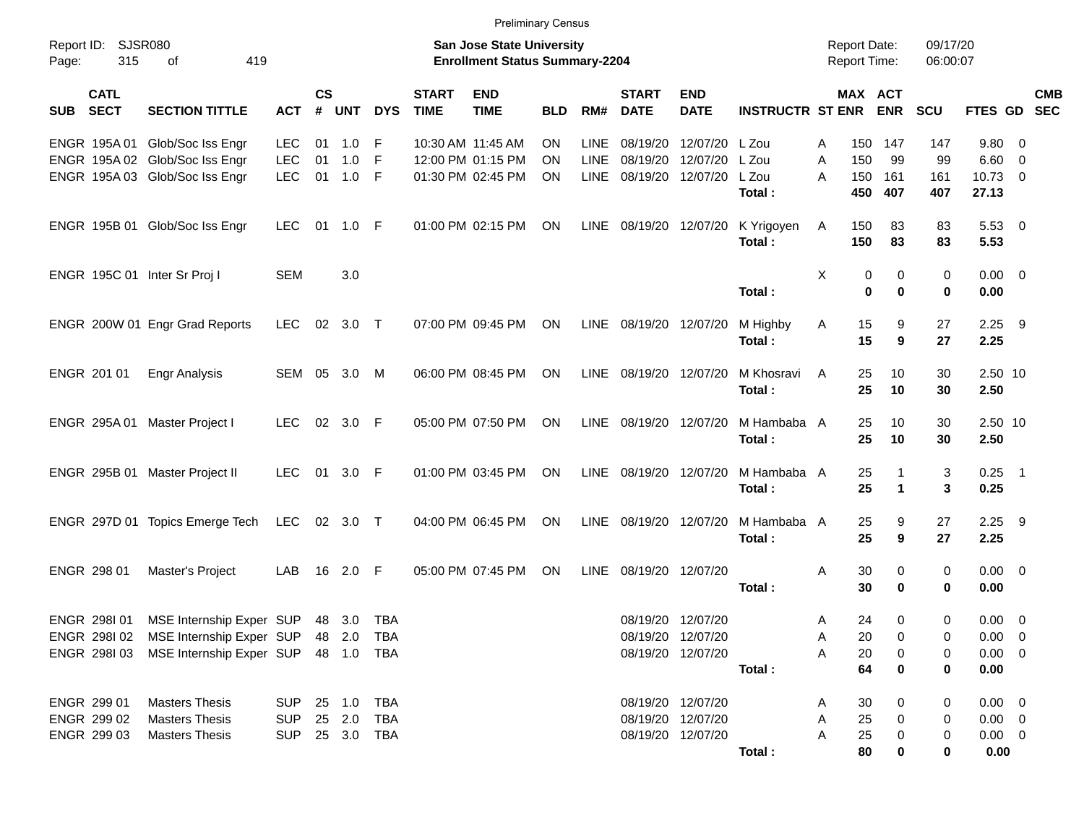|       |                                           |                                                                                                                                         |                                        |                         |                                    |             |                             | <b>Preliminary Census</b>                                                 |                                     |                             |                                  |                                                             |                                   |                                            |                            |                            |                                                   |                                           |            |
|-------|-------------------------------------------|-----------------------------------------------------------------------------------------------------------------------------------------|----------------------------------------|-------------------------|------------------------------------|-------------|-----------------------------|---------------------------------------------------------------------------|-------------------------------------|-----------------------------|----------------------------------|-------------------------------------------------------------|-----------------------------------|--------------------------------------------|----------------------------|----------------------------|---------------------------------------------------|-------------------------------------------|------------|
| Page: | Report ID: SJSR080<br>315                 | 419<br>of                                                                                                                               |                                        |                         |                                    |             |                             | <b>San Jose State University</b><br><b>Enrollment Status Summary-2204</b> |                                     |                             |                                  |                                                             |                                   | <b>Report Date:</b><br><b>Report Time:</b> |                            | 09/17/20<br>06:00:07       |                                                   |                                           |            |
| SUB   | <b>CATL</b><br><b>SECT</b>                | <b>SECTION TITTLE</b>                                                                                                                   | <b>ACT</b>                             | <b>CS</b><br>$\pmb{\#}$ | <b>UNT</b>                         | <b>DYS</b>  | <b>START</b><br><b>TIME</b> | <b>END</b><br><b>TIME</b>                                                 | <b>BLD</b>                          | RM#                         | <b>START</b><br><b>DATE</b>      | <b>END</b><br><b>DATE</b>                                   | <b>INSTRUCTR ST ENR</b>           |                                            | MAX ACT<br><b>ENR</b>      | SCU                        | FTES GD SEC                                       |                                           | <b>CMB</b> |
|       | ENGR 195A 01                              | Glob/Soc Iss Engr<br>ENGR 195A 02 Glob/Soc Iss Engr<br>ENGR 195A 03 Glob/Soc Iss Engr                                                   | <b>LEC</b><br><b>LEC</b><br><b>LEC</b> | 01<br>01<br>01          | 1.0<br>1.0<br>1.0                  | F<br>F<br>F | 10:30 AM 11:45 AM           | 12:00 PM 01:15 PM<br>01:30 PM 02:45 PM                                    | <b>ON</b><br><b>ON</b><br><b>ON</b> | LINE<br><b>LINE</b><br>LINE | 08/19/20<br>08/19/20<br>08/19/20 | 12/07/20<br>12/07/20<br>12/07/20                            | L Zou<br>L Zou<br>L Zou<br>Total: | 150<br>A<br>150<br>A<br>150<br>A<br>450    | 147<br>-99<br>161<br>407   | 147<br>99<br>161<br>407    | 9.80<br>6.60<br>$10.73$ 0<br>27.13                | $\overline{\mathbf{0}}$<br>$\overline{0}$ |            |
|       |                                           | ENGR 195B 01 Glob/Soc Iss Engr                                                                                                          | <b>LEC</b>                             | 01                      | $1.0$ F                            |             |                             | 01:00 PM 02:15 PM                                                         | ON                                  | LINE                        |                                  | 08/19/20 12/07/20                                           | K Yrigoyen<br>Total:              | 150<br>A<br>150                            | 83<br>83                   | 83<br>83                   | $5.53$ 0<br>5.53                                  |                                           |            |
|       |                                           | ENGR 195C 01 Inter Sr Proj I                                                                                                            | <b>SEM</b>                             |                         | 3.0                                |             |                             |                                                                           |                                     |                             |                                  |                                                             | Total:                            | X                                          | 0<br>0<br>0<br>0           | 0<br>$\mathbf 0$           | 0.00<br>0.00                                      | $\overline{\mathbf{0}}$                   |            |
|       |                                           | ENGR 200W 01 Engr Grad Reports                                                                                                          | <b>LEC</b>                             | 02                      | $3.0$ T                            |             |                             | 07:00 PM 09:45 PM                                                         | ON                                  | LINE                        | 08/19/20 12/07/20                |                                                             | M Highby<br>Total:                | 15<br>A<br>15                              | 9<br>9                     | 27<br>27                   | $2.25$ 9<br>2.25                                  |                                           |            |
|       | ENGR 201 01                               | <b>Engr Analysis</b>                                                                                                                    | SEM                                    | 05                      | 3.0                                | M           |                             | 06:00 PM 08:45 PM                                                         | <b>ON</b>                           |                             | LINE 08/19/20 12/07/20           |                                                             | M Khosravi<br>Total:              | 25<br>A<br>25                              | 10<br>10                   | 30<br>30                   | 2.50 10<br>2.50                                   |                                           |            |
|       |                                           | ENGR 295A 01 Master Project I                                                                                                           | <b>LEC</b>                             | 02                      | 3.0                                | -F          |                             | 05:00 PM 07:50 PM                                                         | <b>ON</b>                           |                             | LINE 08/19/20 12/07/20           |                                                             | M Hambaba A<br>Total:             | 25<br>25                                   | 10<br>10                   | 30<br>30                   | 2.50 10<br>2.50                                   |                                           |            |
|       |                                           | ENGR 295B 01 Master Project II                                                                                                          | <b>LEC</b>                             | 01                      | $3.0$ F                            |             |                             | 01:00 PM 03:45 PM                                                         | ON                                  |                             | LINE 08/19/20 12/07/20           |                                                             | M Hambaba A<br>Total:             | 25<br>25                                   | 1<br>$\mathbf{1}$          | 3<br>3                     | $0.25$ 1<br>0.25                                  |                                           |            |
|       |                                           | ENGR 297D 01 Topics Emerge Tech                                                                                                         | <b>LEC</b>                             |                         | 02 3.0 T                           |             |                             | 04:00 PM 06:45 PM                                                         | ON                                  |                             | LINE 08/19/20 12/07/20           |                                                             | M Hambaba A<br>Total:             | 25<br>25                                   | 9<br>9                     | 27<br>27                   | $2.25$ 9<br>2.25                                  |                                           |            |
|       | ENGR 298 01                               | Master's Project                                                                                                                        | LAB                                    | 16                      | 2.0                                | -F          |                             | 05:00 PM 07:45 PM                                                         | ON                                  | LINE                        | 08/19/20 12/07/20                |                                                             | Total:                            | 30<br>A<br>30                              | 0<br>$\mathbf 0$           | 0<br>$\mathbf 0$           | 0.00<br>0.00                                      | $\overline{\mathbf{0}}$                   |            |
|       | ENGR 298101                               | MSE Internship Exper SUP 48 3.0<br>ENGR 298I 02 MSE Internship Exper SUP 48 2.0 TBA<br>ENGR 298I 03 MSE Internship Exper SUP 48 1.0 TBA |                                        |                         |                                    | TBA         |                             |                                                                           |                                     |                             |                                  | 08/19/20 12/07/20<br>08/19/20 12/07/20<br>08/19/20 12/07/20 | Total:                            | 24<br>A<br>Α<br>20<br>20<br>Α<br>64        | $\mathbf 0$<br>0<br>0<br>0 | 0<br>0<br>0<br>0           | 0.00<br>$0.00 \quad 0$<br>$0.00 \t 0$<br>0.00     | $\overline{\mathbf{0}}$                   |            |
|       | ENGR 299 01<br>ENGR 299 02<br>ENGR 299 03 | <b>Masters Thesis</b><br><b>Masters Thesis</b><br><b>Masters Thesis</b>                                                                 | <b>SUP</b><br><b>SUP</b>               |                         | 25 1.0<br>25 2.0<br>SUP 25 3.0 TBA | TBA<br>TBA  |                             |                                                                           |                                     |                             |                                  | 08/19/20 12/07/20<br>08/19/20 12/07/20<br>08/19/20 12/07/20 | Total:                            | 30<br>A<br>25<br>Α<br>Α<br>25<br>80        | 0<br>0<br>0<br>0           | 0<br>0<br>0<br>$\mathbf 0$ | $0.00 \t 0$<br>$0.00 \t 0$<br>$0.00 \t 0$<br>0.00 |                                           |            |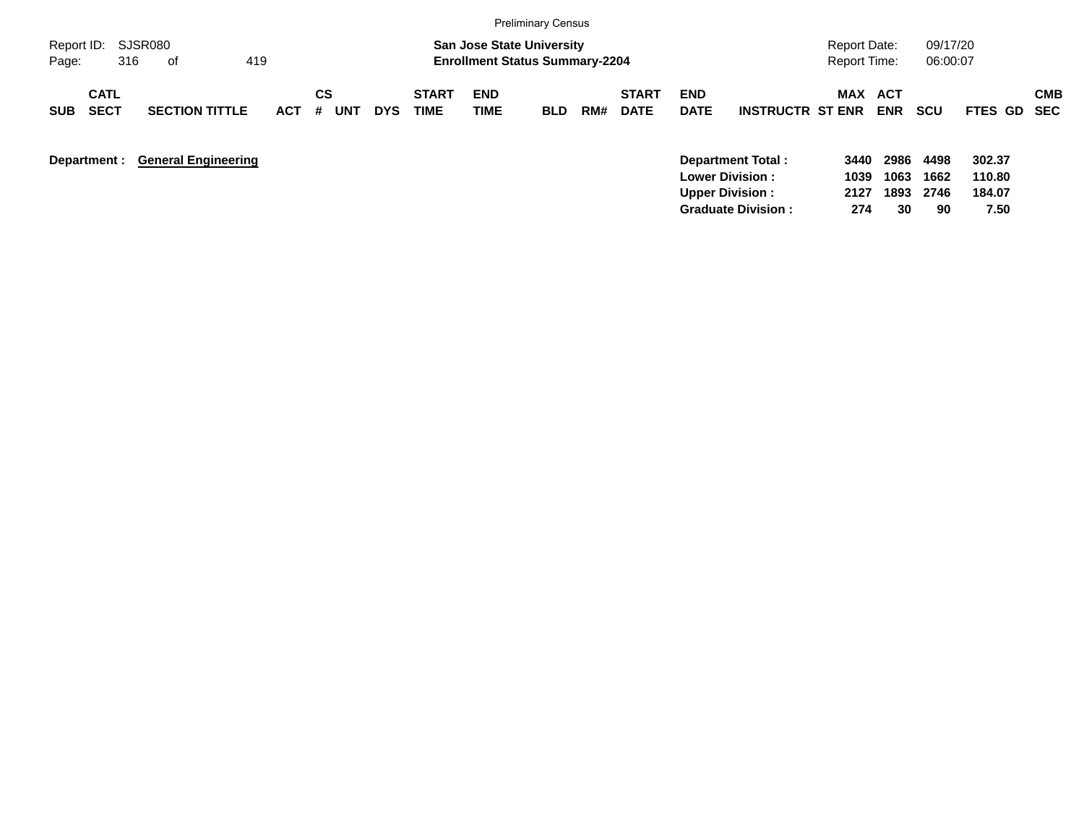|                                          |                            |            |                       |            |                             |                                                                           | <b>Preliminary Census</b> |     |                             |                           |                                             |                                     |                      |                      |                            |            |
|------------------------------------------|----------------------------|------------|-----------------------|------------|-----------------------------|---------------------------------------------------------------------------|---------------------------|-----|-----------------------------|---------------------------|---------------------------------------------|-------------------------------------|----------------------|----------------------|----------------------------|------------|
| Report ID: SJSR080<br>316<br>Page:       | 419<br>of                  |            |                       |            |                             | <b>San Jose State University</b><br><b>Enrollment Status Summary-2204</b> |                           |     |                             |                           |                                             | Report Date:<br><b>Report Time:</b> |                      | 09/17/20<br>06:00:07 |                            |            |
| <b>CATL</b><br><b>SECT</b><br><b>SUB</b> | <b>SECTION TITTLE</b>      | <b>ACT</b> | CS<br>#<br><b>UNT</b> | <b>DYS</b> | <b>START</b><br><b>TIME</b> | <b>END</b><br><b>TIME</b>                                                 | <b>BLD</b>                | RM# | <b>START</b><br><b>DATE</b> | <b>END</b><br><b>DATE</b> | <b>INSTRUCTR ST ENR</b>                     | MAX ACT                             | <b>ENR</b>           | <b>SCU</b>           | FTES GD SEC                | <b>CMB</b> |
| Department :                             | <b>General Engineering</b> |            |                       |            |                             |                                                                           |                           |     |                             | <b>Upper Division:</b>    | Department Total:<br><b>Lower Division:</b> | 3440<br>1039<br>2127                | 2986<br>1063<br>1893 | 4498<br>1662<br>2746 | 302.37<br>110.80<br>184.07 |            |

**Graduate Division : 274 30 90 7.50**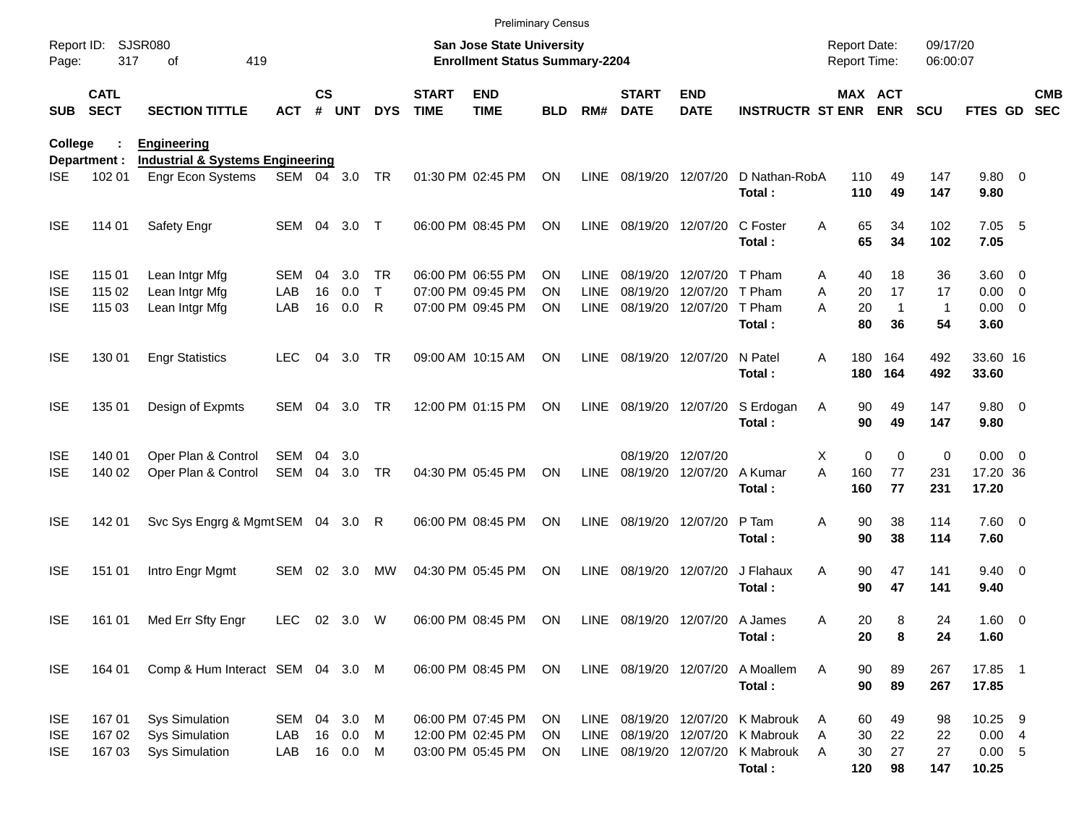|            |                            |                                                                   |            |                |            |              |                             | <b>Preliminary Census</b>                                                 |            |             |                                |                           |                         |                                     |                       |                      |                        |      |                          |
|------------|----------------------------|-------------------------------------------------------------------|------------|----------------|------------|--------------|-----------------------------|---------------------------------------------------------------------------|------------|-------------|--------------------------------|---------------------------|-------------------------|-------------------------------------|-----------------------|----------------------|------------------------|------|--------------------------|
| Page:      | Report ID: SJSR080<br>317  | 419<br>οf                                                         |            |                |            |              |                             | <b>San Jose State University</b><br><b>Enrollment Status Summary-2204</b> |            |             |                                |                           |                         | <b>Report Date:</b><br>Report Time: |                       | 09/17/20<br>06:00:07 |                        |      |                          |
| <b>SUB</b> | <b>CATL</b><br><b>SECT</b> | <b>SECTION TITTLE</b>                                             | <b>ACT</b> | <b>CS</b><br># | <b>UNT</b> | <b>DYS</b>   | <b>START</b><br><b>TIME</b> | <b>END</b><br><b>TIME</b>                                                 | <b>BLD</b> | RM#         | <b>START</b><br><b>DATE</b>    | <b>END</b><br><b>DATE</b> | <b>INSTRUCTR ST ENR</b> |                                     | MAX ACT<br><b>ENR</b> | <b>SCU</b>           | FTES GD                |      | <b>CMB</b><br><b>SEC</b> |
| College    | Department :               | <b>Engineering</b><br><b>Industrial &amp; Systems Engineering</b> |            |                |            |              |                             |                                                                           |            |             |                                |                           |                         |                                     |                       |                      |                        |      |                          |
| ISE.       | 102 01                     | <b>Engr Econ Systems</b>                                          | SEM 04 3.0 |                |            | TR           |                             | 01:30 PM 02:45 PM                                                         | ON         |             | LINE 08/19/20 12/07/20         |                           | D Nathan-RobA<br>Total: | 110<br>110                          | 49<br>49              | 147<br>147           | 9.80 0<br>9.80         |      |                          |
| <b>ISE</b> | 114 01                     | Safety Engr                                                       | SEM 04     |                | 3.0        | $\top$       |                             | 06:00 PM 08:45 PM                                                         | <b>ON</b>  |             | LINE 08/19/20 12/07/20         |                           | C Foster<br>Total:      | 65<br>A<br>65                       | 34<br>34              | 102<br>102           | 7.05<br>7.05           | $-5$ |                          |
| <b>ISE</b> | 115 01                     | Lean Intgr Mfg                                                    | <b>SEM</b> | 04             | 3.0        | <b>TR</b>    |                             | 06:00 PM 06:55 PM                                                         | <b>ON</b>  | LINE        | 08/19/20 12/07/20              |                           | T Pham                  | 40<br>A                             | 18                    | 36                   | $3.60 \ 0$             |      |                          |
| <b>ISE</b> | 115 02                     | Lean Intgr Mfg                                                    | LAB        | 16             | 0.0        | $\mathsf{T}$ |                             | 07:00 PM 09:45 PM                                                         | <b>ON</b>  | <b>LINE</b> | 08/19/20                       | 12/07/20                  | T Pham                  | 20<br>Α                             | 17                    | 17                   | $0.00 \t 0$            |      |                          |
| ISE        | 115 03                     | Lean Intgr Mfg                                                    | LAB        | 16             | 0.0        | R            |                             | 07:00 PM 09:45 PM                                                         | <b>ON</b>  | LINE        | 08/19/20 12/07/20              |                           | T Pham<br>Total:        | 20<br>Α<br>80                       | $\mathbf{1}$<br>36    | $\mathbf{1}$<br>54   | $0.00 \t 0$<br>3.60    |      |                          |
| <b>ISE</b> | 130 01                     | <b>Engr Statistics</b>                                            | <b>LEC</b> | 04             | 3.0        | <b>TR</b>    |                             | 09:00 AM 10:15 AM                                                         | ON         |             | LINE 08/19/20 12/07/20         |                           | N Patel<br>Total:       | 180<br>A<br>180                     | 164<br>164            | 492<br>492           | 33.60 16<br>33.60      |      |                          |
| <b>ISE</b> | 135 01                     | Design of Expmts                                                  | SEM        | 04             | 3.0        | <b>TR</b>    |                             | 12:00 PM 01:15 PM                                                         | ON         |             | LINE 08/19/20 12/07/20         |                           | S Erdogan<br>Total:     | 90<br>A<br>90                       | 49<br>49              | 147<br>147           | 9.80 0<br>9.80         |      |                          |
| <b>ISE</b> | 140 01                     | Oper Plan & Control                                               | SEM        | 04             | 3.0        |              |                             |                                                                           |            |             | 08/19/20 12/07/20              |                           |                         | X                                   | 0<br>$\mathbf 0$      | $\pmb{0}$            | $0.00 \t 0$            |      |                          |
| <b>ISE</b> | 140 02                     | Oper Plan & Control                                               | SEM 04     |                | 3.0        | <b>TR</b>    |                             | 04:30 PM 05:45 PM                                                         | ON         |             | LINE 08/19/20 12/07/20         |                           | A Kumar                 | 160<br>A                            | 77                    | 231                  | 17.20 36               |      |                          |
|            |                            |                                                                   |            |                |            |              |                             |                                                                           |            |             |                                |                           | Total:                  | 160                                 | 77                    | 231                  | 17.20                  |      |                          |
| <b>ISE</b> | 142 01                     | Svc Sys Engrg & Mgmt SEM 04 3.0 R                                 |            |                |            |              |                             | 06:00 PM 08:45 PM                                                         | <b>ON</b>  |             | LINE 08/19/20 12/07/20         |                           | P Tam<br>Total:         | Α<br>90<br>90                       | 38<br>38              | 114<br>114           | 7.60 0<br>7.60         |      |                          |
| <b>ISE</b> | 151 01                     | Intro Engr Mgmt                                                   | <b>SEM</b> | 02             | 3.0        | <b>MW</b>    |                             | 04:30 PM 05:45 PM                                                         | ON         |             | LINE 08/19/20 12/07/20         |                           | J Flahaux<br>Total:     | A<br>90<br>90                       | 47<br>47              | 141<br>141           | $9.40 \quad 0$<br>9.40 |      |                          |
| <b>ISE</b> | 161 01                     | Med Err Sfty Engr                                                 | <b>LEC</b> |                | 02 3.0     | W            |                             | 06:00 PM 08:45 PM                                                         | ON         |             | LINE 08/19/20 12/07/20 A James |                           | Total:                  | 20<br>A<br>20                       | 8<br>8                | 24<br>24             | $1.60 \t 0$<br>1.60    |      |                          |
| <b>ISE</b> | 164 01                     | Comp & Hum Interact SEM 04 3.0 M                                  |            |                |            |              |                             | 06:00 PM 08:45 PM                                                         | ON         |             | LINE 08/19/20 12/07/20         |                           | A Moallem<br>Total:     | A<br>90<br>90                       | 89<br>89              | 267<br>267           | 17.85 1<br>17.85       |      |                          |
| <b>ISE</b> | 16701                      | <b>Sys Simulation</b>                                             | SEM        | 04             | 3.0        | M            |                             | 06:00 PM 07:45 PM                                                         | ON         |             | LINE 08/19/20 12/07/20         |                           | K Mabrouk               | A<br>60                             | 49                    | 98                   | 10.25 9                |      |                          |
| <b>ISE</b> | 167 02                     | <b>Sys Simulation</b>                                             | LAB        |                | 16 0.0     | M            |                             | 12:00 PM 02:45 PM                                                         | ON         |             | LINE 08/19/20 12/07/20         |                           | K Mabrouk               | 30<br>A                             | 22                    | 22                   | 0.004                  |      |                          |
| <b>ISE</b> | 167 03                     | <b>Sys Simulation</b>                                             | LAB        |                | 16 0.0     | M            |                             | 03:00 PM 05:45 PM                                                         | ON         |             | LINE 08/19/20 12/07/20         |                           | K Mabrouk               | 30<br>A                             | 27                    | 27                   | 0.00 5                 |      |                          |
|            |                            |                                                                   |            |                |            |              |                             |                                                                           |            |             |                                |                           | Total:                  | 120                                 | 98                    | 147                  | 10.25                  |      |                          |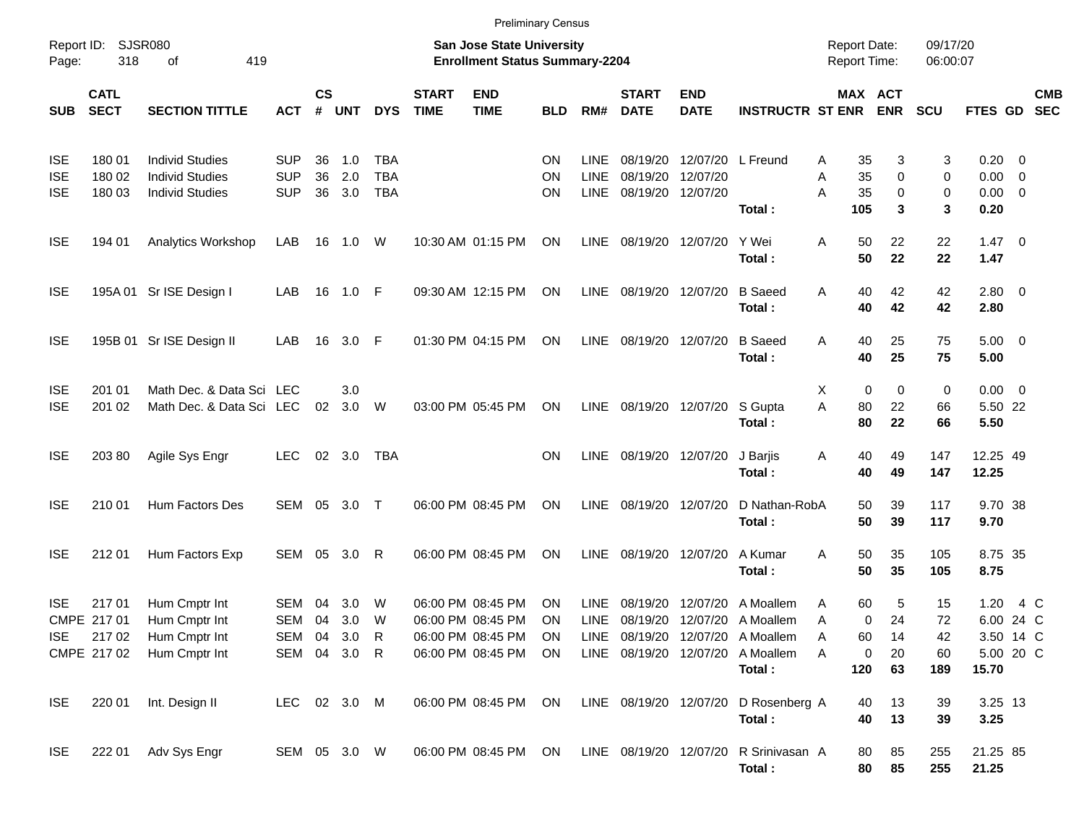|                                        |                                              |                                                                            |                                            |                |                   |                                        |                             | <b>Preliminary Census</b>                                                        |                      |                                           |                             |                                                    |                                                                                                                            |                                               |                            |                             |                                                      |     |            |
|----------------------------------------|----------------------------------------------|----------------------------------------------------------------------------|--------------------------------------------|----------------|-------------------|----------------------------------------|-----------------------------|----------------------------------------------------------------------------------|----------------------|-------------------------------------------|-----------------------------|----------------------------------------------------|----------------------------------------------------------------------------------------------------------------------------|-----------------------------------------------|----------------------------|-----------------------------|------------------------------------------------------|-----|------------|
| Report ID:<br>Page:                    | 318                                          | SJSR080<br>419<br>οf                                                       |                                            |                |                   |                                        |                             | San Jose State University<br><b>Enrollment Status Summary-2204</b>               |                      |                                           |                             |                                                    |                                                                                                                            | <b>Report Date:</b><br><b>Report Time:</b>    |                            | 09/17/20<br>06:00:07        |                                                      |     |            |
| <b>SUB</b>                             | <b>CATL</b><br><b>SECT</b>                   | <b>SECTION TITTLE</b>                                                      | <b>ACT</b>                                 | <b>CS</b><br># | <b>UNT</b>        | <b>DYS</b>                             | <b>START</b><br><b>TIME</b> | <b>END</b><br><b>TIME</b>                                                        | <b>BLD</b>           | RM#                                       | <b>START</b><br><b>DATE</b> | <b>END</b><br><b>DATE</b>                          | <b>INSTRUCTR ST ENR</b>                                                                                                    |                                               | MAX ACT<br><b>ENR</b>      | <b>SCU</b>                  | FTES GD SEC                                          |     | <b>CMB</b> |
| <b>ISE</b><br><b>ISE</b><br><b>ISE</b> | 180 01<br>180 02<br>180 03                   | <b>Individ Studies</b><br><b>Individ Studies</b><br><b>Individ Studies</b> | SUP<br><b>SUP</b><br><b>SUP</b>            | 36<br>36<br>36 | 1.0<br>2.0<br>3.0 | <b>TBA</b><br><b>TBA</b><br><b>TBA</b> |                             |                                                                                  | ΟN<br>ON<br>ΟN       | <b>LINE</b><br><b>LINE</b><br><b>LINE</b> | 08/19/20<br>08/19/20        | 12/07/20 L Freund<br>12/07/20<br>08/19/20 12/07/20 | Total:                                                                                                                     | 35<br>Α<br>35<br>Α<br>35<br>A<br>105          | 3<br>0<br>$\mathbf 0$<br>3 | 3<br>0<br>$\mathbf 0$<br>3  | $0.20 \ 0$<br>$0.00 \t 0$<br>$0.00 \t 0$<br>0.20     |     |            |
| <b>ISE</b>                             | 194 01                                       | Analytics Workshop                                                         | LAB                                        | 16             | 1.0               | W                                      |                             | 10:30 AM 01:15 PM                                                                | ON                   | LINE                                      |                             | 08/19/20 12/07/20                                  | Y Wei<br>Total:                                                                                                            | 50<br>Α<br>50                                 | 22<br>22                   | 22<br>22                    | $1.47 \quad 0$<br>1.47                               |     |            |
| <b>ISE</b>                             |                                              | 195A 01 Sr ISE Design I                                                    | LAB                                        | 16             | 1.0 F             |                                        |                             | 09:30 AM 12:15 PM                                                                | ON                   | LINE                                      | 08/19/20 12/07/20           |                                                    | <b>B</b> Saeed<br>Total:                                                                                                   | 40<br>A<br>40                                 | 42<br>42                   | 42<br>42                    | $2.80 \t 0$<br>2.80                                  |     |            |
| <b>ISE</b>                             |                                              | 195B 01 Sr ISE Design II                                                   | LAB                                        | 16             | 3.0 F             |                                        |                             | 01:30 PM 04:15 PM                                                                | ON                   | LINE                                      | 08/19/20 12/07/20           |                                                    | <b>B</b> Saeed<br>Total:                                                                                                   | 40<br>A<br>40                                 | 25<br>25                   | 75<br>75                    | $5.00 \t 0$<br>5.00                                  |     |            |
| <b>ISE</b><br><b>ISE</b>               | 201 01<br>201 02                             | Math Dec. & Data Sci LEC<br>Math Dec. & Data Sci LEC                       |                                            | 02             | 3.0<br>3.0 W      |                                        |                             | 03:00 PM 05:45 PM                                                                | <b>ON</b>            | LINE                                      | 08/19/20 12/07/20           |                                                    | S Gupta<br>Total:                                                                                                          | 0<br>Х<br>A<br>80<br>80                       | 0<br>22<br>22              | 0<br>66<br>66               | $0.00 \t 0$<br>5.50 22<br>5.50                       |     |            |
| <b>ISE</b>                             | 203 80                                       | Agile Sys Engr                                                             | <b>LEC</b>                                 |                | 02 3.0            | TBA                                    |                             |                                                                                  | <b>ON</b>            | LINE                                      |                             | 08/19/20 12/07/20                                  | J Barjis<br>Total:                                                                                                         | 40<br>Α<br>40                                 | 49<br>49                   | 147<br>147                  | 12.25 49<br>12.25                                    |     |            |
| <b>ISE</b>                             | 210 01                                       | Hum Factors Des                                                            | SEM 05 3.0 T                               |                |                   |                                        |                             | 06:00 PM 08:45 PM                                                                | <b>ON</b>            | LINE                                      |                             | 08/19/20 12/07/20                                  | D Nathan-RobA<br>Total:                                                                                                    | 50<br>50                                      | 39<br>39                   | 117<br>117                  | 9.70 38<br>9.70                                      |     |            |
| <b>ISE</b>                             | 212 01                                       | Hum Factors Exp                                                            | SEM 05 3.0                                 |                |                   | R                                      |                             | 06:00 PM 08:45 PM                                                                | ON                   | <b>LINE</b>                               |                             | 08/19/20 12/07/20                                  | A Kumar<br>Total:                                                                                                          | 50<br>Α<br>50                                 | 35<br>35                   | 105<br>105                  | 8.75 35<br>8.75                                      |     |            |
| <b>ISE</b><br><b>ISE</b>               | 21701<br>CMPE 217 01<br>21702<br>CMPE 217 02 | Hum Cmptr Int<br>Hum Cmptr Int<br>Hum Cmptr Int<br>Hum Cmptr Int           | SEM<br>SEM<br>SEM 04 3.0 R<br>SEM 04 3.0 R | 04<br>04       | 3.0<br>3.0        | W<br>W                                 |                             | 06:00 PM 08:45 PM<br>06:00 PM 08:45 PM<br>06:00 PM 08:45 PM<br>06:00 PM 08:45 PM | ON<br>ON<br>ON<br>ON | <b>LINE</b><br><b>LINE</b>                | 08/19/20                    | 12/07/20                                           | A Moallem<br>08/19/20 12/07/20 A Moallem<br>LINE 08/19/20 12/07/20 A Moallem<br>LINE 08/19/20 12/07/20 A Moallem<br>Total: | 60<br>A<br>0<br>A<br>Α<br>60<br>0<br>A<br>120 | 5<br>24<br>14<br>20<br>63  | 15<br>72<br>42<br>60<br>189 | 1.20<br>6.00 24 C<br>3.50 14 C<br>5.00 20 C<br>15.70 | 4 C |            |
| <b>ISE</b>                             | 220 01                                       | Int. Design II                                                             | LEC 02 3.0 M                               |                |                   |                                        |                             | 06:00 PM 08:45 PM ON                                                             |                      |                                           |                             |                                                    | LINE 08/19/20 12/07/20 D Rosenberg A<br>Total:                                                                             | 40<br>40                                      | 13<br>13                   | 39<br>39                    | 3.25 13<br>3.25                                      |     |            |
| <b>ISE</b>                             | 222 01                                       | Adv Sys Engr                                                               | SEM 05 3.0 W                               |                |                   |                                        |                             | 06:00 PM 08:45 PM ON                                                             |                      |                                           |                             |                                                    | LINE 08/19/20 12/07/20 R Srinivasan A<br>Total:                                                                            | 80<br>80                                      | 85<br>85                   | 255<br>255                  | 21.25 85<br>21.25                                    |     |            |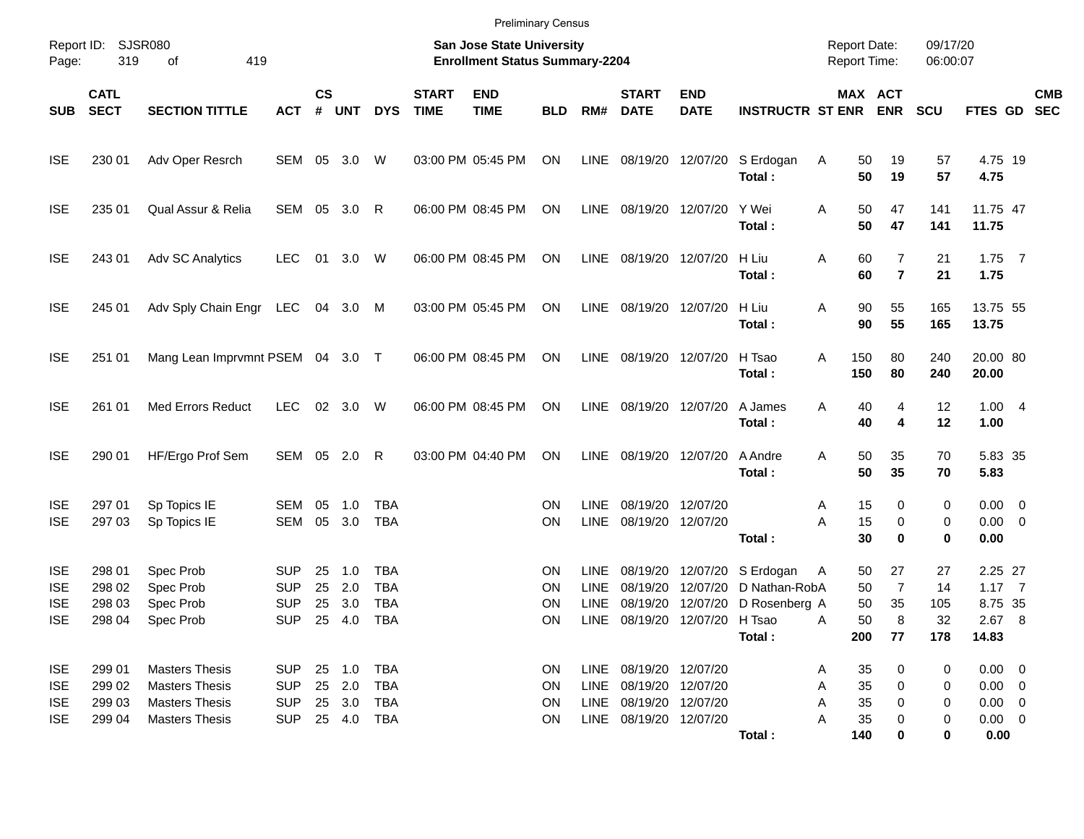|                                                      |                                      |                                                                                                  |                                                      |                      |                                      |                                                      |                             | <b>Preliminary Census</b>                                          |                      |                                                          |                                                                                       |                                                  |                                                                         |                                                 |                                       |                              |                                                                  |            |
|------------------------------------------------------|--------------------------------------|--------------------------------------------------------------------------------------------------|------------------------------------------------------|----------------------|--------------------------------------|------------------------------------------------------|-----------------------------|--------------------------------------------------------------------|----------------------|----------------------------------------------------------|---------------------------------------------------------------------------------------|--------------------------------------------------|-------------------------------------------------------------------------|-------------------------------------------------|---------------------------------------|------------------------------|------------------------------------------------------------------|------------|
| Page:                                                | Report ID: SJSR080<br>319            | 419<br>οf                                                                                        |                                                      |                      |                                      |                                                      |                             | San Jose State University<br><b>Enrollment Status Summary-2204</b> |                      |                                                          |                                                                                       |                                                  |                                                                         | <b>Report Date:</b><br><b>Report Time:</b>      |                                       | 09/17/20<br>06:00:07         |                                                                  |            |
| <b>SUB</b>                                           | <b>CATL</b><br><b>SECT</b>           | <b>SECTION TITTLE</b>                                                                            | <b>ACT</b>                                           | <b>CS</b><br>#       | <b>UNT</b>                           | <b>DYS</b>                                           | <b>START</b><br><b>TIME</b> | <b>END</b><br><b>TIME</b>                                          | <b>BLD</b>           | RM#                                                      | <b>START</b><br><b>DATE</b>                                                           | <b>END</b><br><b>DATE</b>                        | <b>INSTRUCTR ST ENR</b>                                                 | MAX ACT                                         | <b>ENR</b>                            | <b>SCU</b>                   | FTES GD SEC                                                      | <b>CMB</b> |
| <b>ISE</b>                                           | 230 01                               | Adv Oper Resrch                                                                                  | SEM 05 3.0                                           |                      |                                      | W                                                    |                             | 03:00 PM 05:45 PM                                                  | ON                   | LINE                                                     | 08/19/20 12/07/20                                                                     |                                                  | S Erdogan<br>Total:                                                     | Α<br>50<br>50                                   | 19<br>19                              | 57<br>57                     | 4.75 19<br>4.75                                                  |            |
| <b>ISE</b>                                           | 235 01                               | Qual Assur & Relia                                                                               |                                                      |                      | SEM 05 3.0                           | R                                                    |                             | 06:00 PM 08:45 PM                                                  | ON                   | LINE                                                     | 08/19/20 12/07/20                                                                     |                                                  | Y Wei<br>Total:                                                         | 50<br>Α<br>50                                   | 47<br>47                              | 141<br>141                   | 11.75 47<br>11.75                                                |            |
| <b>ISE</b>                                           | 243 01                               | Adv SC Analytics                                                                                 | <b>LEC</b>                                           |                      | 01 3.0 W                             |                                                      |                             | 06:00 PM 08:45 PM                                                  | ON                   | LINE                                                     | 08/19/20 12/07/20                                                                     |                                                  | H Liu<br>Total:                                                         | 60<br>Α<br>60                                   | $\overline{7}$<br>$\overline{7}$      | 21<br>21                     | $1.75$ 7<br>1.75                                                 |            |
| <b>ISE</b>                                           | 245 01                               | Adv Sply Chain Engr LEC                                                                          |                                                      |                      | 04 3.0                               | M                                                    |                             | 03:00 PM 05:45 PM                                                  | ON                   | LINE                                                     | 08/19/20 12/07/20                                                                     |                                                  | H Liu<br>Total:                                                         | 90<br>Α<br>90                                   | 55<br>55                              | 165<br>165                   | 13.75 55<br>13.75                                                |            |
| <b>ISE</b>                                           | 251 01                               | Mang Lean Imprvmnt PSEM 04 3.0 T                                                                 |                                                      |                      |                                      |                                                      |                             | 06:00 PM 08:45 PM                                                  | ON                   | LINE                                                     | 08/19/20 12/07/20                                                                     |                                                  | H Tsao<br>Total:                                                        | 150<br>Α<br>150                                 | 80<br>80                              | 240<br>240                   | 20.00 80<br>20.00                                                |            |
| <b>ISE</b>                                           | 261 01                               | <b>Med Errors Reduct</b>                                                                         | <b>LEC</b>                                           |                      | 02 3.0 W                             |                                                      |                             | 06:00 PM 08:45 PM                                                  | ON                   | LINE                                                     | 08/19/20 12/07/20                                                                     |                                                  | A James<br>Total:                                                       | Α<br>40<br>40                                   | 4<br>4                                | 12<br>12                     | 1.004<br>1.00                                                    |            |
| <b>ISE</b>                                           | 290 01                               | HF/Ergo Prof Sem                                                                                 |                                                      |                      | SEM 05 2.0                           | R                                                    |                             | 03:00 PM 04:40 PM                                                  | ON                   | LINE                                                     | 08/19/20 12/07/20                                                                     |                                                  | A Andre<br>Total:                                                       | 50<br>A<br>50                                   | 35<br>35                              | 70<br>70                     | 5.83 35<br>5.83                                                  |            |
| <b>ISE</b><br><b>ISE</b>                             | 297 01<br>297 03                     | Sp Topics IE<br>Sp Topics IE                                                                     | SEM<br>SEM                                           | 05<br>05             | 1.0<br>3.0                           | <b>TBA</b><br><b>TBA</b>                             |                             |                                                                    | ΟN<br>ON             | <b>LINE</b><br><b>LINE</b>                               | 08/19/20 12/07/20<br>08/19/20 12/07/20                                                |                                                  | Total:                                                                  | 15<br>A<br>15<br>Α<br>30                        | 0<br>0<br>0                           | 0<br>0<br>0                  | $0.00 \t 0$<br>$0.00 \t 0$<br>0.00                               |            |
| <b>ISE</b><br><b>ISE</b><br><b>ISE</b><br><b>ISE</b> | 298 01<br>298 02<br>298 03<br>298 04 | Spec Prob<br>Spec Prob<br>Spec Prob<br>Spec Prob                                                 | <b>SUP</b><br><b>SUP</b><br><b>SUP</b><br><b>SUP</b> | 25<br>25<br>25<br>25 | 1.0<br>2.0<br>3.0<br>4.0             | <b>TBA</b><br><b>TBA</b><br><b>TBA</b><br><b>TBA</b> |                             |                                                                    | ON<br>ΟN<br>ΟN<br>ΟN | <b>LINE</b><br><b>LINE</b><br><b>LINE</b><br><b>LINE</b> | 08/19/20<br>08/19/20                                                                  | 12/07/20<br>12/07/20<br>08/19/20 12/07/20 H Tsao | 08/19/20 12/07/20 S Erdogan<br>D Nathan-RobA<br>D Rosenberg A<br>Total: | 50<br>A<br>50<br>50<br>50<br>A<br>200           | 27<br>$\overline{7}$<br>35<br>8<br>77 | 27<br>14<br>105<br>32<br>178 | 2.25 27<br>$1.17 \quad 7$<br>8.75 35<br>$2.67$ 8<br>14.83        |            |
| <b>ISE</b><br><b>ISE</b><br><b>ISE</b><br><b>ISE</b> | 299 01<br>299 02<br>299 03<br>299 04 | <b>Masters Thesis</b><br><b>Masters Thesis</b><br><b>Masters Thesis</b><br><b>Masters Thesis</b> | <b>SUP</b><br><b>SUP</b><br><b>SUP</b><br><b>SUP</b> |                      | 25 1.0<br>25 2.0<br>25 3.0<br>25 4.0 | TBA<br><b>TBA</b><br>TBA<br>TBA                      |                             |                                                                    | ON<br>ON<br>ON<br>ON | LINE<br><b>LINE</b><br>LINE                              | 08/19/20 12/07/20<br>08/19/20 12/07/20<br>08/19/20 12/07/20<br>LINE 08/19/20 12/07/20 |                                                  | Total:                                                                  | 35<br>A<br>35<br>Α<br>35<br>Α<br>35<br>Α<br>140 | 0<br>0<br>0<br>0<br>0                 | 0<br>0<br>0<br>0<br>0        | $0.00 \t 0$<br>$0.00 \t 0$<br>$0.00 \t 0$<br>$0.00 \t 0$<br>0.00 |            |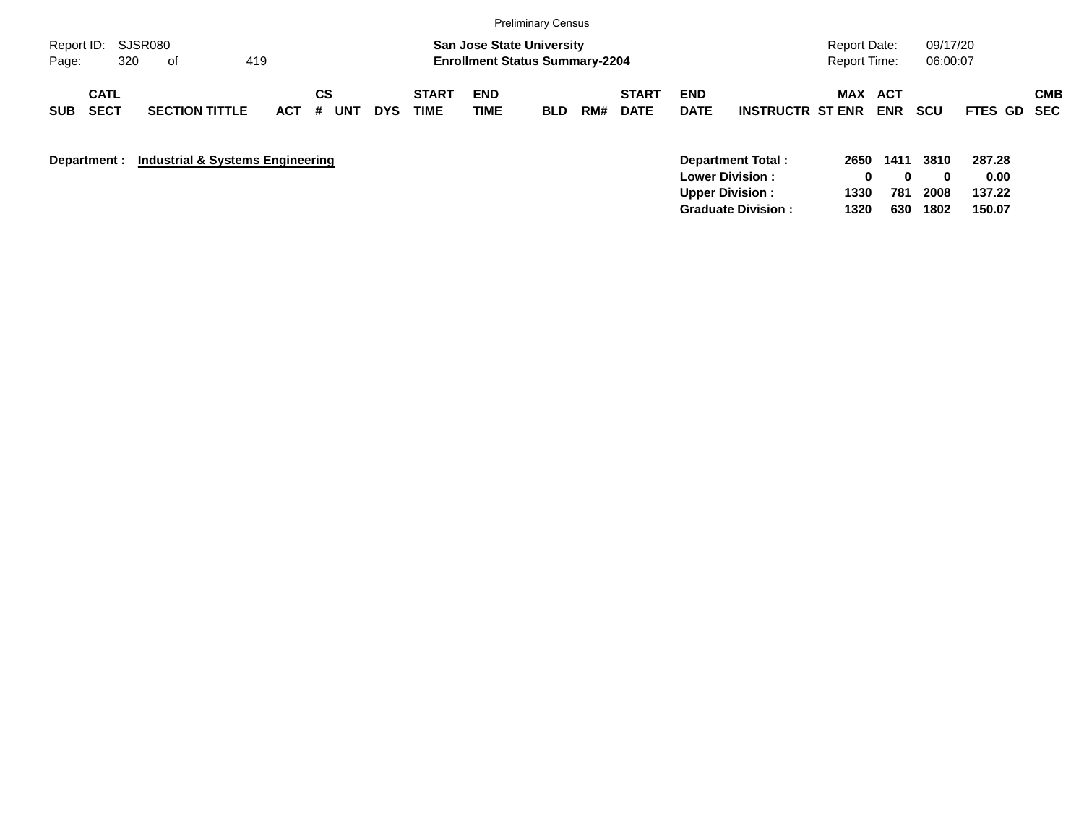|                                          |                                  |            |                              |            |                      |                                                                           | <b>Preliminary Census</b> |     |                             |                                                  |                         |                                            |                          |                      |                          |                          |
|------------------------------------------|----------------------------------|------------|------------------------------|------------|----------------------|---------------------------------------------------------------------------|---------------------------|-----|-----------------------------|--------------------------------------------------|-------------------------|--------------------------------------------|--------------------------|----------------------|--------------------------|--------------------------|
| Report ID:<br>320<br>Page:               | SJSR080<br>419<br>0f             |            |                              |            |                      | <b>San Jose State University</b><br><b>Enrollment Status Summary-2204</b> |                           |     |                             |                                                  |                         | <b>Report Date:</b><br><b>Report Time:</b> |                          | 09/17/20<br>06:00:07 |                          |                          |
| <b>CATL</b><br><b>SECT</b><br><b>SUB</b> | <b>SECTION TITTLE</b>            | <b>ACT</b> | <b>CS</b><br><b>UNT</b><br># | <b>DYS</b> | <b>START</b><br>TIME | <b>END</b><br><b>TIME</b>                                                 | <b>BLD</b>                | RM# | <b>START</b><br><b>DATE</b> | <b>END</b><br><b>DATE</b>                        | <b>INSTRUCTR ST ENR</b> | MAX                                        | <b>ACT</b><br><b>ENR</b> | <b>SCU</b>           | FTES GD                  | <b>CMB</b><br><b>SEC</b> |
| Department :                             | Industrial & Systems Engineering |            |                              |            |                      |                                                                           |                           |     |                             | <b>Lower Division:</b><br><b>Upper Division:</b> | Department Total:       | 2650<br>0<br>1330                          | 1411<br>0<br>781         | 3810<br>0<br>2008    | 287.28<br>0.00<br>137.22 |                          |

**Graduate Division : 1320 630 1802 150.07**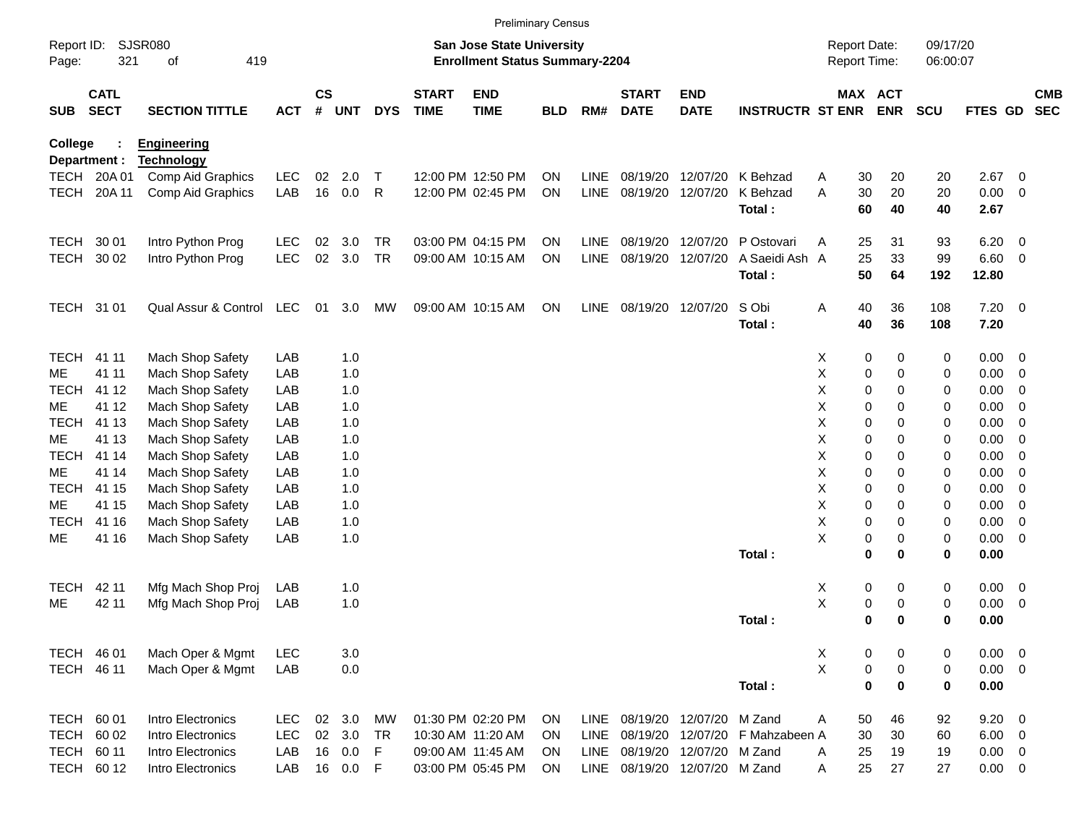|                     |                            |                          |                   |                    |            |             |                             |                                                                           | <b>Preliminary Census</b> |                     |                             |                                        |                         |                                     |                       |                      |              |                               |                          |
|---------------------|----------------------------|--------------------------|-------------------|--------------------|------------|-------------|-----------------------------|---------------------------------------------------------------------------|---------------------------|---------------------|-----------------------------|----------------------------------------|-------------------------|-------------------------------------|-----------------------|----------------------|--------------|-------------------------------|--------------------------|
| Report ID:<br>Page: | 321                        | SJSR080<br>419<br>οf     |                   |                    |            |             |                             | <b>San Jose State University</b><br><b>Enrollment Status Summary-2204</b> |                           |                     |                             |                                        |                         | <b>Report Date:</b><br>Report Time: |                       | 09/17/20<br>06:00:07 |              |                               |                          |
| <b>SUB</b>          | <b>CATL</b><br><b>SECT</b> | <b>SECTION TITTLE</b>    | <b>ACT</b>        | $\mathsf{cs}$<br># | <b>UNT</b> | <b>DYS</b>  | <b>START</b><br><b>TIME</b> | <b>END</b><br><b>TIME</b>                                                 | <b>BLD</b>                | RM#                 | <b>START</b><br><b>DATE</b> | <b>END</b><br><b>DATE</b>              | <b>INSTRUCTR ST ENR</b> |                                     | MAX ACT<br><b>ENR</b> | <b>SCU</b>           | FTES GD      |                               | <b>CMB</b><br><b>SEC</b> |
| <b>College</b>      |                            | <b>Engineering</b>       |                   |                    |            |             |                             |                                                                           |                           |                     |                             |                                        |                         |                                     |                       |                      |              |                               |                          |
|                     | Department :               | <b>Technology</b>        |                   | 02                 |            |             |                             | 12:00 PM 12:50 PM                                                         |                           |                     |                             |                                        |                         |                                     |                       |                      |              |                               |                          |
| <b>TECH</b>         | TECH 20A01<br>20A 11       | <b>Comp Aid Graphics</b> | <b>LEC</b><br>LAB | 16                 | 2.0<br>0.0 | $\top$<br>R |                             | 12:00 PM 02:45 PM                                                         | <b>ON</b><br>ON           | LINE<br><b>LINE</b> |                             | 08/19/20 12/07/20<br>08/19/20 12/07/20 | K Behzad<br>K Behzad    | 30<br>A<br>30<br>A                  | 20<br>20              | 20<br>20             | 2.67<br>0.00 | $\overline{0}$<br>$\mathbf 0$ |                          |
|                     |                            | Comp Aid Graphics        |                   |                    |            |             |                             |                                                                           |                           |                     |                             |                                        | Total:                  | 60                                  | 40                    | 40                   | 2.67         |                               |                          |
| <b>TECH</b>         | 30 01                      | Intro Python Prog        | <b>LEC</b>        | 02                 | 3.0        | <b>TR</b>   |                             | 03:00 PM 04:15 PM                                                         | <b>ON</b>                 | LINE                |                             | 08/19/20 12/07/20                      | P Ostovari              | 25<br>A                             | 31                    | 93                   | 6.20         | 0                             |                          |
| <b>TECH</b>         | 30 02                      | Intro Python Prog        | <b>LEC</b>        | 02                 | 3.0        | <b>TR</b>   |                             | 09:00 AM 10:15 AM                                                         | ON                        | <b>LINE</b>         | 08/19/20                    | 12/07/20                               | A Saeidi Ash A          | 25                                  | 33                    | 99                   | 6.60         | 0                             |                          |
|                     |                            |                          |                   |                    |            |             |                             |                                                                           |                           |                     |                             |                                        | Total:                  | 50                                  | 64                    | 192                  | 12.80        |                               |                          |
| TECH 31 01          |                            | Qual Assur & Control LEC |                   | 01                 | 3.0        | MW          |                             | 09:00 AM 10:15 AM                                                         | <b>ON</b>                 | LINE                | 08/19/20 12/07/20           |                                        | S Obi                   | 40<br>Α                             | 36                    | 108                  | 7.20         | $\overline{0}$                |                          |
|                     |                            |                          |                   |                    |            |             |                             |                                                                           |                           |                     |                             |                                        | Total:                  | 40                                  | 36                    | 108                  | 7.20         |                               |                          |
| <b>TECH</b>         | 41 11                      | Mach Shop Safety         | LAB               |                    | 1.0        |             |                             |                                                                           |                           |                     |                             |                                        |                         | х                                   | 0<br>0                | 0                    | 0.00         | 0                             |                          |
| ME                  | 41 11                      | Mach Shop Safety         | LAB               |                    | 1.0        |             |                             |                                                                           |                           |                     |                             |                                        |                         | Χ                                   | 0<br>0                | 0                    | 0.00         | $\mathbf 0$                   |                          |
| <b>TECH</b>         | 41 12                      | Mach Shop Safety         | LAB               |                    | 1.0        |             |                             |                                                                           |                           |                     |                             |                                        |                         | Χ                                   | 0<br>0                | 0                    | 0.00         | $\mathbf 0$                   |                          |
| ME                  | 41 12                      | Mach Shop Safety         | LAB               |                    | 1.0        |             |                             |                                                                           |                           |                     |                             |                                        |                         | Χ                                   | 0<br>0                | 0                    | 0.00         | $\mathbf 0$                   |                          |
| <b>TECH</b>         | 41 13                      | Mach Shop Safety         | LAB               |                    | 1.0        |             |                             |                                                                           |                           |                     |                             |                                        |                         | Χ                                   | 0<br>0                | 0                    | 0.00         | $\mathbf 0$                   |                          |
| ME                  | 41 13                      | Mach Shop Safety         | LAB               |                    | 1.0        |             |                             |                                                                           |                           |                     |                             |                                        |                         | Χ                                   | 0<br>0                | 0                    | 0.00         | $\mathbf 0$                   |                          |
| <b>TECH</b>         | 41 14                      | Mach Shop Safety         | LAB               |                    | 1.0        |             |                             |                                                                           |                           |                     |                             |                                        |                         | Χ                                   | 0<br>0                | 0                    | 0.00         | $\mathbf 0$                   |                          |
| ME                  | 41 14                      | Mach Shop Safety         | LAB               |                    | 1.0        |             |                             |                                                                           |                           |                     |                             |                                        |                         | Χ                                   | 0<br>0                | 0                    | 0.00         | $\mathbf 0$                   |                          |
| <b>TECH</b>         | 41 15                      | Mach Shop Safety         | LAB               |                    | 1.0        |             |                             |                                                                           |                           |                     |                             |                                        |                         | Χ                                   | 0<br>0                | 0                    | 0.00         | $\mathbf 0$                   |                          |
| ME                  | 41 15                      | Mach Shop Safety         | LAB               |                    | 1.0        |             |                             |                                                                           |                           |                     |                             |                                        |                         | Χ                                   | 0<br>0                | 0                    | 0.00         | $\mathbf 0$                   |                          |
| <b>TECH</b>         | 41 16                      | Mach Shop Safety         | LAB               |                    | 1.0        |             |                             |                                                                           |                           |                     |                             |                                        |                         | Χ                                   | 0<br>0                | 0                    | 0.00         | $\mathbf 0$                   |                          |
| МE                  | 41 16                      | Mach Shop Safety         | LAB               |                    | 1.0        |             |                             |                                                                           |                           |                     |                             |                                        |                         | Χ                                   | 0<br>0                | 0                    | 0.00         | $\mathbf 0$                   |                          |
|                     |                            |                          |                   |                    |            |             |                             |                                                                           |                           |                     |                             |                                        | Total:                  |                                     | $\bf{0}$<br>0         | $\bf{0}$             | 0.00         |                               |                          |
| <b>TECH</b>         | 42 11                      | Mfg Mach Shop Proj       | LAB               |                    | 1.0        |             |                             |                                                                           |                           |                     |                             |                                        |                         | х                                   | 0<br>0                | 0                    | 0.00         | 0                             |                          |
| MЕ                  | 42 11                      | Mfg Mach Shop Proj       | LAB               |                    | 1.0        |             |                             |                                                                           |                           |                     |                             |                                        |                         | Χ                                   | 0<br>0                | 0                    | 0.00         | $\mathbf 0$                   |                          |
|                     |                            |                          |                   |                    |            |             |                             |                                                                           |                           |                     |                             |                                        | Total:                  |                                     | 0<br>0                | 0                    | 0.00         |                               |                          |
| TECH 46 01          |                            | Mach Oper & Mgmt         | <b>LEC</b>        |                    | 3.0        |             |                             |                                                                           |                           |                     |                             |                                        |                         | X                                   | 0<br>0                | 0                    | 0.00         | $\overline{0}$                |                          |
| TECH 46 11          |                            | Mach Oper & Mgmt         | LAB               |                    | 0.0        |             |                             |                                                                           |                           |                     |                             |                                        |                         | X                                   | 0<br>0                | 0                    | $0.00 \t 0$  |                               |                          |
|                     |                            |                          |                   |                    |            |             |                             |                                                                           |                           |                     |                             |                                        | Total:                  |                                     | $\pmb{0}$<br>0        | 0                    | 0.00         |                               |                          |
| TECH 60 01          |                            | Intro Electronics        | <b>LEC</b>        | 02                 | 3.0        | MW          |                             | 01:30 PM 02:20 PM                                                         | <b>ON</b>                 | LINE                |                             | 08/19/20 12/07/20                      | M Zand                  | Α<br>50                             | 46                    | 92                   | 9.20         | $\overline{\mathbf{0}}$       |                          |
| <b>TECH</b>         | 60 02                      | Intro Electronics        | <b>LEC</b>        | $02\,$             | 3.0        | <b>TR</b>   |                             | 10:30 AM 11:20 AM                                                         | ON                        | LINE                |                             | 08/19/20 12/07/20                      | F Mahzabeen A           | 30                                  | 30                    | 60                   | 6.00         | $\overline{\mathbf{0}}$       |                          |
| TECH 60 11          |                            | Intro Electronics        | LAB               | 16                 | 0.0        | F           |                             | 09:00 AM 11:45 AM                                                         | ON                        | LINE                |                             | 08/19/20 12/07/20                      | M Zand                  | 25<br>A                             | 19                    | 19                   | $0.00 \t 0$  |                               |                          |
| TECH 60 12          |                            | Intro Electronics        | LAB               |                    | 16 0.0     | -F          |                             | 03:00 PM 05:45 PM                                                         | ON                        |                     |                             | LINE 08/19/20 12/07/20                 | M Zand                  | 25<br>A                             | 27                    | 27                   | $0.00 \t 0$  |                               |                          |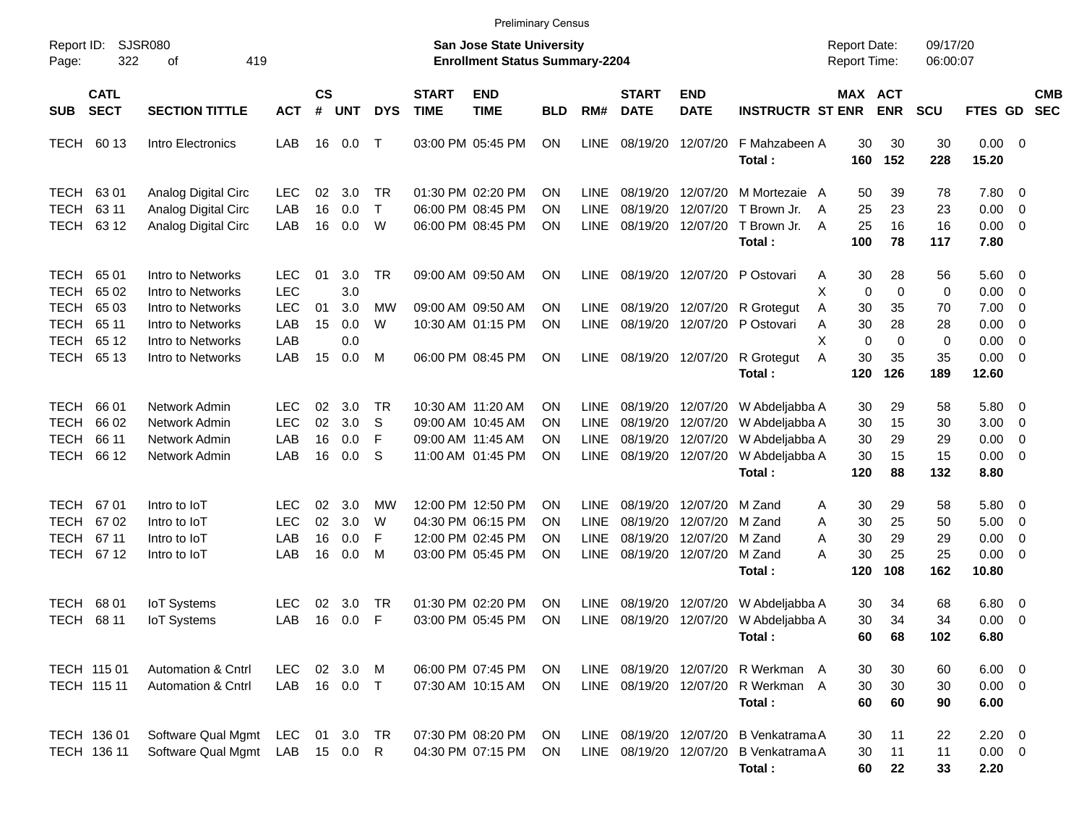|                            |                            |                                                                |                          |                    |                        |             |                             | <b>Preliminary Census</b>                                                 |                        |                            |                             |                                      |                                                                                    |                                            |                          |                          |                                    |                                                      |                          |
|----------------------------|----------------------------|----------------------------------------------------------------|--------------------------|--------------------|------------------------|-------------|-----------------------------|---------------------------------------------------------------------------|------------------------|----------------------------|-----------------------------|--------------------------------------|------------------------------------------------------------------------------------|--------------------------------------------|--------------------------|--------------------------|------------------------------------|------------------------------------------------------|--------------------------|
| Report ID:<br>Page:        | 322                        | SJSR080<br>419<br>οf                                           |                          |                    |                        |             |                             | <b>San Jose State University</b><br><b>Enrollment Status Summary-2204</b> |                        |                            |                             |                                      |                                                                                    | <b>Report Date:</b><br><b>Report Time:</b> |                          | 09/17/20<br>06:00:07     |                                    |                                                      |                          |
| <b>SUB</b>                 | <b>CATL</b><br><b>SECT</b> | <b>SECTION TITTLE</b>                                          | <b>ACT</b>               | $\mathsf{cs}$<br># | <b>UNT</b>             | <b>DYS</b>  | <b>START</b><br><b>TIME</b> | <b>END</b><br><b>TIME</b>                                                 | <b>BLD</b>             | RM#                        | <b>START</b><br><b>DATE</b> | <b>END</b><br><b>DATE</b>            | <b>INSTRUCTR ST ENR</b>                                                            | MAX ACT                                    | <b>ENR</b>               | <b>SCU</b>               | FTES GD                            |                                                      | <b>CMB</b><br><b>SEC</b> |
| TECH                       | 60 13                      | Intro Electronics                                              | LAB                      | 16                 | 0.0                    | $\top$      |                             | 03:00 PM 05:45 PM                                                         | ON                     | <b>LINE</b>                |                             | 08/19/20 12/07/20                    | F Mahzabeen A<br>Total:                                                            | 30<br>160                                  | 30<br>152                | 30<br>228                | $0.00 \t 0$<br>15.20               |                                                      |                          |
| <b>TECH</b>                | 6301                       | Analog Digital Circ                                            | <b>LEC</b>               | 02                 | 3.0                    | TR          |                             | 01:30 PM 02:20 PM                                                         | ON                     | <b>LINE</b>                |                             |                                      | 08/19/20 12/07/20 M Mortezaie A                                                    | 50                                         | 39                       | 78                       | 7.80 0                             |                                                      |                          |
| <b>TECH</b><br><b>TECH</b> | 63 11<br>63 12             | Analog Digital Circ<br>Analog Digital Circ                     | LAB<br>LAB               | 16<br>16           | 0.0<br>0.0             | $\top$<br>W |                             | 06:00 PM 08:45 PM<br>06:00 PM 08:45 PM                                    | <b>ON</b><br><b>ON</b> | <b>LINE</b><br><b>LINE</b> | 08/19/20                    | 12/07/20<br>08/19/20 12/07/20        | T Brown Jr.<br>T Brown Jr.<br>Total:                                               | 25<br>A<br>25<br>A<br>100                  | 23<br>16<br>78           | 23<br>16<br>117          | 0.00<br>0.00<br>7.80               | $\overline{\mathbf{0}}$<br>$\overline{\phantom{0}}$  |                          |
| <b>TECH</b><br><b>TECH</b> | 65 01<br>65 02             | Intro to Networks<br>Intro to Networks                         | <b>LEC</b><br>LEC        | 01                 | 3.0<br>3.0             | TR          |                             | 09:00 AM 09:50 AM                                                         | ON                     | <b>LINE</b>                |                             |                                      | 08/19/20 12/07/20 P Ostovari                                                       | 30<br>A<br>X<br>$\mathbf 0$                | 28<br>$\mathbf 0$        | 56<br>$\mathbf 0$        | 5.60 0<br>0.00                     | $\overline{\phantom{0}}$                             |                          |
| <b>TECH</b><br><b>TECH</b> | 65 03<br>65 11             | Intro to Networks<br>Intro to Networks                         | <b>LEC</b><br>LAB        | 01<br>15           | 3.0<br>0.0             | MW<br>W     |                             | 09:00 AM 09:50 AM<br>10:30 AM 01:15 PM                                    | ON<br>ON               | <b>LINE</b><br><b>LINE</b> |                             |                                      | 08/19/20 12/07/20 R Grotegut<br>08/19/20 12/07/20 P Ostovari                       | Α<br>30<br>A<br>30                         | 35<br>28                 | 70<br>28                 | 7.00<br>0.00                       | $\overline{\phantom{0}}$<br>$\overline{\phantom{0}}$ |                          |
| <b>TECH</b><br><b>TECH</b> | 65 12<br>65 13             | Intro to Networks<br>Intro to Networks                         | LAB<br>LAB               | 15                 | 0.0<br>0.0             | M           |                             | 06:00 PM 08:45 PM                                                         | ON                     | <b>LINE</b>                |                             |                                      | 08/19/20 12/07/20 R Grotegut<br>Total:                                             | X<br>$\mathbf 0$<br>A<br>30<br>120         | $\mathbf 0$<br>35<br>126 | $\mathbf 0$<br>35<br>189 | 0.00<br>0.00<br>12.60              | $\overline{\mathbf{0}}$<br>$\overline{\phantom{0}}$  |                          |
| <b>TECH</b>                | 66 01                      | Network Admin                                                  | <b>LEC</b>               | 02                 | 3.0                    | TR          |                             | 10:30 AM 11:20 AM                                                         | <b>ON</b>              | <b>LINE</b>                |                             |                                      | 08/19/20 12/07/20 W Abdeljabba A                                                   | 30                                         | 29                       | 58                       | 5.80 0                             |                                                      |                          |
| <b>TECH</b><br><b>TECH</b> | 66 02<br>66 11             | Network Admin<br>Network Admin                                 | <b>LEC</b><br>LAB        | 02<br>16           | 3.0<br>0.0             | S<br>-F     |                             | 09:00 AM 10:45 AM<br>09:00 AM 11:45 AM                                    | <b>ON</b><br><b>ON</b> | <b>LINE</b><br><b>LINE</b> |                             | 08/19/20 12/07/20                    | W Abdeljabba A<br>08/19/20 12/07/20 W Abdeljabba A                                 | 30<br>30                                   | 15<br>29                 | 30<br>29                 | 3.00<br>0.00                       | $\overline{\phantom{0}}$<br>$\overline{\phantom{0}}$ |                          |
| <b>TECH</b>                | 66 12                      | Network Admin                                                  | LAB                      | 16                 | 0.0                    | -S          |                             | 11:00 AM 01:45 PM                                                         | <b>ON</b>              | <b>LINE</b>                |                             | 08/19/20 12/07/20                    | W Abdeljabba A<br>Total:                                                           | 30<br>120                                  | 15<br>88                 | 15<br>132                | 0.00<br>8.80                       | $\overline{\mathbf{0}}$                              |                          |
| <b>TECH</b><br><b>TECH</b> | 6701<br>6702               | Intro to IoT<br>Intro to IoT                                   | <b>LEC</b><br><b>LEC</b> | 02<br>02           | 3.0<br>3.0             | МW<br>W     |                             | 12:00 PM 12:50 PM<br>04:30 PM 06:15 PM                                    | ON<br><b>ON</b>        | <b>LINE</b><br><b>LINE</b> | 08/19/20                    | 08/19/20 12/07/20<br>12/07/20 M Zand | M Zand                                                                             | 30<br>A<br>A<br>30                         | 29<br>25                 | 58<br>50                 | 5.80 0<br>5.00                     | $\overline{\mathbf{0}}$                              |                          |
| <b>TECH</b><br><b>TECH</b> | 67 11<br>67 12             | Intro to IoT<br>Intro to IoT                                   | LAB<br>LAB               | 16<br>16           | 0.0<br>0.0             | E<br>M      |                             | 12:00 PM 02:45 PM<br>03:00 PM 05:45 PM                                    | <b>ON</b><br>ON        | <b>LINE</b><br><b>LINE</b> | 08/19/20                    | 12/07/20 M Zand<br>08/19/20 12/07/20 | M Zand<br>Total:                                                                   | 30<br>A<br>A<br>30<br>120                  | 29<br>25<br>108          | 29<br>25<br>162          | 0.00<br>0.00<br>10.80              | $\overline{\phantom{0}}$<br>$\overline{\phantom{0}}$ |                          |
| <b>TECH</b><br><b>TECH</b> | 68 01<br>68 11             | <b>IoT Systems</b><br><b>IoT Systems</b>                       | LEC<br>LAB               | 02<br>16           | 3.0<br>0.0             | TR.<br>F    |                             | 01:30 PM 02:20 PM<br>03:00 PM 05:45 PM                                    | <b>ON</b><br>ON        | LINE.<br><b>LINE</b>       |                             | 08/19/20 12/07/20                    | W Abdeljabba A<br>08/19/20 12/07/20 W Abdeljabba A                                 | 30<br>30                                   | 34<br>34                 | 68<br>34                 | $6.80$ 0<br>0.00                   | $\overline{\phantom{0}}$                             |                          |
|                            |                            |                                                                |                          |                    |                        |             |                             |                                                                           |                        |                            |                             |                                      | Total :                                                                            | 60                                         | 68                       | 102                      | 6.80                               |                                                      |                          |
|                            | TECH 115 01<br>TECH 115 11 | <b>Automation &amp; Cntrl</b><br><b>Automation &amp; Cntrl</b> | <b>LEC</b><br>LAB        |                    | 02 3.0 M<br>16  0.0  T |             |                             | 06:00 PM 07:45 PM<br>07:30 AM 10:15 AM                                    | ON<br><b>ON</b>        |                            |                             |                                      | LINE 08/19/20 12/07/20 R Werkman A<br>LINE 08/19/20 12/07/20 R Werkman A<br>Total: | 30<br>30<br>60                             | 30<br>30<br>60           | 60<br>30<br>90           | $6.00 \t 0$<br>$0.00 \t 0$<br>6.00 |                                                      |                          |
|                            | TECH 136 01                | Software Qual Mgmt                                             | LEC                      |                    | 01 3.0 TR              |             |                             | 07:30 PM 08:20 PM                                                         | ON                     |                            |                             |                                      | LINE 08/19/20 12/07/20 B Venkatrama A                                              | 30                                         | 11                       | 22                       | $2.20 \t 0$                        |                                                      |                          |
|                            | TECH 136 11                | Software Qual Mgmt                                             | LAB 15 0.0 R             |                    |                        |             |                             | 04:30 PM 07:15 PM                                                         | ON                     |                            |                             |                                      | LINE 08/19/20 12/07/20 B Venkatrama A<br>Total:                                    | 30<br>60                                   | 11<br>22                 | 11<br>33                 | $0.00 \t 0$<br>2.20                |                                                      |                          |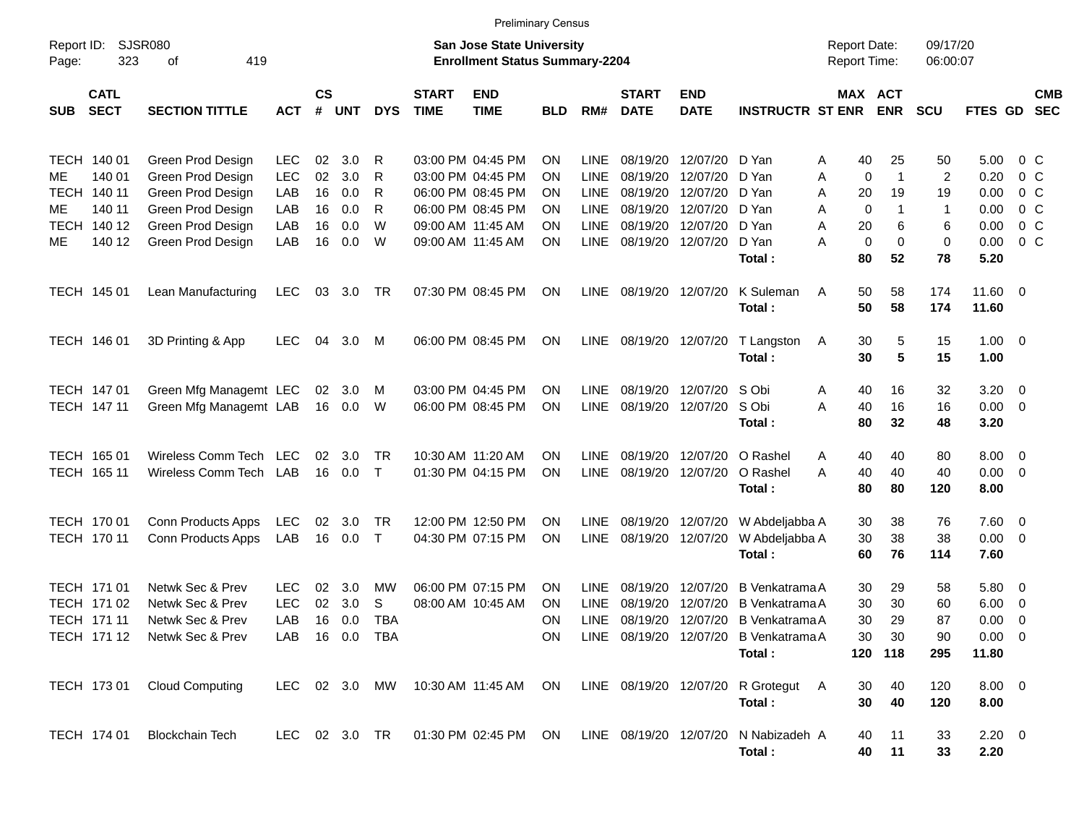|                                          |                                                               |                                                                                                                            |                                               |                                  |                                        |                                       |                             | <b>Preliminary Census</b>                                                                             |                                    |                                                                                  |                                                                      |                                                                            |                                                                                                                     |                                                             |                                                  |                               |                                              |                                                                                                   |                          |
|------------------------------------------|---------------------------------------------------------------|----------------------------------------------------------------------------------------------------------------------------|-----------------------------------------------|----------------------------------|----------------------------------------|---------------------------------------|-----------------------------|-------------------------------------------------------------------------------------------------------|------------------------------------|----------------------------------------------------------------------------------|----------------------------------------------------------------------|----------------------------------------------------------------------------|---------------------------------------------------------------------------------------------------------------------|-------------------------------------------------------------|--------------------------------------------------|-------------------------------|----------------------------------------------|---------------------------------------------------------------------------------------------------|--------------------------|
| Report ID:<br>Page:                      | 323                                                           | <b>SJSR080</b><br>419<br>οf                                                                                                |                                               |                                  |                                        |                                       |                             | <b>San Jose State University</b><br><b>Enrollment Status Summary-2204</b>                             |                                    |                                                                                  |                                                                      |                                                                            |                                                                                                                     | <b>Report Date:</b><br><b>Report Time:</b>                  |                                                  | 09/17/20<br>06:00:07          |                                              |                                                                                                   |                          |
| <b>SUB</b>                               | <b>CATL</b><br><b>SECT</b>                                    | <b>SECTION TITTLE</b>                                                                                                      | <b>ACT</b>                                    | $\mathsf{cs}$<br>#               | <b>UNT</b>                             | <b>DYS</b>                            | <b>START</b><br><b>TIME</b> | <b>END</b><br><b>TIME</b>                                                                             | <b>BLD</b>                         | RM#                                                                              | <b>START</b><br><b>DATE</b>                                          | <b>END</b><br><b>DATE</b>                                                  | <b>INSTRUCTR ST ENR</b>                                                                                             | MAX ACT                                                     | <b>ENR</b>                                       | <b>SCU</b>                    | FTES GD                                      |                                                                                                   | <b>CMB</b><br><b>SEC</b> |
| ME.<br><b>TECH</b><br>ME.<br>TECH<br>ME. | TECH 140 01<br>140 01<br>140 11<br>140 11<br>140 12<br>140 12 | Green Prod Design<br>Green Prod Design<br>Green Prod Design<br>Green Prod Design<br>Green Prod Design<br>Green Prod Design | <b>LEC</b><br>LEC<br>LAB<br>LAB<br>LAB<br>LAB | 02<br>02<br>16<br>16<br>16<br>16 | 3.0<br>3.0<br>0.0<br>0.0<br>0.0<br>0.0 | R<br>R<br>R<br>R<br>W<br>W            | 03:00 PM 04:45 PM           | 03:00 PM 04:45 PM<br>06:00 PM 08:45 PM<br>06:00 PM 08:45 PM<br>09:00 AM 11:45 AM<br>09:00 AM 11:45 AM | ΟN<br>OΝ<br>OΝ<br>ON<br>ON<br>OΝ   | LINE.<br><b>LINE</b><br><b>LINE</b><br><b>LINE</b><br><b>LINE</b><br><b>LINE</b> | 08/19/20<br>08/19/20<br>08/19/20<br>08/19/20<br>08/19/20<br>08/19/20 | 12/07/20 D Yan<br>12/07/20<br>12/07/20<br>12/07/20<br>12/07/20<br>12/07/20 | D Yan<br>D Yan<br>D Yan<br>D Yan<br>D Yan                                                                           | 40<br>Α<br>0<br>Α<br>Α<br>20<br>Α<br>0<br>20<br>Α<br>0<br>Α | 25<br>$\mathbf 1$<br>19<br>$\mathbf 1$<br>6<br>0 | 50<br>2<br>19<br>-1<br>6<br>0 | 5.00<br>0.20<br>0.00<br>0.00<br>0.00<br>0.00 | $0\,$ C<br>0 <sup>o</sup><br>0 <sup>o</sup><br>0 <sup>o</sup><br>0 <sup>o</sup><br>0 <sup>o</sup> |                          |
|                                          | TECH 145 01<br>TECH 146 01                                    | Lean Manufacturing<br>3D Printing & App                                                                                    | <b>LEC</b><br><b>LEC</b>                      | 03<br>04                         | 3.0<br>3.0                             | TR<br>M                               |                             | 07:30 PM 08:45 PM<br>06:00 PM 08:45 PM                                                                | ON<br>ON                           | <b>LINE</b><br><b>LINE</b>                                                       | 08/19/20<br>08/19/20                                                 | 12/07/20<br>12/07/20                                                       | Total:<br>K Suleman<br>Total:<br>T Langston                                                                         | 80<br>Α<br>50<br>50<br>30<br>A                              | 52<br>58<br>58<br>5                              | 78<br>174<br>174<br>15        | 5.20<br>11.60 0<br>11.60<br>$1.00 \t 0$      |                                                                                                   |                          |
|                                          | TECH 147 01<br>TECH 147 11                                    | Green Mfg Managemt LEC<br>Green Mfg Managemt LAB                                                                           |                                               | 02<br>16                         | 3.0<br>0.0                             | M<br>W                                |                             | 03:00 PM 04:45 PM<br>06:00 PM 08:45 PM                                                                | ΟN<br><b>ON</b>                    | LINE.<br><b>LINE</b>                                                             | 08/19/20<br>08/19/20                                                 | 12/07/20<br>12/07/20                                                       | Total:<br>S Obi<br>S Obi<br>Total:                                                                                  | 30<br>Α<br>40<br>A<br>40<br>80                              | 5<br>16<br>16<br>32                              | 15<br>32<br>16<br>48          | 1.00<br>3.20<br>0.00<br>3.20                 | $\overline{\mathbf{0}}$<br>$\overline{0}$                                                         |                          |
|                                          | TECH 165 01<br>TECH 165 11                                    | Wireless Comm Tech<br>Wireless Comm Tech                                                                                   | LEC<br>LAB                                    | 02<br>16                         | 3.0<br>0.0                             | TR<br>$\top$                          |                             | 10:30 AM 11:20 AM<br>01:30 PM 04:15 PM                                                                | ON<br><b>ON</b>                    | <b>LINE</b><br><b>LINE</b>                                                       | 08/19/20<br>08/19/20                                                 | 12/07/20<br>12/07/20                                                       | O Rashel<br>O Rashel<br>Total:                                                                                      | 40<br>A<br>A<br>40<br>80                                    | 40<br>40<br>80                                   | 80<br>40<br>120               | 8.00<br>0.00<br>8.00                         | $\overline{\phantom{0}}$<br>$\overline{\mathbf{0}}$                                               |                          |
|                                          | TECH 170 01<br>TECH 170 11                                    | Conn Products Apps<br>Conn Products Apps                                                                                   | LEC<br>LAB                                    | 02<br>16                         | 3.0<br>0.0                             | TR<br>$\top$                          |                             | 12:00 PM 12:50 PM<br>04:30 PM 07:15 PM                                                                | <b>ON</b><br>OΝ                    | <b>LINE</b><br><b>LINE</b>                                                       | 08/19/20<br>08/19/20                                                 | 12/07/20<br>12/07/20                                                       | W Abdeljabba A<br>W Abdeljabba A<br>Total:                                                                          | 30<br>30<br>60                                              | 38<br>38<br>76                                   | 76<br>38<br>114               | 7.60<br>0.00<br>7.60                         | $\overline{\mathbf{0}}$<br>$\overline{\mathbf{0}}$                                                |                          |
|                                          | TECH 171 01<br>TECH 171 02<br>TECH 171 11                     | Netwk Sec & Prev<br>Netwk Sec & Prev<br>Netwk Sec & Prev<br>TECH 171 12 Netwk Sec & Prev                                   | <b>LEC</b><br><b>LEC</b><br>LAB<br>LAB        | 02<br>02<br>16                   | 3.0<br>3.0<br>0.0                      | МW<br>S<br><b>TBA</b><br>16  0.0  TBA |                             | 06:00 PM 07:15 PM<br>08:00 AM 10:45 AM                                                                | OΝ<br>ON<br><b>ON</b><br><b>ON</b> | <b>LINE</b><br><b>LINE</b><br><b>LINE</b>                                        | 08/19/20<br>08/19/20<br>08/19/20                                     | 12/07/20<br>12/07/20<br>12/07/20                                           | <b>B</b> Venkatrama A<br><b>B</b> Venkatrama A<br>B Venkatrama A<br>LINE 08/19/20 12/07/20 B Venkatrama A<br>Total: | 30<br>30<br>30<br>30                                        | 29<br>30<br>29<br>30<br>120 118                  | 58<br>60<br>87<br>90<br>295   | 5.80<br>6.00<br>0.00<br>$0.00 \t 0$<br>11.80 | $\overline{\mathbf{0}}$<br>0<br>0                                                                 |                          |
|                                          | TECH 173 01                                                   | <b>Cloud Computing</b>                                                                                                     | LEC 02 3.0 MW                                 |                                  |                                        |                                       |                             | 10:30 AM 11:45 AM ON                                                                                  |                                    |                                                                                  |                                                                      |                                                                            | LINE 08/19/20 12/07/20 R Grotegut A<br>Total:                                                                       | 30<br>30                                                    | 40<br>40                                         | 120<br>120                    | $8.00 \t 0$<br>8.00                          |                                                                                                   |                          |
|                                          | TECH 174 01                                                   | <b>Blockchain Tech</b>                                                                                                     | LEC 02 3.0 TR                                 |                                  |                                        |                                       |                             | 01:30 PM 02:45 PM ON                                                                                  |                                    |                                                                                  |                                                                      |                                                                            | LINE 08/19/20 12/07/20 N Nabizadeh A<br>Total:                                                                      | 40<br>40                                                    | 11<br>11                                         | 33<br>33                      | $2.20 \t 0$<br>2.20                          |                                                                                                   |                          |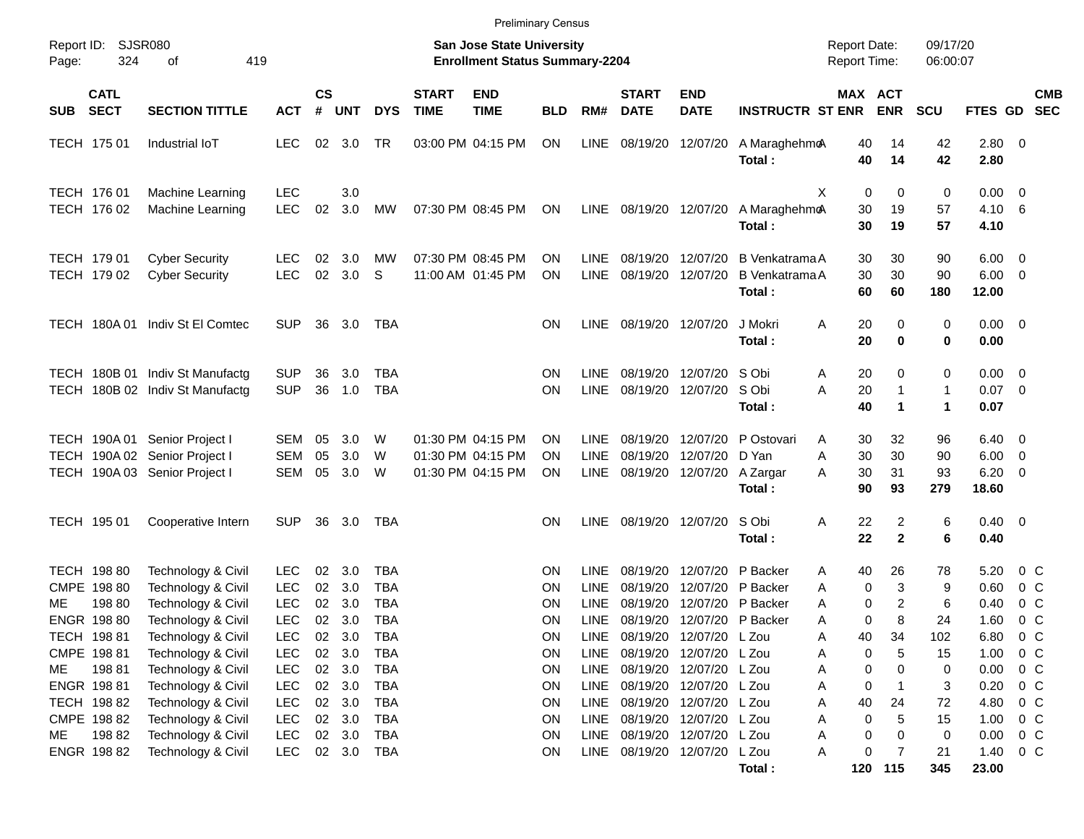|                                                           |                                                                                                 |                                                      |                             |                                      |                                               |                             | <b>Preliminary Census</b>                                                 |                      |                                                          |                                        |                                                                                                          |                                                          |                                            |                        |                                     |                                 |                                                                                |            |
|-----------------------------------------------------------|-------------------------------------------------------------------------------------------------|------------------------------------------------------|-----------------------------|--------------------------------------|-----------------------------------------------|-----------------------------|---------------------------------------------------------------------------|----------------------|----------------------------------------------------------|----------------------------------------|----------------------------------------------------------------------------------------------------------|----------------------------------------------------------|--------------------------------------------|------------------------|-------------------------------------|---------------------------------|--------------------------------------------------------------------------------|------------|
| Report ID: SJSR080<br>324<br>Page:                        | 419<br>οf                                                                                       |                                                      |                             |                                      |                                               |                             | <b>San Jose State University</b><br><b>Enrollment Status Summary-2204</b> |                      |                                                          |                                        |                                                                                                          |                                                          | <b>Report Date:</b><br><b>Report Time:</b> |                        | 09/17/20<br>06:00:07                |                                 |                                                                                |            |
| <b>CATL</b><br><b>SECT</b><br><b>SUB</b>                  | <b>SECTION TITTLE</b>                                                                           | <b>ACT</b>                                           | $\mathsf{cs}$<br>$\pmb{\#}$ | <b>UNT</b>                           | <b>DYS</b>                                    | <b>START</b><br><b>TIME</b> | <b>END</b><br><b>TIME</b>                                                 | <b>BLD</b>           | RM#                                                      | <b>START</b><br><b>DATE</b>            | <b>END</b><br><b>DATE</b>                                                                                | <b>INSTRUCTR ST ENR</b>                                  | MAX ACT                                    | <b>ENR</b>             | <b>SCU</b>                          | FTES GD SEC                     |                                                                                | <b>CMB</b> |
| TECH 175 01                                               | Industrial IoT                                                                                  | <b>LEC</b>                                           | $02\,$                      | 3.0                                  | TR                                            |                             | 03:00 PM 04:15 PM                                                         | ON                   | LINE                                                     | 08/19/20 12/07/20                      |                                                                                                          | A MaraghehmoA<br>Total:                                  | 40<br>40                                   | 14<br>14               | 42<br>42                            | 2.80 0<br>2.80                  |                                                                                |            |
| TECH 176 01<br>TECH 176 02                                | <b>Machine Learning</b><br><b>Machine Learning</b>                                              | <b>LEC</b><br><b>LEC</b>                             | 02                          | 3.0<br>3.0                           | MW                                            |                             | 07:30 PM 08:45 PM                                                         | ON                   |                                                          | LINE 08/19/20 12/07/20                 |                                                                                                          | A MaraghehmoA<br>Total :                                 | 0<br>X.<br>30<br>30                        | 0<br>19<br>19          | 0<br>57<br>57                       | $0.00 \t 0$<br>4.10<br>4.10     | $6\overline{6}$                                                                |            |
| TECH 179 01<br>TECH 179 02                                | <b>Cyber Security</b><br><b>Cyber Security</b>                                                  | LEC.<br><b>LEC</b>                                   | 02<br>02                    | 3.0<br>3.0                           | МW<br>S                                       |                             | 07:30 PM 08:45 PM<br>11:00 AM 01:45 PM                                    | ΟN<br>ON             | <b>LINE</b><br><b>LINE</b>                               | 08/19/20 12/07/20<br>08/19/20 12/07/20 |                                                                                                          | <b>B</b> Venkatrama A<br><b>B</b> Venkatrama A<br>Total: | 30<br>30<br>60                             | 30<br>30<br>60         | 90<br>90<br>180                     | $6.00 \quad 0$<br>6.00<br>12.00 | $\overline{\phantom{0}}$                                                       |            |
|                                                           | TECH 180A 01 Indiv St El Comtec                                                                 | <b>SUP</b>                                           | 36                          | 3.0                                  | TBA                                           |                             |                                                                           | <b>ON</b>            | LINE                                                     | 08/19/20 12/07/20                      |                                                                                                          | J Mokri<br>Total:                                        | Α<br>20<br>20                              | 0<br>0                 | 0<br>0                              | $0.00 \t 0$<br>0.00             |                                                                                |            |
|                                                           | TECH 180B 01 Indiv St Manufactg<br>TECH 180B 02 Indiv St Manufactg                              | <b>SUP</b><br><b>SUP</b>                             | 36<br>36                    | 3.0<br>1.0                           | <b>TBA</b><br><b>TBA</b>                      |                             |                                                                           | ΟN<br>ΟN             | LINE<br><b>LINE</b>                                      |                                        | 08/19/20 12/07/20 S Obi<br>08/19/20 12/07/20                                                             | S Obi<br>Total:                                          | 20<br>A<br>20<br>Α<br>40                   | 0<br>-1<br>$\mathbf 1$ | 0<br>$\overline{1}$<br>$\mathbf{1}$ | 0.00<br>$0.07$ 0<br>0.07        | $\overline{\phantom{0}}$                                                       |            |
|                                                           | TECH 190A 01 Senior Project I<br>TECH 190A 02 Senior Project I<br>TECH 190A 03 Senior Project I | SEM<br><b>SEM</b><br>SEM                             | 05<br>05<br>05              | 3.0<br>3.0<br>3.0                    | W<br>W<br>W                                   |                             | 01:30 PM 04:15 PM<br>01:30 PM 04:15 PM<br>01:30 PM 04:15 PM               | ON<br>ΟN<br>ON       | LINE<br><b>LINE</b><br>LINE                              | 08/19/20<br>08/19/20 12/07/20          | 08/19/20 12/07/20<br>12/07/20                                                                            | P Ostovari<br>D Yan<br>A Zargar<br>Total:                | A<br>30<br>30<br>Α<br>30<br>Α<br>90        | 32<br>30<br>31<br>93   | 96<br>90<br>93<br>279               | 6.40<br>6.00<br>6.20<br>18.60   | $\overline{\phantom{0}}$<br>$\overline{\mathbf{0}}$<br>$\overline{\mathbf{0}}$ |            |
| TECH 195 01                                               | Cooperative Intern                                                                              | <b>SUP</b>                                           | 36                          | 3.0                                  | TBA                                           |                             |                                                                           | <b>ON</b>            | <b>LINE</b>                                              | 08/19/20 12/07/20                      |                                                                                                          | S Obi<br>Total:                                          | Α<br>22<br>22                              | 2<br>$\mathbf{2}$      | 6<br>6                              | $0.40 \quad 0$<br>0.40          |                                                                                |            |
| TECH 198 80<br>CMPE 198 80<br>198 80<br>ME<br>ENGR 198 80 | Technology & Civil<br>Technology & Civil<br>Technology & Civil<br>Technology & Civil            | LEC.<br><b>LEC</b><br><b>LEC</b><br><b>LEC</b>       | 02<br>02<br>02              | 3.0<br>3.0<br>3.0<br>02 3.0          | TBA<br><b>TBA</b><br><b>TBA</b><br><b>TBA</b> |                             |                                                                           | ON<br>ΟN<br>ΟN<br>ΟN | <b>LINE</b><br><b>LINE</b><br><b>LINE</b><br><b>LINE</b> | 08/19/20<br>08/19/20<br>08/19/20       | 12/07/20<br>12/07/20<br>12/07/20<br>08/19/20 12/07/20 P Backer                                           | P Backer<br>P Backer<br>P Backer                         | A<br>40<br>0<br>Α<br>0<br>Α<br>0<br>Α      | 26<br>3<br>2<br>8      | 78<br>9<br>6<br>24                  | 5.20<br>0.60<br>0.40<br>1.60    | $0\,$ C<br>0 <sup>o</sup><br>0 <sup>C</sup><br>0 <sup>o</sup>                  |            |
| TECH 198 81<br>CMPE 198 81<br>19881<br>ME.<br>ENGR 198 81 | Technology & Civil<br>Technology & Civil<br>Technology & Civil<br>Technology & Civil            | LEC<br><b>LEC</b><br><b>LEC</b><br><b>LEC</b>        | 02                          | 3.0<br>02 3.0<br>02 3.0<br>02 3.0    | TBA<br><b>TBA</b><br><b>TBA</b><br><b>TBA</b> |                             |                                                                           | ON<br>ON<br>ON<br>ON | LINE<br>LINE<br>LINE<br>LINE                             |                                        | 08/19/20 12/07/20 L Zou<br>08/19/20 12/07/20 L Zou<br>08/19/20 12/07/20 L Zou<br>08/19/20 12/07/20 L Zou |                                                          | 40<br>Α<br>0<br>Α<br>0<br>Α<br>0<br>Α      | 34<br>0<br>-1          | 102<br>15<br>0<br>3                 | 6.80<br>1.00<br>0.00<br>0.20    | $0\,C$<br>0 <sup>o</sup><br>$0\,$ C<br>$0\,$ C                                 |            |
| TECH 198 82<br>CMPE 198 82<br>19882<br>ME.<br>ENGR 198 82 | Technology & Civil<br>Technology & Civil<br>Technology & Civil<br>Technology & Civil            | <b>LEC</b><br><b>LEC</b><br><b>LEC</b><br><b>LEC</b> |                             | 02 3.0<br>02 3.0<br>02 3.0<br>02 3.0 | <b>TBA</b><br><b>TBA</b><br><b>TBA</b><br>TBA |                             |                                                                           | ON<br>ON<br>ON<br>ON | LINE<br>LINE<br>LINE<br>LINE                             |                                        | 08/19/20 12/07/20 L Zou<br>08/19/20 12/07/20 L Zou<br>08/19/20 12/07/20 L Zou<br>08/19/20 12/07/20 L Zou |                                                          | 40<br>Α<br>0<br>Α<br>0<br>Α<br>0<br>Α      | 24<br>5<br>0<br>7      | 72<br>15<br>0<br>21                 | 4.80<br>1.00<br>0.00<br>1.40    | $0\,$ C<br>$0\,$ C<br>$0\,$ C<br>0 <sup>o</sup>                                |            |
|                                                           |                                                                                                 |                                                      |                             |                                      |                                               |                             |                                                                           |                      |                                                          |                                        |                                                                                                          | Total:                                                   |                                            | 120 115                | 345                                 | 23.00                           |                                                                                |            |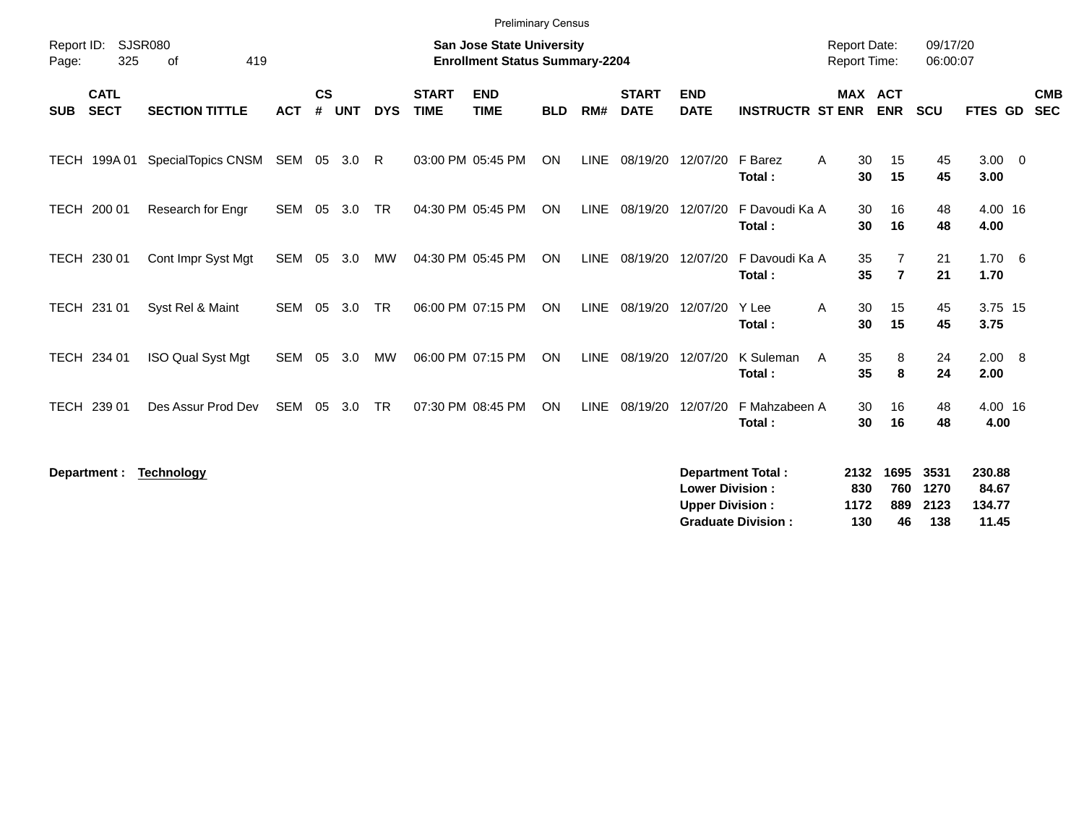| Report ID:<br>325<br>Page:               | SJSR080<br>419<br>οf     |              |                |            |            |                             | <b>Preliminary Census</b><br><b>San Jose State University</b><br><b>Enrollment Status Summary-2204</b> |            |             |                             |                                                  |                                                       | <b>Report Date:</b><br><b>Report Time:</b> |                                  | 09/17/20<br>06:00:07        |                                    |                          |
|------------------------------------------|--------------------------|--------------|----------------|------------|------------|-----------------------------|--------------------------------------------------------------------------------------------------------|------------|-------------|-----------------------------|--------------------------------------------------|-------------------------------------------------------|--------------------------------------------|----------------------------------|-----------------------------|------------------------------------|--------------------------|
| <b>CATL</b><br><b>SECT</b><br><b>SUB</b> | <b>SECTION TITTLE</b>    | <b>ACT</b>   | <b>CS</b><br># | <b>UNT</b> | <b>DYS</b> | <b>START</b><br><b>TIME</b> | <b>END</b><br><b>TIME</b>                                                                              | <b>BLD</b> | RM#         | <b>START</b><br><b>DATE</b> | <b>END</b><br><b>DATE</b>                        | <b>INSTRUCTR ST ENR</b>                               | MAX ACT                                    | <b>ENR</b>                       | <b>SCU</b>                  | FTES GD                            | <b>CMB</b><br><b>SEC</b> |
| TECH 199A01                              | SpecialTopics CNSM       | SEM 05 3.0 R |                |            |            |                             | 03:00 PM 05:45 PM                                                                                      | ON         | <b>LINE</b> |                             | 08/19/20 12/07/20                                | F Barez<br>A<br>Total:                                | 30<br>30                                   | 15<br>15                         | 45<br>45                    | $3.00 \ 0$<br>3.00                 |                          |
| TECH 200 01                              | Research for Engr        | SEM 05       |                | 3.0        | <b>TR</b>  |                             | 04:30 PM 05:45 PM                                                                                      | ON         | LINE        | 08/19/20 12/07/20           |                                                  | F Davoudi Ka A<br>Total:                              | 30<br>30                                   | 16<br>16                         | 48<br>48                    | 4.00 16<br>4.00                    |                          |
| TECH 230 01                              | Cont Impr Syst Mgt       | SEM          | 05             | 3.0        | MW         |                             | 04:30 PM 05:45 PM                                                                                      | ON         | <b>LINE</b> | 08/19/20                    | 12/07/20                                         | F Davoudi Ka A<br>Total:                              | 35<br>35                                   | $\overline{7}$<br>$\overline{7}$ | 21<br>21                    | $1.70\ 6$<br>1.70                  |                          |
| TECH 231 01                              | Syst Rel & Maint         | SEM          | 05             | 3.0        | <b>TR</b>  |                             | 06:00 PM 07:15 PM                                                                                      | ON         | LINE        | 08/19/20                    | 12/07/20                                         | Y Lee<br>A<br>Total:                                  | 30<br>30                                   | 15<br>15                         | 45<br>45                    | 3.75 15<br>3.75                    |                          |
| TECH 234 01                              | <b>ISO Qual Syst Mgt</b> | SEM          | 05             | 3.0        | <b>MW</b>  |                             | 06:00 PM 07:15 PM                                                                                      | ON         | <b>LINE</b> | 08/19/20                    | 12/07/20                                         | K Suleman<br>A<br>Total:                              | 35<br>35                                   | 8<br>8                           | 24<br>24                    | 2.00 8<br>2.00                     |                          |
| TECH 239 01                              | Des Assur Prod Dev       | SEM          | 05             | 3.0        | <b>TR</b>  |                             | 07:30 PM 08:45 PM                                                                                      | ON         | <b>LINE</b> | 08/19/20                    | 12/07/20                                         | F Mahzabeen A<br>Total:                               | 30<br>30                                   | 16<br>16                         | 48<br>48                    | 4.00 16<br>4.00                    |                          |
| Department :                             | <b>Technology</b>        |              |                |            |            |                             |                                                                                                        |            |             |                             | <b>Lower Division:</b><br><b>Upper Division:</b> | <b>Department Total:</b><br><b>Graduate Division:</b> | 2132<br>830<br>1172<br>130                 | 1695<br>760<br>889<br>46         | 3531<br>1270<br>2123<br>138 | 230.88<br>84.67<br>134.77<br>11.45 |                          |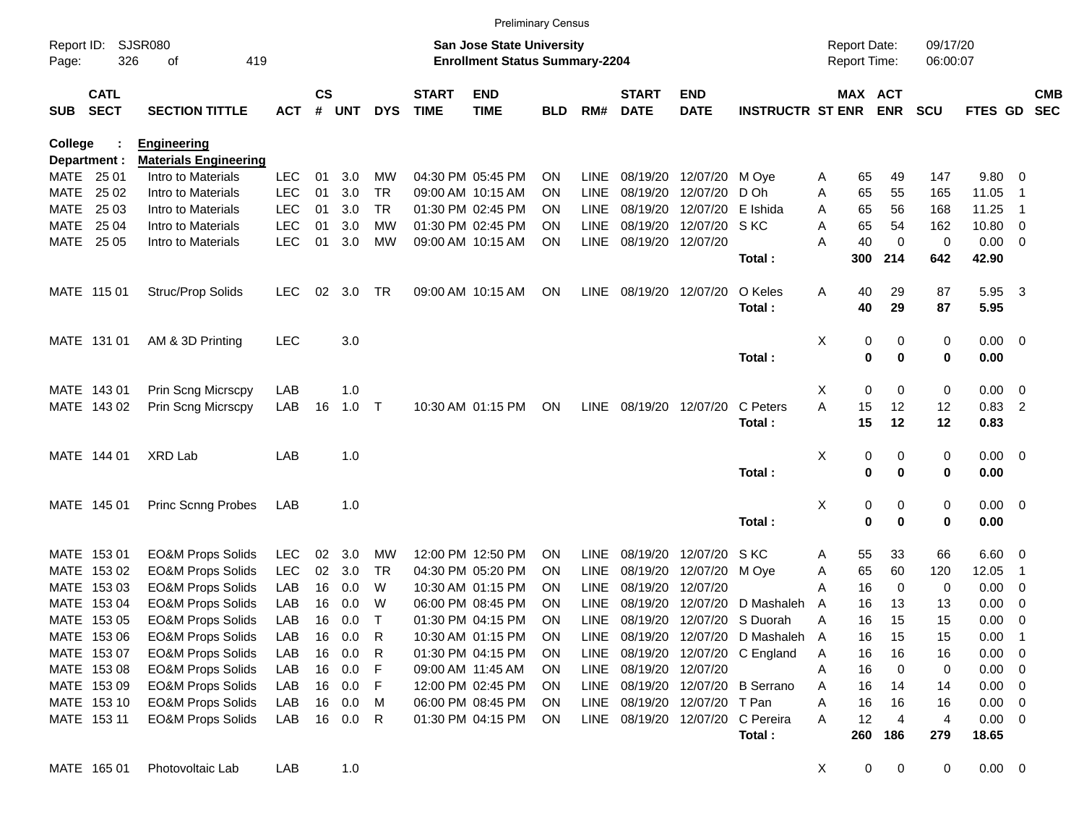| SJSR080<br>09/17/20<br>Report ID:<br><b>San Jose State University</b><br><b>Report Date:</b><br><b>Enrollment Status Summary-2204</b><br><b>Report Time:</b><br>326<br>419<br>06:00:07<br>Page:<br>οf<br><b>CS</b><br>MAX ACT<br><b>CATL</b><br><b>START</b><br><b>END</b><br><b>START</b><br><b>END</b><br><b>SECT</b><br># UNT<br><b>ENR</b><br><b>SECTION TITTLE</b><br><b>ACT</b><br><b>DYS</b><br><b>TIME</b><br><b>TIME</b><br>RM#<br><b>DATE</b><br><b>DATE</b><br><b>INSTRUCTR ST ENR</b><br><b>SCU</b><br>FTES GD<br><b>SUB</b><br><b>BLD</b><br>College<br><b>Engineering</b><br><b>Materials Engineering</b><br>Department :<br>25 01<br><b>LEC</b><br>01<br>3.0<br>9.80<br>MATE<br>Intro to Materials<br>MW<br>04:30 PM 05:45 PM<br>08/19/20<br>12/07/20 M Oye<br>49<br>147<br><b>ON</b><br>LINE.<br>A<br>65<br><b>MATE</b><br>25 02<br><b>LEC</b><br>01<br>3.0<br><b>TR</b><br>08/19/20<br>12/07/20<br>11.05<br>Intro to Materials<br>09:00 AM 10:15 AM<br><b>LINE</b><br>D Oh<br>65<br>55<br>165<br>ON<br>A<br>25 03<br><b>LEC</b><br>01<br><b>TR</b><br>12/07/20<br>E Ishida<br>11.25<br><b>MATE</b><br>Intro to Materials<br>3.0<br>01:30 PM 02:45 PM<br><b>LINE</b><br>08/19/20<br>65<br>56<br>168<br>0N<br>A<br>25 04<br><b>LEC</b><br>01<br>3.0<br><b>MW</b><br>01:30 PM 02:45 PM<br>08/19/20<br>12/07/20<br>S KC<br>65<br>10.80<br><b>MATE</b><br>Intro to Materials<br><b>LINE</b><br>54<br>162<br>ON<br>A<br><b>LEC</b><br>0.00<br><b>MATE</b><br>25 05<br>01<br>3.0<br>12/07/20<br>40<br>0<br>0<br>Intro to Materials<br>MW<br>09:00 AM 10:15 AM<br><b>LINE</b><br>08/19/20<br>A<br>0N<br>214<br>642<br>42.90<br>Total:<br>300<br>02<br>29<br>87<br>5.95<br>MATE 115 01<br>Struc/Prop Solids<br><b>LEC</b><br>3.0<br>TR<br>09:00 AM 10:15 AM<br><b>ON</b><br>LINE 08/19/20<br>12/07/20<br>O Keles<br>40<br>A<br>40<br>29<br>87<br>5.95<br>Total:<br><b>LEC</b><br>3.0<br>Χ<br>0<br>0.00 0<br>MATE 131 01<br>AM & 3D Printing<br>0<br>0<br>0<br>$\mathbf 0$<br>0<br>0.00<br>Total:<br>MATE 143 01<br>0<br>0<br>0<br>0.00<br>Prin Scng Micrscpy<br>LAB<br>1.0<br>Χ<br>A<br>15<br>LAB<br>16<br>1.0<br>$\mathsf{T}$<br>LINE 08/19/20 12/07/20<br>C Peters<br>12<br>12<br>0.83<br>MATE 143 02<br>Prin Scng Micrscpy<br>10:30 AM 01:15 PM<br><b>ON</b><br>15<br>12<br>12<br>0.83<br>Total:<br>XRD Lab<br>Χ<br>0<br>$0.00 \t 0$<br>MATE 144 01<br>LAB<br>1.0<br>0<br>0 | <b>CMB</b><br><b>SEC</b><br>- 0<br>-1<br>-1<br>0<br>- 0<br>$\overline{\mathbf{3}}$<br>$\overline{0}$<br>$\overline{2}$ |
|----------------------------------------------------------------------------------------------------------------------------------------------------------------------------------------------------------------------------------------------------------------------------------------------------------------------------------------------------------------------------------------------------------------------------------------------------------------------------------------------------------------------------------------------------------------------------------------------------------------------------------------------------------------------------------------------------------------------------------------------------------------------------------------------------------------------------------------------------------------------------------------------------------------------------------------------------------------------------------------------------------------------------------------------------------------------------------------------------------------------------------------------------------------------------------------------------------------------------------------------------------------------------------------------------------------------------------------------------------------------------------------------------------------------------------------------------------------------------------------------------------------------------------------------------------------------------------------------------------------------------------------------------------------------------------------------------------------------------------------------------------------------------------------------------------------------------------------------------------------------------------------------------------------------------------------------------------------------------------------------------------------------------------------------------------------------------------------------------------------------------------------------------------------------------------------------------------------------------------------------------------------------------------------------------------------------------------------------------------------------------------------|------------------------------------------------------------------------------------------------------------------------|
|                                                                                                                                                                                                                                                                                                                                                                                                                                                                                                                                                                                                                                                                                                                                                                                                                                                                                                                                                                                                                                                                                                                                                                                                                                                                                                                                                                                                                                                                                                                                                                                                                                                                                                                                                                                                                                                                                                                                                                                                                                                                                                                                                                                                                                                                                                                                                                                        |                                                                                                                        |
|                                                                                                                                                                                                                                                                                                                                                                                                                                                                                                                                                                                                                                                                                                                                                                                                                                                                                                                                                                                                                                                                                                                                                                                                                                                                                                                                                                                                                                                                                                                                                                                                                                                                                                                                                                                                                                                                                                                                                                                                                                                                                                                                                                                                                                                                                                                                                                                        |                                                                                                                        |
|                                                                                                                                                                                                                                                                                                                                                                                                                                                                                                                                                                                                                                                                                                                                                                                                                                                                                                                                                                                                                                                                                                                                                                                                                                                                                                                                                                                                                                                                                                                                                                                                                                                                                                                                                                                                                                                                                                                                                                                                                                                                                                                                                                                                                                                                                                                                                                                        |                                                                                                                        |
|                                                                                                                                                                                                                                                                                                                                                                                                                                                                                                                                                                                                                                                                                                                                                                                                                                                                                                                                                                                                                                                                                                                                                                                                                                                                                                                                                                                                                                                                                                                                                                                                                                                                                                                                                                                                                                                                                                                                                                                                                                                                                                                                                                                                                                                                                                                                                                                        |                                                                                                                        |
|                                                                                                                                                                                                                                                                                                                                                                                                                                                                                                                                                                                                                                                                                                                                                                                                                                                                                                                                                                                                                                                                                                                                                                                                                                                                                                                                                                                                                                                                                                                                                                                                                                                                                                                                                                                                                                                                                                                                                                                                                                                                                                                                                                                                                                                                                                                                                                                        |                                                                                                                        |
|                                                                                                                                                                                                                                                                                                                                                                                                                                                                                                                                                                                                                                                                                                                                                                                                                                                                                                                                                                                                                                                                                                                                                                                                                                                                                                                                                                                                                                                                                                                                                                                                                                                                                                                                                                                                                                                                                                                                                                                                                                                                                                                                                                                                                                                                                                                                                                                        |                                                                                                                        |
|                                                                                                                                                                                                                                                                                                                                                                                                                                                                                                                                                                                                                                                                                                                                                                                                                                                                                                                                                                                                                                                                                                                                                                                                                                                                                                                                                                                                                                                                                                                                                                                                                                                                                                                                                                                                                                                                                                                                                                                                                                                                                                                                                                                                                                                                                                                                                                                        |                                                                                                                        |
|                                                                                                                                                                                                                                                                                                                                                                                                                                                                                                                                                                                                                                                                                                                                                                                                                                                                                                                                                                                                                                                                                                                                                                                                                                                                                                                                                                                                                                                                                                                                                                                                                                                                                                                                                                                                                                                                                                                                                                                                                                                                                                                                                                                                                                                                                                                                                                                        |                                                                                                                        |
|                                                                                                                                                                                                                                                                                                                                                                                                                                                                                                                                                                                                                                                                                                                                                                                                                                                                                                                                                                                                                                                                                                                                                                                                                                                                                                                                                                                                                                                                                                                                                                                                                                                                                                                                                                                                                                                                                                                                                                                                                                                                                                                                                                                                                                                                                                                                                                                        |                                                                                                                        |
|                                                                                                                                                                                                                                                                                                                                                                                                                                                                                                                                                                                                                                                                                                                                                                                                                                                                                                                                                                                                                                                                                                                                                                                                                                                                                                                                                                                                                                                                                                                                                                                                                                                                                                                                                                                                                                                                                                                                                                                                                                                                                                                                                                                                                                                                                                                                                                                        |                                                                                                                        |
|                                                                                                                                                                                                                                                                                                                                                                                                                                                                                                                                                                                                                                                                                                                                                                                                                                                                                                                                                                                                                                                                                                                                                                                                                                                                                                                                                                                                                                                                                                                                                                                                                                                                                                                                                                                                                                                                                                                                                                                                                                                                                                                                                                                                                                                                                                                                                                                        |                                                                                                                        |
|                                                                                                                                                                                                                                                                                                                                                                                                                                                                                                                                                                                                                                                                                                                                                                                                                                                                                                                                                                                                                                                                                                                                                                                                                                                                                                                                                                                                                                                                                                                                                                                                                                                                                                                                                                                                                                                                                                                                                                                                                                                                                                                                                                                                                                                                                                                                                                                        |                                                                                                                        |
|                                                                                                                                                                                                                                                                                                                                                                                                                                                                                                                                                                                                                                                                                                                                                                                                                                                                                                                                                                                                                                                                                                                                                                                                                                                                                                                                                                                                                                                                                                                                                                                                                                                                                                                                                                                                                                                                                                                                                                                                                                                                                                                                                                                                                                                                                                                                                                                        |                                                                                                                        |
|                                                                                                                                                                                                                                                                                                                                                                                                                                                                                                                                                                                                                                                                                                                                                                                                                                                                                                                                                                                                                                                                                                                                                                                                                                                                                                                                                                                                                                                                                                                                                                                                                                                                                                                                                                                                                                                                                                                                                                                                                                                                                                                                                                                                                                                                                                                                                                                        |                                                                                                                        |
|                                                                                                                                                                                                                                                                                                                                                                                                                                                                                                                                                                                                                                                                                                                                                                                                                                                                                                                                                                                                                                                                                                                                                                                                                                                                                                                                                                                                                                                                                                                                                                                                                                                                                                                                                                                                                                                                                                                                                                                                                                                                                                                                                                                                                                                                                                                                                                                        |                                                                                                                        |
|                                                                                                                                                                                                                                                                                                                                                                                                                                                                                                                                                                                                                                                                                                                                                                                                                                                                                                                                                                                                                                                                                                                                                                                                                                                                                                                                                                                                                                                                                                                                                                                                                                                                                                                                                                                                                                                                                                                                                                                                                                                                                                                                                                                                                                                                                                                                                                                        |                                                                                                                        |
|                                                                                                                                                                                                                                                                                                                                                                                                                                                                                                                                                                                                                                                                                                                                                                                                                                                                                                                                                                                                                                                                                                                                                                                                                                                                                                                                                                                                                                                                                                                                                                                                                                                                                                                                                                                                                                                                                                                                                                                                                                                                                                                                                                                                                                                                                                                                                                                        |                                                                                                                        |
|                                                                                                                                                                                                                                                                                                                                                                                                                                                                                                                                                                                                                                                                                                                                                                                                                                                                                                                                                                                                                                                                                                                                                                                                                                                                                                                                                                                                                                                                                                                                                                                                                                                                                                                                                                                                                                                                                                                                                                                                                                                                                                                                                                                                                                                                                                                                                                                        |                                                                                                                        |
|                                                                                                                                                                                                                                                                                                                                                                                                                                                                                                                                                                                                                                                                                                                                                                                                                                                                                                                                                                                                                                                                                                                                                                                                                                                                                                                                                                                                                                                                                                                                                                                                                                                                                                                                                                                                                                                                                                                                                                                                                                                                                                                                                                                                                                                                                                                                                                                        |                                                                                                                        |
| 0<br>$\mathbf 0$<br>0<br>0.00<br>Total:                                                                                                                                                                                                                                                                                                                                                                                                                                                                                                                                                                                                                                                                                                                                                                                                                                                                                                                                                                                                                                                                                                                                                                                                                                                                                                                                                                                                                                                                                                                                                                                                                                                                                                                                                                                                                                                                                                                                                                                                                                                                                                                                                                                                                                                                                                                                                |                                                                                                                        |
|                                                                                                                                                                                                                                                                                                                                                                                                                                                                                                                                                                                                                                                                                                                                                                                                                                                                                                                                                                                                                                                                                                                                                                                                                                                                                                                                                                                                                                                                                                                                                                                                                                                                                                                                                                                                                                                                                                                                                                                                                                                                                                                                                                                                                                                                                                                                                                                        |                                                                                                                        |
| Χ<br>0<br>$0.00 \t 0$<br>MATE 145 01<br><b>Princ Scnng Probes</b><br>LAB<br>1.0<br>0<br>0                                                                                                                                                                                                                                                                                                                                                                                                                                                                                                                                                                                                                                                                                                                                                                                                                                                                                                                                                                                                                                                                                                                                                                                                                                                                                                                                                                                                                                                                                                                                                                                                                                                                                                                                                                                                                                                                                                                                                                                                                                                                                                                                                                                                                                                                                              |                                                                                                                        |
| 0<br>$\mathbf 0$<br>0<br>0.00<br>Total:                                                                                                                                                                                                                                                                                                                                                                                                                                                                                                                                                                                                                                                                                                                                                                                                                                                                                                                                                                                                                                                                                                                                                                                                                                                                                                                                                                                                                                                                                                                                                                                                                                                                                                                                                                                                                                                                                                                                                                                                                                                                                                                                                                                                                                                                                                                                                |                                                                                                                        |
| MATE 153 01<br>3.0<br>S KC<br><b>EO&amp;M Props Solids</b><br><b>LEC</b><br>02<br>MW<br>12:00 PM 12:50 PM<br><b>LINE</b><br>08/19/20<br>12/07/20<br>66<br>6.60<br><b>ON</b><br>A<br>55<br>33                                                                                                                                                                                                                                                                                                                                                                                                                                                                                                                                                                                                                                                                                                                                                                                                                                                                                                                                                                                                                                                                                                                                                                                                                                                                                                                                                                                                                                                                                                                                                                                                                                                                                                                                                                                                                                                                                                                                                                                                                                                                                                                                                                                           | $\overline{\mathbf{0}}$                                                                                                |
| 153 02<br><b>EO&amp;M Props Solids</b><br><b>LEC</b><br>02<br>3.0<br>08/19/20<br>12/07/20<br>65<br>60<br>120<br>12.05<br>MATE<br>TR<br>04:30 PM 05:20 PM<br><b>LINE</b><br>0N<br>M Oye<br>A                                                                                                                                                                                                                                                                                                                                                                                                                                                                                                                                                                                                                                                                                                                                                                                                                                                                                                                                                                                                                                                                                                                                                                                                                                                                                                                                                                                                                                                                                                                                                                                                                                                                                                                                                                                                                                                                                                                                                                                                                                                                                                                                                                                            | $\mathbf 1$                                                                                                            |
| 153 03<br>LAB<br>16<br>12/07/20<br>0<br>0.00<br><b>MATE</b><br><b>EO&amp;M Props Solids</b><br>0.0<br>W<br>10:30 AM 01:15 PM<br><b>LINE</b><br>08/19/20<br>16<br>0<br>0N<br>A                                                                                                                                                                                                                                                                                                                                                                                                                                                                                                                                                                                                                                                                                                                                                                                                                                                                                                                                                                                                                                                                                                                                                                                                                                                                                                                                                                                                                                                                                                                                                                                                                                                                                                                                                                                                                                                                                                                                                                                                                                                                                                                                                                                                          | 0                                                                                                                      |
| 15304<br>16<br>12/07/20<br><b>MATE</b><br><b>EO&amp;M Props Solids</b><br>LAB<br>0.0<br>W<br>06:00 PM 08:45 PM<br>LINE<br>08/19/20<br>D Mashaleh<br>13<br>0.00<br>0N<br>A<br>16<br>13                                                                                                                                                                                                                                                                                                                                                                                                                                                                                                                                                                                                                                                                                                                                                                                                                                                                                                                                                                                                                                                                                                                                                                                                                                                                                                                                                                                                                                                                                                                                                                                                                                                                                                                                                                                                                                                                                                                                                                                                                                                                                                                                                                                                  | 0                                                                                                                      |
| MATE 153 05<br>LAB<br>16<br>$\mathsf T$<br>12/07/20 S Duorah<br>15<br>0.00<br><b>EO&amp;M Props Solids</b><br>0.0<br>01:30 PM 04:15 PM<br>ON<br><b>LINE</b><br>08/19/20<br>16<br>15<br>A                                                                                                                                                                                                                                                                                                                                                                                                                                                                                                                                                                                                                                                                                                                                                                                                                                                                                                                                                                                                                                                                                                                                                                                                                                                                                                                                                                                                                                                                                                                                                                                                                                                                                                                                                                                                                                                                                                                                                                                                                                                                                                                                                                                               | 0                                                                                                                      |
| MATE 153 06<br><b>EO&amp;M Props Solids</b><br>10:30 AM 01:15 PM<br>LINE 08/19/20 12/07/20 D Mashaleh<br>0.00<br>0.0<br>$\mathsf{R}$<br>LAB<br>16<br>15<br>15<br><b>ON</b><br>A<br>16                                                                                                                                                                                                                                                                                                                                                                                                                                                                                                                                                                                                                                                                                                                                                                                                                                                                                                                                                                                                                                                                                                                                                                                                                                                                                                                                                                                                                                                                                                                                                                                                                                                                                                                                                                                                                                                                                                                                                                                                                                                                                                                                                                                                  | $\blacksquare$ 1                                                                                                       |
| MATE 153 07<br><b>EO&amp;M Props Solids</b><br>16 0.0<br>LINE 08/19/20 12/07/20 C England<br>$0.00 \t 0$<br>LAB<br>R<br>01:30 PM 04:15 PM<br>16<br>16<br><b>ON</b><br>A<br>16                                                                                                                                                                                                                                                                                                                                                                                                                                                                                                                                                                                                                                                                                                                                                                                                                                                                                                                                                                                                                                                                                                                                                                                                                                                                                                                                                                                                                                                                                                                                                                                                                                                                                                                                                                                                                                                                                                                                                                                                                                                                                                                                                                                                          |                                                                                                                        |
| MATE 153 08<br><b>EO&amp;M Props Solids</b><br>LAB<br>16 0.0<br>LINE 08/19/20 12/07/20<br>0<br>$0.00 \t 0$<br>-F<br>09:00 AM 11:45 AM<br>16<br>0<br>ON.<br>A                                                                                                                                                                                                                                                                                                                                                                                                                                                                                                                                                                                                                                                                                                                                                                                                                                                                                                                                                                                                                                                                                                                                                                                                                                                                                                                                                                                                                                                                                                                                                                                                                                                                                                                                                                                                                                                                                                                                                                                                                                                                                                                                                                                                                           |                                                                                                                        |
| MATE 153 09<br><b>EO&amp;M Props Solids</b><br>LAB<br>16 0.0<br>LINE 08/19/20 12/07/20 B Serrano<br>$0.00 \t 0$<br>-F<br>12:00 PM 02:45 PM<br>16<br>ON.<br>A<br>14<br>14                                                                                                                                                                                                                                                                                                                                                                                                                                                                                                                                                                                                                                                                                                                                                                                                                                                                                                                                                                                                                                                                                                                                                                                                                                                                                                                                                                                                                                                                                                                                                                                                                                                                                                                                                                                                                                                                                                                                                                                                                                                                                                                                                                                                               |                                                                                                                        |
| MATE 153 10<br><b>EO&amp;M Props Solids</b><br>16 0.0<br>06:00 PM 08:45 PM<br>LINE 08/19/20 12/07/20 T Pan<br>$0.00 \t 0$<br>LAB<br>M<br>Α<br>16<br>16<br>16<br>ON.                                                                                                                                                                                                                                                                                                                                                                                                                                                                                                                                                                                                                                                                                                                                                                                                                                                                                                                                                                                                                                                                                                                                                                                                                                                                                                                                                                                                                                                                                                                                                                                                                                                                                                                                                                                                                                                                                                                                                                                                                                                                                                                                                                                                                    |                                                                                                                        |
| MATE 153 11<br>EO&M Props Solids<br>LAB<br>16  0.0  R<br>01:30 PM 04:15 PM<br>LINE 08/19/20 12/07/20 C Pereira<br>12<br>4<br>$0.00 \t 0$<br>$\overline{a}$<br>ON.<br>A                                                                                                                                                                                                                                                                                                                                                                                                                                                                                                                                                                                                                                                                                                                                                                                                                                                                                                                                                                                                                                                                                                                                                                                                                                                                                                                                                                                                                                                                                                                                                                                                                                                                                                                                                                                                                                                                                                                                                                                                                                                                                                                                                                                                                 |                                                                                                                        |
| 260<br>18.65<br>Total:<br>186<br>279                                                                                                                                                                                                                                                                                                                                                                                                                                                                                                                                                                                                                                                                                                                                                                                                                                                                                                                                                                                                                                                                                                                                                                                                                                                                                                                                                                                                                                                                                                                                                                                                                                                                                                                                                                                                                                                                                                                                                                                                                                                                                                                                                                                                                                                                                                                                                   |                                                                                                                        |
| $\mathbf 0$<br>$0.00 \t 0$<br>MATE 165 01<br>Photovoltaic Lab<br>LAB<br>1.0<br>$\mathbf 0$<br>0<br>X                                                                                                                                                                                                                                                                                                                                                                                                                                                                                                                                                                                                                                                                                                                                                                                                                                                                                                                                                                                                                                                                                                                                                                                                                                                                                                                                                                                                                                                                                                                                                                                                                                                                                                                                                                                                                                                                                                                                                                                                                                                                                                                                                                                                                                                                                   |                                                                                                                        |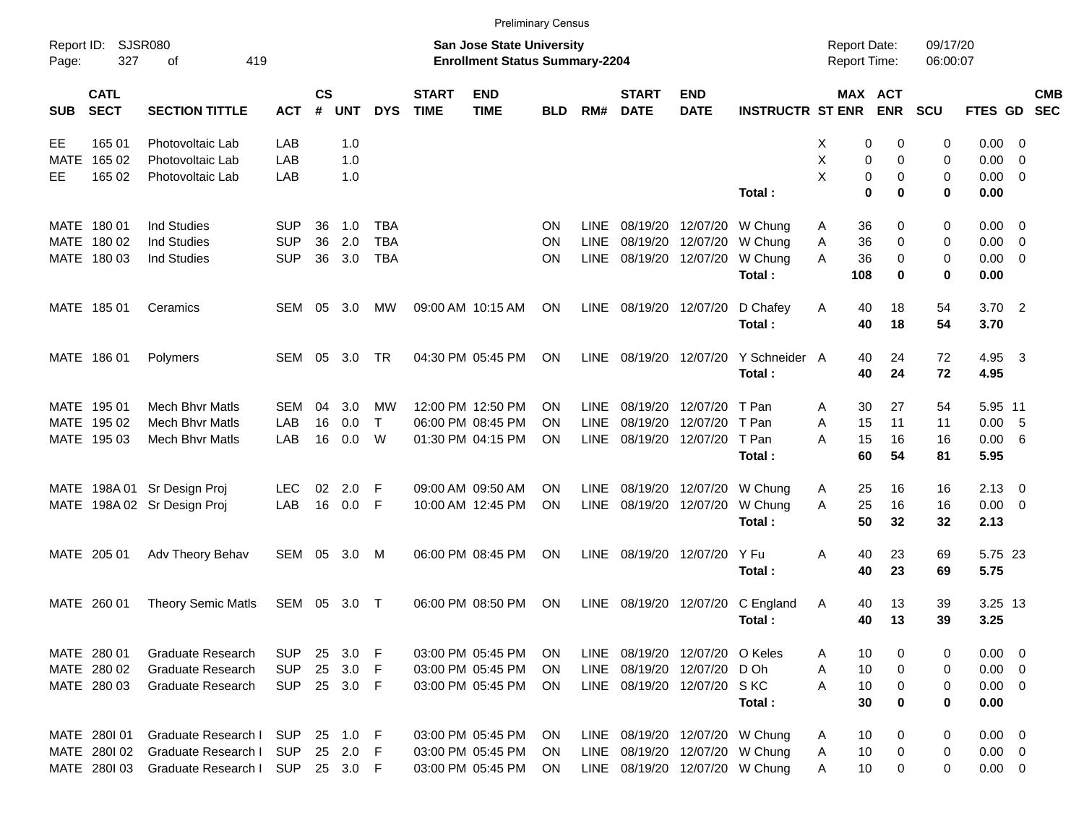|                     |                            |                             |              |                    |            |              |                             |                                                                    | <b>Preliminary Census</b> |             |                                |                           |                                |                                     |                       |                      |             |                          |
|---------------------|----------------------------|-----------------------------|--------------|--------------------|------------|--------------|-----------------------------|--------------------------------------------------------------------|---------------------------|-------------|--------------------------------|---------------------------|--------------------------------|-------------------------------------|-----------------------|----------------------|-------------|--------------------------|
| Report ID:<br>Page: | 327                        | SJSR080<br>419<br>оf        |              |                    |            |              |                             | San Jose State University<br><b>Enrollment Status Summary-2204</b> |                           |             |                                |                           |                                | <b>Report Date:</b><br>Report Time: |                       | 09/17/20<br>06:00:07 |             |                          |
| <b>SUB</b>          | <b>CATL</b><br><b>SECT</b> | <b>SECTION TITTLE</b>       | <b>ACT</b>   | $\mathsf{cs}$<br># | <b>UNT</b> | <b>DYS</b>   | <b>START</b><br><b>TIME</b> | <b>END</b><br><b>TIME</b>                                          | <b>BLD</b>                | RM#         | <b>START</b><br><b>DATE</b>    | <b>END</b><br><b>DATE</b> | <b>INSTRUCTR ST ENR</b>        |                                     | MAX ACT<br><b>ENR</b> | <b>SCU</b>           | FTES GD     | <b>CMB</b><br><b>SEC</b> |
| EE                  | 165 01                     | Photovoltaic Lab            | LAB          |                    | 1.0        |              |                             |                                                                    |                           |             |                                |                           |                                | Х                                   | 0<br>0                | 0                    | 0.00        | - 0                      |
| <b>MATE</b>         | 165 02                     | Photovoltaic Lab            | LAB          |                    | 1.0        |              |                             |                                                                    |                           |             |                                |                           |                                | X                                   | 0<br>0                | 0                    | 0.00        | - 0                      |
| EE.                 | 165 02                     | Photovoltaic Lab            | LAB          |                    | 1.0        |              |                             |                                                                    |                           |             |                                |                           |                                | X                                   | 0<br>0                | 0                    | 0.00        | - 0                      |
|                     |                            |                             |              |                    |            |              |                             |                                                                    |                           |             |                                |                           | Total:                         |                                     | $\bf{0}$<br>0         | 0                    | 0.00        |                          |
| MATE                | 180 01                     | <b>Ind Studies</b>          | <b>SUP</b>   | 36                 | 1.0        | <b>TBA</b>   |                             |                                                                    | ON                        | LINE.       | 08/19/20                       | 12/07/20                  | W Chung                        | 36<br>A                             | 0                     | 0                    | 0.00        | - 0                      |
| MATE                | 180 02                     | <b>Ind Studies</b>          | <b>SUP</b>   | 36                 | 2.0        | <b>TBA</b>   |                             |                                                                    | <b>ON</b>                 | <b>LINE</b> | 08/19/20                       | 12/07/20                  | W Chung                        | Α<br>36                             | 0                     | 0                    | 0.00        | $\overline{\phantom{0}}$ |
|                     | MATE 180 03                | Ind Studies                 | <b>SUP</b>   | 36                 | 3.0        | <b>TBA</b>   |                             |                                                                    | ΟN                        | <b>LINE</b> | 08/19/20                       | 12/07/20                  | W Chung                        | A<br>36                             | 0                     | 0                    | 0.00        | - 0                      |
|                     |                            |                             |              |                    |            |              |                             |                                                                    |                           |             |                                |                           | Total:                         | 108                                 | 0                     | 0                    | 0.00        |                          |
|                     | MATE 185 01                | Ceramics                    | SEM          | 05                 | 3.0        | MW           |                             | 09:00 AM 10:15 AM                                                  | ON                        | LINE        | 08/19/20                       | 12/07/20                  | D Chafey                       | A<br>40                             | 18                    | 54                   | 3.70        | $\overline{\phantom{a}}$ |
|                     |                            |                             |              |                    |            |              |                             |                                                                    |                           |             |                                |                           | Total:                         | 40                                  | 18                    | 54                   | 3.70        |                          |
|                     | MATE 186 01                | Polymers                    | SEM          | 05                 | 3.0        | TR           |                             | 04:30 PM 05:45 PM                                                  | ON                        | LINE        | 08/19/20                       | 12/07/20                  | Y Schneider A                  | 40                                  | 24                    | 72                   | 4.95        | -3                       |
|                     |                            |                             |              |                    |            |              |                             |                                                                    |                           |             |                                |                           | Total:                         | 40                                  | 24                    | 72                   | 4.95        |                          |
| MATE                | 195 01                     | <b>Mech Bhyr Matls</b>      | <b>SEM</b>   | 04                 | 3.0        | МW           |                             | 12:00 PM 12:50 PM                                                  | ON                        | <b>LINE</b> | 08/19/20                       | 12/07/20                  | T Pan                          | 30<br>A                             | 27                    | 54                   | 5.95 11     |                          |
| MATE                | 195 02                     | Mech Bhyr Matls             | LAB          | 16                 | 0.0        | $\mathsf{T}$ |                             | 06:00 PM 08:45 PM                                                  | ΟN                        | <b>LINE</b> | 08/19/20                       | 12/07/20                  | T Pan                          | Α<br>15                             | 11                    | 11                   | 0.00        | - 5                      |
|                     | MATE 195 03                | <b>Mech Bhyr Matls</b>      | LAB          | 16                 | 0.0        | W            |                             | 01:30 PM 04:15 PM                                                  | ΟN                        | <b>LINE</b> | 08/19/20                       | 12/07/20                  | T Pan                          | A<br>15                             | 16                    | 16                   | 0.00        | - 6                      |
|                     |                            |                             |              |                    |            |              |                             |                                                                    |                           |             |                                |                           | Total:                         | 60                                  | 54                    | 81                   | 5.95        |                          |
| MATE                | 198A 01                    | Sr Design Proj              | <b>LEC</b>   | 02                 | 2.0        | F            |                             | 09:00 AM 09:50 AM                                                  | ON                        | <b>LINE</b> | 08/19/20                       | 12/07/20                  | W Chung                        | A<br>25                             | 16                    | 16                   | 2.13        | $\overline{\phantom{0}}$ |
|                     |                            | MATE 198A 02 Sr Design Proj | LAB          | 16                 | 0.0        | F            |                             | 10:00 AM 12:45 PM                                                  | ON                        | LINE        | 08/19/20                       | 12/07/20                  | W Chung                        | A<br>25                             | 16                    | 16                   | 0.00        | $\overline{\phantom{0}}$ |
|                     |                            |                             |              |                    |            |              |                             |                                                                    |                           |             |                                |                           | Total:                         | 50                                  | 32                    | 32                   | 2.13        |                          |
|                     | MATE 205 01                | Adv Theory Behav            | SEM          | 05                 | 3.0        | M            |                             | 06:00 PM 08:45 PM                                                  | ON                        | LINE        | 08/19/20                       | 12/07/20                  | Y Fu                           | A<br>40                             | 23                    | 69                   | 5.75 23     |                          |
|                     |                            |                             |              |                    |            |              |                             |                                                                    |                           |             |                                |                           | Total:                         | 40                                  | 23                    | 69                   | 5.75        |                          |
|                     | MATE 260 01                | <b>Theory Semic Matls</b>   | SEM          | 05                 | 3.0        | $\top$       |                             | 06:00 PM 08:50 PM                                                  | ON                        | LINE        | 08/19/20                       | 12/07/20                  | C England                      | A<br>40                             | 13                    | 39                   | 3.25 13     |                          |
|                     |                            |                             |              |                    |            |              |                             |                                                                    |                           |             |                                |                           | Total:                         | 40                                  | 13                    | 39                   | 3.25        |                          |
|                     | MATE 280 01                | <b>Graduate Research</b>    | <b>SUP</b>   | 25                 | 3.0        | -F           |                             | 03:00 PM 05:45 PM                                                  | <b>ON</b>                 |             | LINE 08/19/20 12/07/20 O Keles |                           |                                | 10<br>A                             | 0                     | 0                    | $0.00 \t 0$ |                          |
|                     | MATE 280 02                | <b>Graduate Research</b>    | <b>SUP</b>   | 25                 | 3.0        | E            |                             | 03:00 PM 05:45 PM                                                  | <b>ON</b>                 | LINE        | 08/19/20                       | 12/07/20                  | D Oh                           | 10<br>Α                             | 0                     | 0                    | $0.00 \t 0$ |                          |
|                     | MATE 280 03                | Graduate Research           | <b>SUP</b>   |                    | 25 3.0 F   |              |                             | 03:00 PM 05:45 PM                                                  | ON                        |             | LINE 08/19/20 12/07/20 SKC     |                           |                                | A<br>10                             | 0                     | 0                    | $0.00 \t 0$ |                          |
|                     |                            |                             |              |                    |            |              |                             |                                                                    |                           |             |                                |                           | Total:                         | 30                                  | 0                     | 0                    | 0.00        |                          |
|                     | MATE 2801 01               | Graduate Research I         | <b>SUP</b>   |                    | 25 1.0 F   |              |                             | 03:00 PM 05:45 PM                                                  | <b>ON</b>                 |             |                                |                           | LINE 08/19/20 12/07/20 W Chung | 10<br>A                             | 0                     | 0                    | $0.00 \t 0$ |                          |
|                     | MATE 2801 02               | Graduate Research I         | <b>SUP</b>   |                    | 25 2.0     | - F          |                             | 03:00 PM 05:45 PM                                                  | <b>ON</b>                 |             |                                |                           | LINE 08/19/20 12/07/20 W Chung | 10<br>Α                             | 0                     | 0                    | $0.00 \t 0$ |                          |
|                     | MATE 280I 03               | Graduate Research I         | SUP 25 3.0 F |                    |            |              |                             | 03:00 PM 05:45 PM                                                  | ON                        |             |                                |                           | LINE 08/19/20 12/07/20 W Chung | 10<br>Α                             | 0                     | 0                    | $0.00 \t 0$ |                          |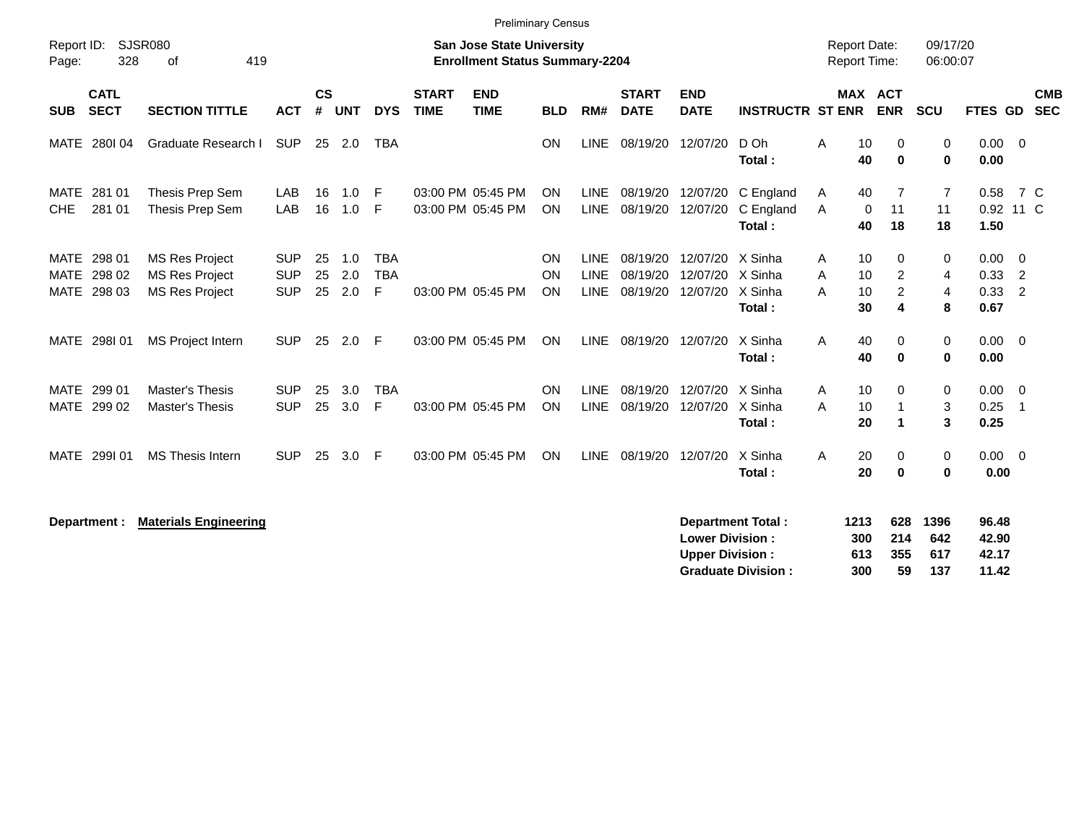|                             |                            |                                                                         |                                        |                    |                   |                               |                             | <b>Preliminary Census</b>                                                 |                 |                                           |                                  |                                                  |                                  |                                            |                                      |                      |                                         |                  |                          |
|-----------------------------|----------------------------|-------------------------------------------------------------------------|----------------------------------------|--------------------|-------------------|-------------------------------|-----------------------------|---------------------------------------------------------------------------|-----------------|-------------------------------------------|----------------------------------|--------------------------------------------------|----------------------------------|--------------------------------------------|--------------------------------------|----------------------|-----------------------------------------|------------------|--------------------------|
| Report ID:<br>Page:         | 328                        | <b>SJSR080</b><br>419<br>of                                             |                                        |                    |                   |                               |                             | <b>San Jose State University</b><br><b>Enrollment Status Summary-2204</b> |                 |                                           |                                  |                                                  |                                  | <b>Report Date:</b><br><b>Report Time:</b> |                                      | 09/17/20<br>06:00:07 |                                         |                  |                          |
| <b>SUB</b>                  | <b>CATL</b><br><b>SECT</b> | <b>SECTION TITTLE</b>                                                   | <b>ACT</b>                             | $\mathsf{cs}$<br># | <b>UNT</b>        | <b>DYS</b>                    | <b>START</b><br><b>TIME</b> | <b>END</b><br><b>TIME</b>                                                 | <b>BLD</b>      | RM#                                       | <b>START</b><br><b>DATE</b>      | <b>END</b><br><b>DATE</b>                        | <b>INSTRUCTR ST ENR</b>          |                                            | <b>MAX ACT</b><br><b>ENR</b>         | <b>SCU</b>           | FTES GD                                 |                  | <b>CMB</b><br><b>SEC</b> |
| MATE                        | 280104                     | Graduate Research I                                                     | <b>SUP</b>                             | 25                 | 2.0               | <b>TBA</b>                    |                             |                                                                           | ON              | <b>LINE</b>                               | 08/19/20                         | 12/07/20                                         | D Oh<br>Total:                   | 10<br>Α<br>40                              | 0<br>$\bf{0}$                        | 0<br>$\bf{0}$        | $0.00 \t 0$<br>0.00                     |                  |                          |
| MATE<br>CHE                 | 281 01<br>281 01           | Thesis Prep Sem<br>Thesis Prep Sem                                      | LAB<br>LAB                             | 16<br>16           | 1.0<br>1.0        | -F<br>-F                      |                             | 03:00 PM 05:45 PM<br>03:00 PM 05:45 PM                                    | ON<br>ON        | <b>LINE</b><br><b>LINE</b>                | 08/19/20<br>08/19/20             | 12/07/20<br>12/07/20                             | C England<br>C England<br>Total: | 40<br>A<br>$\mathbf 0$<br>A<br>40          | 7<br>11<br>18                        | 7<br>11<br>18        | 0.58<br>1.50                            | 7 C<br>0.92 11 C |                          |
| MATE<br><b>MATE</b><br>MATE | 298 01<br>298 02<br>298 03 | <b>MS Res Project</b><br><b>MS Res Project</b><br><b>MS Res Project</b> | <b>SUP</b><br><b>SUP</b><br><b>SUP</b> | 25<br>25<br>25     | 1.0<br>2.0<br>2.0 | <b>TBA</b><br><b>TBA</b><br>F |                             | 03:00 PM 05:45 PM                                                         | ON<br>ON<br>ON  | <b>LINE</b><br><b>LINE</b><br><b>LINE</b> | 08/19/20<br>08/19/20<br>08/19/20 | 12/07/20 X Sinha<br>12/07/20 X Sinha<br>12/07/20 | X Sinha<br>Total:                | 10<br>A<br>10<br>A<br>10<br>A<br>30        | $\Omega$<br>2<br>$\overline{2}$<br>4 | 0<br>4<br>4<br>8     | $0.00 \t 0$<br>0.33<br>$0.33$ 2<br>0.67 | $\overline{2}$   |                          |
|                             | MATE 298101                | <b>MS Project Intern</b>                                                | <b>SUP</b>                             | 25                 | 2.0               | -F                            |                             | 03:00 PM 05:45 PM                                                         | ON              | LINE                                      | 08/19/20                         | 12/07/20                                         | X Sinha<br>Total:                | 40<br>Α<br>40                              | 0<br>0                               | 0<br>0               | $0.00 \t 0$<br>0.00                     |                  |                          |
| MATE<br>MATE                | 299 01<br>299 02           | <b>Master's Thesis</b><br><b>Master's Thesis</b>                        | <b>SUP</b><br><b>SUP</b>               | 25<br>25           | 3.0<br>3.0        | <b>TBA</b><br>F               |                             | 03:00 PM 05:45 PM                                                         | ON<br><b>ON</b> | <b>LINE</b><br><b>LINE</b>                | 08/19/20<br>08/19/20             | 12/07/20<br>12/07/20                             | X Sinha<br>X Sinha<br>Total:     | 10<br>Α<br>10<br>A<br>20                   | 0                                    | 0<br>3<br>3          | $0.00 \t 0$<br>0.25<br>0.25             | - 1              |                          |
| <b>MATE</b>                 | 299101                     | <b>MS Thesis Intern</b>                                                 | <b>SUP</b>                             | 25                 | 3.0               | -F                            |                             | 03:00 PM 05:45 PM                                                         | ON              | LINE                                      | 08/19/20                         | 12/07/20                                         | X Sinha<br>Total:                | 20<br>Α<br>20                              | 0<br>0                               | 0<br>0               | $0.00 \t 0$<br>0.00                     |                  |                          |
|                             | Department :               | <b>Materials Engineering</b>                                            |                                        |                    |                   |                               |                             |                                                                           |                 |                                           |                                  |                                                  | <b>Department Total:</b>         | 1213                                       | 628                                  | 1396                 | 96.48                                   |                  |                          |

| <b>Lower Division:</b>    | 300 | -214    | 642 | 42.90 |
|---------------------------|-----|---------|-----|-------|
| <b>Upper Division:</b>    | 613 | 355 617 |     | 42.17 |
| <b>Graduate Division:</b> | 300 | 59.     | 137 | 11.42 |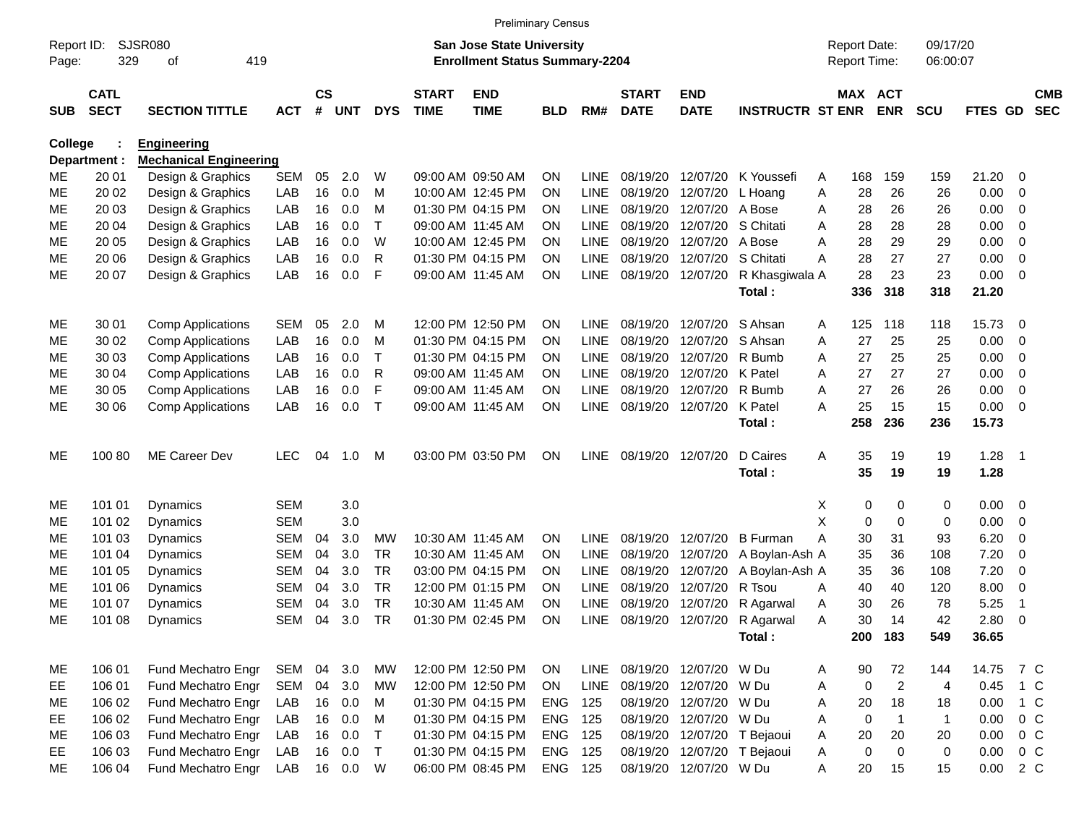|                     |                            |                               |            |                    |            |              |                             | <b>Preliminary Census</b>                                                 |                |             |                             |                           |                         |   |                                     |                |                      |             |                |                          |
|---------------------|----------------------------|-------------------------------|------------|--------------------|------------|--------------|-----------------------------|---------------------------------------------------------------------------|----------------|-------------|-----------------------------|---------------------------|-------------------------|---|-------------------------------------|----------------|----------------------|-------------|----------------|--------------------------|
| Report ID:<br>Page: | 329                        | SJSR080<br>419<br>οf          |            |                    |            |              |                             | <b>San Jose State University</b><br><b>Enrollment Status Summary-2204</b> |                |             |                             |                           |                         |   | <b>Report Date:</b><br>Report Time: |                | 09/17/20<br>06:00:07 |             |                |                          |
| <b>SUB</b>          | <b>CATL</b><br><b>SECT</b> | <b>SECTION TITTLE</b>         | <b>ACT</b> | $\mathsf{cs}$<br># | <b>UNT</b> | <b>DYS</b>   | <b>START</b><br><b>TIME</b> | <b>END</b><br><b>TIME</b>                                                 | <b>BLD</b>     | RM#         | <b>START</b><br><b>DATE</b> | <b>END</b><br><b>DATE</b> | <b>INSTRUCTR ST ENR</b> |   | MAX ACT                             | <b>ENR</b>     | <b>SCU</b>           | <b>FTES</b> | <b>GD</b>      | <b>CMB</b><br><b>SEC</b> |
| <b>College</b>      |                            | Engineering                   |            |                    |            |              |                             |                                                                           |                |             |                             |                           |                         |   |                                     |                |                      |             |                |                          |
|                     | Department :               | <b>Mechanical Engineering</b> |            |                    |            |              |                             |                                                                           |                |             |                             |                           |                         |   |                                     |                |                      |             |                |                          |
| ME.                 | 20 01                      | Design & Graphics             | SEM        | 05                 | 2.0        | W            |                             | 09:00 AM 09:50 AM                                                         | ΟN             | <b>LINE</b> | 08/19/20                    | 12/07/20                  | K Youssefi              | A | 168                                 | 159            | 159                  | 21.20       | 0              |                          |
| <b>ME</b>           | 20 02                      | Design & Graphics             | LAB        | 16                 | 0.0        | м            |                             | 10:00 AM 12:45 PM                                                         | ΟN             | <b>LINE</b> | 08/19/20                    | 12/07/20                  | L Hoang                 | Α | 28                                  | 26             | 26                   | 0.00        | 0              |                          |
| <b>ME</b>           | 20 03                      | Design & Graphics             | LAB        | 16                 | 0.0        | м            |                             | 01:30 PM 04:15 PM                                                         | ΟN             | LINE        | 08/19/20                    | 12/07/20                  | A Bose                  | A | 28                                  | 26             | 26                   | 0.00        | 0              |                          |
| <b>ME</b>           | 20 04                      | Design & Graphics             | LAB        | 16                 | 0.0        | $\mathsf{T}$ |                             | 09:00 AM 11:45 AM                                                         | ΟN             | <b>LINE</b> | 08/19/20                    | 12/07/20                  | S Chitati               | A | 28                                  | 28             | 28                   | 0.00        | 0              |                          |
| <b>ME</b>           | 20 05                      | Design & Graphics             | LAB        | 16                 | 0.0        | W            |                             | 10:00 AM 12:45 PM                                                         | ΟN             | <b>LINE</b> | 08/19/20                    | 12/07/20                  | A Bose                  | Α | 28                                  | 29             | 29                   | 0.00        | 0              |                          |
| <b>ME</b>           | 20 06                      | Design & Graphics             | LAB        | 16                 | 0.0        | R            |                             | 01:30 PM 04:15 PM                                                         | ΟN             | LINE        | 08/19/20                    | 12/07/20                  | S Chitati               | Α | 28                                  | 27             | 27                   | 0.00        | 0              |                          |
| <b>ME</b>           | 20 07                      | Design & Graphics             | LAB        | 16                 | 0.0        | F            |                             | 09:00 AM 11:45 AM                                                         | ΟN             | <b>LINE</b> | 08/19/20                    | 12/07/20                  | R Khasgiwala A          |   | 28                                  | 23             | 23                   | 0.00        | $\mathbf 0$    |                          |
|                     |                            |                               |            |                    |            |              |                             |                                                                           |                |             |                             |                           | Total:                  |   | 336                                 | 318            | 318                  | 21.20       |                |                          |
| ME.                 | 30 01                      | <b>Comp Applications</b>      | <b>SEM</b> | 05                 | 2.0        | M            |                             | 12:00 PM 12:50 PM                                                         | ΟN             | <b>LINE</b> | 08/19/20                    | 12/07/20                  | S Ahsan                 | A | 125                                 | 118            | 118                  | 15.73       | 0              |                          |
| МE                  | 30 02                      | <b>Comp Applications</b>      | LAB        | 16                 | 0.0        | M            |                             | 01:30 PM 04:15 PM                                                         | ΟN             | <b>LINE</b> | 08/19/20                    | 12/07/20                  | S Ahsan                 | A | 27                                  | 25             | 25                   | 0.00        | 0              |                          |
| <b>ME</b>           | 30 03                      | <b>Comp Applications</b>      | LAB        | 16                 | 0.0        | $\top$       |                             | 01:30 PM 04:15 PM                                                         | ΟN             | <b>LINE</b> | 08/19/20                    | 12/07/20                  | R Bumb                  | A | 27                                  | 25             | 25                   | 0.00        | 0              |                          |
| <b>ME</b>           | 30 04                      | <b>Comp Applications</b>      | LAB        | 16                 | 0.0        | R            |                             | 09:00 AM 11:45 AM                                                         | ΟN             | <b>LINE</b> | 08/19/20                    | 12/07/20                  | K Patel                 | A | 27                                  | 27             | 27                   | 0.00        | 0              |                          |
| <b>ME</b>           | 30 05                      | <b>Comp Applications</b>      | LAB        | 16                 | 0.0        | F            |                             | 09:00 AM 11:45 AM                                                         | ΟN             | <b>LINE</b> | 08/19/20                    | 12/07/20                  | R Bumb                  | A | 27                                  | 26             | 26                   | 0.00        | 0              |                          |
| <b>ME</b>           | 30 06                      | <b>Comp Applications</b>      | LAB        | 16                 | 0.0        | $\top$       |                             | 09:00 AM 11:45 AM                                                         | ΟN             | <b>LINE</b> | 08/19/20                    | 12/07/20                  | K Patel                 | A | 25                                  | 15             | 15                   | 0.00        | 0              |                          |
|                     |                            |                               |            |                    |            |              |                             |                                                                           |                |             |                             |                           | Total:                  |   | 258                                 | 236            | 236                  | 15.73       |                |                          |
| МE                  | 100 80                     | ME Career Dev                 | <b>LEC</b> | 04                 | 1.0        | M            |                             | 03:00 PM 03:50 PM                                                         | <b>ON</b>      | LINE        | 08/19/20                    | 12/07/20                  | D Caires                | A | 35                                  | 19             | 19                   | 1.28        | $\overline{1}$ |                          |
|                     |                            |                               |            |                    |            |              |                             |                                                                           |                |             |                             |                           | Total:                  |   | 35                                  | 19             | 19                   | 1.28        |                |                          |
|                     |                            |                               |            |                    |            |              |                             |                                                                           |                |             |                             |                           |                         |   |                                     |                |                      |             |                |                          |
| ME.                 | 101 01                     | <b>Dynamics</b>               | <b>SEM</b> |                    | 3.0        |              |                             |                                                                           |                |             |                             |                           |                         | Χ | 0                                   | 0              | 0                    | 0.00        | 0              |                          |
| МE                  | 101 02                     | Dynamics                      | <b>SEM</b> |                    | 3.0        |              |                             |                                                                           |                |             |                             |                           |                         | Χ | 0                                   | 0              | 0                    | 0.00        | 0              |                          |
| МE                  | 101 03                     | Dynamics                      | <b>SEM</b> | 04                 | 3.0        | MW           |                             | 10:30 AM 11:45 AM                                                         | ΟN             | <b>LINE</b> | 08/19/20                    | 12/07/20                  | <b>B</b> Furman         | A | 30                                  | 31             | 93                   | 6.20        | 0              |                          |
| <b>ME</b>           | 101 04                     | Dynamics                      | <b>SEM</b> | 04                 | 3.0        | <b>TR</b>    |                             | 10:30 AM 11:45 AM                                                         | ON             | <b>LINE</b> | 08/19/20                    | 12/07/20                  | A Boylan-Ash A          |   | 35                                  | 36             | 108                  | 7.20        | $\mathbf 0$    |                          |
| <b>ME</b>           | 101 05                     | Dynamics                      | <b>SEM</b> | 04                 | 3.0        | <b>TR</b>    |                             | 03:00 PM 04:15 PM                                                         | ON             | LINE        | 08/19/20                    | 12/07/20                  | A Boylan-Ash A          |   | 35                                  | 36             | 108                  | 7.20        | 0              |                          |
| МE                  | 101 06                     | Dynamics                      | <b>SEM</b> | 04                 | 3.0        | <b>TR</b>    |                             | 12:00 PM 01:15 PM                                                         | ΟN             | LINE        | 08/19/20                    | 12/07/20                  | R Tsou                  | A | 40                                  | 40             | 120                  | 8.00        | 0              |                          |
| <b>ME</b>           | 101 07                     | Dynamics                      | <b>SEM</b> | 04                 | 3.0        | <b>TR</b>    |                             | 10:30 AM 11:45 AM                                                         | ΟN             | <b>LINE</b> | 08/19/20                    | 12/07/20                  | R Agarwal               | Α | 30                                  | 26             | 78                   | 5.25        | $\overline{1}$ |                          |
| <b>ME</b>           | 101 08                     | Dynamics                      | <b>SEM</b> | 04                 | 3.0        | <b>TR</b>    |                             | 01:30 PM 02:45 PM                                                         | ON             | <b>LINE</b> | 08/19/20                    | 12/07/20                  | R Agarwal               | A | 30                                  | 14             | 42                   | 2.80        | $\mathbf 0$    |                          |
|                     |                            |                               |            |                    |            |              |                             |                                                                           |                |             |                             |                           | Total:                  |   |                                     | 200 183        | 549                  | 36.65       |                |                          |
| ME                  | 106 01                     | Fund Mechatro Engr            | SEM 04     |                    | 3.0        | <b>MW</b>    |                             | 12:00 PM 12:50 PM                                                         | ON             |             | LINE 08/19/20 12/07/20      |                           | W Du                    | A | 90                                  | 72             | 144                  | 14.75       | 7 C            |                          |
| EE                  | 106 01                     | Fund Mechatro Engr            | <b>SEM</b> |                    | 04 3.0     | MW           |                             | 12:00 PM 12:50 PM                                                         | ON             |             | LINE 08/19/20               | 12/07/20                  | W Du                    | Α | 0                                   | $\sqrt{2}$     | 4                    | 0.45        | 1 C            |                          |
| ME                  | 106 02                     | Fund Mechatro Engr            | LAB        |                    | 16 0.0     | M            |                             | 01:30 PM 04:15 PM                                                         | ENG 125        |             | 08/19/20                    | 12/07/20                  | W Du                    | Α | 20                                  | 18             | 18                   | 0.00        | 1 C            |                          |
| EE                  | 106 02                     | Fund Mechatro Engr            | LAB        |                    | 16 0.0     | M            |                             | 01:30 PM 04:15 PM                                                         | <b>ENG 125</b> |             | 08/19/20                    | 12/07/20                  | W Du                    | Α | 0                                   | $\overline{1}$ | $\mathbf{1}$         | 0.00        |                | $0\quad C$               |
| ME                  | 106 03                     | Fund Mechatro Engr            | LAB        |                    | 16 0.0     | Τ            |                             | 01:30 PM 04:15 PM                                                         | <b>ENG 125</b> |             | 08/19/20                    | 12/07/20                  | T Bejaoui               | A | 20                                  | 20             | 20                   | 0.00        |                | $0\quad C$               |
| EE                  | 106 03                     | Fund Mechatro Engr            | LAB        |                    | 16 0.0     | T            |                             | 01:30 PM 04:15 PM                                                         | ENG            | 125         | 08/19/20                    | 12/07/20                  | T Bejaoui               | A | 0                                   | $\mathbf 0$    | 0                    | 0.00        |                | $0\quad C$               |
| ME                  | 106 04                     | Fund Mechatro Engr            | LAB        |                    | 16  0.0    | W            |                             | 06:00 PM 08:45 PM                                                         | <b>ENG 125</b> |             |                             | 08/19/20 12/07/20 W Du    |                         | A | 20                                  | 15             | 15                   | 0.00        | 2 C            |                          |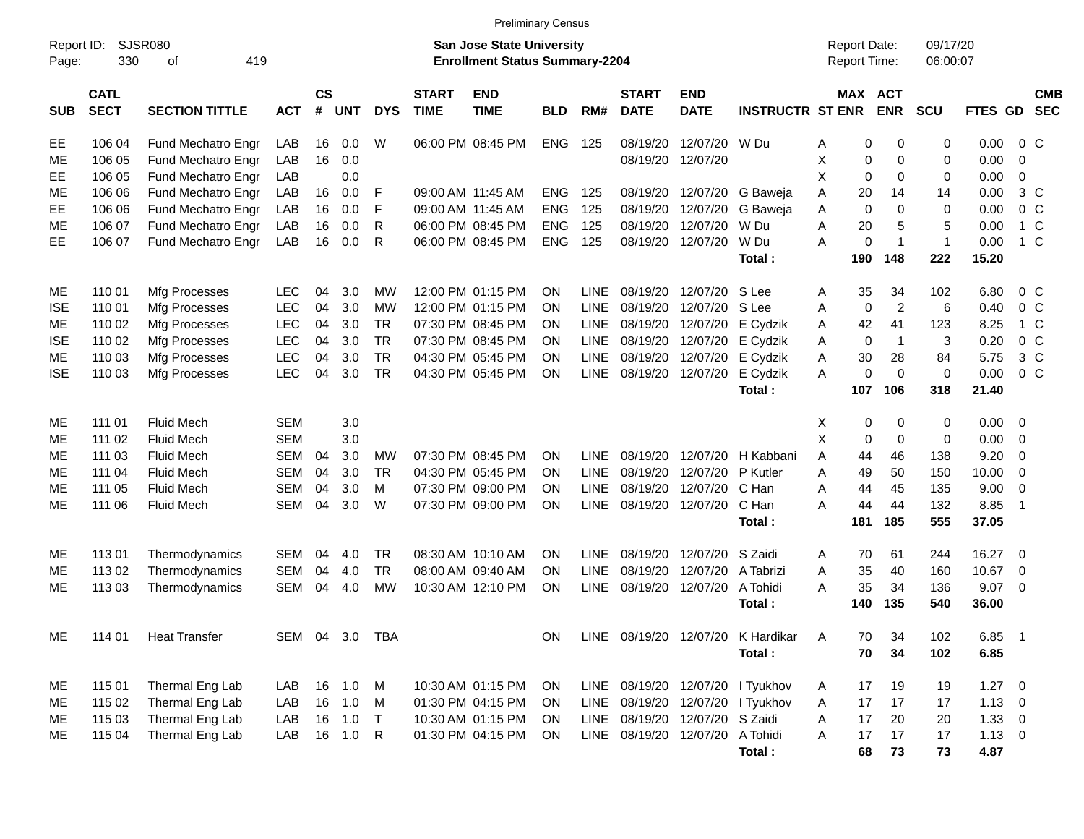| <b>Preliminary Census</b> |  |
|---------------------------|--|
|---------------------------|--|

| Page:      | <b>SJSR080</b><br>Report ID:<br>330<br>419<br>оf |                       |            |                    |            |            |                             | San Jose State University<br><b>Enrollment Status Summary-2204</b> |            |             |                                 |                           |                                  |   | <b>Report Date:</b><br><b>Report Time:</b> |                | 09/17/20<br>06:00:07 |             |                          |                          |
|------------|--------------------------------------------------|-----------------------|------------|--------------------|------------|------------|-----------------------------|--------------------------------------------------------------------|------------|-------------|---------------------------------|---------------------------|----------------------------------|---|--------------------------------------------|----------------|----------------------|-------------|--------------------------|--------------------------|
| <b>SUB</b> | <b>CATL</b><br><b>SECT</b>                       | <b>SECTION TITTLE</b> | <b>ACT</b> | $\mathsf{cs}$<br># | <b>UNT</b> | <b>DYS</b> | <b>START</b><br><b>TIME</b> | <b>END</b><br><b>TIME</b>                                          | <b>BLD</b> | RM#         | <b>START</b><br><b>DATE</b>     | <b>END</b><br><b>DATE</b> | <b>INSTRUCTR ST ENR</b>          |   | MAX ACT                                    | <b>ENR</b>     | <b>SCU</b>           | FTES GD     |                          | <b>CMB</b><br><b>SEC</b> |
| EE         | 106 04                                           | Fund Mechatro Engr    | LAB        | 16                 | 0.0        | W          |                             | 06:00 PM 08:45 PM                                                  | <b>ENG</b> | 125         | 08/19/20                        | 12/07/20                  | W Du                             | Α | 0                                          | 0              | 0                    | 0.00        | 0 C                      |                          |
| MЕ         | 106 05                                           | Fund Mechatro Engr    | LAB        | 16                 | 0.0        |            |                             |                                                                    |            |             | 08/19/20                        | 12/07/20                  |                                  | X | 0                                          | 0              | 0                    | 0.00        | $\overline{0}$           |                          |
| EE         | 106 05                                           | Fund Mechatro Engr    | LAB        |                    | 0.0        |            |                             |                                                                    |            |             |                                 |                           |                                  | X | $\pmb{0}$                                  | 0              | 0                    | 0.00        | $\overline{0}$           |                          |
| MЕ         | 106 06                                           | Fund Mechatro Engr    | LAB        | 16                 | 0.0        | F          |                             | 09:00 AM 11:45 AM                                                  | <b>ENG</b> | 125         | 08/19/20                        | 12/07/20                  | G Baweia                         | Α | 20                                         | 14             | 14                   | 0.00        | 3 C                      |                          |
| EE         | 106 06                                           | Fund Mechatro Engr    | LAB        | 16                 | 0.0        | F          |                             | 09:00 AM 11:45 AM                                                  | <b>ENG</b> | 125         | 08/19/20                        | 12/07/20                  | G Baweja                         | Α | 0                                          | 0              | 0                    | 0.00        | 0 <sup>o</sup>           |                          |
| MЕ         | 106 07                                           | Fund Mechatro Engr    | LAB        | 16                 | 0.0        | R          |                             | 06:00 PM 08:45 PM                                                  | <b>ENG</b> | 125         | 08/19/20                        | 12/07/20                  | W Du                             | Α | 20                                         | 5              | 5                    | 0.00        | 1 C                      |                          |
| EE         | 106 07                                           | Fund Mechatro Engr    | LAB        | 16                 | 0.0        | R          |                             | 06:00 PM 08:45 PM                                                  | <b>ENG</b> | 125         | 08/19/20                        | 12/07/20                  | W Du                             | A | $\pmb{0}$                                  | $\mathbf{1}$   | $\overline{1}$       | 0.00        | 1 C                      |                          |
|            |                                                  |                       |            |                    |            |            |                             |                                                                    |            |             |                                 |                           | Total:                           |   | 190                                        | 148            | 222                  | 15.20       |                          |                          |
| ME         | 110 01                                           | Mfg Processes         | <b>LEC</b> | 04                 | 3.0        | <b>MW</b>  |                             | 12:00 PM 01:15 PM                                                  | ON         | <b>LINE</b> | 08/19/20                        | 12/07/20                  | S Lee                            | A | 35                                         | 34             | 102                  | 6.80        | 0 C                      |                          |
| <b>ISE</b> | 110 01                                           | Mfg Processes         | <b>LEC</b> | 04                 | 3.0        | MW         |                             | 12:00 PM 01:15 PM                                                  | ON         | <b>LINE</b> | 08/19/20                        | 12/07/20                  | S Lee                            | Α | 0                                          | $\overline{c}$ | 6                    | 0.40        | 0 <sup>o</sup>           |                          |
| MЕ         | 110 02                                           | Mfg Processes         | <b>LEC</b> | 04                 | 3.0        | <b>TR</b>  |                             | 07:30 PM 08:45 PM                                                  | 0N         | <b>LINE</b> | 08/19/20                        | 12/07/20                  | E Cydzik                         | A | 42                                         | 41             | 123                  | 8.25        | 1 C                      |                          |
| <b>ISE</b> | 110 02                                           | Mfg Processes         | <b>LEC</b> | 04                 | 3.0        | <b>TR</b>  |                             | 07:30 PM 08:45 PM                                                  | 0N         | LINE        | 08/19/20                        | 12/07/20                  | E Cydzik                         | A | 0                                          | $\mathbf{1}$   | 3                    | 0.20        | $0\,C$                   |                          |
| MЕ         | 110 03                                           | Mfg Processes         | <b>LEC</b> | 04                 | 3.0        | <b>TR</b>  |                             | 04:30 PM 05:45 PM                                                  | 0N         | LINE        | 08/19/20                        | 12/07/20                  | E Cydzik                         | Α | 30                                         | 28             | 84                   | 5.75        |                          | 3 <sup>C</sup>           |
| <b>ISE</b> | 110 03                                           | Mfg Processes         | <b>LEC</b> | 04                 | 3.0        | <b>TR</b>  |                             | 04:30 PM 05:45 PM                                                  | ON         | LINE        | 08/19/20                        | 12/07/20                  | E Cydzik                         | A | $\pmb{0}$                                  | 0              | 0                    | 0.00        | 0 <sup>o</sup>           |                          |
|            |                                                  |                       |            |                    |            |            |                             |                                                                    |            |             |                                 |                           | Total:                           |   | 107                                        | 106            | 318                  | 21.40       |                          |                          |
| ME         | 111 01                                           | <b>Fluid Mech</b>     | <b>SEM</b> |                    | 3.0        |            |                             |                                                                    |            |             |                                 |                           |                                  | х | 0                                          | 0              | 0                    | 0.00        | $\overline{\phantom{0}}$ |                          |
| MЕ         | 111 02                                           | <b>Fluid Mech</b>     | <b>SEM</b> |                    | 3.0        |            |                             |                                                                    |            |             |                                 |                           |                                  | Χ | 0                                          | 0              | 0                    | 0.00        | $\overline{\phantom{0}}$ |                          |
| MЕ         | 111 03                                           | <b>Fluid Mech</b>     | <b>SEM</b> | 04                 | 3.0        | <b>MW</b>  |                             | 07:30 PM 08:45 PM                                                  | ON         | <b>LINE</b> | 08/19/20                        | 12/07/20                  | H Kabbani                        | Α | 44                                         | 46             | 138                  | 9.20        | $\overline{\phantom{0}}$ |                          |
| MЕ         | 111 04                                           | <b>Fluid Mech</b>     | <b>SEM</b> | 04                 | 3.0        | TR         |                             | 04:30 PM 05:45 PM                                                  | ON         | <b>LINE</b> | 08/19/20                        | 12/07/20                  | P Kutler                         | Α | 49                                         | 50             | 150                  | 10.00       | $\overline{\phantom{0}}$ |                          |
| MЕ         | 111 05                                           | <b>Fluid Mech</b>     | <b>SEM</b> | 04                 | 3.0        | M          |                             | 07:30 PM 09:00 PM                                                  | ON         | <b>LINE</b> | 08/19/20                        | 12/07/20                  | C Han                            | Α | 44                                         | 45             | 135                  | 9.00        | $\overline{0}$           |                          |
| MЕ         | 111 06                                           | <b>Fluid Mech</b>     | <b>SEM</b> | 04                 | 3.0        | W          |                             | 07:30 PM 09:00 PM                                                  | ON         | <b>LINE</b> | 08/19/20                        | 12/07/20                  | C Han                            | Α | 44                                         | 44             | 132                  | 8.85        | $\overline{1}$           |                          |
|            |                                                  |                       |            |                    |            |            |                             |                                                                    |            |             |                                 |                           | Total:                           |   | 181                                        | 185            | 555                  | 37.05       |                          |                          |
| ME         | 11301                                            | Thermodynamics        | <b>SEM</b> | 04                 | 4.0        | <b>TR</b>  |                             | 08:30 AM 10:10 AM                                                  | ON         | LINE.       | 08/19/20                        | 12/07/20                  | S Zaidi                          | A | 70                                         | 61             | 244                  | 16.27       | $\overline{\phantom{0}}$ |                          |
| МE         | 113 02                                           | Thermodynamics        | SEM        | 04                 | 4.0        | <b>TR</b>  |                             | 08:00 AM 09:40 AM                                                  | 0N         | <b>LINE</b> | 08/19/20                        | 12/07/20                  | A Tabrizi                        | A | 35                                         | 40             | 160                  | 10.67       | $\overline{\mathbf{0}}$  |                          |
| MЕ         | 11303                                            | Thermodynamics        | <b>SEM</b> | 04                 | 4.0        | <b>MW</b>  |                             | 10:30 AM 12:10 PM                                                  | ON         | <b>LINE</b> | 08/19/20                        | 12/07/20                  | A Tohidi                         | A | 35                                         | 34             | 136                  | 9.07        | $\overline{\phantom{0}}$ |                          |
|            |                                                  |                       |            |                    |            |            |                             |                                                                    |            |             |                                 |                           | Total:                           |   | 140                                        | 135            | 540                  | 36.00       |                          |                          |
| MЕ         | 114 01                                           | <b>Heat Transfer</b>  | SEM        | 04                 | 3.0        | TBA        |                             |                                                                    | OΝ         | LINE.       | 08/19/20                        | 12/07/20                  | K Hardikar                       | Α | 70                                         | 34             | 102                  | 6.85        | $\overline{1}$           |                          |
|            |                                                  |                       |            |                    |            |            |                             |                                                                    |            |             |                                 |                           | Total:                           |   | 70                                         | 34             | 102                  | 6.85        |                          |                          |
| ME         | 115 01                                           | Thermal Eng Lab       | LAB        | 16                 | 1.0        | M          |                             | 10:30 AM 01:15 PM                                                  | ON         |             |                                 |                           | LINE 08/19/20 12/07/20 I Tyukhov | A | 17                                         | 19             | 19                   | $1.27 \t 0$ |                          |                          |
| MЕ         | 115 02                                           | Thermal Eng Lab       | LAB        |                    | 16 1.0     | M          |                             | 01:30 PM 04:15 PM                                                  | <b>ON</b>  |             |                                 |                           | LINE 08/19/20 12/07/20 I Tyukhov | A | 17                                         | 17             | 17                   | $1.13 \ 0$  |                          |                          |
| MЕ         | 115 03                                           | Thermal Eng Lab       | LAB        | 16                 | 1.0        | $\top$     |                             | 10:30 AM 01:15 PM                                                  | ON         |             | LINE 08/19/20 12/07/20 S Zaidi  |                           |                                  | Α | 17                                         | 20             | 20                   | $1.33 \ 0$  |                          |                          |
| ME         | 115 04                                           | Thermal Eng Lab       | LAB        |                    | 16 1.0     | R          |                             | 01:30 PM 04:15 PM                                                  | <b>ON</b>  |             | LINE 08/19/20 12/07/20 A Tohidi |                           |                                  | A | 17                                         | 17             | 17                   | $1.13 \ 0$  |                          |                          |
|            |                                                  |                       |            |                    |            |            |                             |                                                                    |            |             |                                 |                           | Total:                           |   | 68                                         | 73             | 73                   | 4.87        |                          |                          |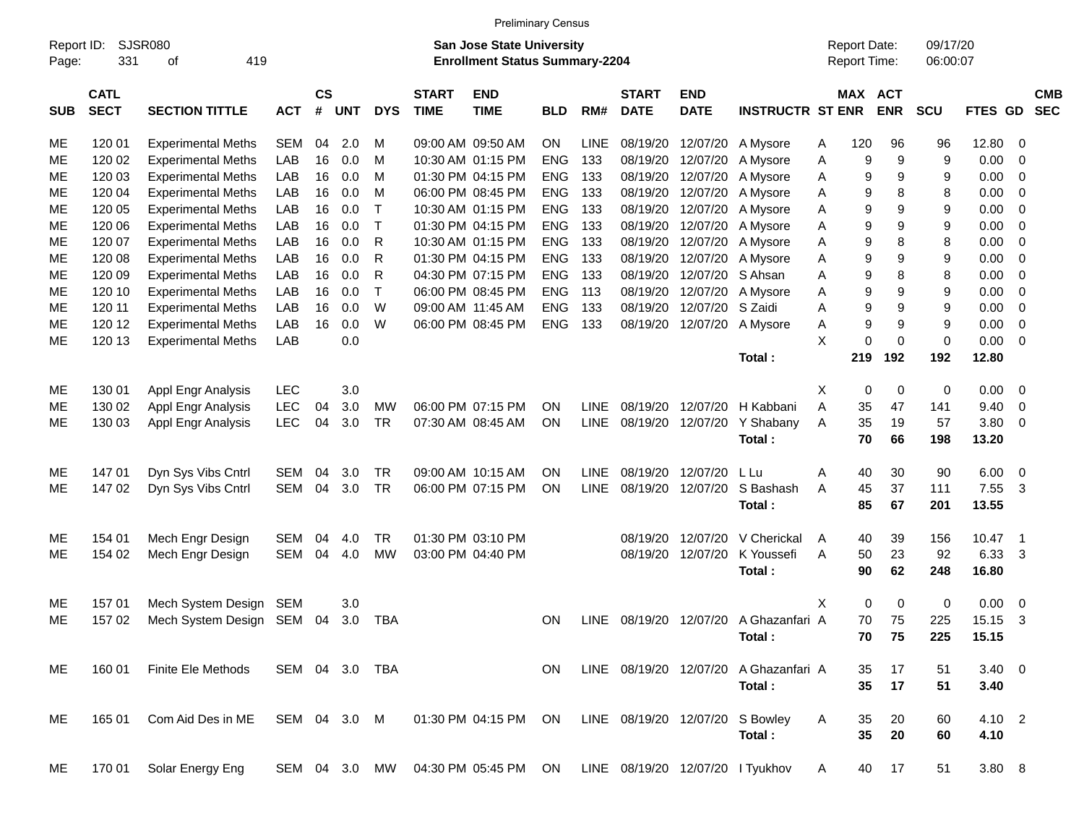|                     |                            |                             |                |                         |            |            |                             |                                                                    | <b>Preliminary Census</b> |             |                             |                           |                         |   |                                     |            |                      |            |    |                          |
|---------------------|----------------------------|-----------------------------|----------------|-------------------------|------------|------------|-----------------------------|--------------------------------------------------------------------|---------------------------|-------------|-----------------------------|---------------------------|-------------------------|---|-------------------------------------|------------|----------------------|------------|----|--------------------------|
| Report ID:<br>Page: | 331                        | <b>SJSR080</b><br>419<br>оf |                |                         |            |            |                             | San Jose State University<br><b>Enrollment Status Summary-2204</b> |                           |             |                             |                           |                         |   | <b>Report Date:</b><br>Report Time: |            | 09/17/20<br>06:00:07 |            |    |                          |
| <b>SUB</b>          | <b>CATL</b><br><b>SECT</b> | <b>SECTION TITTLE</b>       | <b>ACT</b>     | <b>CS</b><br>$\pmb{\#}$ | <b>UNT</b> | <b>DYS</b> | <b>START</b><br><b>TIME</b> | <b>END</b><br><b>TIME</b>                                          | <b>BLD</b>                | RM#         | <b>START</b><br><b>DATE</b> | <b>END</b><br><b>DATE</b> | <b>INSTRUCTR ST ENR</b> |   | MAX ACT                             | <b>ENR</b> | <b>SCU</b>           | FTES GD    |    | <b>CMB</b><br><b>SEC</b> |
| ME                  | 120 01                     | <b>Experimental Meths</b>   | <b>SEM</b>     | 04                      | 2.0        | M          |                             | 09:00 AM 09:50 AM                                                  | ON                        | LINE        | 08/19/20                    | 12/07/20                  | A Mysore                | A | 120                                 | 96         | 96                   | 12.80      | 0  |                          |
| MЕ                  | 120 02                     | <b>Experimental Meths</b>   | LAB            | 16                      | 0.0        | M          |                             | 10:30 AM 01:15 PM                                                  | <b>ENG</b>                | 133         | 08/19/20                    | 12/07/20                  | A Mysore                | Α | 9                                   | 9          | 9                    | 0.00       | 0  |                          |
| MЕ                  | 120 03                     | <b>Experimental Meths</b>   | LAB            | 16                      | 0.0        | M          |                             | 01:30 PM 04:15 PM                                                  | <b>ENG</b>                | 133         | 08/19/20                    | 12/07/20                  | A Mysore                | A | 9                                   | 9          | 9                    | 0.00       | 0  |                          |
| MЕ                  | 120 04                     | <b>Experimental Meths</b>   | LAB            | 16                      | 0.0        | M          |                             | 06:00 PM 08:45 PM                                                  | <b>ENG</b>                | 133         | 08/19/20                    | 12/07/20                  | A Mysore                | A | 9                                   | 8          | 8                    | 0.00       | 0  |                          |
| MЕ                  | 120 05                     | <b>Experimental Meths</b>   | LAB            | 16                      | 0.0        | т          |                             | 10:30 AM 01:15 PM                                                  | <b>ENG</b>                | 133         | 08/19/20                    | 12/07/20                  | A Mysore                | Α | 9                                   | 9          | 9                    | 0.00       | 0  |                          |
| MЕ                  | 120 06                     | <b>Experimental Meths</b>   | LAB            | 16                      | 0.0        | т          |                             | 01:30 PM 04:15 PM                                                  | <b>ENG</b>                | 133         | 08/19/20                    | 12/07/20                  | A Mysore                | Α | 9                                   | 9          | 9                    | 0.00       | 0  |                          |
| MЕ                  | 120 07                     | <b>Experimental Meths</b>   | LAB            | 16                      | 0.0        | R          |                             | 10:30 AM 01:15 PM                                                  | <b>ENG</b>                | 133         | 08/19/20                    | 12/07/20                  | A Mysore                | Α | 9                                   | 8          | 8                    | 0.00       | 0  |                          |
| MЕ                  | 120 08                     | <b>Experimental Meths</b>   | LAB            | 16                      | 0.0        | R          |                             | 01:30 PM 04:15 PM                                                  | <b>ENG</b>                | 133         | 08/19/20                    | 12/07/20                  | A Mysore                | Α | 9                                   | 9          | 9                    | 0.00       | 0  |                          |
| MЕ                  | 120 09                     | <b>Experimental Meths</b>   | LAB            | 16                      | 0.0        | R          |                             | 04:30 PM 07:15 PM                                                  | <b>ENG</b>                | 133         | 08/19/20                    | 12/07/20                  | S Ahsan                 | Α | 9                                   | 8          | 8                    | 0.00       | 0  |                          |
| MЕ                  | 120 10                     | <b>Experimental Meths</b>   | LAB            | 16                      | 0.0        | Τ          |                             | 06:00 PM 08:45 PM                                                  | <b>ENG</b>                | 113         | 08/19/20                    | 12/07/20                  | A Mysore                | Α | 9                                   | 9          | 9                    | 0.00       | 0  |                          |
| MЕ                  | 120 11                     | <b>Experimental Meths</b>   | LAB            | 16                      | 0.0        | W          |                             | 09:00 AM 11:45 AM                                                  | <b>ENG</b>                | 133         | 08/19/20                    | 12/07/20                  | S Zaidi                 | Α | 9                                   | 9          | 9                    | 0.00       | 0  |                          |
| MЕ                  | 120 12                     | <b>Experimental Meths</b>   | LAB            | 16                      | 0.0        | W          |                             | 06:00 PM 08:45 PM                                                  | <b>ENG</b>                | 133         | 08/19/20                    | 12/07/20                  | A Mysore                | Α | 9                                   | 9          | 9                    | 0.00       | 0  |                          |
| ME                  | 120 13                     | <b>Experimental Meths</b>   | LAB            |                         | 0.0        |            |                             |                                                                    |                           |             |                             |                           |                         | X | 0                                   | 0          | 0                    | 0.00       | 0  |                          |
|                     |                            |                             |                |                         |            |            |                             |                                                                    |                           |             |                             |                           | Total:                  |   | 219                                 | 192        | 192                  | 12.80      |    |                          |
| ME                  | 130 01                     | Appl Engr Analysis          | <b>LEC</b>     |                         | 3.0        |            |                             |                                                                    |                           |             |                             |                           |                         | X | 0                                   | 0          | 0                    | 0.00       | 0  |                          |
| MЕ                  | 130 02                     | Appl Engr Analysis          | LEC            | 04                      | 3.0        | MW         |                             | 06:00 PM 07:15 PM                                                  | <b>ON</b>                 | LINE        |                             | 08/19/20 12/07/20         | H Kabbani               | A | 35                                  | 47         | 141                  | 9.40       | 0  |                          |
| MЕ                  | 130 03                     | Appl Engr Analysis          | LEC            | 04                      | 3.0        | <b>TR</b>  |                             | 07:30 AM 08:45 AM                                                  | <b>ON</b>                 | LINE        |                             | 08/19/20 12/07/20         | Y Shabany               | Α | 35                                  | 19         | 57                   | 3.80       | 0  |                          |
|                     |                            |                             |                |                         |            |            |                             |                                                                    |                           |             |                             |                           | Total:                  |   | 70                                  | 66         | 198                  | 13.20      |    |                          |
| ME                  | 147 01                     | Dyn Sys Vibs Cntrl          | <b>SEM</b>     | 04                      | 3.0        | TR         |                             | 09:00 AM 10:15 AM                                                  | <b>ON</b>                 | LINE        | 08/19/20                    | 12/07/20                  | L Lu                    | Α | 40                                  | 30         | 90                   | 6.00       | 0  |                          |
| ME                  | 147 02                     | Dyn Sys Vibs Cntrl          | <b>SEM</b>     | 04                      | 3.0        | <b>TR</b>  |                             | 06:00 PM 07:15 PM                                                  | <b>ON</b>                 | LINE        | 08/19/20                    | 12/07/20                  | S Bashash               | A | 45                                  | 37         | 111                  | 7.55       | 3  |                          |
|                     |                            |                             |                |                         |            |            |                             |                                                                    |                           |             |                             |                           | Total:                  |   | 85                                  | 67         | 201                  | 13.55      |    |                          |
| ME                  | 154 01                     | Mech Engr Design            | <b>SEM</b>     | 04                      | 4.0        | TR         |                             | 01:30 PM 03:10 PM                                                  |                           |             | 08/19/20                    | 12/07/20                  | V Cherickal             | A | 40                                  | 39         | 156                  | 10.47      | -1 |                          |
| ME                  | 154 02                     | Mech Engr Design            | <b>SEM</b>     | 04                      | 4.0        | MW         |                             | 03:00 PM 04:40 PM                                                  |                           |             |                             | 08/19/20 12/07/20         | K Youssefi              | Α | 50                                  | 23         | 92                   | 6.33       | 3  |                          |
|                     |                            |                             |                |                         |            |            |                             |                                                                    |                           |             |                             |                           | Total:                  |   | 90                                  | 62         | 248                  | 16.80      |    |                          |
| MЕ                  | 15701                      | Mech System Design          | <b>SEM</b>     |                         | 3.0        |            |                             |                                                                    |                           |             |                             |                           |                         | Χ | 0                                   | 0          | 0                    | 0.00       | 0  |                          |
| ME                  | 15702                      | Mech System Design          | SEM            | 04                      | 3.0        | <b>TBA</b> |                             |                                                                    | <b>ON</b>                 | <b>LINE</b> |                             | 08/19/20 12/07/20         | A Ghazanfari A          |   | 70                                  | 75         | 225                  | 15.15      | 3  |                          |
|                     |                            |                             |                |                         |            |            |                             |                                                                    |                           |             |                             |                           | Total:                  |   | 70                                  | 75         | 225                  | 15.15      |    |                          |
| ME                  | 160 01                     | <b>Finite Ele Methods</b>   | SEM 04 3.0 TBA |                         |            |            |                             |                                                                    | <b>ON</b>                 |             | LINE 08/19/20 12/07/20      |                           | A Ghazanfari A          |   | 35                                  | 17         | 51                   | $3.40 \ 0$ |    |                          |
|                     |                            |                             |                |                         |            |            |                             |                                                                    |                           |             |                             |                           | Total:                  |   | 35                                  | 17         | 51                   | 3.40       |    |                          |
| ME                  | 165 01                     | Com Aid Des in ME           | SEM 04 3.0 M   |                         |            |            |                             | 01:30 PM 04:15 PM                                                  | ON                        |             | LINE 08/19/20 12/07/20      |                           | S Bowley                | Α | 35                                  | 20         | 60                   | 4.10 2     |    |                          |
|                     |                            |                             |                |                         |            |            |                             |                                                                    |                           |             |                             |                           | Total:                  |   | 35                                  | 20         | 60                   | 4.10       |    |                          |
| ME                  | 170 01                     | Solar Energy Eng            | SEM 04 3.0 MW  |                         |            |            |                             | 04:30 PM 05:45 PM ON LINE 08/19/20 12/07/20 I Tyukhov              |                           |             |                             |                           |                         | A | 40                                  | 17         | 51                   | 3.80 8     |    |                          |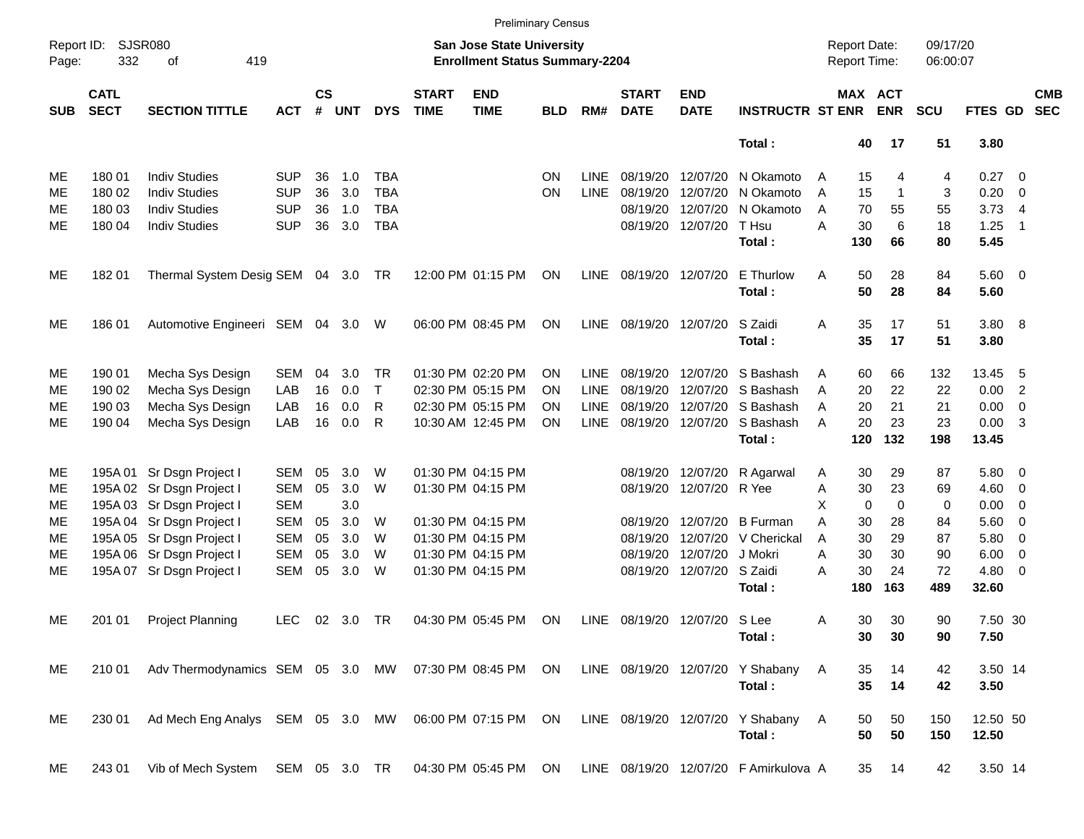|                                                           | <b>Preliminary Census</b>  |                                                       |            |                                                                    |            |              |                             |                           |            |             |                             |                           |                                       |                                                             |                            |            |                  |                          |                          |
|-----------------------------------------------------------|----------------------------|-------------------------------------------------------|------------|--------------------------------------------------------------------|------------|--------------|-----------------------------|---------------------------|------------|-------------|-----------------------------|---------------------------|---------------------------------------|-------------------------------------------------------------|----------------------------|------------|------------------|--------------------------|--------------------------|
| <b>SJSR080</b><br>Report ID:<br>332<br>Page:<br>of<br>419 |                            |                                                       |            | San Jose State University<br><b>Enrollment Status Summary-2204</b> |            |              |                             |                           |            |             |                             |                           |                                       | 09/17/20<br><b>Report Date:</b><br>Report Time:<br>06:00:07 |                            |            |                  |                          |                          |
| <b>SUB</b>                                                | <b>CATL</b><br><b>SECT</b> | <b>SECTION TITTLE</b>                                 | <b>ACT</b> | $\mathsf{cs}$<br>#                                                 | <b>UNT</b> | <b>DYS</b>   | <b>START</b><br><b>TIME</b> | <b>END</b><br><b>TIME</b> | <b>BLD</b> | RM#         | <b>START</b><br><b>DATE</b> | <b>END</b><br><b>DATE</b> | <b>INSTRUCTR ST ENR</b>               |                                                             | MAX ACT<br><b>ENR</b>      | <b>SCU</b> | FTES GD          |                          | <b>CMB</b><br><b>SEC</b> |
|                                                           |                            |                                                       |            |                                                                    |            |              |                             |                           |            |             |                             |                           | Total:                                | 40                                                          | 17                         | 51         | 3.80             |                          |                          |
| МE                                                        | 180 01                     | <b>Indiv Studies</b>                                  | <b>SUP</b> | 36                                                                 | 1.0        | TBA          |                             |                           | ΟN         | LINE        | 08/19/20                    | 12/07/20                  | N Okamoto                             | 15<br>A                                                     | 4                          | 4          | 0.27             | $\overline{\phantom{0}}$ |                          |
| MЕ                                                        | 180 02                     | <b>Indiv Studies</b>                                  | <b>SUP</b> | 36                                                                 | 3.0        | <b>TBA</b>   |                             |                           | <b>ON</b>  | LINE        | 08/19/20                    | 12/07/20                  | N Okamoto                             | 15<br>Α                                                     | $\mathbf{1}$               | 3          | 0.20             | $\overline{\phantom{0}}$ |                          |
| ME                                                        | 180 03                     | <b>Indiv Studies</b>                                  | <b>SUP</b> | 36                                                                 | 1.0        | <b>TBA</b>   |                             |                           |            |             | 08/19/20                    | 12/07/20                  | N Okamoto                             | A                                                           | 70<br>55                   | 55         | 3.73             | $\overline{4}$           |                          |
| ME                                                        | 180 04                     | <b>Indiv Studies</b>                                  | <b>SUP</b> | 36                                                                 | 3.0        | <b>TBA</b>   |                             |                           |            |             |                             | 08/19/20 12/07/20         | T Hsu                                 | 30<br>А                                                     | 6                          | 18         | 1.25             | -1                       |                          |
|                                                           |                            |                                                       |            |                                                                    |            |              |                             |                           |            |             |                             |                           | Total:                                | 130                                                         | 66                         | 80         | 5.45             |                          |                          |
| ME                                                        | 18201                      | Thermal System Desig SEM 04 3.0 TR                    |            |                                                                    |            |              |                             | 12:00 PM 01:15 PM         | ON         | <b>LINE</b> | 08/19/20 12/07/20           |                           | E Thurlow<br>Total:                   | 50<br>Α<br>50                                               | 28<br>28                   | 84<br>84   | $5.60$ 0<br>5.60 |                          |                          |
| ME                                                        | 186 01                     | Automotive Engineeri SEM 04 3.0                       |            |                                                                    |            | W            |                             | 06:00 PM 08:45 PM         | ΟN         | LINE        | 08/19/20 12/07/20           |                           | S Zaidi<br>Total:                     | 35<br>Α<br>35                                               | 17<br>17                   | 51<br>51   | 3.80 8<br>3.80   |                          |                          |
| ME                                                        | 190 01                     | Mecha Sys Design                                      | <b>SEM</b> | 04                                                                 | 3.0        | TR           |                             | 01:30 PM 02:20 PM         | ΟN         | <b>LINE</b> | 08/19/20                    | 12/07/20                  | S Bashash                             | 60<br>Α                                                     | 66                         | 132        | 13.45            | - 5                      |                          |
| ME                                                        | 190 02                     | Mecha Sys Design                                      | LAB        | 16                                                                 | 0.0        | $\mathsf{T}$ |                             | 02:30 PM 05:15 PM         | ΟN         | LINE        | 08/19/20                    |                           | 12/07/20 S Bashash                    | 20<br>A                                                     | 22                         | 22         | 0.00             | $\overline{2}$           |                          |
| ME                                                        | 190 03                     | Mecha Sys Design                                      | LAB        | 16                                                                 | 0.0        | R            |                             | 02:30 PM 05:15 PM         | ΟN         | LINE        | 08/19/20                    |                           | 12/07/20 S Bashash                    | 20<br>A                                                     | 21                         | 21         | 0.00             | - 0                      |                          |
| ME                                                        | 190 04                     | Mecha Sys Design                                      | LAB        | 16                                                                 | 0.0        | R            |                             | 10:30 AM 12:45 PM         | ΟN         | <b>LINE</b> |                             | 08/19/20 12/07/20         | S Bashash                             | 20<br>A                                                     | 23                         | 23         | 0.00             | -3                       |                          |
|                                                           |                            |                                                       |            |                                                                    |            |              |                             |                           |            |             |                             |                           | Total:                                | 120                                                         | 132                        | 198        | 13.45            |                          |                          |
| ME                                                        |                            | 195A 01 Sr Dsgn Project I                             | <b>SEM</b> | 05                                                                 | 3.0        | W            |                             | 01:30 PM 04:15 PM         |            |             | 08/19/20                    | 12/07/20                  | R Agarwal                             | 30<br>Α                                                     | 29                         | 87         | 5.80 0           |                          |                          |
| ME                                                        |                            | 195A 02 Sr Dsgn Project I                             | <b>SEM</b> | 05                                                                 | 3.0        | W            |                             | 01:30 PM 04:15 PM         |            |             | 08/19/20                    | 12/07/20 R Yee            |                                       | 30<br>Α                                                     | 23                         | 69         | $4.60$ 0         |                          |                          |
| ME                                                        |                            | 195A 03 Sr Dsgn Project I                             | <b>SEM</b> |                                                                    | 3.0        |              |                             |                           |            |             |                             |                           |                                       | X                                                           | $\mathbf 0$<br>$\mathbf 0$ | 0          | 0.00             | - 0                      |                          |
| ME                                                        |                            | 195A 04 Sr Dsgn Project I                             | <b>SEM</b> | 05                                                                 | 3.0        | W            |                             | 01:30 PM 04:15 PM         |            |             | 08/19/20                    | 12/07/20                  | <b>B</b> Furman                       | Α<br>30                                                     | 28                         | 84         | 5.60             | $\overline{\phantom{0}}$ |                          |
| ME                                                        |                            | 195A 05 Sr Dsgn Project I                             | <b>SEM</b> | 05                                                                 | 3.0        | W            |                             | 01:30 PM 04:15 PM         |            |             | 08/19/20                    |                           | 12/07/20 V Cherickal                  | 30<br>A                                                     | 29                         | 87         | 5.80             | $\overline{\phantom{0}}$ |                          |
| ME                                                        |                            | 195A 06 Sr Dsgn Project I                             | <b>SEM</b> | 05                                                                 | 3.0        | W            |                             | 01:30 PM 04:15 PM         |            |             | 08/19/20                    | 12/07/20                  | J Mokri                               | 30<br>Α                                                     | 30                         | 90         | 6.00             | $\overline{\mathbf{0}}$  |                          |
| ME                                                        |                            | 195A 07 Sr Dsgn Project I                             | <b>SEM</b> | 05                                                                 | 3.0        | W            |                             | 01:30 PM 04:15 PM         |            |             | 08/19/20                    | 12/07/20 S Zaidi          |                                       | 30<br>Α                                                     | 24                         | 72         | 4.80             | $\overline{\phantom{0}}$ |                          |
|                                                           |                            |                                                       |            |                                                                    |            |              |                             |                           |            |             |                             |                           | Total:                                | 180                                                         | 163                        | 489        | 32.60            |                          |                          |
| ME                                                        | 201 01                     | <b>Project Planning</b>                               | <b>LEC</b> | 02                                                                 | 3.0        | TR           |                             | 04:30 PM 05:45 PM         | ON         | <b>LINE</b> |                             | 08/19/20 12/07/20 S Lee   |                                       | 30<br>Α                                                     | 30                         | 90         | 7.50 30          |                          |                          |
|                                                           |                            |                                                       |            |                                                                    |            |              |                             |                           |            |             |                             |                           | Total:                                |                                                             | 30<br>30                   | 90         | 7.50             |                          |                          |
| ME                                                        | 210 01                     | Adv Thermodynamics SEM 05 3.0 MW 07:30 PM 08:45 PM ON |            |                                                                    |            |              |                             |                           |            |             |                             |                           | LINE 08/19/20 12/07/20 Y Shabany      | 35<br>A                                                     | 14                         | 42         | 3.50 14          |                          |                          |
|                                                           |                            |                                                       |            |                                                                    |            |              |                             |                           |            |             |                             |                           | Total:                                | 35                                                          | 14                         | 42         | 3.50             |                          |                          |
| ME                                                        | 230 01                     | Ad Mech Eng Analys SEM 05 3.0 MW 06:00 PM 07:15 PM ON |            |                                                                    |            |              |                             |                           |            |             |                             |                           | LINE 08/19/20 12/07/20 Y Shabany      | A                                                           | 50<br>50                   | 150        | 12.50 50         |                          |                          |
|                                                           |                            |                                                       |            |                                                                    |            |              |                             |                           |            |             |                             |                           | Total:                                |                                                             | 50<br>50                   | 150        | 12.50            |                          |                          |
| ME                                                        | 243 01                     | Vib of Mech System SEM 05 3.0 TR                      |            |                                                                    |            |              |                             | 04:30 PM 05:45 PM ON      |            |             |                             |                           | LINE 08/19/20 12/07/20 F Amirkulova A |                                                             | 35<br>14                   | 42         | 3.50 14          |                          |                          |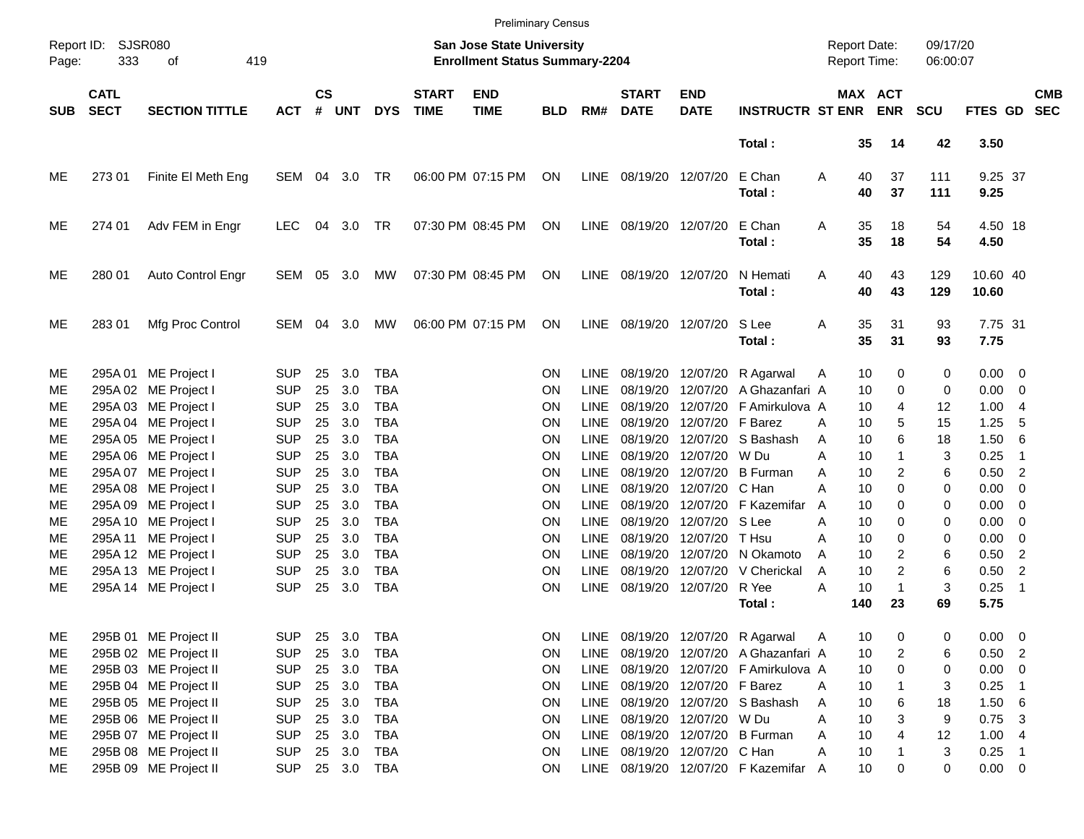|                                                 | <b>Preliminary Census</b>  |                                                |                          |                    |                                                                    |                          |                             |                           |            |                            |                                |                           |                                       |                                                                    |                       |            |                     |                                  |                          |
|-------------------------------------------------|----------------------------|------------------------------------------------|--------------------------|--------------------|--------------------------------------------------------------------|--------------------------|-----------------------------|---------------------------|------------|----------------------------|--------------------------------|---------------------------|---------------------------------------|--------------------------------------------------------------------|-----------------------|------------|---------------------|----------------------------------|--------------------------|
| Report ID: SJSR080<br>333<br>419<br>Page:<br>οf |                            |                                                |                          |                    | San Jose State University<br><b>Enrollment Status Summary-2204</b> |                          |                             |                           |            |                            |                                |                           |                                       | 09/17/20<br><b>Report Date:</b><br><b>Report Time:</b><br>06:00:07 |                       |            |                     |                                  |                          |
| SUB                                             | <b>CATL</b><br><b>SECT</b> | <b>SECTION TITTLE</b>                          | <b>ACT</b>               | $\mathsf{cs}$<br># | <b>UNT</b>                                                         | <b>DYS</b>               | <b>START</b><br><b>TIME</b> | <b>END</b><br><b>TIME</b> | <b>BLD</b> | RM#                        | <b>START</b><br><b>DATE</b>    | <b>END</b><br><b>DATE</b> | <b>INSTRUCTR ST ENR</b>               |                                                                    | MAX ACT<br><b>ENR</b> | <b>SCU</b> | FTES GD             |                                  | <b>CMB</b><br><b>SEC</b> |
|                                                 |                            |                                                |                          |                    |                                                                    |                          |                             |                           |            |                            |                                |                           | Total:                                |                                                                    | 35<br>14              | 42         | 3.50                |                                  |                          |
| ME                                              | 273 01                     | Finite El Meth Eng                             | SEM                      |                    | 04 3.0                                                             | TR                       |                             | 06:00 PM 07:15 PM         | ON         | LINE                       | 08/19/20 12/07/20              |                           | E Chan<br>Total:                      | Α                                                                  | 40<br>37<br>40<br>37  | 111<br>111 | 9.25 37<br>9.25     |                                  |                          |
| ME                                              | 274 01                     | Adv FEM in Engr                                | <b>LEC</b>               | 04                 | 3.0 TR                                                             |                          |                             | 07:30 PM 08:45 PM         | ON         | LINE                       | 08/19/20 12/07/20              |                           | E Chan<br>Total:                      | 35<br>A<br>35                                                      | 18<br>18              | 54<br>54   | 4.50 18<br>4.50     |                                  |                          |
| MЕ                                              | 280 01                     | Auto Control Engr                              | SEM 05 3.0               |                    |                                                                    | МW                       |                             | 07:30 PM 08:45 PM         | ON         | LINE                       | 08/19/20 12/07/20              |                           | N Hemati<br>Total:                    | A                                                                  | 40<br>43<br>40<br>43  | 129<br>129 | 10.60 40<br>10.60   |                                  |                          |
| ME                                              | 283 01                     | Mfg Proc Control                               | SEM                      | 04                 | 3.0                                                                | MW                       |                             | 06:00 PM 07:15 PM         | <b>ON</b>  | LINE                       | 08/19/20 12/07/20              |                           | S Lee<br>Total:                       | 35<br>A<br>35                                                      | 31<br>31              | 93<br>93   | 7.75 31<br>7.75     |                                  |                          |
| MЕ                                              | 295A 01                    | ME Project I                                   | <b>SUP</b>               | 25                 | 3.0                                                                | TBA                      |                             |                           | OΝ         | LINE.                      |                                | 08/19/20 12/07/20         | R Agarwal                             | A                                                                  | 10<br>0               | 0          | $0.00 \t 0$         |                                  |                          |
| MЕ                                              |                            | 295A 02 ME Project I                           | <b>SUP</b>               | 25                 | 3.0                                                                | <b>TBA</b>               |                             |                           | ΟN         | <b>LINE</b>                | 08/19/20                       |                           | 12/07/20 A Ghazanfari A               |                                                                    | 10<br>$\Omega$        | 0          | $0.00 \t 0$         |                                  |                          |
| MЕ                                              |                            | 295A 03 ME Project I                           | <b>SUP</b>               | 25                 | 3.0                                                                | <b>TBA</b>               |                             |                           | ΟN         | <b>LINE</b>                | 08/19/20                       | 12/07/20                  | F Amirkulova A                        |                                                                    | 10<br>4               | 12         | 1.004               |                                  |                          |
| MЕ                                              |                            | 295A 04 ME Project I                           | <b>SUP</b>               | 25                 | 3.0                                                                | <b>TBA</b>               |                             |                           | ΟN         | <b>LINE</b>                | 08/19/20                       | 12/07/20 F Barez          |                                       | A                                                                  | 10<br>5               | 15         | 1.25                | -5                               |                          |
| MЕ                                              |                            | 295A 05 ME Project I                           | <b>SUP</b>               | 25                 | 3.0                                                                | <b>TBA</b>               |                             |                           | ΟN         | <b>LINE</b>                | 08/19/20                       |                           | 12/07/20 S Bashash                    | A                                                                  | 6<br>10               | 18         | 1.50                | - 6                              |                          |
| MЕ                                              |                            | 295A 06 ME Project I                           | <b>SUP</b>               | 25                 | 3.0                                                                | <b>TBA</b>               |                             |                           | ΟN         | <b>LINE</b>                | 08/19/20                       | 12/07/20                  | W Du                                  | А                                                                  | 10<br>1               | 3          | 0.25                | $\overline{1}$                   |                          |
| MЕ                                              |                            | 295A 07 ME Project I                           | <b>SUP</b>               | 25                 | 3.0                                                                | <b>TBA</b>               |                             |                           | ΟN         | <b>LINE</b>                | 08/19/20                       | 12/07/20                  | <b>B</b> Furman                       | A                                                                  | 2<br>10               | 6          | 0.50                | $\overline{2}$                   |                          |
| MЕ                                              |                            | 295A 08 ME Project I                           | <b>SUP</b>               | 25                 | 3.0                                                                | <b>TBA</b>               |                             |                           | ΟN         | <b>LINE</b>                | 08/19/20                       | 12/07/20 C Han            |                                       | А                                                                  | $\Omega$<br>10        | 0          | 0.00                | - 0                              |                          |
| MЕ                                              | 295A09                     | ME Project I                                   | <b>SUP</b>               | 25                 | 3.0                                                                | <b>TBA</b>               |                             |                           | ΟN         | <b>LINE</b>                | 08/19/20                       | 12/07/20                  | F Kazemifar                           | A                                                                  | 10<br>$\Omega$        | 0          | $0.00 \quad 0$      |                                  |                          |
| MЕ                                              |                            | 295A 10 ME Project I                           | <b>SUP</b>               | 25                 | 3.0                                                                | <b>TBA</b>               |                             |                           | ΟN         | <b>LINE</b>                | 08/19/20                       | 12/07/20                  | S Lee                                 | A                                                                  | 10<br>$\Omega$        | 0          | $0.00 \t 0$         |                                  |                          |
| MЕ                                              | 295A 11                    | ME Project I                                   | <b>SUP</b>               | 25                 | 3.0                                                                | <b>TBA</b>               |                             |                           | ΟN         | <b>LINE</b>                | 08/19/20                       | 12/07/20                  | T Hsu                                 | A                                                                  | 10<br>$\Omega$        | 0          | 0.00                | $\overline{\phantom{0}}$         |                          |
| MЕ                                              |                            | 295A 12 ME Project I<br>295A 13 ME Project I   | <b>SUP</b><br><b>SUP</b> | 25<br>25           | 3.0<br>3.0                                                         | <b>TBA</b><br><b>TBA</b> |                             |                           | ΟN<br>ΟN   | <b>LINE</b><br><b>LINE</b> | 08/19/20<br>08/19/20           | 12/07/20                  | N Okamoto<br>12/07/20 V Cherickal     | A<br>A                                                             | 2<br>10<br>2<br>10    | 6<br>6     | 0.50<br>0.50        | $\overline{2}$<br>$\overline{2}$ |                          |
| MЕ<br>ME                                        |                            | 295A 14 ME Project I                           | <b>SUP</b>               | 25                 | 3.0                                                                | <b>TBA</b>               |                             |                           | ON         | <b>LINE</b>                |                                | 08/19/20 12/07/20         | R Yee                                 | А<br>10                                                            | $\mathbf{1}$          | 3          | 0.25                | $\overline{\phantom{1}}$         |                          |
|                                                 |                            |                                                |                          |                    |                                                                    |                          |                             |                           |            |                            |                                |                           | Total:                                | 140                                                                | 23                    | 69         | 5.75                |                                  |                          |
|                                                 |                            |                                                |                          |                    |                                                                    |                          |                             |                           |            |                            |                                |                           |                                       |                                                                    |                       |            |                     |                                  |                          |
| ME                                              |                            | 295B 01 ME Project II                          | SUP                      |                    | 25 3.0                                                             | TBA                      |                             |                           | ON         |                            |                                |                           | LINE 08/19/20 12/07/20 R Agarwal      | A                                                                  | 10<br>0               | 0          | $0.00 \t 0$         |                                  |                          |
| ME                                              |                            | 295B 02 ME Project II                          | <b>SUP</b>               | 25                 | 3.0                                                                | TBA                      |                             |                           | ON         | LINE                       |                                |                           | 08/19/20 12/07/20 A Ghazanfari A      |                                                                    | 10<br>2               | 6          | $0.50$ 2            |                                  |                          |
| ME                                              |                            | 295B 03 ME Project II                          | <b>SUP</b><br><b>SUP</b> |                    | 25 3.0<br>25 3.0                                                   | <b>TBA</b>               |                             |                           | ON<br>ON   |                            | LINE 08/19/20 12/07/20 F Barez |                           | LINE 08/19/20 12/07/20 F Amirkulova A |                                                                    | 10<br>0<br>10         | 0<br>3     | $0.00 \t 0$<br>0.25 |                                  |                          |
| ME                                              |                            | 295B 04 ME Project II<br>295B 05 ME Project II | <b>SUP</b>               |                    | 3.0                                                                | TBA<br><b>TBA</b>        |                             |                           | <b>ON</b>  | LINE                       |                                |                           | 08/19/20 12/07/20 S Bashash           | A<br>A                                                             | 10<br>6               |            | 1.50 6              | $\overline{\phantom{0}}$         |                          |
| ME<br>ME                                        |                            | 295B 06 ME Project II                          | <b>SUP</b>               | 25<br>25           | 3.0                                                                | TBA                      |                             |                           | <b>ON</b>  | LINE                       |                                | 08/19/20 12/07/20 W Du    |                                       | A                                                                  | 10<br>3               | 18<br>9    | $0.75$ 3            |                                  |                          |
| ME                                              |                            | 295B 07 ME Project II                          | <b>SUP</b>               |                    | 25 3.0                                                             | TBA                      |                             |                           | ON         | LINE                       |                                |                           | 08/19/20 12/07/20 B Furman            | A                                                                  | 10<br>4               | 12         | 1.004               |                                  |                          |
| ME                                              |                            | 295B 08 ME Project II                          | <b>SUP</b>               |                    | 25 3.0                                                             | TBA                      |                             |                           | ON         |                            | LINE 08/19/20 12/07/20 C Han   |                           |                                       | Α                                                                  | 10                    | 3          | $0.25$ 1            |                                  |                          |
| ME                                              |                            | 295B 09 ME Project II                          | <b>SUP</b>               |                    |                                                                    | 25 3.0 TBA               |                             |                           | <b>ON</b>  |                            |                                |                           | LINE 08/19/20 12/07/20 F Kazemifar A  |                                                                    | 10<br>0               | 0          | $0.00 \t 0$         |                                  |                          |
|                                                 |                            |                                                |                          |                    |                                                                    |                          |                             |                           |            |                            |                                |                           |                                       |                                                                    |                       |            |                     |                                  |                          |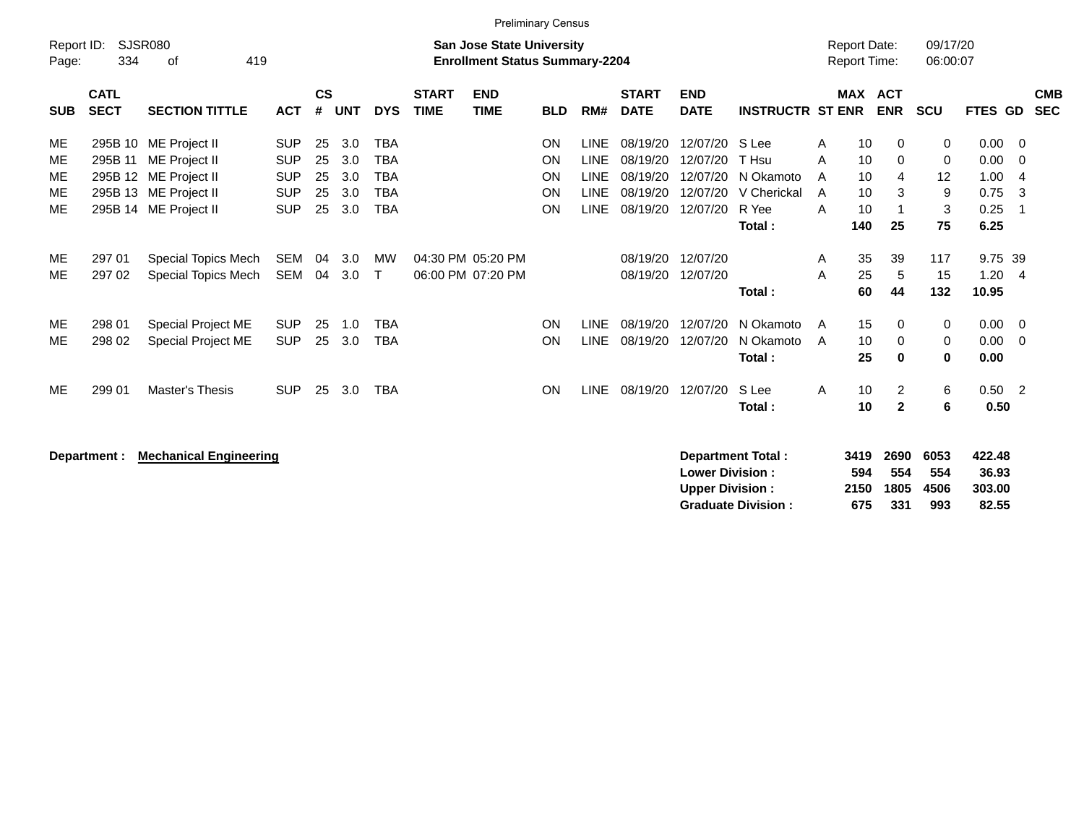|                                                    | <b>Preliminary Census</b>  |                                                                                                                   |                                                                    |                                                                           |                                 |                                                             |                             |                                        |                                   |                                                                         |                                                          |                                                          |                                                               |                       |                                   |                                |                              |                                              |                               |                          |
|----------------------------------------------------|----------------------------|-------------------------------------------------------------------------------------------------------------------|--------------------------------------------------------------------|---------------------------------------------------------------------------|---------------------------------|-------------------------------------------------------------|-----------------------------|----------------------------------------|-----------------------------------|-------------------------------------------------------------------------|----------------------------------------------------------|----------------------------------------------------------|---------------------------------------------------------------|-----------------------|-----------------------------------|--------------------------------|------------------------------|----------------------------------------------|-------------------------------|--------------------------|
| SJSR080<br>Report ID:<br>419<br>334<br>οf<br>Page: |                            |                                                                                                                   |                                                                    | <b>San Jose State University</b><br><b>Enrollment Status Summary-2204</b> |                                 |                                                             |                             |                                        |                                   |                                                                         |                                                          |                                                          | <b>Report Date:</b><br><b>Report Time:</b>                    |                       |                                   | 09/17/20<br>06:00:07           |                              |                                              |                               |                          |
| <b>SUB</b>                                         | <b>CATL</b><br><b>SECT</b> | <b>SECTION TITTLE</b>                                                                                             | <b>ACT</b>                                                         | $\mathsf{cs}$<br>#                                                        | <b>UNT</b>                      | <b>DYS</b>                                                  | <b>START</b><br><b>TIME</b> | <b>END</b><br><b>TIME</b>              | <b>BLD</b>                        | RM#                                                                     | <b>START</b><br><b>DATE</b>                              | <b>END</b><br><b>DATE</b>                                | <b>INSTRUCTR ST ENR</b>                                       |                       | <b>MAX</b>                        | <b>ACT</b><br><b>ENR</b>       | <b>SCU</b>                   | FTES GD                                      |                               | <b>CMB</b><br><b>SEC</b> |
| ME<br>МE<br>ME<br>ME<br>ME                         | 295B 11                    | 295B 10 ME Project II<br>ME Project II<br>295B 12 ME Project II<br>295B 13 ME Project II<br>295B 14 ME Project II | <b>SUP</b><br><b>SUP</b><br><b>SUP</b><br><b>SUP</b><br><b>SUP</b> | 25<br>25<br>25<br>25<br>25                                                | 3.0<br>3.0<br>3.0<br>3.0<br>3.0 | <b>TBA</b><br><b>TBA</b><br>TBA<br><b>TBA</b><br><b>TBA</b> |                             |                                        | ON<br><b>ON</b><br>ON<br>ON<br>ON | <b>LINE</b><br><b>LINE</b><br><b>LINE</b><br><b>LINE</b><br><b>LINE</b> | 08/19/20<br>08/19/20<br>08/19/20<br>08/19/20<br>08/19/20 | 12/07/20<br>12/07/20<br>12/07/20<br>12/07/20<br>12/07/20 | S Lee<br>T Hsu<br>N Okamoto<br>V Cherickal<br>R Yee<br>Total: | A<br>A<br>A<br>A<br>A | 10<br>10<br>10<br>10<br>10<br>140 | 0<br>0<br>4<br>3<br>-1<br>25   | 0<br>0<br>12<br>9<br>3<br>75 | 0.00<br>0.00<br>1.00<br>0.75<br>0.25<br>6.25 | - 0<br>- 0<br>-4<br>-3<br>- 1 |                          |
| ME<br>ME                                           | 297 01<br>297 02           | Special Topics Mech<br>Special Topics Mech                                                                        | SEM<br>SEM                                                         | 04<br>04                                                                  | 3.0<br>3.0                      | MW<br>$\mathsf{T}$                                          |                             | 04:30 PM 05:20 PM<br>06:00 PM 07:20 PM |                                   |                                                                         | 08/19/20<br>08/19/20                                     | 12/07/20<br>12/07/20                                     | Total:                                                        | A<br>A                | 35<br>25<br>60                    | 39<br>5<br>44                  | 117<br>15<br>132             | 9.75 39<br>1.20<br>10.95                     | - 4                           |                          |
| ME<br>МE                                           | 298 01<br>298 02           | Special Project ME<br><b>Special Project ME</b>                                                                   | <b>SUP</b><br><b>SUP</b>                                           | 25<br>25                                                                  | 1.0<br>3.0                      | <b>TBA</b><br><b>TBA</b>                                    |                             |                                        | <b>ON</b><br>ON                   | <b>LINE</b><br><b>LINE</b>                                              | 08/19/20<br>08/19/20                                     | 12/07/20<br>12/07/20                                     | N Okamoto<br>N Okamoto<br>Total:                              | A<br>A                | 15<br>10<br>25                    | 0<br>0<br>$\mathbf{0}$         | 0<br>0<br>$\mathbf 0$        | 0.00<br>0.00<br>0.00                         | - 0<br>- 0                    |                          |
| ME.                                                | 299 01                     | <b>Master's Thesis</b>                                                                                            | <b>SUP</b>                                                         | 25                                                                        | 3.0                             | <b>TBA</b>                                                  |                             |                                        | ON                                | <b>LINE</b>                                                             | 08/19/20                                                 | 12/07/20                                                 | S Lee<br>Total:                                               | A                     | 10<br>10                          | $\overline{2}$<br>$\mathbf{2}$ | 6<br>6                       | $0.50$ 2<br>0.50                             |                               |                          |
|                                                    | Department :               | <b>Mechanical Engineering</b>                                                                                     |                                                                    |                                                                           |                                 |                                                             |                             |                                        |                                   |                                                                         |                                                          |                                                          | <b>Department Total:</b>                                      |                       | 3419                              | 2690                           | 6053                         | 422.48                                       |                               |                          |

**Lower Division : 594 554 554 36.93 Upper Division : 2150 1805 4506 303.00 Graduate Division : 675 331 993 82.55**